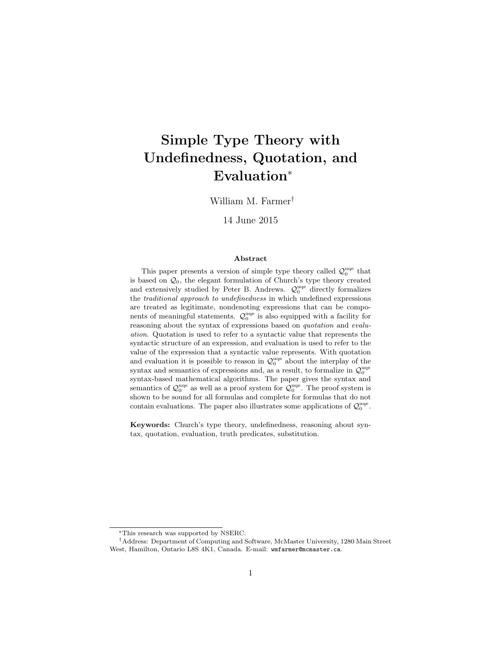# Simple Type Theory with Undefinedness, Quotation, and Evaluation<sup>∗</sup>

William M. Farmer†

14 June 2015

#### Abstract

This paper presents a version of simple type theory called  $\mathcal{Q}_0^{\text{uqe}}$  that is based on  $\mathcal{Q}_0$ , the elegant formulation of Church's type theory created and extensively studied by Peter B. Andrews.  $\mathcal{Q}_0^{\text{uqe}}$  directly formalizes the traditional approach to undefinedness in which undefined expressions are treated as legitimate, nondenoting expressions that can be components of meaningful statements.  $\mathcal{Q}_0^{\text{uqe}}$  is also equipped with a facility for reasoning about the syntax of expressions based on quotation and evaluation. Quotation is used to refer to a syntactic value that represents the syntactic structure of an expression, and evaluation is used to refer to the value of the expression that a syntactic value represents. With quotation and evaluation it is possible to reason in  $\mathcal{Q}_0^{\text{uqe}}$  about the interplay of the syntax and semantics of expressions and, as a result, to formalize in  $\mathcal{Q}_0^{\text{uqe}}$ syntax-based mathematical algorithms. The paper gives the syntax and semantics of  $\mathcal{Q}_0^{\text{uqe}}$  as well as a proof system for  $\mathcal{Q}_0^{\text{uqe}}$ . The proof system is shown to be sound for all formulas and complete for formulas that do not contain evaluations. The paper also illustrates some applications of  $\mathcal{Q}_0^{\text{uqe}}$ .

Keywords: Church's type theory, undefinedness, reasoning about syntax, quotation, evaluation, truth predicates, substitution.

<sup>∗</sup>This research was supported by NSERC.

<sup>†</sup>Address: Department of Computing and Software, McMaster University, 1280 Main Street West, Hamilton, Ontario L8S 4K1, Canada. E-mail: wmfarmer@mcmaster.ca.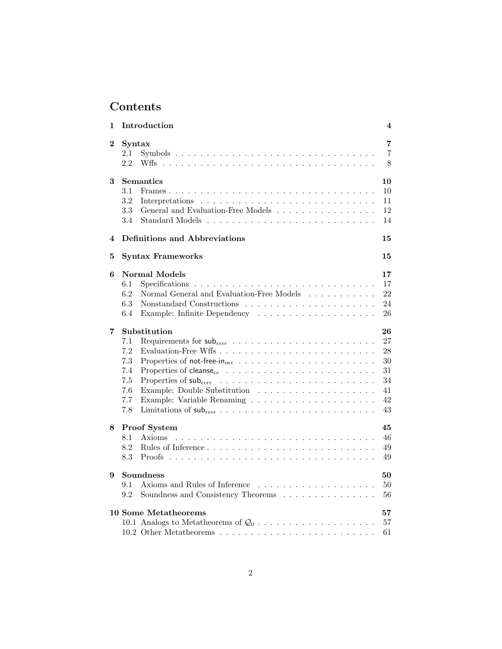# Contents

| 1        | Introduction<br>4                                                                                               |                                                    |  |  |
|----------|-----------------------------------------------------------------------------------------------------------------|----------------------------------------------------|--|--|
| $\bf{2}$ | Syntax<br>2.1<br>2.2<br>Wffs.                                                                                   | 7<br>7<br>8                                        |  |  |
| 3        | Semantics<br>3.1<br>3.2<br>General and Evaluation-Free Models<br>3.3<br>3.4                                     | 10<br>10<br>11<br>12<br>14                         |  |  |
| 4        | <b>Definitions and Abbreviations</b>                                                                            | 15                                                 |  |  |
| 5        | <b>Syntax Frameworks</b><br>15                                                                                  |                                                    |  |  |
| 6        | <b>Normal Models</b><br>6.1<br>Specifications<br>6.2<br>Normal General and Evaluation-Free Models<br>6.3<br>6.4 | 17<br>17<br>22<br>24<br>26                         |  |  |
| 7        | Substitution<br>7.1<br>7.2<br>7.3<br>7.4<br>7.5<br>7.6<br>7.7<br>7.8                                            | 26<br>27<br>28<br>30<br>31<br>34<br>41<br>42<br>43 |  |  |
| 8        | <b>Proof System</b><br>8.1<br>Axioms<br>8.2<br>8.3                                                              | 45<br>46<br>49<br>49                               |  |  |
| 9        | Soundness<br>9.1<br>9.2<br>Soundness and Consistency Theorems                                                   | 50<br>50<br>56                                     |  |  |
|          | 10 Some Metatheorems                                                                                            | 57<br>57<br>61                                     |  |  |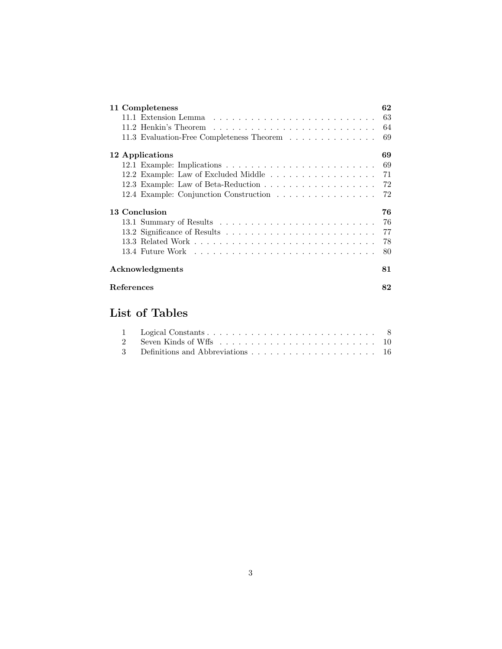| 11 Completeness<br>62                     |    |  |  |  |
|-------------------------------------------|----|--|--|--|
|                                           | 63 |  |  |  |
|                                           | 64 |  |  |  |
| 11.3 Evaluation-Free Completeness Theorem | 69 |  |  |  |
| 12 Applications<br>69                     |    |  |  |  |
|                                           | 69 |  |  |  |
|                                           | 71 |  |  |  |
|                                           | 72 |  |  |  |
| 12.4 Example: Conjunction Construction    | 72 |  |  |  |
| 13 Conclusion<br>76                       |    |  |  |  |
|                                           | 76 |  |  |  |
|                                           | 77 |  |  |  |
|                                           |    |  |  |  |
|                                           | 78 |  |  |  |
|                                           | 80 |  |  |  |
| Acknowledgments                           | 81 |  |  |  |

# List of Tables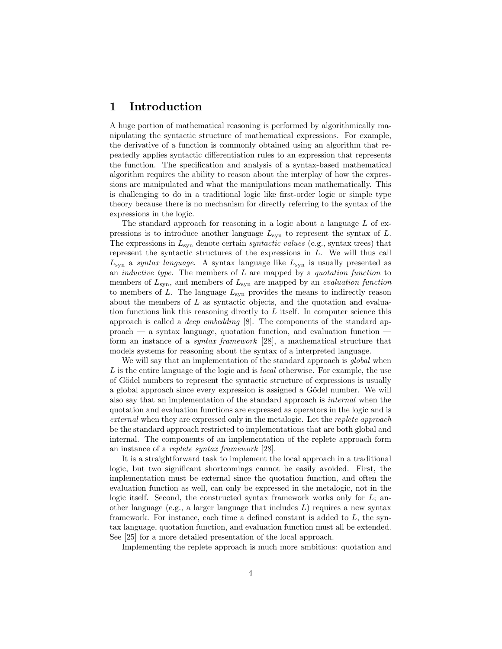## 1 Introduction

A huge portion of mathematical reasoning is performed by algorithmically manipulating the syntactic structure of mathematical expressions. For example, the derivative of a function is commonly obtained using an algorithm that repeatedly applies syntactic differentiation rules to an expression that represents the function. The specification and analysis of a syntax-based mathematical algorithm requires the ability to reason about the interplay of how the expressions are manipulated and what the manipulations mean mathematically. This is challenging to do in a traditional logic like first-order logic or simple type theory because there is no mechanism for directly referring to the syntax of the expressions in the logic.

The standard approach for reasoning in a logic about a language L of expressions is to introduce another language  $L_{syn}$  to represent the syntax of  $L$ . The expressions in  $L_{syn}$  denote certain *syntactic values* (e.g., syntax trees) that represent the syntactic structures of the expressions in L. We will thus call  $L_{syn}$  a syntax language. A syntax language like  $L_{syn}$  is usually presented as an *inductive type*. The members of  $L$  are mapped by a *quotation function* to members of  $L_{syn}$ , and members of  $L_{syn}$  are mapped by an *evaluation function* to members of  $L$ . The language  $L_{syn}$  provides the means to indirectly reason about the members of  $L$  as syntactic objects, and the quotation and evaluation functions link this reasoning directly to  $L$  itself. In computer science this approach is called a *deep embedding*  $|8|$ . The components of the standard ap $proach$  — a syntax language, quotation function, and evaluation function  $$ form an instance of a syntax framework [28], a mathematical structure that models systems for reasoning about the syntax of a interpreted language.

We will say that an implementation of the standard approach is *global* when  $L$  is the entire language of the logic and is *local* otherwise. For example, the use of Gödel numbers to represent the syntactic structure of expressions is usually a global approach since every expression is assigned a Gödel number. We will also say that an implementation of the standard approach is internal when the quotation and evaluation functions are expressed as operators in the logic and is external when they are expressed only in the metalogic. Let the replete approach be the standard approach restricted to implementations that are both global and internal. The components of an implementation of the replete approach form an instance of a replete syntax framework [28].

It is a straightforward task to implement the local approach in a traditional logic, but two significant shortcomings cannot be easily avoided. First, the implementation must be external since the quotation function, and often the evaluation function as well, can only be expressed in the metalogic, not in the logic itself. Second, the constructed syntax framework works only for  $L$ ; another language (e.g., a larger language that includes  $L$ ) requires a new syntax framework. For instance, each time a defined constant is added to L, the syntax language, quotation function, and evaluation function must all be extended. See [25] for a more detailed presentation of the local approach.

Implementing the replete approach is much more ambitious: quotation and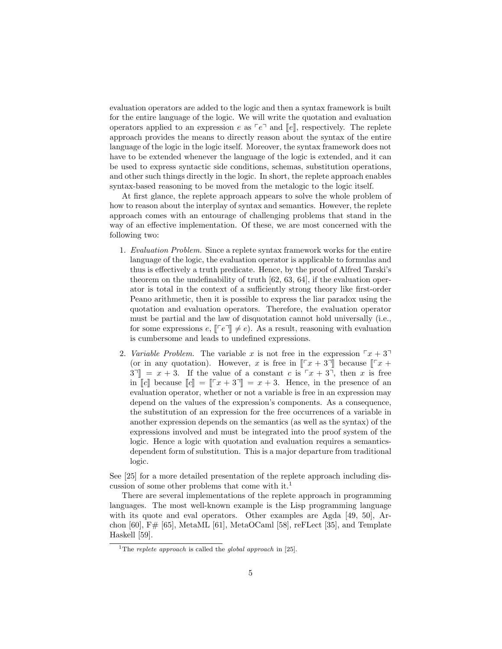evaluation operators are added to the logic and then a syntax framework is built for the entire language of the logic. We will write the quotation and evaluation operators applied to an expression e as  $\lceil e \rceil$  and  $\lceil e \rceil$ , respectively. The replete approach provides the means to directly reason about the syntax of the entire language of the logic in the logic itself. Moreover, the syntax framework does not have to be extended whenever the language of the logic is extended, and it can be used to express syntactic side conditions, schemas, substitution operations, and other such things directly in the logic. In short, the replete approach enables syntax-based reasoning to be moved from the metalogic to the logic itself.

At first glance, the replete approach appears to solve the whole problem of how to reason about the interplay of syntax and semantics. However, the replete approach comes with an entourage of challenging problems that stand in the way of an effective implementation. Of these, we are most concerned with the following two:

- 1. Evaluation Problem. Since a replete syntax framework works for the entire language of the logic, the evaluation operator is applicable to formulas and thus is effectively a truth predicate. Hence, by the proof of Alfred Tarski's theorem on the undefinability of truth [62, 63, 64], if the evaluation operator is total in the context of a sufficiently strong theory like first-order Peano arithmetic, then it is possible to express the liar paradox using the quotation and evaluation operators. Therefore, the evaluation operator must be partial and the law of disquotation cannot hold universally (i.e., for some expressions  $e, \mathbb{F}e^{\mathbb{H}} \neq e$ . As a result, reasoning with evaluation is cumbersome and leads to undefined expressions.
- 2. Variable Problem. The variable x is not free in the expression  $x + 3$ (or in any quotation). However, x is free in  $\lbrack \lbrack x+3 \rbrack \rbrack$  because  $\lbrack \lbrack x+3 \rbrack \rbrack$  $3\overline{\ }$  =  $x + 3$ . If the value of a constant c is  $\overline{x} + 3\overline{\ }$ , then x is free in  $\llbracket c \rrbracket$  because  $\llbracket c \rrbracket = \llbracket \ulcorner x + 3 \urcorner \rrbracket = x + 3$ . Hence, in the presence of an evaluation operator, whether or not a variable is free in an expression may depend on the values of the expression's components. As a consequence, the substitution of an expression for the free occurrences of a variable in another expression depends on the semantics (as well as the syntax) of the expressions involved and must be integrated into the proof system of the logic. Hence a logic with quotation and evaluation requires a semanticsdependent form of substitution. This is a major departure from traditional logic.

See [25] for a more detailed presentation of the replete approach including discussion of some other problems that come with it.<sup>1</sup>

There are several implementations of the replete approach in programming languages. The most well-known example is the Lisp programming language with its quote and eval operators. Other examples are Agda [49, 50], Archon  $[60]$ ,  $F# [65]$ , MetaML  $[61]$ , MetaOCaml  $[58]$ , reFLect  $[35]$ , and Template Haskell [59].

<sup>&</sup>lt;sup>1</sup>The *replete approach* is called the *global approach* in [25].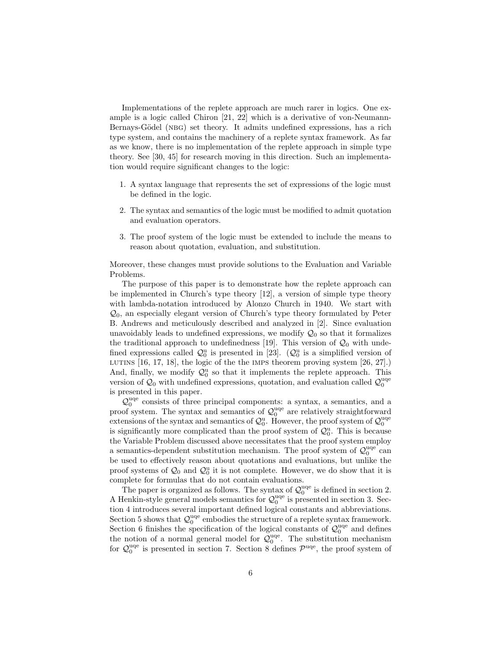Implementations of the replete approach are much rarer in logics. One example is a logic called Chiron [21, 22] which is a derivative of von-Neumann-Bernays-Gödel (NBG) set theory. It admits undefined expressions, has a rich type system, and contains the machinery of a replete syntax framework. As far as we know, there is no implementation of the replete approach in simple type theory. See [30, 45] for research moving in this direction. Such an implementation would require significant changes to the logic:

- 1. A syntax language that represents the set of expressions of the logic must be defined in the logic.
- 2. The syntax and semantics of the logic must be modified to admit quotation and evaluation operators.
- 3. The proof system of the logic must be extended to include the means to reason about quotation, evaluation, and substitution.

Moreover, these changes must provide solutions to the Evaluation and Variable Problems.

The purpose of this paper is to demonstrate how the replete approach can be implemented in Church's type theory [12], a version of simple type theory with lambda-notation introduced by Alonzo Church in 1940. We start with  $\mathcal{Q}_0$ , an especially elegant version of Church's type theory formulated by Peter B. Andrews and meticulously described and analyzed in [2]. Since evaluation unavoidably leads to undefined expressions, we modify  $\mathcal{Q}_0$  so that it formalizes the traditional approach to undefinedness [19]. This version of  $\mathcal{Q}_0$  with undefined expressions called  $\mathcal{Q}_0^u$  is presented in [23]. ( $\mathcal{Q}_0^u$  is a simplified version of LUTINS  $[16, 17, 18]$ , the logic of the the IMPS theorem proving system  $[26, 27]$ . And, finally, we modify  $\mathcal{Q}_0^u$  so that it implements the replete approach. This version of  $\mathcal{Q}_0$  with undefined expressions, quotation, and evaluation called  $\mathcal{Q}_0^{\text{uqe}}$ is presented in this paper.

 $\mathcal{Q}_0^{\text{uqe}}$  consists of three principal components: a syntax, a semantics, and a proof system. The syntax and semantics of  $\mathcal{Q}_0^{\text{uqe}}$  are relatively straightforward extensions of the syntax and semantics of  $\mathcal{Q}_0^u$ . However, the proof system of  $\mathcal{Q}_0^{\text{uqe}}$ is significantly more complicated than the proof system of  $\mathcal{Q}_0^{\mathrm{u}}$ . This is because the Variable Problem discussed above necessitates that the proof system employ a semantics-dependent substitution mechanism. The proof system of  $\mathcal{Q}_0^{\text{uqe}}$  can be used to effectively reason about quotations and evaluations, but unlike the proof systems of  $\mathcal{Q}_0$  and  $\mathcal{Q}_0^{\mathsf{u}}$  it is not complete. However, we do show that it is complete for formulas that do not contain evaluations.

The paper is organized as follows. The syntax of  $\mathcal{Q}_0^{\text{uqe}}$  is defined in section 2. A Henkin-style general models semantics for  $\mathcal{Q}_0^{\text{uqe}}$  is presented in section 3. Section 4 introduces several important defined logical constants and abbreviations. Section 5 shows that  $\mathcal{Q}_0^{\text{uqe}}$  embodies the structure of a replete syntax framework. Section 6 finishes the specification of the logical constants of  $\mathcal{Q}_0^{\text{uqe}}$  and defines the notion of a normal general model for  $\mathcal{Q}_0^{\text{uqe}}$ . The substitution mechanism for  $\mathcal{Q}_0^{\text{uqe}}$  is presented in section 7. Section 8 defines  $\mathcal{P}^{\text{uqe}}$ , the proof system of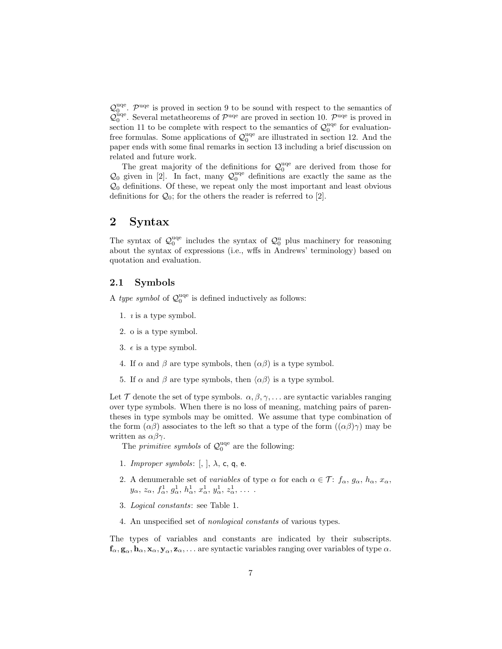$\mathcal{Q}_0^{\text{uqe}}$ .  $\mathcal{P}^{\text{uqe}}$  is proved in section 9 to be sound with respect to the semantics of  $\mathcal{Q}_0^{\text{uqe}}$ . Several metatheorems of  $\mathcal{P}^{\text{uqe}}$  are proved in section 10.  $\mathcal{P}^{\text{uqe}}$  is proved in section 11 to be complete with respect to the semantics of  $\mathcal{Q}_0^{\text{uqe}}$  for evaluationfree formulas. Some applications of  $\mathcal{Q}_0^{\text{uqe}}$  are illustrated in section 12. And the paper ends with some final remarks in section 13 including a brief discussion on related and future work.

The great majority of the definitions for  $\mathcal{Q}_0^{\text{uqe}}$  are derived from those for  $\mathcal{Q}_0$  given in [2]. In fact, many  $\mathcal{Q}_0^{\text{uqe}}$  definitions are exactly the same as the  $\mathcal{Q}_0$  definitions. Of these, we repeat only the most important and least obvious definitions for  $\mathcal{Q}_0$ ; for the others the reader is referred to [2].

## 2 Syntax

The syntax of  $\mathcal{Q}_0^{\text{uqe}}$  includes the syntax of  $\mathcal{Q}_0^{\text{u}}$  plus machinery for reasoning about the syntax of expressions (i.e., wffs in Andrews' terminology) based on quotation and evaluation.

#### 2.1 Symbols

A type symbol of  $\mathcal{Q}_0^{\text{uqe}}$  is defined inductively as follows:

- 1.  $\iota$  is a type symbol.
- 2. o is a type symbol.
- 3.  $\epsilon$  is a type symbol.
- 4. If  $\alpha$  and  $\beta$  are type symbols, then  $(\alpha\beta)$  is a type symbol.
- 5. If  $\alpha$  and  $\beta$  are type symbols, then  $\langle \alpha \beta \rangle$  is a type symbol.

Let T denote the set of type symbols.  $\alpha, \beta, \gamma, \ldots$  are syntactic variables ranging over type symbols. When there is no loss of meaning, matching pairs of parentheses in type symbols may be omitted. We assume that type combination of the form  $(\alpha\beta)$  associates to the left so that a type of the form  $((\alpha\beta)\gamma)$  may be written as  $\alpha\beta\gamma$ .

The *primitive symbols* of  $\mathcal{Q}_0^{\text{uqe}}$  are the following:

- 1. Improper symbols:  $[, \cdot]$ ,  $\lambda$ , c, q, e.
- 2. A denumerable set of variables of type  $\alpha$  for each  $\alpha \in \mathcal{T}$ :  $f_{\alpha}, g_{\alpha}, h_{\alpha}, x_{\alpha}$ ,  $y_{\alpha}, z_{\alpha}, f_{\alpha}^1, g_{\alpha}^1, h_{\alpha}^1, x_{\alpha}^1, y_{\alpha}^1, z_{\alpha}^1, \ldots$
- 3. Logical constants: see Table 1.
- 4. An unspecified set of nonlogical constants of various types.

The types of variables and constants are indicated by their subscripts.  $f_{\alpha}, g_{\alpha}, h_{\alpha}, x_{\alpha}, y_{\alpha}, z_{\alpha}, \ldots$  are syntactic variables ranging over variables of type  $\alpha$ .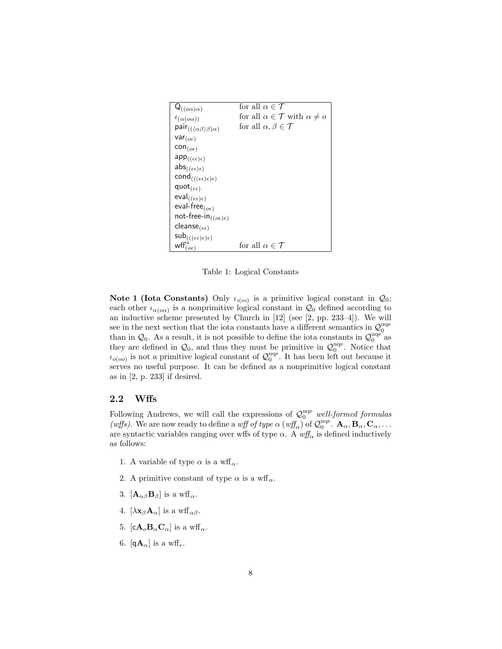| $\mathsf{Q}_{((o\alpha)\alpha)}$                         | for all $\alpha \in \mathcal{T}$                      |
|----------------------------------------------------------|-------------------------------------------------------|
| $\iota_{(\alpha(o\alpha))}$                              | for all $\alpha \in \mathcal{T}$ with $\alpha \neq o$ |
| pair $((\langle \alpha \beta \rangle \beta) \alpha)$     | for all $\alpha, \beta \in \mathcal{T}$               |
| $\textsf{var}_{(o \epsilon)}$                            |                                                       |
| $\mathsf{con}_{(o\epsilon)}$                             |                                                       |
| $\mathsf{app}_{\left((\epsilon\epsilon)\epsilon\right)}$ |                                                       |
| $\mathsf{abs}_{((\epsilon\epsilon)\epsilon)}$            |                                                       |
| $\mathsf{cond}_{(((\epsilon\epsilon)\epsilon)\epsilon)}$ |                                                       |
| $\mathsf{quot}_{(\epsilon\epsilon)}$                     |                                                       |
| $\mathsf{eval}_{((\epsilon\epsilon)\epsilon)}$           |                                                       |
| eval-free $_{(o\epsilon)}$                               |                                                       |
| not-free-in $_{((o \epsilon) \epsilon)}$                 |                                                       |
| $\mathsf{cleanse}_{(\epsilon\epsilon)}$                  |                                                       |
| $\mathsf{sub}_{(((\epsilon\epsilon)\epsilon)\epsilon)}$  |                                                       |
| $\mathsf{wff}^\alpha_{(o \epsilon)}$                     | for all $\alpha \in \mathcal{T}$                      |

Table 1: Logical Constants

Note 1 (Iota Constants) Only  $\iota_{\iota(\alpha)}$  is a primitive logical constant in  $\mathcal{Q}_0$ ; each other  $\iota_{\alpha(\alpha\alpha)}$  is a nonprimitive logical constant in  $\mathcal{Q}_0$  defined according to an inductive scheme presented by Church in  $[12]$  (see  $[2, pp. 233-4]$ ). We will see in the next section that the iota constants have a different semantics in  $\mathcal{Q}_0^{\text{uqe}}$ than in  $\mathcal{Q}_0$ . As a result, it is not possible to define the iota constants in  $\mathcal{Q}_0^{\text{uqe}}$  as they are defined in  $\mathcal{Q}_0$ , and thus they must be primitive in  $\mathcal{Q}_0^{\text{uqe}}$ . Notice that  $\iota_{o(oo)}$  is not a primitive logical constant of  $\mathcal{Q}_0^{\text{uqe}}$ . It has been left out because it serves no useful purpose. It can be defined as a nonprimitive logical constant as in [2, p. 233] if desired.

#### 2.2 Wffs

Following Andrews, we will call the expressions of  $\mathcal{Q}_0^{\text{uqe}}$  well-formed formulas (wffs). We are now ready to define a wff of type  $\alpha$  (wff<sub> $\alpha$ </sub>) of  $\mathcal{Q}_0^{\text{uqe}}$ .  $\mathbf{A}_{\alpha}$ ,  $\mathbf{B}_{\alpha}$ ,  $\mathbf{C}_{\alpha}$ ,... are syntactic variables ranging over wffs of type  $\alpha$ . A wff<sub> $\alpha$ </sub> is defined inductively as follows:

- 1. A variable of type  $\alpha$  is a wff<sub> $\alpha$ </sub>.
- 2. A primitive constant of type  $\alpha$  is a wff<sub> $\alpha$ </sub>.
- 3.  $[\mathbf{A}_{\alpha\beta} \mathbf{B}_{\beta}]$  is a wff<sub>a</sub>.
- 4.  $[\lambda \mathbf{x}_{\beta} \mathbf{A}_{\alpha}]$  is a wff<sub>αβ</sub>.
- 5.  $[cA<sub>o</sub>B<sub>\alpha</sub>C<sub>\alpha</sub>]$  is a wff<sub>a</sub>.
- 6.  $[qA_{\alpha}]$  is a wff.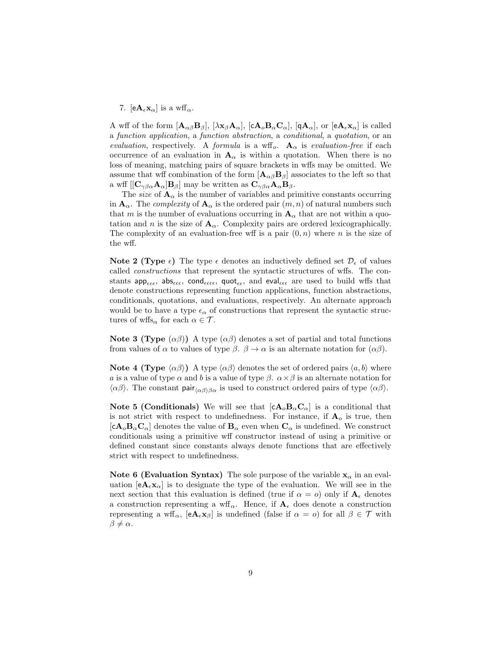7. [e $\mathbf{A}_{\epsilon} \mathbf{x}_{\alpha}$ ] is a wff<sub> $\alpha$ </sub>.

A wff of the form  $[\mathbf{A}_{\alpha\beta}\mathbf{B}_{\beta}], [\lambda \mathbf{x}_{\beta}\mathbf{A}_{\alpha}], [\mathbf{c}\mathbf{A}_{\alpha}\mathbf{B}_{\alpha}\mathbf{C}_{\alpha}], [\mathbf{q}\mathbf{A}_{\alpha}],$  or  $[\mathbf{e}\mathbf{A}_{\epsilon}\mathbf{x}_{\alpha}]$  is called a function application, a function abstraction, a conditional, a quotation, or an evaluation, respectively. A formula is a wff<sub>o</sub>.  $A_{\alpha}$  is evaluation-free if each occurrence of an evaluation in  $A_{\alpha}$  is within a quotation. When there is no loss of meaning, matching pairs of square brackets in wffs may be omitted. We assume that wff combination of the form  $[\mathbf{A}_{\alpha\beta} \mathbf{B}_{\beta}]$  associates to the left so that a wff  $\left[\left[\mathbf{C}_{\gamma\beta\alpha}\mathbf{A}_{\alpha}\right]\mathbf{B}_{\beta}\right]$  may be written as  $\mathbf{C}_{\gamma\beta\alpha}\mathbf{A}_{\alpha}\mathbf{B}_{\beta}$ .

The *size* of  $\mathbf{A}_{\alpha}$  is the number of variables and primitive constants occurring in  $\mathbf{A}_{\alpha}$ . The *complexity* of  $\mathbf{A}_{\alpha}$  is the ordered pair  $(m, n)$  of natural numbers such that m is the number of evaluations occurring in  $A_{\alpha}$  that are not within a quotation and n is the size of  $\mathbf{A}_{\alpha}$ . Complexity pairs are ordered lexicographically. The complexity of an evaluation-free wff is a pair  $(0, n)$  where n is the size of the wff.

**Note 2** (Type  $\epsilon$ ) The type  $\epsilon$  denotes an inductively defined set  $\mathcal{D}_{\epsilon}$  of values called constructions that represent the syntactic structures of wffs. The constants app<sub> $\epsilon \epsilon \epsilon$ </sub>, abs $\epsilon \epsilon \epsilon$ , cond $\epsilon \epsilon \epsilon \epsilon$ , quot $\epsilon \epsilon$ , and eval<sub> $\epsilon \epsilon \epsilon$ </sub> are used to build wffs that denote constructions representing function applications, function abstractions, conditionals, quotations, and evaluations, respectively. An alternate approach would be to have a type  $\epsilon_{\alpha}$  of constructions that represent the syntactic structures of wffs<sub>α</sub> for each  $\alpha \in \mathcal{T}$ .

Note 3 (Type  $(\alpha\beta)$ ) A type  $(\alpha\beta)$  denotes a set of partial and total functions from values of  $\alpha$  to values of type  $\beta$ .  $\beta \rightarrow \alpha$  is an alternate notation for  $(\alpha \beta)$ .

**Note 4 (Type**  $\langle \alpha \beta \rangle$ ) A type  $\langle \alpha \beta \rangle$  denotes the set of ordered pairs  $\langle a, b \rangle$  where a is a value of type  $\alpha$  and b is a value of type  $\beta$ .  $\alpha \times \beta$  is an alternate notation for  $\langle \alpha \beta \rangle$ . The constant pair  $\langle \alpha \beta \rangle$  is used to construct ordered pairs of type  $\langle \alpha \beta \rangle$ .

Note 5 (Conditionals) We will see that  $[cA_0B_{\alpha}C_{\alpha}]$  is a conditional that is not strict with respect to undefinedness. For instance, if  $A<sub>o</sub>$  is true, then  $[\mathbf{c}\mathbf{A}_{o}\mathbf{B}_{\alpha}\mathbf{C}_{\alpha}]$  denotes the value of  $\mathbf{B}_{\alpha}$  even when  $\mathbf{C}_{\alpha}$  is undefined. We construct conditionals using a primitive wff constructor instead of using a primitive or defined constant since constants always denote functions that are effectively strict with respect to undefinedness.

Note 6 (Evaluation Syntax) The sole purpose of the variable  $x_{\alpha}$  in an evaluation  $[eA_{\epsilon}x_{\alpha}]$  is to designate the type of the evaluation. We will see in the next section that this evaluation is defined (true if  $\alpha = o$ ) only if  $A_{\epsilon}$  denotes a construction representing a wff<sub> $\alpha$ </sub>. Hence, if  $A_{\epsilon}$  does denote a construction representing a wff<sub>α</sub>,  $[eA_{\epsilon}x_{\beta}]$  is undefined (false if  $\alpha = 0$ ) for all  $\beta \in \mathcal{T}$  with  $\beta \neq \alpha$ .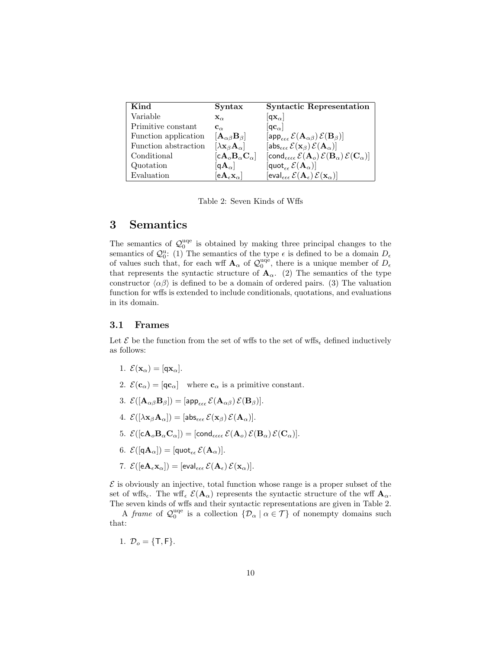| Kind                 | Syntax                                                       | <b>Syntactic Representation</b>                                                                                    |
|----------------------|--------------------------------------------------------------|--------------------------------------------------------------------------------------------------------------------|
| Variable             | $\mathbf{x}_{\alpha}$                                        | $ \mathbf{q} \mathbf{x}_{\alpha} $                                                                                 |
| Primitive constant   | $\mathbf{c}_{\alpha}$                                        | $\lbrack$ qc <sub><math>\alpha</math></sub> $\rbrack$                                                              |
| Function application | $[\mathbf{A}_{\alpha\beta} \mathbf{B}_{\beta}]$              | $[\mathsf{app}_{\epsilon\epsilon\epsilon} \mathcal{E}(\mathbf{A}_{\alpha\beta}) \mathcal{E}(\mathbf{B}_{\beta})]$  |
| Function abstraction | $[\lambda {\bf x}_{\beta} {\bf A}_{\alpha}]$                 | $[\mathsf{abs}_{\epsilon\epsilon\epsilon} \mathcal{E}(\mathbf{x}_\beta) \mathcal{E}(\mathbf{A}_\alpha)]$           |
| Conditional          | $[\mathsf{c}\mathbf{A}_o\mathbf{B}_\alpha\mathbf{C}_\alpha]$ | [cond <sub>ecec</sub> $\mathcal{E}(\mathbf{A}_o) \mathcal{E}(\mathbf{B}_\alpha) \mathcal{E}(\mathbf{C}_\alpha)$ ]  |
| Quotation            | [q ${\bf A}_\alpha$ ]                                        | $[\mathsf{quot}_{\epsilon\epsilon} \mathcal{E}(\mathbf{A}_{\alpha})]$                                              |
| Evaluation           | $[\mathrm{eA}_{\epsilon}\mathrm{x}_{\alpha}]$                | $[\mathsf{eval}_{\epsilon\epsilon\epsilon} \, \mathcal{E}(\mathbf{A}_\epsilon) \, \mathcal{E}(\mathbf{x}_\alpha)]$ |

Table 2: Seven Kinds of Wffs

### 3 Semantics

The semantics of  $\mathcal{Q}_0^{\text{uqe}}$  is obtained by making three principal changes to the semantics of  $\mathcal{Q}_0^{\mathrm{u}}$ : (1) The semantics of the type  $\epsilon$  is defined to be a domain  $D_{\epsilon}$ of values such that, for each wff  $\mathbf{A}_{\alpha}$  of  $\mathcal{Q}_0^{\text{uqe}},$  there is a unique member of  $D_{\epsilon}$ that represents the syntactic structure of  $A_{\alpha}$ . (2) The semantics of the type constructor  $\langle \alpha \beta \rangle$  is defined to be a domain of ordered pairs. (3) The valuation function for wffs is extended to include conditionals, quotations, and evaluations in its domain.

#### 3.1 Frames

Let  $\mathcal E$  be the function from the set of wffs to the set of wffs<sub> $\epsilon$ </sub> defined inductively as follows:

1.  $\mathcal{E}(\mathbf{x}_{\alpha}) = [\mathbf{q}\mathbf{x}_{\alpha}].$ 2.  $\mathcal{E}(\mathbf{c}_{\alpha}) = [\mathbf{qc}_{\alpha}]$  where  $\mathbf{c}_{\alpha}$  is a primitive constant. 3.  $\mathcal{E}([\mathbf{A}_{\alpha\beta} \mathbf{B}_{\beta}]) = [\mathsf{app}_{\epsilon\epsilon\epsilon} \mathcal{E}(\mathbf{A}_{\alpha\beta}) \mathcal{E}(\mathbf{B}_{\beta})].$ 4.  $\mathcal{E}([\lambda \mathbf{x}_{\beta} \mathbf{A}_{\alpha}]) = [\mathsf{abs}_{\epsilon \epsilon \epsilon} \mathcal{E}(\mathbf{x}_{\beta}) \mathcal{E}(\mathbf{A}_{\alpha})].$ 5.  $\mathcal{E}([\mathbf{c}\mathbf{A}_{o}\mathbf{B}_{\alpha}\mathbf{C}_{\alpha}]) = [\mathbf{cond}_{\epsilon\epsilon\epsilon\epsilon} \mathcal{E}(\mathbf{A}_{o}) \mathcal{E}(\mathbf{B}_{\alpha}) \mathcal{E}(\mathbf{C}_{\alpha})].$ 6.  $\mathcal{E}([\mathbf{q}\mathbf{A}_{\alpha}]) = [\mathbf{quot}_{\epsilon\epsilon} \mathcal{E}(\mathbf{A}_{\alpha})].$ 7.  $\mathcal{E}([\mathbf{e}\mathbf{A}_{\epsilon}\mathbf{x}_{\alpha}]) = [\mathbf{e}\mathsf{val}_{\epsilon\epsilon\epsilon} \mathcal{E}(\mathbf{A}_{\epsilon}) \mathcal{E}(\mathbf{x}_{\alpha})].$ 

 $\mathcal E$  is obviously an injective, total function whose range is a proper subset of the set of wffs<sub> $\epsilon$ </sub>. The wff<sub> $\epsilon$ </sub>  $\mathcal{E}(\mathbf{A}_{\alpha})$  represents the syntactic structure of the wff  $\mathbf{A}_{\alpha}$ . The seven kinds of wffs and their syntactic representations are given in Table 2.

A frame of  $\mathcal{Q}_0^{\text{uqe}}$  is a collection  $\{\mathcal{D}_\alpha \mid \alpha \in \mathcal{T}\}\$  of nonempty domains such that:

$$
1. \mathcal{D}_o = \{\mathsf{T}, \mathsf{F}\}.
$$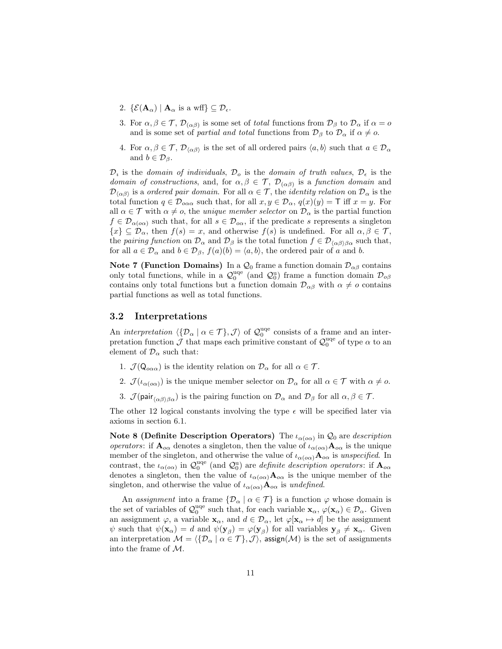- 2.  $\{ \mathcal{E}(\mathbf{A}_{\alpha}) \mid \mathbf{A}_{\alpha} \text{ is a wff} \} \subseteq \mathcal{D}_{\epsilon}.$
- 3. For  $\alpha, \beta \in \mathcal{T}$ ,  $\mathcal{D}_{(\alpha\beta)}$  is some set of total functions from  $\mathcal{D}_{\beta}$  to  $\mathcal{D}_{\alpha}$  if  $\alpha = o$ and is some set of *partial and total* functions from  $\mathcal{D}_{\beta}$  to  $\mathcal{D}_{\alpha}$  if  $\alpha \neq o$ .
- 4. For  $\alpha, \beta \in \mathcal{T}$ ,  $\mathcal{D}_{\{\alpha\beta\}}$  is the set of all ordered pairs  $\langle a, b \rangle$  such that  $a \in \mathcal{D}_{\alpha}$ and  $b \in \mathcal{D}_{\beta}$ .

 $\mathcal{D}_i$  is the *domain of individuals*,  $\mathcal{D}_o$  is the *domain of truth values*,  $\mathcal{D}_\epsilon$  is the domain of constructions, and, for  $\alpha, \beta \in \mathcal{T}$ ,  $\mathcal{D}_{(\alpha\beta)}$  is a function domain and  $\mathcal{D}_{\langle\alpha\beta\rangle}$  is a ordered pair domain. For all  $\alpha \in \mathcal{T}$ , the identity relation on  $\mathcal{D}_{\alpha}$  is the total function  $q \in \mathcal{D}_{\alpha\alpha}$  such that, for all  $x, y \in \mathcal{D}_{\alpha}, q(x)(y) = \mathsf{T}$  iff  $x = y$ . For all  $\alpha \in \mathcal{T}$  with  $\alpha \neq o$ , the *unique member selector* on  $\mathcal{D}_{\alpha}$  is the partial function  $f \in \mathcal{D}_{\alpha(\rho\alpha)}$  such that, for all  $s \in \mathcal{D}_{\alpha\alpha}$ , if the predicate s represents a singleton  ${x} \subseteq \mathcal{D}_{\alpha}$ , then  $f(s) = x$ , and otherwise  $f(s)$  is undefined. For all  $\alpha, \beta \in \mathcal{T}$ , the pairing function on  $\mathcal{D}_{\alpha}$  and  $\mathcal{D}_{\beta}$  is the total function  $f \in \mathcal{D}_{\langle \alpha\beta\rangle\beta\alpha}$  such that, for all  $a \in \mathcal{D}_{\alpha}$  and  $b \in \mathcal{D}_{\beta}$ ,  $f(a)(b) = \langle a, b \rangle$ , the ordered pair of a and b.

Note 7 (Function Domains) In a  $\mathcal{Q}_0$  frame a function domain  $\mathcal{D}_{\alpha\beta}$  contains only total functions, while in a  $\mathcal{Q}_0^{\text{uqe}}$  (and  $\mathcal{Q}_0^{\text{u}}$ ) frame a function domain  $\mathcal{D}_{\text{o}\beta}$ contains only total functions but a function domain  $\mathcal{D}_{\alpha\beta}$  with  $\alpha \neq o$  contains partial functions as well as total functions.

#### 3.2 Interpretations

An *interpretation*  $\langle \{D_\alpha \mid \alpha \in \mathcal{T}\},\mathcal{J}\rangle$  of  $\mathcal{Q}_0^{\text{uqe}}$  consists of a frame and an interpretation function  $\mathcal{J}$  that maps each primitive constant of  $\mathcal{Q}_0^{\text{uqe}}$  of type  $\alpha$  to an element of  $\mathcal{D}_{\alpha}$  such that:

- 1.  $\mathcal{J}(\mathsf{Q}_{\alpha\alpha})$  is the identity relation on  $\mathcal{D}_{\alpha}$  for all  $\alpha \in \mathcal{T}$ .
- 2.  $\mathcal{J}(\iota_{\alpha(\rho\alpha)})$  is the unique member selector on  $\mathcal{D}_{\alpha}$  for all  $\alpha \in \mathcal{T}$  with  $\alpha \neq o$ .
- 3.  $\mathcal{J}(\text{pair}_{(\alpha\beta)\beta\alpha})$  is the pairing function on  $\mathcal{D}_{\alpha}$  and  $\mathcal{D}_{\beta}$  for all  $\alpha, \beta \in \mathcal{T}$ .

The other 12 logical constants involving the type  $\epsilon$  will be specified later via axioms in section 6.1.

Note 8 (Definite Description Operators) The  $\iota_{\alpha(\alpha\alpha)}$  in  $\mathcal{Q}_0$  are description operators: if  $\mathbf{A}_{\alpha\alpha}$  denotes a singleton, then the value of  $\iota_{\alpha(\alpha\alpha)}\mathbf{A}_{\alpha\alpha}$  is the unique member of the singleton, and otherwise the value of  $\iota_{\alpha(\alpha\alpha)}\mathbf{A}_{\alpha\alpha}$  is unspecified. In contrast, the  $\iota_{\alpha(\alpha\alpha)}$  in  $\mathcal{Q}_0^{\text{uqe}}$  (and  $\mathcal{Q}_0^{\text{u}}$ ) are *definite description operators*: if  $\mathbf{A}_{\alpha\alpha}$ denotes a singleton, then the value of  $\iota_{\alpha(\alpha\alpha)}\mathbf{A}_{\alpha\alpha}$  is the unique member of the singleton, and otherwise the value of  $\iota_{\alpha(\rho\alpha)}\mathbf{A}_{\rho\alpha}$  is undefined.

An assignment into a frame  $\{\mathcal{D}_{\alpha} \mid \alpha \in \mathcal{T}\}\$ is a function  $\varphi$  whose domain is the set of variables of  $\mathcal{Q}_0^{\text{uqe}}$  such that, for each variable  $\mathbf{x}_{\alpha}, \varphi(\mathbf{x}_{\alpha}) \in \mathcal{D}_{\alpha}$ . Given an assignment  $\varphi$ , a variable  $\mathbf{x}_{\alpha}$ , and  $d \in \mathcal{D}_{\alpha}$ , let  $\varphi[\mathbf{x}_{\alpha} \mapsto d]$  be the assignment  $\psi$  such that  $\psi(\mathbf{x}_{\alpha}) = d$  and  $\psi(\mathbf{y}_{\beta}) = \varphi(\mathbf{y}_{\beta})$  for all variables  $\mathbf{y}_{\beta} \neq \mathbf{x}_{\alpha}$ . Given an interpretation  $\mathcal{M} = \langle \{ \mathcal{D}_{\alpha} \mid \alpha \in \mathcal{T} \}, \mathcal{J} \rangle$ , assign( $\mathcal{M}$ ) is the set of assignments into the frame of M.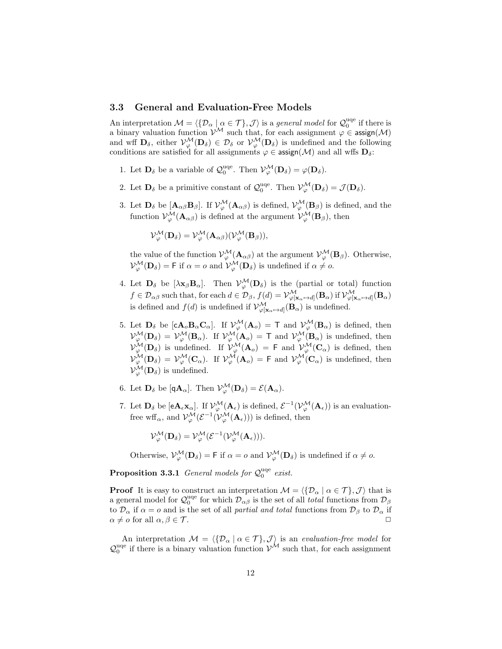#### 3.3 General and Evaluation-Free Models

An interpretation  $\mathcal{M} = \langle \{ \mathcal{D}_{\alpha} \mid \alpha \in \mathcal{T} \}, \mathcal{J} \rangle$  is a *general model* for  $\mathcal{Q}_0^{\text{uqe}}$  if there is a binary valuation function  $\mathcal{V}^{\mathcal{M}}$  such that, for each assignment  $\varphi \in \mathsf{assign}(\mathcal{M})$ and wff  $\mathbf{D}_{\delta}$ , either  $\mathcal{V}_{\varphi}^{\mathcal{M}}(\mathbf{D}_{\delta}) \in \mathcal{D}_{\delta}$  or  $\mathcal{V}_{\varphi}^{\mathcal{M}}(\mathbf{D}_{\delta})$  is undefined and the following conditions are satisfied for all assignments  $\varphi \in \text{assign}(\mathcal{M})$  and all wffs  $\mathbf{D}_{\delta}$ :

- 1. Let  $\mathbf{D}_{\delta}$  be a variable of  $\mathcal{Q}_{0}^{\text{uqe}}$ . Then  $\mathcal{V}_{\varphi}^{\mathcal{M}}(\mathbf{D}_{\delta}) = \varphi(\mathbf{D}_{\delta})$ .
- 2. Let  $\mathbf{D}_{\delta}$  be a primitive constant of  $\mathcal{Q}_{0}^{\text{uqe}}$ . Then  $\mathcal{V}_{\varphi}^{\mathcal{M}}(\mathbf{D}_{\delta}) = \mathcal{J}(\mathbf{D}_{\delta})$ .
- 3. Let  $\mathbf{D}_{\delta}$  be  $[\mathbf{A}_{\alpha\beta} \mathbf{B}_{\beta}]$ . If  $\mathcal{V}_{\varphi}^{\mathcal{M}}(\mathbf{A}_{\alpha\beta})$  is defined,  $\mathcal{V}_{\varphi}^{\mathcal{M}}(\mathbf{B}_{\beta})$  is defined, and the function  $\mathcal{V}_{\varphi}^{\mathcal{M}}(\mathbf{A}_{\alpha\beta})$  is defined at the argument  $\mathcal{V}_{\varphi}^{\mathcal{M}}(\mathbf{B}_{\beta})$ , then

$$
\mathcal{V}_{\varphi}^{\mathcal{M}}(\mathbf{D}_{\delta})=\mathcal{V}_{\varphi}^{\mathcal{M}}(\mathbf{A}_{\alpha\beta})(\mathcal{V}_{\varphi}^{\mathcal{M}}(\mathbf{B}_{\beta})),
$$

the value of the function  $\mathcal{V}_{\varphi}^{\mathcal{M}}(\mathbf{A}_{\alpha\beta})$  at the argument  $\mathcal{V}_{\varphi}^{\mathcal{M}}(\mathbf{B}_{\beta})$ . Otherwise,  $\mathcal{V}_{\varphi}^{\mathcal{M}}(\mathbf{D}_{\delta}) = \mathsf{F}$  if  $\alpha = o$  and  $\mathcal{V}_{\varphi}^{\mathcal{M}}(\mathbf{D}_{\delta})$  is undefined if  $\alpha \neq o$ .

- 4. Let  $\mathbf{D}_{\delta}$  be  $[\lambda \mathbf{x}_{\beta} \mathbf{B}_{\alpha}]$ . Then  $\mathcal{V}_{\varphi}^{\mathcal{M}}(\mathbf{D}_{\delta})$  is the (partial or total) function  $f \in \mathcal{D}_{\alpha\beta}$  such that, for each  $d \in \mathcal{D}_{\beta}$ ,  $f(d) = \mathcal{V}_{\varphi[\mathbf{x}_{\alpha} \mapsto d]}^{\mathcal{M}}(\mathbf{B}_{\alpha})$  if  $\mathcal{V}_{\varphi[\mathbf{x}_{\alpha} \mapsto d]}^{\mathcal{M}}(\mathbf{B}_{\alpha})$ is defined and  $f(d)$  is undefined if  $\mathcal{V}_{\varphi[\mathbf{x}_{\alpha}\mapsto d]}^{\mathcal{M}}(\mathbf{B}_{\alpha})$  is undefined.
- 5. Let  $\mathbf{D}_{\delta}$  be  $[c\mathbf{A}_{o}\mathbf{B}_{\alpha}\mathbf{C}_{\alpha}]$ . If  $\mathcal{V}_{\varphi}^{\mathcal{M}}(\mathbf{A}_{o}) = \mathsf{T}$  and  $\mathcal{V}_{\varphi}^{\mathcal{M}}(\mathbf{B}_{\alpha})$  is defined, then  $\mathcal{V}_{\varphi}^{\mathcal{M}}(\mathbf{D}_{\delta}) = \mathcal{V}_{\varphi}^{\mathcal{M}}(\mathbf{B}_{\alpha})$ . If  $\mathcal{V}_{\varphi}^{\mathcal{M}}(\mathbf{A}_{o}) = \mathsf{T}$  and  $\mathcal{V}_{\varphi}^{\mathcal{M}}(\mathbf{B}_{\alpha})$  is undefined, then  $\mathcal{V}_{\varphi}^{\mathcal{M}}(\mathbf{D}_{\delta})$  is undefined. If  $\mathcal{V}_{\varphi}^{\mathcal{M}}(\mathbf{A}_{o}) = \mathsf{F}$  and  $\mathcal{V}_{\varphi}^{\mathcal{M}}(\mathbf{C}_{\alpha})$  is defined, then  $\mathcal{V}_{\varphi}^{\mathcal{M}}(\mathbf{D}_{\delta}) = \mathcal{V}_{\varphi}^{\mathcal{M}}(\mathbf{C}_{\alpha})$ . If  $\mathcal{V}_{\varphi}^{\mathcal{M}}(\mathbf{A}_{o}) = \mathsf{F}$  and  $\mathcal{V}_{\varphi}^{\mathcal{M}}(\mathbf{C}_{\alpha})$  is undefined, then  $\mathcal{V}_{\varphi}^{\mathcal{M}}(\mathbf{D}_{\delta})$  is undefined.
- 6. Let  $\mathbf{D}_{\delta}$  be [q $\mathbf{A}_{\alpha}$ ]. Then  $\mathcal{V}_{\varphi}^{\mathcal{M}}(\mathbf{D}_{\delta}) = \mathcal{E}(\mathbf{A}_{\alpha})$ .
- 7. Let  $\mathbf{D}_{\delta}$  be [e $\mathbf{A}_{\epsilon} \mathbf{x}_{\alpha}$ ]. If  $\mathcal{V}_{\varphi}^{\mathcal{M}}(\mathbf{A}_{\epsilon})$  is defined,  $\mathcal{E}^{-1}(\mathcal{V}_{\varphi}^{\mathcal{M}}(\mathbf{A}_{\epsilon}))$  is an evaluationfree wff<sub>a</sub>, and  $\mathcal{V}_{\varphi}^{\mathcal{M}}(\mathcal{E}^{-1}(\mathcal{V}_{\varphi}^{\mathcal{M}}(\mathbf{A}_{\epsilon})))$  is defined, then

$$
\mathcal{V}_{\varphi}^{\mathcal{M}}(\mathbf{D}_{\delta})=\mathcal{V}_{\varphi}^{\mathcal{M}}(\mathcal{E}^{-1}(\mathcal{V}_{\varphi}^{\mathcal{M}}(\mathbf{A}_{\epsilon}))).
$$

Otherwise,  $\mathcal{V}_{\varphi}^{\mathcal{M}}(\mathbf{D}_{\delta}) = \mathsf{F}$  if  $\alpha = o$  and  $\mathcal{V}_{\varphi}^{\mathcal{M}}(\mathbf{D}_{\delta})$  is undefined if  $\alpha \neq o$ .

**Proposition 3.3.1** General models for  $Q_0^{\text{uqe}}$  exist.

**Proof** It is easy to construct an interpretation  $\mathcal{M} = \langle \{ \mathcal{D}_{\alpha} \mid \alpha \in \mathcal{T} \}, \mathcal{J} \rangle$  that is a general model for  $\mathcal{Q}_0^{\text{uqe}}$  for which  $\mathcal{D}_{\alpha\beta}$  is the set of all *total* functions from  $\mathcal{D}_{\beta}$ to  $\mathcal{D}_{\alpha}$  if  $\alpha = o$  and is the set of all partial and total functions from  $\mathcal{D}_{\beta}$  to  $\mathcal{D}_{\alpha}$  if  $\alpha \neq o$  for all  $\alpha, \beta \in \mathcal{T}$ .

An interpretation  $\mathcal{M} = \langle \{ \mathcal{D}_{\alpha} \mid \alpha \in \mathcal{T} \}, \mathcal{J} \rangle$  is an evaluation-free model for  $\mathcal{Q}_0^{\text{uqe}}$  if there is a binary valuation function  $\mathcal{V}^{\mathcal{M}}$  such that, for each assignment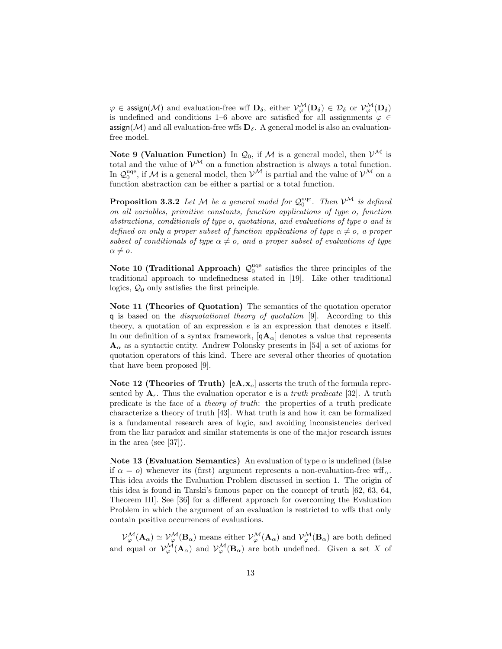$\varphi\in\mathsf{assign}(\mathcal{M})$  and evaluation-free wff  $\mathbf{D}_\delta,$  either  $\mathcal{V}^\mathcal{M}_\varphi(\mathbf{D}_\delta)\in\mathcal{D}_\delta$  or  $\mathcal{V}^\mathcal{M}_\varphi(\mathbf{D}_\delta)$ is undefined and conditions 1–6 above are satisfied for all assignments  $\varphi \in$  $\operatorname{assign}(\mathcal{M})$  and all evaluation-free wffs  $\mathbf{D}_{\delta}$ . A general model is also an evaluationfree model.

Note 9 (Valuation Function) In  $\mathcal{Q}_0$ , if M is a general model, then  $\mathcal{V}^{\mathcal{M}}$  is total and the value of  $\mathcal{V}^{\mathcal{M}}$  on a function abstraction is always a total function. In  $\mathcal{Q}_0^{\text{uqe}}$ , if M is a general model, then  $\mathcal{V}^{\mathcal{M}}$  is partial and the value of  $\mathcal{V}^{\mathcal{M}}$  on a function abstraction can be either a partial or a total function.

**Proposition 3.3.2** Let M be a general model for  $\mathcal{Q}_0^{\text{uqe}}$ . Then  $\mathcal{V}^{\mathcal{M}}$  is defined on all variables, primitive constants, function applications of type o, function abstractions, conditionals of type o, quotations, and evaluations of type o and is defined on only a proper subset of function applications of type  $\alpha \neq o$ , a proper subset of conditionals of type  $\alpha \neq o$ , and a proper subset of evaluations of type  $\alpha \neq o.$ 

Note 10 (Traditional Approach)  $\mathcal{Q}_0^{\text{uqe}}$  satisfies the three principles of the traditional approach to undefinedness stated in [19]. Like other traditional logics,  $\mathcal{Q}_0$  only satisfies the first principle.

Note 11 (Theories of Quotation) The semantics of the quotation operator q is based on the disquotational theory of quotation [9]. According to this theory, a quotation of an expression  $e$  is an expression that denotes  $e$  itself. In our definition of a syntax framework,  $[qA_{\alpha}]$  denotes a value that represents  $\mathbf{A}_{\alpha}$  as a syntactic entity. Andrew Polonsky presents in [54] a set of axioms for quotation operators of this kind. There are several other theories of quotation that have been proposed [9].

Note 12 (Theories of Truth)  $[eA_{\epsilon}x_{o}]$  asserts the truth of the formula represented by  $A_{\epsilon}$ . Thus the evaluation operator **e** is a *truth predicate* [32]. A truth predicate is the face of a theory of truth: the properties of a truth predicate characterize a theory of truth [43]. What truth is and how it can be formalized is a fundamental research area of logic, and avoiding inconsistencies derived from the liar paradox and similar statements is one of the major research issues in the area (see [37]).

Note 13 (Evaluation Semantics) An evaluation of type  $\alpha$  is undefined (false if  $\alpha = o$ ) whenever its (first) argument represents a non-evaluation-free wff. This idea avoids the Evaluation Problem discussed in section 1. The origin of this idea is found in Tarski's famous paper on the concept of truth [62, 63, 64, Theorem III]. See [36] for a different approach for overcoming the Evaluation Problem in which the argument of an evaluation is restricted to wffs that only contain positive occurrences of evaluations.

 $\mathcal{V}_{\varphi}^{\mathcal{M}}(\mathbf{A}_{\alpha}) \simeq \mathcal{V}_{\varphi}^{\mathcal{M}}(\mathbf{B}_{\alpha})$  means either  $\mathcal{V}_{\varphi}^{\mathcal{M}}(\mathbf{A}_{\alpha})$  and  $\mathcal{V}_{\varphi}^{\mathcal{M}}(\mathbf{B}_{\alpha})$  are both defined and equal or  $\mathcal{V}_{\varphi}^{\mathcal{M}}(\mathbf{A}_{\alpha})$  and  $\mathcal{V}_{\varphi}^{\mathcal{M}}(\mathbf{B}_{\alpha})$  are both undefined. Given a set X of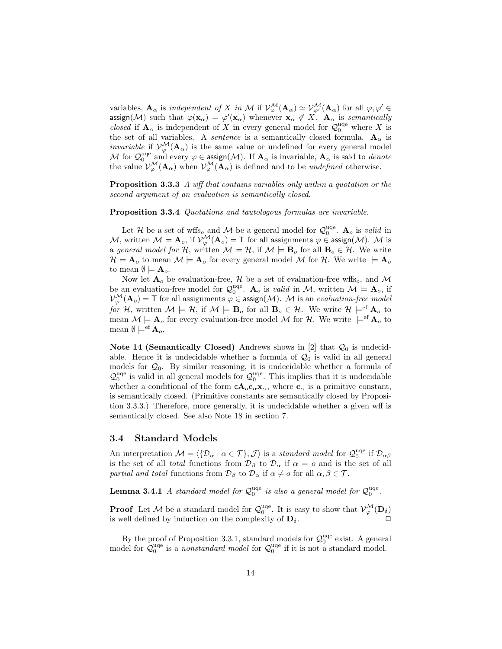variables,  $\mathbf{A}_{\alpha}$  is independent of X in M if  $\mathcal{V}_{\varphi}^{\mathcal{M}}(\mathbf{A}_{\alpha}) \simeq \mathcal{V}_{\varphi'}^{\mathcal{M}}(\mathbf{A}_{\alpha})$  for all  $\varphi, \varphi' \in$ assign(M) such that  $\varphi(\mathbf{x}_{\alpha}) = \varphi'(\mathbf{x}_{\alpha})$  whenever  $\mathbf{x}_{\alpha} \notin X$ .  $\mathbf{A}_{\alpha}$  is semantically closed if  $\mathbf{A}_{\alpha}$  is independent of X in every general model for  $\mathcal{Q}_0^{\text{uqe}}$  where X is the set of all variables. A *sentence* is a semantically closed formula.  $A_{\alpha}$  is *invariable* if  $\mathcal{V}_{\varphi}^{\mathcal{M}}(\mathbf{A}_{\alpha})$  is the same value or undefined for every general model M for  $\mathcal{Q}_0^{\text{uqe}}$  and every  $\varphi \in \text{assign}(\mathcal{M})$ . If  $\mathbf{A}_{\alpha}$  is invariable,  $\mathbf{A}_{\alpha}$  is said to *denote* the value  $\mathcal{V}_{\varphi}^{\mathcal{M}}(\mathbf{A}_{\alpha})$  when  $\mathcal{V}_{\varphi}^{\mathcal{M}}(\mathbf{A}_{\alpha})$  is defined and to be *undefined* otherwise.

Proposition 3.3.3 A wff that contains variables only within a quotation or the second argument of an evaluation is semantically closed.

Proposition 3.3.4 Quotations and tautologous formulas are invariable.

Let H be a set of wffs<sub>o</sub> and M be a general model for  $\mathcal{Q}_0^{\text{uqe}}$ .  $\mathbf{A}_o$  is *valid* in  $\mathcal{M},$  written  $\mathcal{M} \models \mathbf{A}_o,$  if  $\mathcal{V}^\mathcal{M}_\varphi(\mathbf{A}_o) = \mathsf{T}$  for all assignments  $\varphi \in \mathsf{assign}(\mathcal{M}).$   $\mathcal M$  is a general model for H, written  $\mathcal{M} \models \mathcal{H}$ , if  $\mathcal{M} \models \mathbf{B}_o$  for all  $\mathbf{B}_o \in \mathcal{H}$ . We write  $\mathcal{H} \models \mathbf{A}_o$  to mean  $\mathcal{M} \models \mathbf{A}_o$  for every general model M for H. We write  $\models \mathbf{A}_o$ to mean  $\emptyset \models A_o$ .

Now let  $\mathbf{A}_o$  be evaluation-free, H be a set of evaluation-free wffs<sub>o</sub>, and M be an evaluation-free model for  $\mathcal{Q}_0^{\text{uqe}}$ .  $\mathbf{A}_o$  is valid in M, written  $\mathcal{M} \models \mathbf{A}_o$ , if  $\mathcal{V}_{\varphi}^{\mathcal{M}}(\mathbf{A}_{o}) = \mathsf{T}$  for all assignments  $\varphi \in \mathsf{assign}(\mathcal{M})$ . M is an evaluation-free model for H, written  $\mathcal{M} \models \mathcal{H}$ , if  $\mathcal{M} \models \mathbf{B}_o$  for all  $\mathbf{B}_o \in \mathcal{H}$ . We write  $\mathcal{H} \models^{\text{ef}} \mathbf{A}_o$  to mean  $\mathcal{M} \models \mathbf{A}_o$  for every evaluation-free model  $\mathcal M$  for  $\mathcal H$ . We write  $\models^{\text{ef}} \mathbf{A}_o$  to mean  $\emptyset \models^{\text{ef}} A_o$ .

Note 14 (Semantically Closed) Andrews shows in [2] that  $\mathcal{Q}_0$  is undecidable. Hence it is undecidable whether a formula of  $\mathcal{Q}_0$  is valid in all general models for  $\mathcal{Q}_0$ . By similar reasoning, it is undecidable whether a formula of  $\mathcal{Q}_0^{\text{uqe}}$  is valid in all general models for  $\mathcal{Q}_0^{\text{uqe}}$ . This implies that it is undecidable whether a conditional of the form  $c\mathbf{A}_{o}\mathbf{c}_{\alpha}\mathbf{x}_{\alpha}$ , where  $\mathbf{c}_{\alpha}$  is a primitive constant, is semantically closed. (Primitive constants are semantically closed by Proposition 3.3.3.) Therefore, more generally, it is undecidable whether a given wff is semantically closed. See also Note 18 in section 7.

#### 3.4 Standard Models

An interpretation  $\mathcal{M} = \langle \{ \mathcal{D}_{\alpha} \mid \alpha \in \mathcal{T} \}, \mathcal{J} \rangle$  is a standard model for  $\mathcal{Q}_0^{\text{uqe}}$  if  $\mathcal{D}_{\alpha\beta}$ is the set of all total functions from  $\mathcal{D}_{\beta}$  to  $\mathcal{D}_{\alpha}$  if  $\alpha = o$  and is the set of all partial and total functions from  $\mathcal{D}_{\beta}$  to  $\mathcal{D}_{\alpha}$  if  $\alpha \neq o$  for all  $\alpha, \beta \in \mathcal{T}$ .

**Lemma 3.4.1** A standard model for  $\mathcal{Q}_0^{\text{uqe}}$  is also a general model for  $\mathcal{Q}_0^{\text{uqe}}$ .

**Proof** Let M be a standard model for  $\mathcal{Q}_0^{\text{uqe}}$ . It is easy to show that  $\mathcal{V}_{\varphi}^{\mathcal{M}}(\mathbf{D}_{\delta})$ is well defined by induction on the complexity of  $\mathbf{D}_{\delta}$ .

By the proof of Proposition 3.3.1, standard models for  $\mathcal{Q}_0^{\text{uqe}}$  exist. A general model for  $Q_0^{\text{uqe}}$  is a nonstandard model for  $Q_0^{\text{uqe}}$  if it is not a standard model.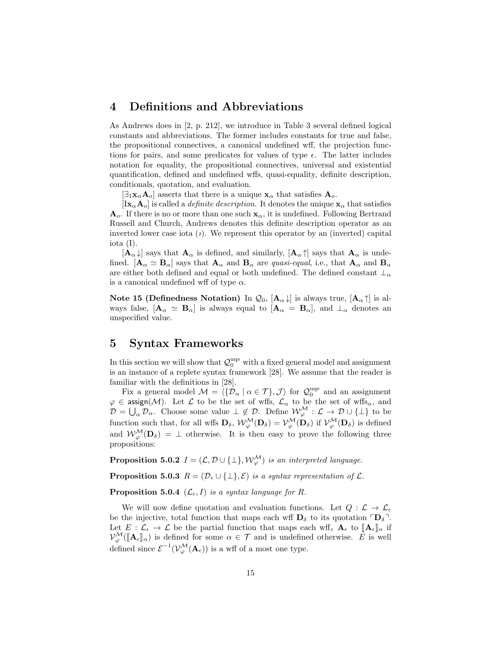# 4 Definitions and Abbreviations

As Andrews does in [2, p. 212], we introduce in Table 3 several defined logical constants and abbreviations. The former includes constants for true and false, the propositional connectives, a canonical undefined wff, the projection functions for pairs, and some predicates for values of type  $\epsilon$ . The latter includes notation for equality, the propositional connectives, universal and existential quantification, defined and undefined wffs, quasi-equality, definite description, conditionals, quotation, and evaluation.

 $[\exists_1\mathbf{x}_{\alpha}\mathbf{A}_{o}]$  asserts that there is a unique  $\mathbf{x}_{\alpha}$  that satisfies  $\mathbf{A}_{o}$ .

 $[\mathbf{I} \mathbf{x}_{\alpha} \mathbf{A}_{o}]$  is called a *definite description*. It denotes the unique  $\mathbf{x}_{\alpha}$  that satisfies  $\mathbf{A}_o$ . If there is no or more than one such  $\mathbf{x}_\alpha$ , it is undefined. Following Bertrand Russell and Church, Andrews denotes this definite description operator as an inverted lower case iota  $(i)$ . We represent this operator by an (inverted) capital iota (I).

 $[\mathbf{A}_{\alpha} \downarrow]$  says that  $\mathbf{A}_{\alpha}$  is defined, and similarly,  $[\mathbf{A}_{\alpha} \uparrow]$  says that  $\mathbf{A}_{\alpha}$  is undefined.  $[\mathbf{A}_{\alpha} \simeq \mathbf{B}_{\alpha}]$  says that  $\mathbf{A}_{\alpha}$  and  $\mathbf{B}_{\alpha}$  are quasi-equal, i.e., that  $\mathbf{A}_{\alpha}$  and  $\mathbf{B}_{\alpha}$ are either both defined and equal or both undefined. The defined constant  $\perp_{\alpha}$ is a canonical undefined wff of type  $\alpha$ .

Note 15 (Definedness Notation) In  $\mathcal{Q}_0$ ,  $[\mathbf{A}_{\alpha} \downarrow]$  is always true,  $[\mathbf{A}_{\alpha} \uparrow]$  is always false,  $[\mathbf{A}_{\alpha} \simeq \mathbf{B}_{\alpha}]$  is always equal to  $[\mathbf{A}_{\alpha} = \mathbf{B}_{\alpha}]$ , and  $\perp_{\alpha}$  denotes an unspecified value.

# 5 Syntax Frameworks

In this section we will show that  $\mathcal{Q}_0^{\text{uqe}}$  with a fixed general model and assignment is an instance of a replete syntax framework [28]. We assume that the reader is familiar with the definitions in [28].

Fix a general model  $\mathcal{M} = \langle \{ \mathcal{D}_{\alpha} \mid \alpha \in \mathcal{T} \}, \mathcal{J} \rangle$  for  $\mathcal{Q}_0^{\text{uqe}}$  and an assignment TIX a general moder  $\mathcal{M} = \{ \mathcal{V}_{\alpha} | \alpha \in \mathcal{V}_{\beta}, \mathcal{J} \}$  for  $\mathcal{Q}_0$  and an assignment  $\varphi \in \text{assign}(\mathcal{M})$ . Let  $\mathcal{L}$  to be the set of wffs,  $\mathcal{L}_{\alpha}$  to be the set of wffs<sub> $\alpha$ </sub>, and  $\mathcal{D} = \bigcup_{\alpha} \mathcal{D}_{\alpha}$ . Choose some value  $\perp \notin \mathcal{D}$ . Define  $\mathcal{W}_{\varphi}^{\mathcal{M}} : \mathcal{L} \to \mathcal{D} \cup \{\perp\}$  to be function such that, for all wffs  $\mathbf{D}_{\delta}$ ,  $\mathcal{W}_{\varphi}^{\mathcal{M}}(\mathbf{D}_{\delta}) = \mathcal{V}_{\varphi}^{\mathcal{M}}(\mathbf{D}_{\delta})$  if  $\mathcal{V}_{\varphi}^{\mathcal{M}}(\mathbf{D}_{\delta})$  is defined and  $\mathcal{W}_{\varphi}^{\mathcal{M}}(\mathbf{D}_{\delta}) = \perp$  otherwise. It is then easy to prove the following three propositions:

**Proposition 5.0.2**  $I = (\mathcal{L}, \mathcal{D} \cup \{\perp\}, \mathcal{W}_{\varphi}^{\mathcal{M}})$  is an interpreted language.

**Proposition 5.0.3**  $R = (\mathcal{D}_{\epsilon} \cup \{\perp\}, \mathcal{E})$  is a syntax representation of  $\mathcal{L}$ .

**Proposition 5.0.4** ( $\mathcal{L}_{\epsilon}, I$ ) is a syntax language for R.

We will now define quotation and evaluation functions. Let  $Q: \mathcal{L} \to \mathcal{L}_{\epsilon}$ be the injective, total function that maps each wff  $\mathbf{D}_{\delta}$  to its quotation  $\lceil \mathbf{D}_{\delta} \rceil$ . Let  $E: \mathcal{L}_{\epsilon} \to \mathcal{L}$  be the partial function that maps each wff<sub>c</sub>  $\mathbf{A}_{\epsilon}$  to  $[\![\mathbf{A}_{\epsilon}]\!]_{\alpha}$  if  $\mathcal{V}_{\varphi}^{\mathcal{M}}([\mathbf{A}_{\epsilon}]\]_{\alpha})$  is defined for some  $\alpha \in \mathcal{T}$  and is undefined otherwise.  $E$  is well defined since  $\mathcal{E}^{-1}(\mathcal{V}_{\varphi}^{\mathcal{M}}(\mathbf{A}_{\epsilon}))$  is a wff of a most one type.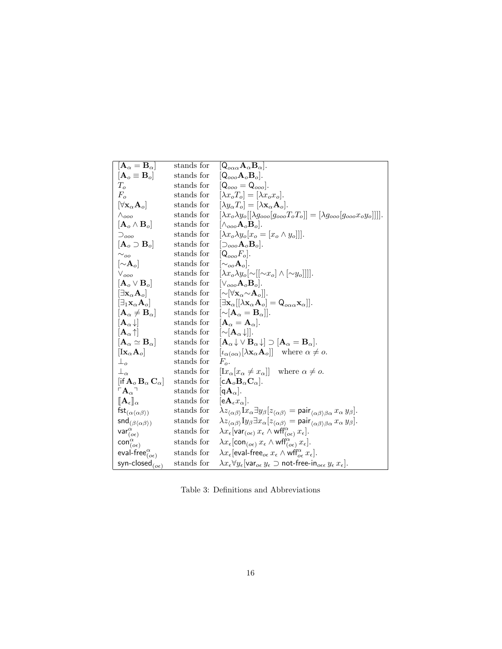| $[\mathbf{A}_{\alpha}=\mathbf{B}_{\alpha}]$                | stands for | $[{\mathsf Q}_{o\alpha\alpha} {\mathbf A}_\alpha {\mathbf B}_\alpha].$                                                                                                              |
|------------------------------------------------------------|------------|-------------------------------------------------------------------------------------------------------------------------------------------------------------------------------------|
| $[\mathbf{A}_o \equiv \mathbf{B}_o]$                       | stands for | $[Q_{ooo}A_oB_o].$                                                                                                                                                                  |
| $T_{o}$                                                    | stands for | $[Q_{\alpha\alpha\alpha} = Q_{\alpha\alpha\alpha}]$ .                                                                                                                               |
| $F_{o}$                                                    | stands for | $[\lambda x_o T_o] = [\lambda x_o x_o].$                                                                                                                                            |
| $[\forall \mathbf{x}_{\alpha} \mathbf{A}_o]$               | stands for | $[\lambda y_{\alpha}T_{\alpha}] = [\lambda \mathbf{x}_{\alpha} \mathbf{A}_{\alpha}].$                                                                                               |
| $\Lambda_{ooo}$                                            | stands for | $[\lambda x_o \lambda y_o[[\lambda g_{ooo}[g_{ooo}T_oT_o]] = [\lambda g_{ooo}[g_{ooo}x_oy_o]]]]$ .                                                                                  |
| $[\mathbf{A}_o \wedge \mathbf{B}_o]$                       | stands for | $[\wedge_{ooo}A_oB_o].$                                                                                                                                                             |
| $\supset$ <sub>000</sub>                                   | stands for | $[\lambda x_o \lambda y_o [x_o = [x_o \wedge y_o]]].$                                                                                                                               |
| $[\mathbf{A}_o \supset \mathbf{B}_o]$                      | stands for | $[\supset_{ooo} A_o B_o].$                                                                                                                                                          |
| $\sim_{oo}$                                                | stands for | $[Q_{ooo}F_o].$                                                                                                                                                                     |
| $\sim$ A <sub>o</sub>                                      | stands for | $\lbrack\sim_{oo}\mathbf{A}_{o}\rbrack.$                                                                                                                                            |
| $\vee$ <sub>000</sub>                                      | stands for | $[\lambda x_o \lambda y_o [\sim[[\sim x_o] \wedge [\sim y_o]]]].$                                                                                                                   |
| $[\mathbf{A}_o\vee\mathbf{B}_o]$                           | stands for | $[\vee_{ooo}A_oB_o].$                                                                                                                                                               |
| $[\exists \mathbf{x}_{\alpha} \mathbf{A}_{o}]$             | stands for | $\lbrack \sim \lbrack \forall \mathbf{x}_{\alpha }\sim \mathbf{A}_{o}\rbrack \rbrack.$                                                                                              |
| $[\exists_1 \mathbf{x}_\alpha \mathbf{A}_o]$               | stands for | $[\exists \mathbf{x}_{\alpha}[[\lambda \mathbf{x}_{\alpha} \mathbf{A}_{o}] = \mathbf{Q}_{o\alpha\alpha} \mathbf{x}_{\alpha}]].$                                                     |
| $[\mathbf{A}_{\alpha} \neq \mathbf{B}_{\alpha}]$           | stands for | $ \sim {\bf A}_{\alpha}={\bf B}_{\alpha} .$                                                                                                                                         |
| $[\mathbf{A}_{\alpha} \downarrow]$                         | stands for | $[\mathbf{A}_{\alpha} = \mathbf{A}_{\alpha}].$                                                                                                                                      |
| $\mathbf{A}_{\alpha} \mathbf{\uparrow}$                    | stands for | $[\sim]A_{\alpha} \downarrow$ .                                                                                                                                                     |
| $[\mathbf{A}_\alpha \simeq \mathbf{B}_\alpha]$             | stands for | $[\mathbf{A}_{\alpha} \downarrow \vee \mathbf{B}_{\alpha} \downarrow] \supset [\mathbf{A}_{\alpha} = \mathbf{B}_{\alpha}].$                                                         |
| $\left\vert \mathrm{Ix}_{\alpha}\mathrm{A}_{o}\right\vert$ | stands for | $[\iota_{\alpha(\circ\alpha)}[\lambda \mathbf{x}_{\alpha}\mathbf{A}_{o}]]$ where $\alpha \neq o$ .                                                                                  |
| $\perp$                                                    | stands for | $F_{\alpha}$ .                                                                                                                                                                      |
| $\perp_{\alpha}$                                           | stands for | $\left[ \mathrm{I}x_{\alpha}   x_{\alpha} \neq x_{\alpha} \right]$ where $\alpha \neq o$ .                                                                                          |
| [if $\mathbf{A}_o\,\mathbf{B}_\alpha\,\mathbf{C}_\alpha$ ] | stands for | $[cA_0B_{\alpha}C_{\alpha}].$                                                                                                                                                       |
| $\ulcorner A_\alpha \urcorner$                             | stands for | $ qA_{\alpha} .$                                                                                                                                                                    |
| $[\![ {\bf A}_\epsilon]\!]_\alpha$                         | stands for | [e ${\bf A}_\epsilon x_\alpha$ ].                                                                                                                                                   |
| $\mathsf{fst}_{(\alpha\langle\alpha\beta\rangle)}$         | stands for | $\lambda z_{\langle\alpha\beta\rangle} I x_{\alpha} \exists y_{\beta} [z_{\langle\alpha\beta\rangle} = \text{pair}_{\langle\alpha\beta\rangle\beta\alpha} x_{\alpha} y_{\beta}].$   |
| $\mathsf{snd}_{(\beta \langle \alpha \beta \rangle)}$      | stands for | $\lambda z_{\langle\alpha\beta\rangle} I y_{\beta} \exists x_{\alpha} [z_{\langle\alpha\beta\rangle} = \textsf{pair}_{\langle\alpha\beta\rangle\beta\alpha} x_{\alpha} y_{\beta}].$ |
| $\mathsf{var}^\alpha_{(o \epsilon)}$                       | stands for | $\lambda x_{\epsilon}$ [var <sub>(<i>o</i><math>\epsilon</math>)</sub> $x_{\epsilon}$ $\wedge$ wff $_{(o\epsilon)}^{\alpha}$ $x_{\epsilon}$ ].                                      |
| $\mathsf{con}^\alpha_{(o \epsilon)}$                       | stands for | $\lambda x_{\epsilon}$ [con <sub>(<i>o</i><math>\epsilon</math>)</sub> $x_{\epsilon}$ $\wedge$ wff $_{(o\epsilon)}^{\alpha}$ $x_{\epsilon}$ ].                                      |
| eval-free $^{\alpha}_{(o\epsilon)}$                        | stands for | $\lambda x_{\epsilon}$ [eval-free <sub>oe</sub> $x_{\epsilon} \wedge \text{wff}^{\alpha}_{\alpha \epsilon} x_{\epsilon}$ ].                                                         |
| syn-closed $_{(oe)}$                                       | stands for | $\lambda x_{\epsilon} \forall y_{\epsilon}$ [var <sub>oe</sub> $y_{\epsilon} \supset \text{not-free-in}_{o\epsilon\epsilon} y_{\epsilon} x_{\epsilon}$ ].                           |

Table 3: Definitions and Abbreviations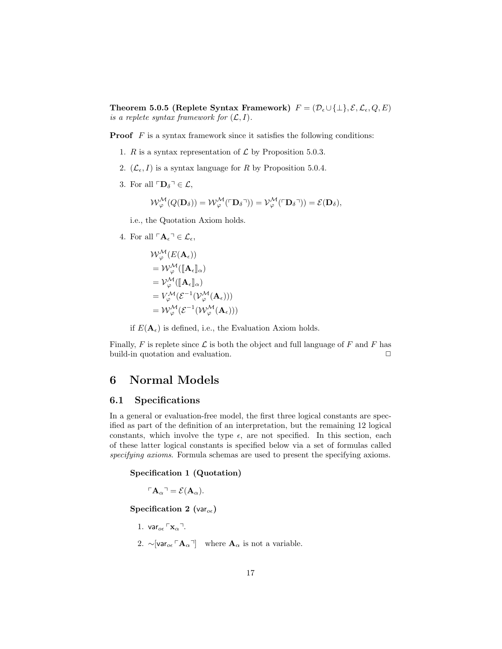Theorem 5.0.5 (Replete Syntax Framework)  $F = (\mathcal{D}_{\epsilon} \cup \{\perp\}, \mathcal{E}, \mathcal{L}_{\epsilon}, Q, E)$ is a replete syntax framework for  $(\mathcal{L}, I)$ .

**Proof**  $F$  is a syntax framework since it satisfies the following conditions:

- 1. R is a syntax representation of  $\mathcal L$  by Proposition 5.0.3.
- 2.  $(\mathcal{L}_{\epsilon}, I)$  is a syntax language for R by Proposition 5.0.4.
- 3. For all  $\ulcorner \mathbf{D}_\delta \urcorner \in \mathcal{L}$ ,

$$
\mathcal{W}^{\mathcal{M}}_{\varphi}(Q(\mathbf{D}_{\delta}))=\mathcal{W}^{\mathcal{M}}_{\varphi}(\ulcorner \mathbf{D}_{\delta} \urcorner))=\mathcal{V}^{\mathcal{M}}_{\varphi}(\ulcorner \mathbf{D}_{\delta} \urcorner))=\mathcal{E}(\mathbf{D}_{\delta}),
$$

i.e., the Quotation Axiom holds.

4. For all  $\ulcorner \mathbf{A}_{\epsilon} \urcorner \in \mathcal{L}_{\epsilon}$ ,

$$
\mathcal{W}_{\varphi}^{\mathcal{M}}(E(\mathbf{A}_{\epsilon}))
$$
\n
$$
= \mathcal{W}_{\varphi}^{\mathcal{M}}([\![\mathbf{A}_{\epsilon}]\!]_{\alpha})
$$
\n
$$
= \mathcal{V}_{\varphi}^{\mathcal{M}}([\![\mathbf{A}_{\epsilon}]\!]_{\alpha})
$$
\n
$$
= V_{\varphi}^{\mathcal{M}}(\mathcal{E}^{-1}(\mathcal{V}_{\varphi}^{\mathcal{M}}(\mathbf{A}_{\epsilon})))
$$
\n
$$
= \mathcal{W}_{\varphi}^{\mathcal{M}}(\mathcal{E}^{-1}(\mathcal{W}_{\varphi}^{\mathcal{M}}(\mathbf{A}_{\epsilon})))
$$

if  $E(\mathbf{A}_{\epsilon})$  is defined, i.e., the Evaluation Axiom holds.

Finally, F is replete since  $\mathcal L$  is both the object and full language of F and F has build-in quotation and evaluation.  $\Box$ 

### 6 Normal Models

#### 6.1 Specifications

In a general or evaluation-free model, the first three logical constants are specified as part of the definition of an interpretation, but the remaining 12 logical constants, which involve the type  $\epsilon$ , are not specified. In this section, each of these latter logical constants is specified below via a set of formulas called specifying axioms. Formula schemas are used to present the specifying axioms.

Specification 1 (Quotation)

 $\ulcorner A_\alpha \urcorner = \mathcal{E}(A_\alpha)$ .

Specification 2 (var $_{0e}$ )

1. var $_{\alpha \epsilon}$  $\mathbf{r}_{\alpha}$ , 2.  $\sim [\text{var}_{o \epsilon} \rceil \mathbf{A}_{\alpha}^{\dagger}]$  where  $\mathbf{A}_{\alpha}$  is not a variable.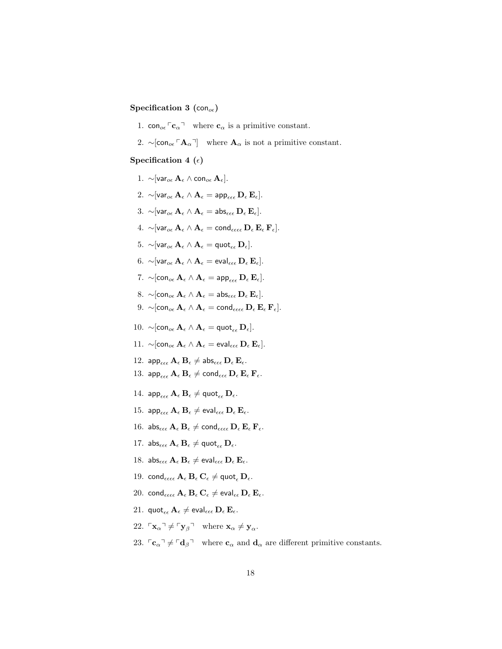Specification 3 (con $_{oe}$ )

- 1.  $\text{con}_{oe} \ulcorner \mathbf{c}_{\alpha} \urcorner$  where  $\mathbf{c}_{\alpha}$  is a primitive constant.
- 2. ∼[con<sub>oc</sub> $A_{\alpha}$ <sup>-</sup>] where  $A_{\alpha}$  is not a primitive constant.

#### Specification 4 ( $\epsilon$ )

1. ∼[var<sub>of</sub>  $\mathbf{A}_{\epsilon} \wedge \text{con}_{\alpha \epsilon} \mathbf{A}_{\epsilon}$ ]. 2.  $\sim$ [var<sub>oe</sub>  $\mathbf{A}_{\epsilon} \wedge \mathbf{A}_{\epsilon} =$  app<sub>ece</sub>  $\mathbf{D}_{\epsilon} \mathbf{E}_{\epsilon}$ ]. 3. ∼[var<sub>oc</sub>  $\mathbf{A}_{\epsilon} \wedge \mathbf{A}_{\epsilon} = \mathsf{abs}_{\epsilon \epsilon \epsilon} \mathbf{D}_{\epsilon} \mathbf{E}_{\epsilon}$ ]. 4.  $\sim$ [var<sub>oe</sub>  $\mathbf{A}_{\epsilon} \wedge \mathbf{A}_{\epsilon} = \text{cond}_{\epsilon \epsilon \epsilon \epsilon} \mathbf{D}_{\epsilon} \mathbf{E}_{\epsilon} \mathbf{F}_{\epsilon}$ ]. 5.  $\sim$ [var<sub>oe</sub>  $\mathbf{A}_{\epsilon} \wedge \mathbf{A}_{\epsilon} =$  quot<sub>ce</sub>  $\mathbf{D}_{\epsilon}$ ]. 6. ∼[var<sub>oc</sub>  $\mathbf{A}_{\epsilon} \wedge \mathbf{A}_{\epsilon} = \text{eval}_{\epsilon \epsilon \epsilon} \mathbf{D}_{\epsilon} \mathbf{E}_{\epsilon}$ ]. 7.  $\sim$ [con<sub>oe</sub>  $\mathbf{A}_{\epsilon} \wedge \mathbf{A}_{\epsilon} = \mathsf{app}_{\epsilon \epsilon \epsilon} \mathbf{D}_{\epsilon} \mathbf{E}_{\epsilon}$ ]. 8. ∼[con<sub>oe</sub>  $\mathbf{A}_{\epsilon} \wedge \mathbf{A}_{\epsilon} = \mathsf{abs}_{\epsilon \epsilon \epsilon} \mathbf{D}_{\epsilon} \mathbf{E}_{\epsilon}$ ]. 9.  $\sim$ [con<sub>oe</sub>  $\mathbf{A}_{\epsilon} \wedge \mathbf{A}_{\epsilon} = \text{cond}_{\epsilon \epsilon \epsilon \epsilon} \mathbf{D}_{\epsilon} \mathbf{E}_{\epsilon} \mathbf{F}_{\epsilon}$ ]. 10.  $\sim$ [con<sub>oe</sub>  $\mathbf{A}_{\epsilon} \wedge \mathbf{A}_{\epsilon} =$  quot<sub> $\epsilon \epsilon$ </sub>  $\mathbf{D}_{\epsilon}$ ]. 11.  $\sim$ [con<sub>oe</sub>  $\mathbf{A}_{\epsilon} \wedge \mathbf{A}_{\epsilon} = \text{eval}_{\epsilon \epsilon \epsilon} \mathbf{D}_{\epsilon} \mathbf{E}_{\epsilon}$ ]. 12. app<sub>ere</sub>  $A_{\epsilon} B_{\epsilon} \neq ab s_{\epsilon \epsilon \epsilon} D_{\epsilon} E_{\epsilon}$ . 13. app<sub>eee</sub>  $\mathbf{A}_{\epsilon} \mathbf{B}_{\epsilon} \neq \text{cond}_{\epsilon \epsilon \epsilon} \mathbf{D}_{\epsilon} \mathbf{E}_{\epsilon} \mathbf{F}_{\epsilon}$ . 14. app<sub>ere</sub>  $A_{\epsilon} B_{\epsilon} \neq$  quot<sub>er</sub>  $D_{\epsilon}$ . 15. app<sub>ere</sub>  $\mathbf{A}_{\epsilon} \mathbf{B}_{\epsilon} \neq \text{eval}_{\epsilon \epsilon \epsilon} \mathbf{D}_{\epsilon} \mathbf{E}_{\epsilon}$ . 16. abs $_{\epsilon\epsilon\epsilon}$   $\mathbf{A}_{\epsilon}$   $\mathbf{B}_{\epsilon}$   $\neq$  cond $_{\epsilon\epsilon\epsilon\epsilon}$   $\mathbf{D}_{\epsilon}$   $\mathbf{E}_{\epsilon}$   $\mathbf{F}_{\epsilon}$ . 17. abs $\epsilon_{\epsilon\epsilon}$   $\mathbf{A}_{\epsilon}$   $\mathbf{B}_{\epsilon} \neq$  quot $\epsilon_{\epsilon}$ ,  $\mathbf{D}_{\epsilon}$ . 18. abs $_{\epsilon\epsilon\epsilon}$   $\mathbf{A}_{\epsilon}$   $\mathbf{B}_{\epsilon}$   $\neq$  eval $_{\epsilon\epsilon\epsilon}$   $\mathbf{D}_{\epsilon}$   $\mathbf{E}_{\epsilon}$ . 19. cond $_{\epsilon\epsilon\epsilon\epsilon}$   $\mathbf{A}_{\epsilon}$   $\mathbf{B}_{\epsilon}$   $\mathbf{C}_{\epsilon} \neq$  quot $_{\epsilon}$   $\mathbf{D}_{\epsilon}$ . 20. cond $_{\epsilon\epsilon\epsilon\epsilon}$   $\mathbf{A}_{\epsilon}$   $\mathbf{B}_{\epsilon}$   $\mathbf{C}_{\epsilon}$   $\neq$  eval $_{\epsilon\epsilon}$   $\mathbf{D}_{\epsilon}$   $\mathbf{E}_{\epsilon}$ . 21. quot<sub>ee</sub>  $\mathbf{A}_{\epsilon} \neq \text{eval}_{\epsilon \epsilon \epsilon} \mathbf{D}_{\epsilon} \mathbf{E}_{\epsilon}$ .

- 22.  $\lceil \mathbf{x}_{\alpha} \rceil \neq \lceil \mathbf{y}_{\beta} \rceil$  where  $\mathbf{x}_{\alpha} \neq \mathbf{y}_{\alpha}$ .
- 23.  $\lceil \mathbf{c}_{\alpha} \rceil \neq \lceil \mathbf{d}_{\beta} \rceil$  where  $\mathbf{c}_{\alpha}$  and  $\mathbf{d}_{\alpha}$  are different primitive constants.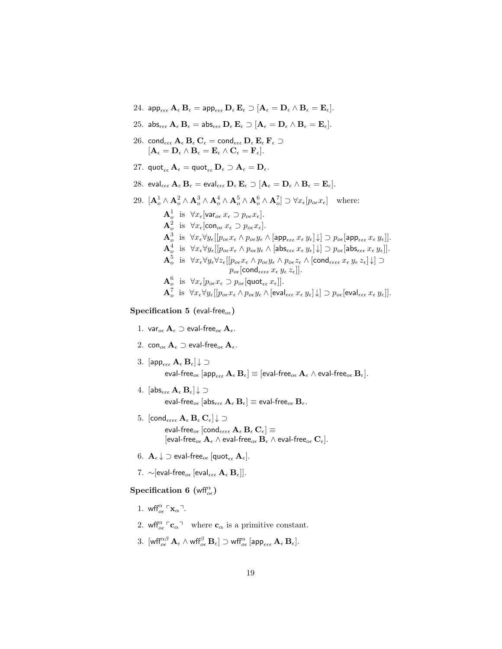24. app<sub>ere</sub>  $A_{\epsilon} B_{\epsilon} =$  app<sub>ere</sub>  $D_{\epsilon} E_{\epsilon} \supset [A_{\epsilon} = D_{\epsilon} \wedge B_{\epsilon} = E_{\epsilon}].$ 25. abs<sub> $\epsilon \epsilon \epsilon \mathbf{A}_{\epsilon} \mathbf{B}_{\epsilon} = \mathsf{a} \mathsf{b} \mathsf{s}_{\epsilon} \epsilon \epsilon \mathbf{D}_{\epsilon} \mathbf{E}_{\epsilon} \supset [\mathbf{A}_{\epsilon} = \mathbf{D}_{\epsilon} \wedge \mathbf{B}_{\epsilon} = \mathbf{E}_{\epsilon}].$ </sub> 26. cond<sub>ece</sub>  $A_{\epsilon} B_{\epsilon} C_{\epsilon} = \text{cond}_{\epsilon \epsilon \epsilon} D_{\epsilon} E_{\epsilon} F_{\epsilon}$  $[\mathbf{A}_{\epsilon} = \mathbf{D}_{\epsilon} \wedge \mathbf{B}_{\epsilon} = \mathbf{E}_{\epsilon} \wedge \mathbf{C}_{\epsilon} = \mathbf{F}_{\epsilon}].$ 27. quot<sub> $\epsilon \epsilon$ </sub>  $\mathbf{A}_{\epsilon} = \text{quot}_{\epsilon \epsilon} \mathbf{D}_{\epsilon} \supset \mathbf{A}_{\epsilon} = \mathbf{D}_{\epsilon}$ . 28. eval $_{\epsilon\epsilon\epsilon}$   $\mathbf{A}_{\epsilon}$   $\mathbf{B}_{\epsilon}$  = eval $_{\epsilon\epsilon\epsilon}$   $\mathbf{D}_{\epsilon}$   $\mathbf{E}_{\epsilon}$   $\supset$   $[\mathbf{A}_{\epsilon}$  =  $\mathbf{D}_{\epsilon}$   $\wedge$   $\mathbf{B}_{\epsilon}$  =  $\mathbf{E}_{\epsilon}$ . 29.  $[\mathbf{A}_o^1 \wedge \mathbf{A}_o^2 \wedge \mathbf{A}_o^3 \wedge \mathbf{A}_o^4 \wedge \mathbf{A}_o^5 \wedge \mathbf{A}_o^6 \wedge \mathbf{A}_o^7] \supset \forall x_{\epsilon} [p_{o\epsilon} x_{\epsilon}]$  where:  $\mathbf{A}_{o}^{1}$  is  $\forall x_{\epsilon}$ [var<sub>oc</sub>  $x_{\epsilon} \supset p_{o\epsilon}x_{\epsilon}$ ].  $\mathbf{A}_{o}^{2}$  is  $\forall x_{\epsilon}$ [con<sub>oc</sub>  $x_{\epsilon} \supset p_{o\epsilon}x_{\epsilon}$ ].  $\mathbf{A}_{o}^{3}$  is  $\forall x_{\epsilon}\forall y_{\epsilon}[[p_{o\epsilon}x_{\epsilon}\wedge p_{o\epsilon}y_{\epsilon}\wedge[\mathsf{app}_{\epsilon\epsilon\epsilon}x_{\epsilon}y_{\epsilon}]\downarrow] \supset p_{o\epsilon}[\mathsf{app}_{\epsilon\epsilon\epsilon}x_{\epsilon}y_{\epsilon}]].$  $\mathbf{A}^4_o$  is  $\forall x_{\epsilon} \forall y_{\epsilon}[[p_{o\epsilon}x_{\epsilon} \wedge p_{o\epsilon}y_{\epsilon} \wedge [\mathsf{abs}_{\epsilon\epsilon\epsilon}x_{\epsilon}y_{\epsilon}]\downarrow] \supset p_{o\epsilon}[\mathsf{abs}_{\epsilon\epsilon\epsilon}x_{\epsilon}y_{\epsilon}]].$  ${\bf A}^5_o$  is  $\forall x_\epsilon \forall y_\epsilon \forall z_\epsilon [[p_{o\epsilon} x_\epsilon \wedge p_{o\epsilon} y_\epsilon \wedge p_{o\epsilon} z_\epsilon \wedge [\textsf{cond}_{\epsilon\epsilon\epsilon\epsilon} x_\epsilon y_\epsilon z_\epsilon] \downarrow] \supset$  $p_{o\epsilon}$ [cond $_{\epsilon\epsilon\epsilon\epsilon} x_{\epsilon} y_{\epsilon} z_{\epsilon}$ ]].  $\mathbf{A}_{o}^{6}$  is  $\forall x_{\epsilon}[p_{o\epsilon}x_{\epsilon}\supset p_{o\epsilon}[\textsf{quot}_{\epsilon\epsilon}x_{\epsilon}]].$  $\mathbf{A}_{o}^{7}$  is  $\forall x_{\epsilon}\forall y_{\epsilon}[[p_{o\epsilon}x_{\epsilon}\wedge p_{o\epsilon}y_{\epsilon}\wedge[\textsf{eval}_{\epsilon\epsilon\epsilon}x_{\epsilon}y_{\epsilon}]\downarrow] \supset p_{o\epsilon}[\textsf{eval}_{\epsilon\epsilon\epsilon}x_{\epsilon}y_{\epsilon}]].$ 

Specification 5 (eval-free<sub>oe</sub>)

- 1. var<sub>os</sub>  $\mathbf{A}_{\epsilon} \supset \text{eval-free}_{\alpha \epsilon} \mathbf{A}_{\epsilon}$ .
- 2. con<sub>oc</sub>  $\mathbf{A}_{\epsilon} \supset \text{eval-free}_{\rho \epsilon} \mathbf{A}_{\epsilon}$ .
- 3. [app<sub>ere</sub>  $\mathbf{A}_{\epsilon} \mathbf{B}_{\epsilon}$ ]  $\downarrow$   $\supset$ eval-free<sub>oc</sub> [app<sub>ere</sub>  $A_{\epsilon}B_{\epsilon}$ ]  $\equiv$  [eval-free<sub>oc</sub>  $A_{\epsilon} \wedge$  eval-free<sub>oc</sub>  $B_{\epsilon}$ ].
- 4. [abs $_{\epsilon\epsilon\epsilon}$   $\mathbf{A}_{\epsilon}$   $\mathbf{B}_{\epsilon}$ ] $\downarrow$   $\supset$ eval-free<sub>oe</sub> [abs<sub>eee</sub>  $\mathbf{A}_{\epsilon} \mathbf{B}_{\epsilon}$ ]  $\equiv$  eval-free<sub>oe</sub>  $\mathbf{B}_{\epsilon}$ .
- 5. [cond $_{\epsilon\epsilon\epsilon\epsilon}$   $\mathbf{A}_{\epsilon}$   $\mathbf{B}_{\epsilon}$   $\mathbf{C}_{\epsilon}$ ] $\downarrow$   $\supset$ eval-free<sub>oe</sub> [cond<sub>eren</sub>  $\mathbf{A}_{\epsilon} \mathbf{B}_{\epsilon} \mathbf{C}_{\epsilon}$ ]  $\equiv$  $\left[\text{eval-free}_{\text{def}}\mathbf{A}_{\epsilon}\wedge \text{eval-free}_{\text{def}}\mathbf{B}_{\epsilon}\wedge \text{eval-free}_{\text{def}}\mathbf{C}_{\epsilon}\right].$
- 6.  $A_{\epsilon} \downarrow \supset$  eval-free<sub>oe</sub> [quot<sub>ee</sub> A<sub> $_{\epsilon}$ </sub>].
- 7. ∼[eval-free<sub>oe</sub> [eval<sub>εεε</sub>  $\mathbf{A}_{\epsilon} \mathbf{B}_{\epsilon}$ ]].

Specification 6 (wff $_{o\epsilon}^{\alpha})$ 

- 1. wff<sup> $\alpha$ </sup><sub> $o\epsilon$ </sub> $\mathbf{x}_{\alpha}$ <sup> $\in$ </sup>.
- 2. wff<sup> $\alpha_{\alpha} \rceil$ </sup> where  $\mathbf{c}_{\alpha}$  is a primitive constant.
- $3. \ \left[\mathsf{wff}_{o\epsilon}^{\alpha\beta} \, \mathbf{A}_\epsilon \wedge \mathsf{wff}_{o\epsilon}^\beta \, \mathbf{B}_\epsilon \right] \supset \mathsf{wff}_{o\epsilon}^\alpha \, \big[\mathsf{app}_{\epsilon\epsilon\epsilon} \, \mathbf{A}_\epsilon \, \mathbf{B}_\epsilon \big].$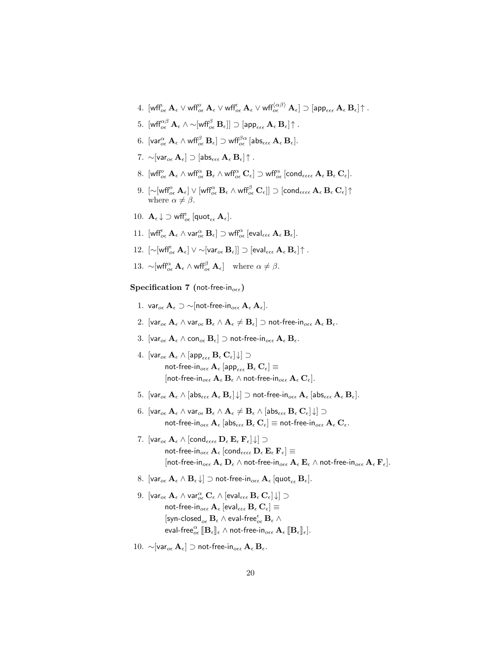- $4. \ \left[\mathsf{wff}_{o\epsilon}^\iota \, \mathbf{A}_\epsilon \vee \mathsf{wff}_{o\epsilon}^\mathsf{o} \, \mathbf{A}_\epsilon \vee \mathsf{wff}_{o\epsilon}^{(\alpha\beta)} \, \mathbf{A}_\epsilon \right] \supset \left[ \mathsf{app}_{\epsilon\epsilon\epsilon} \, \mathbf{A}_\epsilon \, \mathbf{B}_\epsilon \right] \mathsf{\uparrow} \ .$
- $5. \ \left[\mathsf{wff}_{o\epsilon}^{\alpha\beta} \, \mathbf{A}_\epsilon \wedge \mathbb{1}[\mathsf{wff}_{o\epsilon}^\beta \, \mathbf{B}_\epsilon]\right] \supset \left[\mathsf{app}_{\epsilon\epsilon\epsilon} \, \mathbf{A}_\epsilon \, \mathbf{B}_\epsilon\right] \, \!\uparrow.$
- $6. \ \left[\mathsf{var}^\alpha_{o\epsilon} \, \mathbf{A}_\epsilon \wedge \mathsf{wff}^\beta_{o\epsilon} \, \mathbf{B}_\epsilon \right] \supset \mathsf{wff}^{\beta\alpha}_{o\epsilon} \, \big[\mathsf{abs}_{\epsilon\epsilon\epsilon} \, \mathbf{A}_\epsilon \, \mathbf{B}_\epsilon \big].$
- 7.  $\sim$ [var<sub>oc</sub>  $\mathbf{A}_{\epsilon}$ ]  $\supset$  [abs<sub>ecc</sub>  $\mathbf{A}_{\epsilon}$   $\mathbf{B}_{\epsilon}$ ] $\uparrow$ .
- $8. \ \left[\text{wff}^o_{o\epsilon} \, \mathbf{A}_\epsilon \wedge \text{wff}^\alpha_{o\epsilon} \, \mathbf{B}_\epsilon \wedge \text{wff}^\alpha_{o\epsilon} \, \mathbf{C}_\epsilon \right] \supset \text{wff}^\alpha_{o\epsilon} \left[ \text{cond}_{\epsilon\epsilon\epsilon\epsilon} \, \mathbf{A}_\epsilon \, \mathbf{B}_\epsilon \, \mathbf{C}_\epsilon \right]$
- $9.~ [\sim[{\rm wff}_{o\epsilon}^o\, {\bf A}_\epsilon] \vee [{\rm wff}_{o\epsilon}^\alpha\, {\bf B}_\epsilon \wedge {\rm wff}_{o\epsilon}^\beta\, {\bf C}_\epsilon]] \supset [{\sf cond}_{\epsilon\epsilon\epsilon\epsilon}\, {\bf A}_\epsilon\, {\bf B}_\epsilon\, {\bf C}_\epsilon] \!\uparrow$ where  $\alpha \neq \beta$ .
- 10.  $\mathbf{A}_{\epsilon} \downarrow \supset \mathsf{wff}^{\epsilon}_{o\epsilon}$  [quot $_{\epsilon\epsilon} \mathbf{A}_{\epsilon}$ ].
- 11.  $[\mathsf{wff}_{o\epsilon}^\epsilon \mathbf{A}_\epsilon \wedge \mathsf{var}_{o\epsilon}^\alpha \mathbf{B}_\epsilon] \supset \mathsf{wff}_{o\epsilon}^\alpha [\mathsf{eval}_{\epsilon\epsilon\epsilon} \mathbf{A}_\epsilon \mathbf{B}_\epsilon].$
- $12.~\left[\sim[\textsf{wff}^\epsilon_{o\epsilon}\,\mathbf{A}_\epsilon]\vee \sim[\textsf{var}_{o\epsilon}\,\mathbf{B}_\epsilon]\right]\supset [\textsf{eval}_{\epsilon\epsilon\epsilon}\,\mathbf{A}_\epsilon\,\mathbf{B}_\epsilon]\!\uparrow.$
- 13. ~[wff $_{o\epsilon}^{\alpha}$  **A**<sub> $_{\epsilon}$ </sub>  $\wedge$  wff $_{o\epsilon}^{\beta}$  **A**<sub> $_{\epsilon}$ </sub>] where  $\alpha \neq \beta$ .

Specification 7 (not-free-in $_{o\in S}$ )

- 1. var<sub>o∈</sub>  $\mathbf{A}_{\epsilon}$  ⊃ ∼[not-free-in<sub>o∈∈</sub>  $\mathbf{A}_{\epsilon}$   $\mathbf{A}_{\epsilon}$ ].
- 2.  $[\text{var}_{\alpha} \mathbf{A}_{\epsilon} \wedge \text{var}_{\alpha} \mathbf{B}_{\epsilon} \wedge \mathbf{A}_{\epsilon} \neq \mathbf{B}_{\epsilon}] \supset \text{not-free-in}_{\alpha \epsilon \epsilon} \mathbf{A}_{\epsilon} \mathbf{B}_{\epsilon}.$
- 3.  $[\text{var}_{o\epsilon} \mathbf{A}_{\epsilon} \wedge \text{con}_{o\epsilon} \mathbf{B}_{\epsilon}] \supset \text{not-free-in}_{o\epsilon\epsilon} \mathbf{A}_{\epsilon} \mathbf{B}_{\epsilon}.$
- 4. [var<sub>oe</sub>  $\mathbf{A}_{\epsilon} \wedge [\mathsf{app}_{\epsilon \epsilon \epsilon} \mathbf{B}_{\epsilon} \mathbf{C}_{\epsilon}] \downarrow] \supset$ not-free-in<sub>oee</sub>  $\mathbf{A}_{\epsilon}$  [app<sub>eee</sub>  $\mathbf{B}_{\epsilon}$   $\mathbf{C}_{\epsilon}$ ]  $\equiv$ [not-free-in<sub>oce</sub>  $A_{\epsilon} B_{\epsilon} \wedge$  not-free-in<sub>oce</sub>  $A_{\epsilon} C_{\epsilon}$ ].
- 5.  $[\text{var}_{oe} \mathbf{A}_{\epsilon} \wedge [\text{abs}_{\epsilon \epsilon \epsilon} \mathbf{A}_{\epsilon} \mathbf{B}_{\epsilon}] \downarrow] \supset \text{not-free-in}_{oe \epsilon} \mathbf{A}_{\epsilon} [\text{abs}_{\epsilon \epsilon \epsilon} \mathbf{A}_{\epsilon} \mathbf{B}_{\epsilon}].$
- 6.  $[\text{var}_{\alpha} \mathbf{A}_{\epsilon} \wedge \text{var}_{\alpha} \mathbf{B}_{\epsilon} \wedge \mathbf{A}_{\epsilon} \neq \mathbf{B}_{\epsilon} \wedge [\text{abs}_{\epsilon \epsilon \epsilon} \mathbf{B}_{\epsilon} \mathbf{C}_{\epsilon}] \cup ] \supset$ not-free-in<sub>oce</sub>  $\mathbf{A}_{\epsilon}$  [abs<sub>ece</sub>  $\mathbf{B}_{\epsilon}$   $\mathbf{C}_{\epsilon}$ ]  $\equiv$  not-free-in<sub>oce</sub>  $\mathbf{A}_{\epsilon}$   $\mathbf{C}_{\epsilon}$ .
- 7.  $[\text{var}_{oe} \mathbf{A}_{\epsilon} \wedge [\text{cond}_{\epsilon\epsilon\epsilon\epsilon} \mathbf{D}_{\epsilon} \mathbf{E}_{\epsilon} \mathbf{F}_{\epsilon}] \downarrow] \supset$ not-free-in<sub>oce</sub>  $\mathbf{A}_{\epsilon}$  [cond<sub>ecce</sub>  $\mathbf{D}_{\epsilon}$   $\mathbf{E}_{\epsilon}$   $\mathbf{F}_{\epsilon}$ ]  $\equiv$  $[\text{not-free-in}_{\text{off}} \mathbf{A}_{\epsilon} \mathbf{D}_{\epsilon} \wedge \text{not-free-in}_{\text{off}} \mathbf{A}_{\epsilon} \mathbf{E}_{\epsilon} \wedge \text{not-free-in}_{\text{off}} \mathbf{A}_{\epsilon} \mathbf{F}_{\epsilon}].$
- 8.  $[\text{var}_{o\epsilon} \mathbf{A}_{\epsilon} \wedge \mathbf{B}_{\epsilon} \downarrow] \supset \text{not-free-in}_{o\epsilon\epsilon} \mathbf{A}_{\epsilon} [\text{quot}_{\epsilon\epsilon} \mathbf{B}_{\epsilon}].$
- $9.$   $[\mathsf{var}_{o\epsilon} \, \mathbf{A}_\epsilon \wedge \mathsf{var}_{o\epsilon}^\alpha \, \mathbf{C}_\epsilon \wedge [\mathsf{eval}_{\epsilon\epsilon\epsilon} \, \mathbf{B}_\epsilon \, \mathbf{C}_\epsilon] \!\downarrow] \supset$ not-free-in<sub>oee</sub>  ${\bf A}_{\epsilon}$  [eval<sub>eee</sub>  ${\bf B}_{\epsilon}$   ${\bf C}_{\epsilon}$ ]  $\equiv$ [syn-closed $_{o\epsilon} \, {\bf B}_{\epsilon} \wedge$  eval-free $_{o\epsilon}^{\epsilon} \, {\bf B}_{\epsilon} \, \wedge$ eval-free $_{o\epsilon}^{\alpha}\left[\mathbf{B}_{\epsilon}\right]_{\epsilon}\wedge$  not-free-in $_{o\epsilon\epsilon}\mathbf{A}_{\epsilon}\left[\!\left[\mathbf{B}_{\epsilon}\right]\!\right]_{\epsilon}].$
- 10. ∼ $\sqrt{\text{var}_{o\epsilon} \mathbf{A}_{\epsilon}}$  ⊃ not-free-in $\sigma_{o\epsilon\epsilon} \mathbf{A}_{\epsilon} \mathbf{B}_{\epsilon}$ .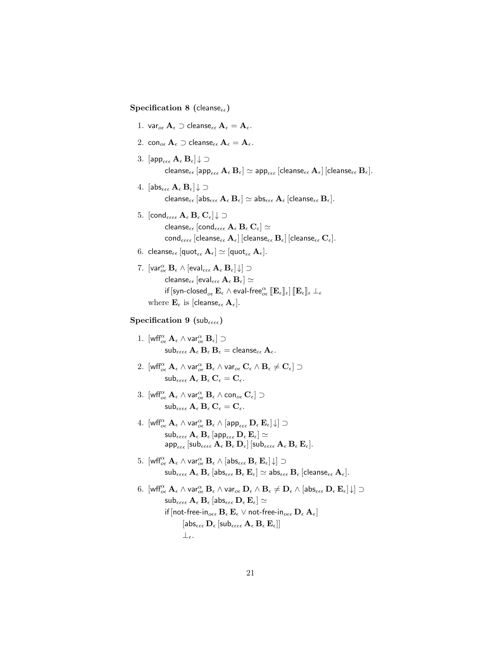Specification 8 (cleanse $_{\epsilon\epsilon}$ )

- 1. var<sub>oe</sub>  $\mathbf{A}_{\epsilon} \supset \text{cleanse}_{\epsilon\epsilon} \mathbf{A}_{\epsilon} = \mathbf{A}_{\epsilon}$ .
- 2. con<sub>oc</sub>  $\mathbf{A}_{\epsilon} \supset$  cleanse<sub>ce</sub>  $\mathbf{A}_{\epsilon} = \mathbf{A}_{\epsilon}$ .
- 3. [app<sub>ere</sub>  $\mathbf{A}_{\epsilon} \mathbf{B}_{\epsilon}$ ]  $\downarrow$   $\supset$  $\mathsf{cleanse}_{\epsilon\epsilon}$  [app $_{\epsilon\epsilon\epsilon}$   $\mathbf{A}_{\epsilon}$   $\mathbf{B}_{\epsilon}$ ]  $\simeq$  app $_{\epsilon\epsilon\epsilon}$  [cleanse $_{\epsilon\epsilon}$   $\mathbf{A}_{\epsilon}$ ] [cleanse $_{\epsilon\epsilon}$   $\mathbf{B}_{\epsilon}$ ].
- 4.  $[abs_{\epsilon\epsilon\epsilon} \mathbf{A}_\epsilon \mathbf{B}_\epsilon] \downarrow \supset$ cleanse $_{\epsilon\epsilon}$  [abs $_{\epsilon\epsilon\epsilon}$   $\mathbf{A}_\epsilon$   $\mathbf{B}_\epsilon$ ]  $\simeq$  abs $_{\epsilon\epsilon\epsilon}$   $\mathbf{A}_\epsilon$  [cleanse $_{\epsilon\epsilon}$   $\mathbf{B}_\epsilon$ ].
- 5.  $[\text{cond}_{\epsilon\epsilon\epsilon\epsilon} A_{\epsilon} B_{\epsilon} C_{\epsilon}] \downarrow \supset$ cleanse  $\epsilon_{\epsilon}$  [cond $\epsilon_{\epsilon\epsilon\epsilon}$   $\mathbf{A}_{\epsilon}$   $\mathbf{B}_{\epsilon}$   $\mathbf{C}_{\epsilon}$ ]  $\simeq$  $\textsf{cond}_{\epsilon\epsilon\epsilon\epsilon}$  [cleanse $_{\epsilon\epsilon}$   $\mathbf{A}_\epsilon$ ] [cleanse $_{\epsilon\epsilon}$   $\mathbf{B}_\epsilon$ ] [cleanse $_{\epsilon\epsilon}$   $\mathbf{C}_\epsilon$ ].
- 6. cleanse $_{\epsilon\epsilon}$  [quot $_{\epsilon\epsilon}$   $\mathbf{A}_{\epsilon}$ ]  $\simeq$  [quot $_{\epsilon\epsilon}$   $\mathbf{A}_{\epsilon}$ ].
- $7.$   $\left[\mathsf{var}_{o\epsilon}^\alpha \, \mathbf{B}_\epsilon \wedge [\mathsf{eval}_{\epsilon\epsilon\epsilon} \, \mathbf{A}_\epsilon \, \mathbf{B}_\epsilon] \downarrow \right] \supset$ cleanse $_{\epsilon\epsilon}$  [eval $_{\epsilon\epsilon\epsilon}$   $\mathbf{A}_{\epsilon}$   $\mathbf{B}_{\epsilon}$ ]  $\simeq$ if  $[\textsf{syn-closed}_{\sigma \epsilon} \mathbf{E}_{\epsilon} \wedge \textsf{eval-free}_{\sigma \epsilon}^{\alpha} \left[ \mathbf{E}_{\epsilon} \right]_{\epsilon}] \left[ \mathbf{E}_{\epsilon} \right]_{\epsilon} \perp_{\epsilon}$ where  $\mathbf{E}_{\epsilon}$  is [cleanse<sub> $\epsilon_{\epsilon}$ </sub>  $\mathbf{A}_{\epsilon}$ ].

Specification 9 (sub $_{\epsilon\epsilon\epsilon\epsilon}$ )

- 1.  $\left[\mathsf{wff}^\alpha_{o\epsilon} \, \mathbf{A}_\epsilon \wedge \mathsf{var}^\alpha_{o\epsilon} \, \mathbf{B}_\epsilon\right] \supset$  $\mathsf{sub}_{\epsilon\epsilon\epsilon\epsilon} \, \mathbf{A}_\epsilon \, \mathbf{B}_\epsilon \, \mathbf{B}_\epsilon = \mathsf{cleanse}_{\epsilon\epsilon} \, \mathbf{A}_\epsilon.$
- $2.$   $[\mathsf{wff}_{o\epsilon}^\alpha \mathbf{A}_\epsilon \wedge \mathsf{var}_{o\epsilon} \mathbf{B}_\epsilon \wedge \mathsf{var}_{o\epsilon} \mathbf{C}_\epsilon \wedge \mathbf{B}_\epsilon \neq \mathbf{C}_\epsilon] \supset$  $\mathsf{sub}_{\epsilon\epsilon\epsilon\epsilon} \mathbf{A}_{\epsilon} \mathbf{B}_{\epsilon} \mathbf{C}_{\epsilon} = \mathbf{C}_{\epsilon}.$
- $3.~\left[\mathsf{wff}_{o\epsilon}^\alpha\, \mathbf{A}_\epsilon\wedge \mathsf{var}_{o\epsilon}^\alpha\, \mathbf{B}_\epsilon\wedge \mathsf{con}_{o\epsilon}\, \mathbf{C}_\epsilon\right] \supset$  $\mathsf{sub}_{\epsilon\epsilon\epsilon\epsilon} \mathbf{A}_{\epsilon} \mathbf{B}_{\epsilon} \mathbf{C}_{\epsilon} = \mathbf{C}_{\epsilon}.$
- $4.~\left[\mathsf{wff}^\alpha_{o\epsilon}\, \mathbf{A}_\epsilon\wedge \mathsf{var}^\alpha_{o\epsilon}\, \mathbf{B}_\epsilon \wedge \left[\mathsf{app}_{\epsilon\epsilon\epsilon}\, \mathbf{D}_\epsilon\, \mathbf{E}_\epsilon\right]\downarrow\right]\supset$  $\sin b_{\epsilon \epsilon \epsilon \epsilon} \mathbf{A}_{\epsilon} \mathbf{B}_{\epsilon}$   $\left[\text{app}_{\epsilon \epsilon \epsilon} \mathbf{D}_{\epsilon} \mathbf{E}_{\epsilon}\right] \simeq$  $\sup_{\epsilon \in \epsilon}$  [sub $_{\epsilon \in \epsilon \in}$   $\mathbf{A}_{\epsilon}$   $\mathbf{B}_{\epsilon}$   $\mathbf{D}_{\epsilon}$ ] [sub $_{\epsilon \in \epsilon \epsilon}$   $\mathbf{A}_{\epsilon}$   $\mathbf{B}_{\epsilon}$   $\mathbf{E}_{\epsilon}$ ].
- $5.$   $[\mathsf{wff}^\alpha_{o\epsilon} \, \mathbf{A}_\epsilon \wedge \mathsf{var}^\alpha_{o\epsilon} \, \mathbf{B}_\epsilon \wedge [\mathsf{abs}_{\epsilon\epsilon\epsilon} \, \mathbf{B}_\epsilon \, \mathbf{E}_\epsilon] \downarrow] \supset$  $\mathsf{sub}_{\epsilon\epsilon\epsilon\epsilon} \mathbf{A}_{\epsilon} \mathbf{B}_{\epsilon}$  abs $\mathsf{B}_{\epsilon\epsilon\epsilon} \mathbf{B}_{\epsilon} \mathbf{E}_{\epsilon}$  |  $\simeq$  abs $\mathsf{E}_{\epsilon\epsilon} \mathbf{B}_{\epsilon}$  [cleanse $\mathsf{E}_{\epsilon\epsilon} \mathbf{A}_{\epsilon}$ ].
- $6.$   $[\mathsf{wff}_{o\epsilon}^\alpha\, \mathbf{A}_\epsilon\wedge \mathsf{var}_{o\epsilon}\, \mathbf{B}_\epsilon\wedge \mathsf{var}_{o\epsilon}\, \mathbf{D}_\epsilon\wedge \mathbf{B}_\epsilon \neq \mathbf{D}_\epsilon\wedge \mathsf{[abs}_{\epsilon\epsilon\epsilon}\, \mathbf{D}_\epsilon\, \mathbf{E}_\epsilon]\!\downarrow] \supset$  $\mathsf{sub}_{\epsilon\epsilon\epsilon\epsilon} \, \mathbf{A}_\epsilon \, \mathbf{B}_\epsilon$  [abs $_{\epsilon\epsilon\epsilon} \, \mathbf{D}_\epsilon \, \mathbf{E}_\epsilon$ ]  $\simeq$ if  $[$ not-free-in $_{o\epsilon\epsilon}$   $B_{\epsilon}$   $E_{\epsilon}$   $\vee$  not-free-in $_{o\epsilon\epsilon}$   $D_{\epsilon}$   $A_{\epsilon}$  $]$  $[\textsf{abs}_{\epsilon\epsilon\epsilon} \mathbf{D}_{\epsilon} \; [\textsf{sub}_{\epsilon\epsilon\epsilon\epsilon} \mathbf{A}_{\epsilon} \mathbf{B}_{\epsilon} \mathbf{E}_{\epsilon}]]$  $\bot_{\epsilon}.$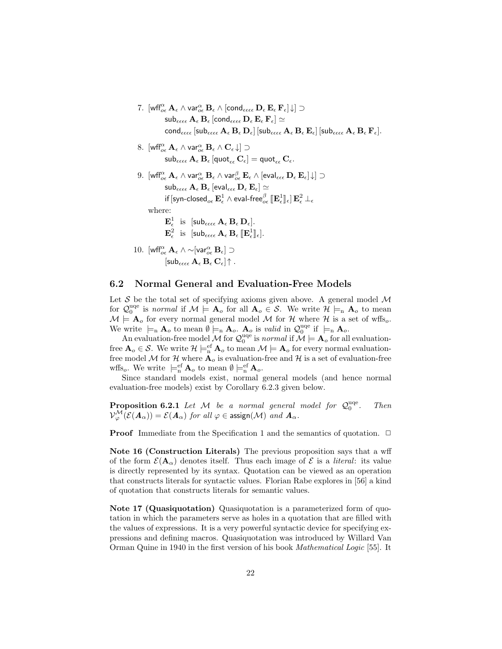- $7.~\left[\mathsf{wff}^\alpha_{o\epsilon}\, \mathbf{A}_\epsilon\wedge \mathsf{var}^\alpha_{o\epsilon}\, \mathbf{B}_\epsilon\wedge \left[\mathsf{cond}_{\epsilon\epsilon\epsilon\epsilon}\, \mathbf{D}_\epsilon\, \mathbf{E}_\epsilon\, \mathbf{F}_\epsilon\right] \downarrow\right]\supset$  $\mathsf{sub}_{\epsilon\epsilon\epsilon\epsilon} \mathbf{A}_{\epsilon} \mathbf{B}_{\epsilon}$  [cond $_{\epsilon\epsilon\epsilon\epsilon} \mathbf{D}_{\epsilon} \mathbf{E}_{\epsilon} \mathbf{F}_{\epsilon}$ ]  $\simeq$  $\mathsf{cond}_{\epsilon\epsilon\epsilon\epsilon}$  [sub $_{\epsilon\epsilon\epsilon\epsilon}$   $\mathbf{A}_{\epsilon}$   $\mathbf{B}_{\epsilon}$   $\mathbf{D}_{\epsilon}$ ] [sub $_{\epsilon\epsilon\epsilon\epsilon}$   $\mathbf{A}_{\epsilon}$   $\mathbf{B}_{\epsilon}$   $\mathbf{E}_{\epsilon}$ ] [sub $_{\epsilon\epsilon\epsilon\epsilon}$   $\mathbf{A}_{\epsilon}$   $\mathbf{B}_{\epsilon}$   $\mathbf{F}_{\epsilon}$ ].
- $8.~\left[\mathsf{wff}_{o\epsilon}^\alpha\, \mathbf{A}_\epsilon\wedge \mathsf{var}_{o\epsilon}^\alpha\, \mathbf{B}_\epsilon\wedge \mathbf{C}_\epsilon \!\downarrow\right] \supset$  $\sin b_{\epsilon \epsilon \epsilon \epsilon}$   $\mathbf{A}_{\epsilon}$   $\mathbf{B}_{\epsilon}$  [quot  $\mathbf{C}_{\epsilon}$ ] = quot  $\mathbf{C}_{\epsilon}$ .  $9.~\left[\mathsf{wff}_{o\epsilon}^\alpha\, \mathbf{A}_\epsilon\wedge \mathsf{var}_{o\epsilon}^\alpha\, \mathbf{B}_\epsilon\wedge \mathsf{var}_{o\epsilon}^\beta\, \mathbf{E}_\epsilon\wedge \left[\mathsf{eval}_{\epsilon\epsilon\epsilon}\, \mathbf{D}_\epsilon\, \mathbf{E}_\epsilon\right]\downarrow\right]\supset$  $\mathsf{sub}_{\epsilon\epsilon\epsilon\epsilon} \, \mathbf{A}_\epsilon \, \mathbf{B}_\epsilon$  [eval $_{\epsilon\epsilon\epsilon} \, \mathbf{D}_\epsilon \, \mathbf{E}_\epsilon$ ]  $\simeq$ if  $[\mathsf{syn\text{-}closed}_{o\epsilon} \, \mathbf{E}_{\epsilon}^1 \wedge \mathsf{eval\text{-}free}_{o\epsilon}^{\beta} \, [\![\mathbf{E}_{\epsilon}^1]\!]_{\epsilon} ] \, \mathbf{E}_{\epsilon}^2 \, \bot_{\epsilon}$ where:  $\mathbf{E}_{\epsilon}^1$  is [sub $\epsilon_{\epsilon\epsilon\epsilon} \mathbf{A}_{\epsilon} \mathbf{B}_{\epsilon} \mathbf{D}_{\epsilon}$ ].  $\mathbf{E}_{\epsilon}^2$  is [sub $\epsilon_{\epsilon\epsilon\epsilon} \mathbf{A}_{\epsilon} \mathbf{B}_{\epsilon} [\![\mathbf{E}_{\epsilon}^1]\!]_{\epsilon}].$ 10.  $\left[\mathsf{wff}^\alpha_{o\epsilon} \, \mathbf{A}_\epsilon \wedge \sim \left[\mathsf{var}^\alpha_{o\epsilon} \, \mathbf{B}_\epsilon\right] \supset$

# 6.2 Normal General and Evaluation-Free Models

 $[\mathsf{sub}_{\epsilon\epsilon\epsilon\epsilon} \mathbf{A}_{\epsilon} \mathbf{B}_{\epsilon} \mathbf{C}_{\epsilon}] \uparrow$ .

Let S be the total set of specifying axioms given above. A general model  $\mathcal M$ for  $\mathcal{Q}_0^{\text{uqe}}$  is normal if  $\mathcal{M} \models A_o$  for all  $A_o \in \mathcal{S}$ . We write  $\mathcal{H} \models_n A_o$  to mean  $\mathcal{M} \models A_o$  for every normal general model M for H where H is a set of wffs<sub>o</sub>. We write  $\models_{n} \mathbf{A}_{o}$  to mean  $\emptyset \models_{n} \mathbf{A}_{o}$ .  $\mathbf{A}_{o}$  is valid in  $\mathcal{Q}_{0}^{\text{uqe}}$  if  $\models_{n} \mathbf{A}_{o}$ .

An evaluation-free model M for  $\mathcal{Q}_0^{\text{uqe}}$  is normal if  $\mathcal{M} \models \mathbf{A}_o$  for all evaluationfree  $A_o \in S$ . We write  $\mathcal{H} \models_n^{\text{ef}} A_o$  to mean  $\mathcal{M} \models A_o$  for every normal evaluationfree model  ${\mathcal M}$  for  ${\mathcal H}$  where  ${\mathbf A}_o$  is evaluation-free and  ${\mathcal H}$  is a set of evaluation-free wffs<sub>o</sub>. We write  $\models_n^{\text{ef}} A_o$  to mean  $\emptyset \models_n^{\text{ef}} A_o$ .

Since standard models exist, normal general models (and hence normal evaluation-free models) exist by Corollary 6.2.3 given below.

**Proposition 6.2.1** Let  $M$  be a normal general model for  $Q_0^{\text{uqe}}$ <br> $\mathcal{V}_{\varphi}^{\mathcal{M}}(\mathcal{E}(A_{\alpha})) = \mathcal{E}(A_{\alpha})$  for all  $\varphi \in \text{assign}(\mathcal{M})$  and  $A_{\alpha}$ . . Then

**Proof** Immediate from the Specification 1 and the semantics of quotation.  $\Box$ 

Note 16 (Construction Literals) The previous proposition says that a wff of the form  $\mathcal{E}(\mathbf{A}_{\alpha})$  denotes itself. Thus each image of  $\mathcal E$  is a *literal*: its value is directly represented by its syntax. Quotation can be viewed as an operation that constructs literals for syntactic values. Florian Rabe explores in [56] a kind of quotation that constructs literals for semantic values.

Note 17 (Quasiquotation) Quasiquotation is a parameterized form of quotation in which the parameters serve as holes in a quotation that are filled with the values of expressions. It is a very powerful syntactic device for specifying expressions and defining macros. Quasiquotation was introduced by Willard Van Orman Quine in 1940 in the first version of his book Mathematical Logic [55]. It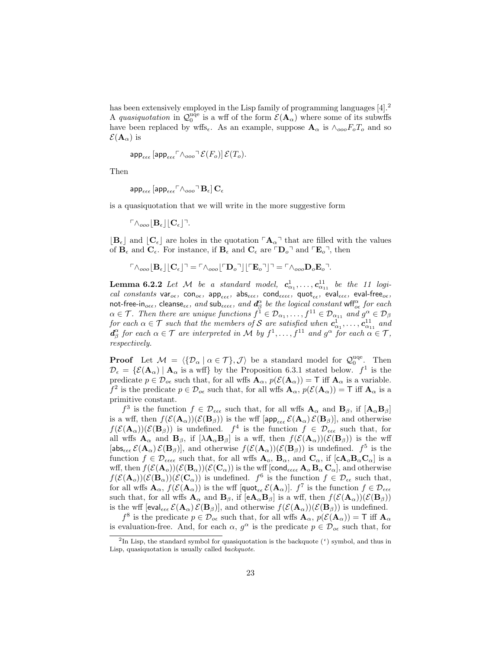has been extensively employed in the Lisp family of programming languages [4].<sup>2</sup> A quasiquotation in  $\mathcal{Q}_0^{\text{uqe}}$  is a wff of the form  $\mathcal{E}(\mathbf{A}_{\alpha})$  where some of its subwffs have been replaced by wffs. As an example, suppose  $\mathbf{A}_{\alpha}$  is  $\wedge_{oo} F_o T_o$  and so  $\mathcal{E}(\mathbf{A}_{\alpha})$  is

$$
\mathsf{app}_{\epsilon\epsilon\epsilon}\left[\mathsf{app}_{\epsilon\epsilon\epsilon} \ulcorner \wedge_{ooo} \urcorner \mathcal{E}(F_o)\right] \mathcal{E}(T_o).
$$

Then

$$
\mathsf{app}_{\epsilon\epsilon\epsilon}\left[\mathsf{app}_{\epsilon\epsilon\epsilon} \ulcorner \wedge_{ooo} \urcorner \mathbf{B}_\epsilon\right] \mathbf{C}_\epsilon
$$

is a quasiquotation that we will write in the more suggestive form

 $\Gamma_{\bigwedge_{OOO}}|B_{\epsilon}| |C_{\epsilon}|^{\eta}$ .

 $|\mathbf{B}_{\epsilon}|$  and  $|\mathbf{C}_{\epsilon}|$  are holes in the quotation  $\mathbf{A}_{\alpha}$ <sup>-</sup> that are filled with the values of  $B_{\epsilon}$  and  $C_{\epsilon}$ . For instance, if  $B_{\epsilon}$  and  $C_{\epsilon}$  are  $\Box D_{\rho}$  and  $\Box E_{\rho}$ , then

$$
\ulcorner \wedge_{ooo} \lfloor B_\epsilon \rfloor \lfloor C_\epsilon \rfloor \urcorner = \ulcorner \wedge_{ooo} \lfloor \ulcorner D_o \urcorner \rfloor \lfloor \ulcorner E_o \urcorner \rfloor \urcorner = \ulcorner \wedge_{ooo} D_o E_o \urcorner.
$$

**Lemma 6.2.2** Let  $M$  be a standard model,  $c^1_{\alpha_1}, \ldots, c^{11}_{\alpha_{11}}$  be the 11 logical constants var<sub>oe</sub>, con<sub>oe</sub>, app<sub>ece</sub>, abs<sub>ece</sub>, cond<sub>ecec</sub>, quot<sub>ec</sub>, eval<sub>ece</sub>, eval-free<sub>oe</sub>, not-free-in<sub>o $\epsilon$ </sub>, cleanse<sub> $\epsilon$ </sub>, and sub $\epsilon$ <sub>e $\epsilon$ </sub>, and  $d^{\alpha}_{\beta}$  be the logical constant wff $^{\alpha}_{\alpha}$  for each  $\alpha \in \mathcal{T}$ . Then there are unique functions  $f^1 \in \mathcal{D}_{\alpha_1}, \ldots, f^{11} \in \mathcal{D}_{\alpha_{11}}$  and  $g^{\alpha} \in \mathcal{D}_{\beta}$ for each  $\alpha \in \mathcal{T}$  such that the members of S are satisfied when  $c^1_{\alpha_1}, \dots, c^{11}_{\alpha_{11}}$  and  $d_{\beta}^{\alpha}$  for each  $\alpha \in \mathcal{T}$  are interpreted in M by  $f^1, \ldots, f^{11}$  and  $g^{\alpha}$  for each  $\alpha \in \mathcal{T}$ , respectively.

**Proof** Let  $M = \langle \{ \mathcal{D}_{\alpha} \mid \alpha \in \mathcal{T} \}, \mathcal{J} \rangle$  be a standard model for  $\mathcal{Q}_0^{\text{uqe}}$ . Then  $\mathcal{D}_{\epsilon} = \{\mathcal{E}(\mathbf{A}_{\alpha}) \mid \mathbf{A}_{\alpha} \text{ is a wff}\}\$  by the Proposition 6.3.1 stated below.  $f^1$  is the predicate  $p \in \mathcal{D}_{\alpha \epsilon}$  such that, for all wffs  $\mathbf{A}_{\alpha}, p(\mathcal{E}(\mathbf{A}_{\alpha})) = \mathsf{T}$  iff  $\mathbf{A}_{\alpha}$  is a variable.  $f^2$  is the predicate  $p \in \mathcal{D}_{\alpha\epsilon}$  such that, for all wffs  $\mathbf{A}_{\alpha}, p(\mathcal{E}(\mathbf{A}_{\alpha})) = \mathsf{T}$  iff  $\mathbf{A}_{\alpha}$  is a primitive constant.

 $f^3$  is the function  $f \in \mathcal{D}_{\epsilon \epsilon \epsilon}$  such that, for all wffs  $\mathbf{A}_{\alpha}$  and  $\mathbf{B}_{\beta}$ , if  $[\mathbf{A}_{\alpha} \mathbf{B}_{\beta}]$ is a wff, then  $f(\mathcal{E}(\mathbf{A}_{\alpha}))(\mathcal{E}(\mathbf{B}_{\beta}))$  is the wff  $[\mathsf{app}_{\epsilon\epsilon\epsilon}\mathcal{E}(\mathbf{A}_{\alpha})\mathcal{E}(\mathbf{B}_{\beta})]$ , and otherwise  $f(\mathcal{E}(\mathbf{A}_{\alpha}))(\mathcal{E}(\mathbf{B}_{\beta}))$  is undefined.  $f^4$  is the function  $f \in \mathcal{D}_{\epsilon\epsilon\epsilon}$  such that, for all wffs  $\mathbf{A}_{\alpha}$  and  $\mathbf{B}_{\beta}$ , if  $[\lambda \mathbf{A}_{\alpha} \mathbf{B}_{\beta}]$  is a wff, then  $f(\mathcal{E}(\mathbf{A}_{\alpha}))(\mathcal{E}(\mathbf{B}_{\beta}))$  is the wff [abs<sub>ece</sub>  $\mathcal{E}(\mathbf{A}_{\alpha})\mathcal{E}(\mathbf{B}_{\beta})$ ], and otherwise  $f(\mathcal{E}(\mathbf{A}_{\alpha}))(\mathcal{E}(\mathbf{B}_{\beta}))$  is undefined.  $f^5$  is the function  $f \in \mathcal{D}_{\epsilon \epsilon \epsilon \epsilon}$  such that, for all wffs  $\mathbf{A}_o$ ,  $\mathbf{B}_{\alpha}$ , and  $\mathbf{C}_{\alpha}$ , if  $[\mathbf{c} \mathbf{A}_o \mathbf{B}_{\alpha} \mathbf{C}_{\alpha}]$  is a wff, then  $f(\mathcal{E}(\mathbf{A}_{o}))(\mathcal{E}(\mathbf{B}_{\alpha}))(\mathcal{E}(\mathbf{C}_{\alpha}))$  is the wff  $[\textsf{cond}_{\epsilon\epsilon\epsilon\epsilon}\mathbf{A}_{o}\mathbf{B}_{\alpha}\mathbf{C}_{\alpha}]$ , and otherwise  $f(\mathcal{E}(\mathbf{A}_{o}))(\mathcal{E}(\mathbf{B}_{\alpha}))(\mathcal{E}(\mathbf{C}_{\alpha}))$  is undefined.  $f^6$  is the function  $f \in \mathcal{D}_{\epsilon\epsilon}$  such that, for all wffs  $\mathbf{A}_{\alpha}$ ,  $f(\mathcal{E}(\mathbf{A}_{\alpha}))$  is the wff  $[\text{quot}_{\epsilon\epsilon} \mathcal{E}(\mathbf{A}_{\alpha})]$ .  $f^7$  is the function  $f \in \mathcal{D}_{\epsilon\epsilon\epsilon}$ such that, for all wffs  $\mathbf{A}_{\alpha}$  and  $\mathbf{B}_{\beta}$ , if  $[\mathbf{e}\mathbf{A}_{\alpha}\mathbf{B}_{\beta}]$  is a wff, then  $f(\mathcal{E}(\mathbf{A}_{\alpha}))(\mathcal{E}(\mathbf{B}_{\beta}))$ is the wff  $|eval_{\epsilon\epsilon\epsilon} \mathcal{E}(\mathbf{A}_{\alpha}) \mathcal{E}(\mathbf{B}_{\beta})|$ , and otherwise  $f(\mathcal{E}(\mathbf{A}_{\alpha}))(\mathcal{E}(\mathbf{B}_{\beta}))$  is undefined.

 $f^8$  is the predicate  $p \in \mathcal{D}_{o\epsilon}$  such that, for all wffs  $\mathbf{A}_{\alpha}$ ,  $p(\mathcal{E}(\mathbf{A}_{\alpha})) = \mathsf{T}$  iff  $\mathbf{A}_{\alpha}$ is evaluation-free. And, for each  $\alpha$ ,  $g^{\alpha}$  is the predicate  $p \in \mathcal{D}_{o\epsilon}$  such that, for

<sup>&</sup>lt;sup>2</sup>In Lisp, the standard symbol for quasiquotation is the backquote (') symbol, and thus in Lisp, quasiquotation is usually called backquote.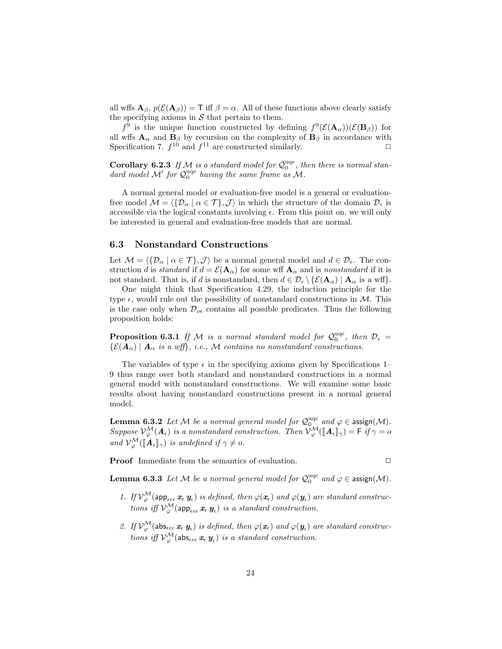all wffs  $\mathbf{A}_{\beta}$ ,  $p(\mathcal{E}(\mathbf{A}_{\beta})) = \mathsf{T}$  iff  $\beta = \alpha$ . All of these functions above clearly satisfy the specifying axioms in  $S$  that pertain to them.

 $f^9$  is the unique function constructed by defining  $f^9(\mathcal{E}(\mathbf{A}_{\alpha}))(\mathcal{E}(\mathbf{B}_{\beta}))$  for all wffs  ${\bf A}_\alpha$  and  ${\bf B}_\beta$  by recursion on the complexity of  ${\bf B}_\beta$  in accordance with Specification 7.  $f^{10}$  and  $f^{11}$  are constructed similarly.

**Corollary 6.2.3** If M is a standard model for  $\mathcal{Q}_0^{\text{uqe}}$ , then there is normal standard model  $\mathcal{M}'$  for  $\mathcal{Q}_0^{\text{uqe}}$  having the same frame as  $\mathcal{M}$ .

A normal general model or evaluation-free model is a general or evaluationfree model  $\mathcal{M} = \langle \{ \mathcal{D}_{\alpha} \mid \alpha \in \mathcal{T} \}, \mathcal{J} \rangle$  in which the structure of the domain  $\mathcal{D}_{\epsilon}$  is accessible via the logical constants involving  $\epsilon$ . From this point on, we will only be interested in general and evaluation-free models that are normal.

#### 6.3 Nonstandard Constructions

Let  $\mathcal{M} = \langle \{ \mathcal{D}_{\alpha} \mid \alpha \in \mathcal{T} \}, \mathcal{J} \rangle$  be a normal general model and  $d \in \mathcal{D}_{\epsilon}$ . The construction d is standard if  $d = \mathcal{E}(\mathbf{A}_{\alpha})$  for some wff  $\mathbf{A}_{\alpha}$  and is nonstandard if it is not standard. That is, if d is nonstandard, then  $d \in \mathcal{D}_{\epsilon} \setminus \{ \mathcal{E}(\mathbf{A}_{\alpha}) \mid \mathbf{A}_{\alpha} \text{ is a wff} \}.$ 

One might think that Specification 4.29, the induction principle for the type  $\epsilon$ , would rule out the possibility of nonstandard constructions in M. This is the case only when  $\mathcal{D}_{oe}$  contains all possible predicates. Thus the following proposition holds:

**Proposition 6.3.1** If M is a normal standard model for  $Q_0^{\text{uqe}}$ , then  $\mathcal{D}_{\epsilon}$  =  $\{\mathcal{E}(\mathbf{A}_{\alpha}) \mid \mathbf{A}_{\alpha} \text{ is a wff}\}\$ , i.e., M contains no nonstandard constructions.

The variables of type  $\epsilon$  in the specifying axioms given by Specifications 1– 9 thus range over both standard and nonstandard constructions in a normal general model with nonstandard constructions. We will examine some basic results about having nonstandard constructions present in a normal general model.

**Lemma 6.3.2** Let M be a normal general model for  $\mathcal{Q}_0^{\text{uqe}}$  and  $\varphi \in \text{assign}(\mathcal{M})$ . Suppose  $\mathcal{V}_{\varphi}^{\mathcal{M}}(\mathbf{A}_{\epsilon})$  is a nonstandard construction. Then  $\mathcal{V}_{\varphi}^{\mathcal{M}}(\mathbf{A}_{\epsilon}\mathbf{I}_{\gamma}) = \mathsf{F}$  if  $\gamma = o$ and  $\mathcal{V}_{\varphi}^{\mathcal{M}}(\llbracket \mathbf{A}_{\epsilon} \rrbracket_{\gamma})$  is undefined if  $\gamma \neq o$ .

**Proof** Immediate from the semantics of evaluation.  $\Box$ 

**Lemma 6.3.3** Let M be a normal general model for  $Q_0^{\text{uqe}}$  and  $\varphi \in \text{assign}(\mathcal{M})$ .

- 1. If  $\mathcal{V}_{\varphi}^{\mathcal{M}}(\textsf{app}_{\epsilon\epsilon\epsilon} x_{\epsilon} y_{\epsilon})$  is defined, then  $\varphi(x_{\epsilon})$  and  $\varphi(y_{\epsilon})$  are standard constructions iff  $\mathcal{V}_{\varphi}^{\mathcal{M}}(\textsf{app}_{\epsilon\epsilon\epsilon} \mathbf{x}_{\epsilon} \mathbf{y}_{\epsilon})$  is a standard construction.
- 2. If  $\mathcal{V}_{\varphi}^{\mathcal{M}}(\mathsf{abs}_{\epsilon\epsilon\epsilon} x_{\epsilon} y_{\epsilon})$  is defined, then  $\varphi(x_{\epsilon})$  and  $\varphi(y_{\epsilon})$  are standard constructions iff  $\mathcal{V}_{\varphi}^{\mathcal{M}}(\mathsf{abs}_{\epsilon\epsilon\epsilon} x_{\epsilon} y_{\epsilon})$  is a standard construction.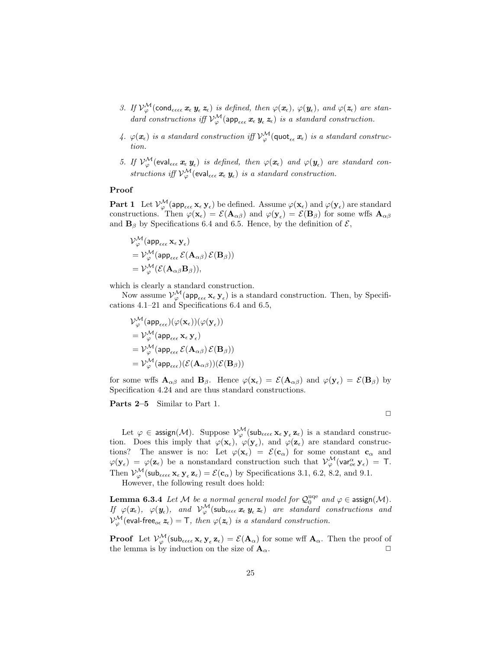- 3. If  $\mathcal{V}_{\varphi}^{\mathcal{M}}(\textsf{cond}_{\epsilon\epsilon\epsilon\epsilon}\mathbf{x}_{\epsilon}\mathbf{y}_{\epsilon}\mathbf{z}_{\epsilon})$  is defined, then  $\varphi(\mathbf{x}_{\epsilon}), \varphi(\mathbf{y}_{\epsilon}),$  and  $\varphi(\mathbf{z}_{\epsilon})$  are standard constructions iff  $\mathcal{V}_{\varphi}^{\mathcal{M}}(\textsf{app}_{\epsilon\epsilon\epsilon} x_{\epsilon} y_{\epsilon} z_{\epsilon})$  is a standard construction.
- 4.  $\varphi(\bm{x}_{\epsilon})$  is a standard construction iff  $\mathcal{V}_{\varphi}^{\mathcal{M}}(\bm{\mathsf{quot}}_{\epsilon \epsilon} \bm{x}_{\epsilon})$  is a standard construction.
- 5. If  $\mathcal{V}_{\varphi}^{\mathcal{M}}(\text{eval}_{\epsilon\epsilon\epsilon} x_{\epsilon} y_{\epsilon})$  is defined, then  $\varphi(x_{\epsilon})$  and  $\varphi(y_{\epsilon})$  are standard constructions iff  $\mathcal{V}_{\varphi}^{\mathcal{M}}(\textsf{eval}_{\epsilon\epsilon\epsilon} \textbf{\textit{x}}_{\epsilon}\textbf{\textit{y}}_{\epsilon})$  is a standard construction.

#### Proof

Part 1 Let  $\mathcal{V}_{\varphi}^{\mathcal{M}}(\mathsf{app}_{\epsilon\epsilon\epsilon}\,\mathbf{x}_{\epsilon}\,\mathbf{y}_{\epsilon})$  be defined. Assume  $\varphi(\mathbf{x}_{\epsilon})$  and  $\varphi(\mathbf{y}_{\epsilon})$  are standard constructions. Then  $\varphi(\mathbf{x}_{\epsilon}) = \mathcal{E}(\mathbf{A}_{\alpha\beta})$  and  $\varphi(\mathbf{y}_{\epsilon}) = \mathcal{E}(\mathbf{B}_{\beta})$  for some wffs  $\mathbf{A}_{\alpha\beta}$ and  $\mathbf{B}_{\beta}$  by Specifications 6.4 and 6.5. Hence, by the definition of  $\mathcal{E},$ 

$$
\mathcal{V}_{\varphi}^{\mathcal{M}}(\text{app}_{\epsilon\epsilon\epsilon} \mathbf{x}_{\epsilon} \mathbf{y}_{\epsilon})
$$
  
=  $\mathcal{V}_{\varphi}^{\mathcal{M}}(\text{app}_{\epsilon\epsilon\epsilon} \mathcal{E}(\mathbf{A}_{\alpha\beta}) \mathcal{E}(\mathbf{B}_{\beta}))$   
=  $\mathcal{V}_{\varphi}^{\mathcal{M}}(\mathcal{E}(\mathbf{A}_{\alpha\beta} \mathbf{B}_{\beta})),$ 

which is clearly a standard construction.

Now assume  $\mathcal{V}_{\varphi}^{\mathcal{M}}(\mathsf{app}_{\epsilon\epsilon\epsilon} \mathbf{x}_{\epsilon} \mathbf{y}_{\epsilon})$  is a standard construction. Then, by Specifications 4.1–21 and Specifications 6.4 and 6.5,

$$
\mathcal{V}_{\varphi}^{\mathcal{M}}(\text{app}_{\epsilon\epsilon\epsilon})(\varphi(\mathbf{x}_{\epsilon}))(\varphi(\mathbf{y}_{\epsilon}))
$$
  
=  $\mathcal{V}_{\varphi}^{\mathcal{M}}(\text{app}_{\epsilon\epsilon\epsilon}\mathbf{x}_{\epsilon}\mathbf{y}_{\epsilon})$   
=  $\mathcal{V}_{\varphi}^{\mathcal{M}}(\text{app}_{\epsilon\epsilon\epsilon}\mathcal{E}(\mathbf{A}_{\alpha\beta})\mathcal{E}(\mathbf{B}_{\beta}))$   
=  $\mathcal{V}_{\varphi}^{\mathcal{M}}(\text{app}_{\epsilon\epsilon\epsilon})(\mathcal{E}(\mathbf{A}_{\alpha\beta}))(\mathcal{E}(\mathbf{B}_{\beta}))$ 

for some wffs  $\mathbf{A}_{\alpha\beta}$  and  $\mathbf{B}_{\beta}$ . Hence  $\varphi(\mathbf{x}_{\epsilon}) = \mathcal{E}(\mathbf{A}_{\alpha\beta})$  and  $\varphi(\mathbf{y}_{\epsilon}) = \mathcal{E}(\mathbf{B}_{\beta})$  by Specification 4.24 and are thus standard constructions.

Parts 2–5 Similar to Part 1.

 $\Box$ 

Let  $\varphi \in \text{assign}(\mathcal{M})$ . Suppose  $\mathcal{V}_{\varphi}^{\mathcal{M}}(\textsf{sub}_{\epsilon\epsilon\epsilon\epsilon} \mathbf{x}_{\epsilon} \mathbf{y}_{\epsilon} \mathbf{z}_{\epsilon})$  is a standard construction. Does this imply that  $\varphi(\mathbf{x}_{\epsilon}), \varphi(\mathbf{y}_{\epsilon}),$  and  $\varphi(\mathbf{z}_{\epsilon})$  are standard constructions? The answer is no: Let  $\varphi(\mathbf{x}_{\epsilon}) = \mathcal{E}(\mathbf{c}_{\alpha})$  for some constant  $\mathbf{c}_{\alpha}$  and  $\varphi(\mathbf{y}_{\epsilon}) = \varphi(\mathbf{z}_{\epsilon})$  be a nonstandard construction such that  $\mathcal{V}_{\varphi}^{\mathcal{M}}(\mathsf{var}_{\alpha}^{\alpha} \mathbf{y}_{\epsilon}) = \mathsf{T}.$ Then  $\mathcal{V}_{\varphi}^{\mathcal{M}}(\mathsf{sub}_{\epsilon\epsilon\epsilon\epsilon}\mathbf{x}_{\epsilon}\mathbf{y}_{\epsilon}\mathbf{z}_{\epsilon}) = \mathcal{E}(\mathbf{c}_{\alpha})$  by Specifications 3.1, 6.2, 8.2, and 9.1. However, the following result does hold:

**Lemma 6.3.4** Let M be a normal general model for  $Q_0^{\text{uqe}}$  and  $\varphi \in \text{assign}(\mathcal{M})$ . If  $\varphi(\bm{x}_{\epsilon}), \varphi(\bm{y}_{\epsilon}),$  and  $\mathcal{V}_{\varphi}^{\mathcal{M}}(\textsf{sub}_{\epsilon\epsilon\epsilon\epsilon}\bm{x}_{\epsilon}\bm{y}_{\epsilon}\bm{z}_{\epsilon})$  are standard constructions and  ${\cal V}^{\cal M}_\varphi(\textsf{eval-free}_{o\epsilon} \; \pmb{z}_\epsilon) = {\sf T}, \; then \; \varphi(\pmb{z}_\epsilon) \; \, is \; a \; standard \; construction.$ 

**Proof** Let  $\mathcal{V}_{\varphi}^{\mathcal{M}}(\mathsf{sub}_{\epsilon\epsilon\epsilon\epsilon} \mathbf{x}_{\epsilon} \mathbf{y}_{\epsilon} \mathbf{z}_{\epsilon}) = \mathcal{E}(\mathbf{A}_{\alpha})$  for some wff  $\mathbf{A}_{\alpha}$ . Then the proof of the lemma is by induction on the size of  $A_{\alpha}$ .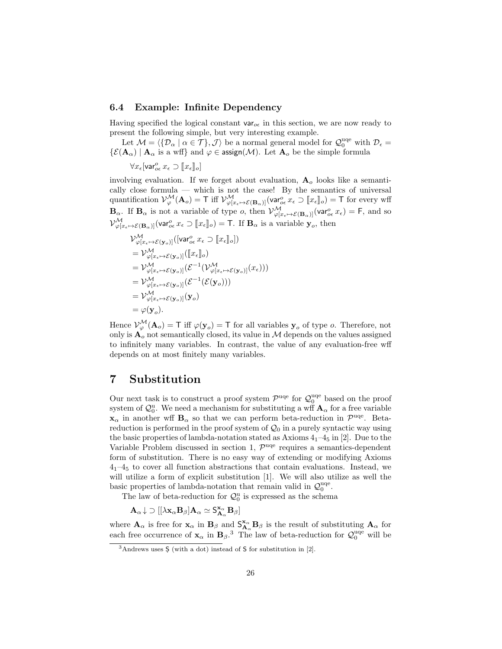#### 6.4 Example: Infinite Dependency

Having specified the logical constant  $var_{\alpha \epsilon}$  in this section, we are now ready to present the following simple, but very interesting example.

Let  $\mathcal{M} = \langle \{ \mathcal{D}_{\alpha} \mid \alpha \in \mathcal{T} \}, \mathcal{J} \rangle$  be a normal general model for  $\mathcal{Q}_0^{\text{uqe}}$  with  $\mathcal{D}_{\epsilon} =$  $\{\mathcal{E}(\mathbf{A}_{\alpha}) \mid \mathbf{A}_{\alpha} \text{ is a wff}\}\$  and  $\varphi \in \text{assign}(\mathcal{M})$ . Let  $\mathbf{A}_{\alpha}$  be the simple formula

 $\forall x_{\epsilon} [\textsf{var}_{o\epsilon}^o x_{\epsilon} \supset [\![x_{\epsilon}]\!]_o]$ 

involving evaluation. If we forget about evaluation,  $A_o$  looks like a semantically close formula — which is not the case! By the semantics of universal quantification  $\mathcal{V}_{\varphi}^{\mathcal{M}}(\mathbf{A}_{o}) = \mathsf{T}$  iff  $\mathcal{V}_{\varphi[x_{\epsilon} \mapsto \mathcal{E}(\mathbf{B}_{\alpha})]}^{\mathcal{M}}(\mathbf{Var}_{oe}^{\mathcal{O}}; x_{\epsilon} \supset [x_{\epsilon}]_{o}) = \mathsf{T}$  for every wff  $\mathbf{B}_{\alpha}$ . If  $\mathbf{B}_{\alpha}$  is not a variable of type *o*, then  $\mathcal{V}_{\varphi[x_{\epsilon}\mapsto \mathcal{E}(\mathbf{B}_{\alpha})]}^{\mathcal{M}}(\mathsf{var}_{o\epsilon}^{\sigma}x_{\epsilon})=\mathsf{F}$ , and so  $\mathcal{V}_{\varphi[x_{\epsilon}\mapsto \mathcal{E}(\mathbf{B}_{\alpha})]}^{\mathcal{M}}(\mathsf{var}_{o\epsilon}^o x_{\epsilon} \supset [x_{\epsilon}]_o) = \mathsf{T}$ . If  $\mathbf{B}_{\alpha}$  is a variable  $\mathbf{y}_o$ , then

$$
\mathcal{V}_{\varphi[x_{\epsilon}\mapsto \mathcal{E}(\mathbf{y}_{o})]}^{\mathcal{M}}([\text{var}_{oe}^o x_{\epsilon} \supset [x_{\epsilon}]]_o])
$$
\n
$$
= \mathcal{V}_{\varphi[x_{\epsilon}\mapsto \mathcal{E}(\mathbf{y}_{o})]}^{\mathcal{M}}([x_{\epsilon}]_o)
$$
\n
$$
= \mathcal{V}_{\varphi[x_{\epsilon}\mapsto \mathcal{E}(\mathbf{y}_{o})]}^{\mathcal{M}}(\mathcal{E}^{-1}(\mathcal{V}_{\varphi[x_{\epsilon}\mapsto \mathcal{E}(\mathbf{y}_{o})]}^{\mathcal{M}}(x_{\epsilon})))
$$
\n
$$
= \mathcal{V}_{\varphi[x_{\epsilon}\mapsto \mathcal{E}(\mathbf{y}_{o})]}^{\mathcal{M}}(\mathcal{E}^{-1}(\mathcal{E}(\mathbf{y}_{o})))
$$
\n
$$
= \mathcal{V}_{\varphi[x_{\epsilon}\mapsto \mathcal{E}(\mathbf{y}_{o})]}^{\mathcal{M}}(\mathbf{y}_{o})
$$
\n
$$
= \varphi(\mathbf{y}_{o}).
$$

Hence  $\mathcal{V}_{\varphi}^{\mathcal{M}}(\mathbf{A}_{o})=\mathsf{T}$  iff  $\varphi(\mathbf{y}_{o})=\mathsf{T}$  for all variables  $\mathbf{y}_{o}$  of type  $o$ . Therefore, not only is  $A_o$  not semantically closed, its value in  $M$  depends on the values assigned to infinitely many variables. In contrast, the value of any evaluation-free wff depends on at most finitely many variables.

# 7 Substitution

Our next task is to construct a proof system  $\mathcal{P}^{\text{uqe}}$  for  $\mathcal{Q}^{\text{uqe}}_0$  based on the proof system of  $\mathcal{Q}_0^{\mathrm{u}}$ . We need a mechanism for substituting a wff  $\mathbf{A}_{\alpha}$  for a free variable  $\mathbf{x}_{\alpha}$  in another wff  $\mathbf{B}_{\alpha}$  so that we can perform beta-reduction in  $\mathcal{P}^{\text{uqe}}$ . Betareduction is performed in the proof system of  $\mathcal{Q}_0$  in a purely syntactic way using the basic properties of lambda-notation stated as Axioms  $4<sub>1</sub>-4<sub>5</sub>$  in [2]. Due to the Variable Problem discussed in section 1,  $\mathcal{P}^{\text{uqe}}$  requires a semantics-dependent form of substitution. There is no easy way of extending or modifying Axioms  $4<sub>1</sub>$ – $4<sub>5</sub>$  to cover all function abstractions that contain evaluations. Instead, we will utilize a form of explicit substitution [1]. We will also utilize as well the basic properties of lambda-notation that remain valid in  $\mathcal{Q}_0^{\text{uqe}}$ .

The law of beta-reduction for  $\mathcal{Q}_0^{\mathrm{u}}$  is expressed as the schema

 $\mathbf{A}_{\alpha} \downarrow \supset [[\lambda \mathbf{x}_{\alpha} \mathbf{B}_{\beta}] \mathbf{A}_{\alpha} \simeq \mathsf{S}_{\mathbf{A}_{\alpha}}^{\mathbf{x}_{\alpha}} \mathbf{B}_{\beta}]$ 

where  $\mathbf{A}_{\alpha}$  is free for  $\mathbf{x}_{\alpha}$  in  $\mathbf{B}_{\beta}$  and  $\mathbf{S}_{\mathbf{A}_{\alpha}}^{\mathbf{x}_{\alpha}}\mathbf{B}_{\beta}$  is the result of substituting  $\mathbf{A}_{\alpha}$  for each free occurrence of  $\mathbf{x}_{\alpha}$  in  $\mathbf{B}_{\beta}$ .<sup>3</sup> The law of beta-reduction for  $\mathcal{Q}_0^{\text{uqe}}$  will be

 $3$ Andrews uses  $\zeta$  (with a dot) instead of S for substitution in [2].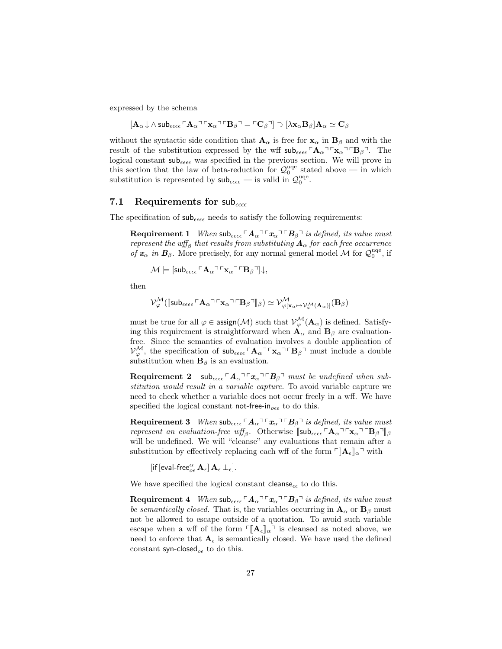expressed by the schema

$$
[\mathbf{A}_{\alpha} \downarrow \wedge \mathsf{sub}_{\epsilon\epsilon\epsilon\epsilon} \ulcorner \mathbf{A}_{\alpha} \urcorner \ulcorner \mathbf{x}_{\alpha} \urcorner \ulcorner \mathbf{B}_{\beta} \urcorner = \ulcorner \mathbf{C}_{\beta} \urcorner] \supset [\lambda \mathbf{x}_{\alpha} \mathbf{B}_{\beta}] \mathbf{A}_{\alpha} \simeq \mathbf{C}_{\beta}
$$

without the syntactic side condition that  $\mathbf{A}_{\alpha}$  is free for  $\mathbf{x}_{\alpha}$  in  $\mathbf{B}_{\beta}$  and with the result of the substitution expressed by the wff  $\mathsf{sub}_{\epsilon\epsilon\epsilon\epsilon} \Gamma \mathbf{A}_{\alpha} \Gamma \mathbf{x}_{\alpha} \Gamma \mathbf{B}_{\beta}$ . The logical constant  $\mathsf{sub}_\mathsf{c\epsilon\epsilon\epsilon}$  was specified in the previous section. We will prove in this section that the law of beta-reduction for  $\mathcal{Q}_0^{\text{uqe}}$  stated above — in which substitution is represented by  $\mathsf{sub}_{\epsilon\epsilon\epsilon\epsilon}$  — is valid in  $\mathcal{Q}_0^{\text{uqe}}$ .

#### 7.1 Requirements for sub $_{\epsilon\epsilon\epsilon\epsilon}$

The specification of  $sub_{\epsilon \epsilon \epsilon \epsilon}$  needs to satisfy the following requirements:

**Requirement 1** When  $\mathsf{sub}_{\epsilon \epsilon \epsilon \epsilon} \mathsf{d} \mathsf{A}_{\alpha} \mathsf{d} \mathsf{d} \mathsf{d}_{\alpha} \mathsf{d} \mathsf{d}_{\beta} \mathsf{d}_{\beta}$  is defined, its value must represent the wff $_{\beta}$  that results from substituting  $\boldsymbol{A}_{\alpha}$  for each free occurrence of  $x_{\alpha}$  in  $B_{\beta}$ . More precisely, for any normal general model M for  $\mathcal{Q}_0^{\text{uqe}}$ , if

$$
\mathcal{M} \models [\mathsf{sub}_\mathsf{c\epsilon\epsilon\epsilon} \ulcorner \mathbf{A}_\alpha \urcorner \ulcorner \mathbf{x}_\alpha \urcorner \ulcorner \mathbf{B}_\beta \urcorner] \downarrow,
$$

then

$$
\mathcal{V}_{\varphi}^{\mathcal{M}}(\llbracket \mathsf{sub}_{\epsilon\epsilon\epsilon\epsilon} \ulcorner \mathbf{A}_{\alpha} \urcorner \ulcorner \mathbf{x}_{\alpha} \urcorner \ulcorner \mathbf{B}_{\beta} \urcorner \rrbracket_{\beta}) \simeq \mathcal{V}_{\varphi[\mathbf{x}_{\alpha} \mapsto \mathcal{V}_{\varphi}^{\mathcal{M}}(\mathbf{A}_{\alpha})]}^{\mathcal{M}}(\mathbf{B}_{\beta})
$$

must be true for all  $\varphi \in \mathsf{assign}(\mathcal{M})$  such that  $\mathcal{V}_{\varphi}^{\mathcal{M}}(\mathbf{A}_{\alpha})$  is defined. Satisfying this requirement is straightforward when  $\mathbf{A}_{\alpha}$  and  $\mathbf{B}_{\beta}$  are evaluationfree. Since the semantics of evaluation involves a double application of  $\mathcal{V}_{\varphi}^{\mathcal{M}}$ , the specification of  $\mathsf{sub}_{\epsilon\epsilon\epsilon\epsilon} \ulcorner \mathbf{A}_{\alpha} \urcorner \ulcorner \mathbf{x}_{\alpha} \urcorner \ulcorner \mathbf{B}_{\beta} \urcorner$  must include a double substitution when  $\mathbf{B}_{\beta}$  is an evaluation.

**Requirement 2** sub $\epsilon_{\epsilon\epsilon\epsilon}$   $\epsilon A_{\alpha}$   $\epsilon A_{\alpha}$   $\epsilon B_{\beta}$  must be undefined when substitution would result in a variable capture. To avoid variable capture we need to check whether a variable does not occur freely in a wff. We have specified the logical constant not-free-in<sub>oce</sub> to do this.

**Requirement 3** When  $\mathsf{sub}_{\epsilon \epsilon \epsilon \epsilon} \mathsf{A}_{\alpha} \mathsf{A}_{\alpha} \mathsf{A}_{\alpha} \mathsf{A}_{\beta} \mathsf{A}_{\beta}$  is defined, its value must represent an evaluation-free  $wff_\beta$ . Otherwise  $[\mathbf{sub}_{\epsilon\epsilon\epsilon\epsilon} \mathbf{A}_{\alpha} \mathbf{A}_{\alpha} \mathbf{A}_{\alpha} \mathbf{B}_{\beta} \mathbf{B}_{\beta}$ will be undefined. We will "cleanse" any evaluations that remain after a substitution by effectively replacing each wff of the form  $\lceil A_{\epsilon} \rceil_{\alpha}$  with

 $[\mathsf{if} \left[ \mathsf{eval}\text{-}\mathsf{free}^{\alpha}_{o \epsilon} \, \mathbf{A}_{\epsilon} \right] \mathbf{A}_{\epsilon} \perp_{\epsilon}].$ 

We have specified the logical constant cleanse<sub> $\epsilon \epsilon$ </sub> to do this.

**Requirement 4** When  $\text{sub}_{\epsilon \epsilon \epsilon} \Gamma A_{\alpha} \Gamma^{\dagger} x_{\alpha} \Gamma^{\dagger} B_{\beta} \Gamma$  is defined, its value must be semantically closed. That is, the variables occurring in  $\mathbf{A}_{\alpha}$  or  $\mathbf{B}_{\beta}$  must not be allowed to escape outside of a quotation. To avoid such variable escape when a wff of the form  $\lceil A_{\epsilon} \rceil_{\alpha}$  is cleansed as noted above, we need to enforce that  $A_{\epsilon}$  is semantically closed. We have used the defined constant syn-closed<sub>oe</sub> to do this.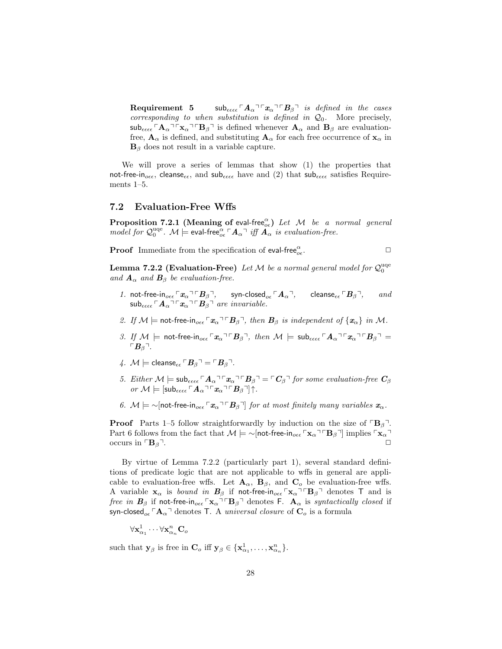**Requirement 5** sub $\epsilon_{\epsilon\epsilon\epsilon}$   $\lceil A_{\alpha} \rceil \lceil x_{\alpha} \rceil \lceil B_{\beta} \rceil$  is defined in the cases corresponding to when substitution is defined in  $\mathcal{Q}_0$ . More precisely,  $\mathsf{sub}_{\epsilon\epsilon\epsilon\epsilon} \mathsf{A}_{\alpha} \mathsf{A}_{\alpha}$ <sup> $\mathsf{A}_{\alpha}$ </sup> is defined whenever  $\mathbf{A}_{\alpha}$  and  $\mathbf{B}_{\beta}$  are evaluationfree,  $\mathbf{A}_{\alpha}$  is defined, and substituting  $\mathbf{A}_{\alpha}$  for each free occurrence of  $\mathbf{x}_{\alpha}$  in  $\mathbf{B}_{\beta}$  does not result in a variable capture.

We will prove a series of lemmas that show (1) the properties that not-free-in<sub>oce</sub>, cleanse<sub>ce</sub>, and sub<sub>ccec</sub> have and (2) that sub<sub>ccec</sub> satisfies Requirements 1–5.

#### 7.2 Evaluation-Free Wffs

**Proposition 7.2.1** (Meaning of eval-free  $\alpha$ <sub>c</sub>) Let M be a normal general model for  $\mathcal{Q}_0^{\text{uqe}}$ .  $\mathcal{M} \models \text{eval-free}_{\alpha}^{\alpha} \ulcorner \mathbf{A}_{\alpha} \urcorner$  iff  $\mathbf{A}_{\alpha}$  is evaluation-free.

**Proof** Immediate from the specification of eval-free $\alpha_c$ .  $\alpha$   $\Box$ 

$$
\qquad \qquad \Box
$$

**Lemma 7.2.2 (Evaluation-Free)** Let M be a normal general model for  $Q_0^{\text{uqe}}$ and  $\mathbf{A}_{\alpha}$  and  $\mathbf{B}_{\beta}$  be evaluation-free.

- 1. not-free-in<sub>o $\epsilon \epsilon \in \mathbf{x}_{\alpha} \cap \epsilon \mathbf{B}_{\beta}$ , syn-closed<sub>oc</sub>  $\epsilon \mathbf{A}_{\alpha}$ , cleanse $\epsilon \epsilon \epsilon \mathbf{B}_{\beta}$ , and</sub>  $\mathsf{sub}_{\epsilon\epsilon\epsilon\epsilon} \ulcorner \mathbf{A}_\alpha \urcorner \ulcorner \mathbf{x}_\alpha \urcorner \ulcorner \mathbf{B}_\beta \urcorner \text{ are } \text{invariable}.$
- 2. If  $M \models \text{not-free-in}_{\text{occ}} \ulcorner \mathbf{x}_{\alpha} \urcorner \ulcorner \mathbf{B}_{\beta} \urcorner$ , then  $\mathbf{B}_{\beta}$  is independent of  $\{\mathbf{x}_{\alpha}\}\$ in M.
- 3. If  $M \models$  not-free-in<sub>oce</sub>  $x_{\alpha}$ <sup> $\top B_{\beta}$ , then  $M \models$  sub $\epsilon_{\epsilon\epsilon\epsilon} \in A_{\alpha}$  $\top x_{\alpha}$  $\top B_{\beta}$  $\top$ </sup>  $\ulcorner B_\beta \urcorner$ .
- 4.  $\mathcal{M} \models$  cleanse<sub>ee</sub>  $\ulcorner B_B \urcorner = \ulcorner B_B \urcorner$ .
- 5. Either  $M \models \mathsf{sub}_{\epsilon \epsilon \epsilon \epsilon} \ulcorner \mathbf{A}_{\alpha} \urcorner \ulcorner \mathbf{x}_{\alpha} \urcorner \ulcorner \mathbf{B}_{\beta} \urcorner = \ulcorner \mathbf{C}_{\beta} \urcorner$  for some evaluation-free  $\mathbf{C}_{\beta}$ or  $M \models [\mathsf{sub}_{\epsilon \epsilon \epsilon \epsilon} \ulcorner \mathbf{A}_{\alpha} \urcorner \ulcorner \mathbf{x}_{\alpha} \urcorner \ulcorner \mathbf{B}_{\beta} \urcorner] \urcorner$ .
- 6. M  $\models \sim$ [not-free-in<sub>o $\epsilon \in \mathbf{x}_{\alpha}$ </sub> $\ulcorner \mathbf{B}_{\beta} \urcorner$ ] for at most finitely many variables  $\mathbf{x}_{\alpha}$ .

**Proof** Parts 1–5 follow straightforwardly by induction on the size of  $\mathbb{F}_{B}$ <sup> $\uparrow$ </sup>. Part 6 follows from the fact that  $M \models \sim$ [not-free-in<sub>o $\epsilon \in \mathbf{x}_{\alpha}$ </sub> $\top \mathbf{B}_{\beta}$ ] implies  $\ulcorner \mathbf{x}_{\alpha} \urcorner$ occurs in  $\Box$ B<sub>β</sub> $\Box$ .

By virtue of Lemma 7.2.2 (particularly part 1), several standard definitions of predicate logic that are not applicable to wffs in general are applicable to evaluation-free wffs. Let  $\mathbf{A}_{\alpha}$ ,  $\mathbf{B}_{\beta}$ , and  $\mathbf{C}_{o}$  be evaluation-free wffs. A variable  $x_\alpha$  is *bound in*  $B_\beta$  if not-free-in<sub>oce</sub>  $x_\alpha$ <sup> $\top B_\beta$ </sup> denotes T and is *free in*  $B_\beta$  if not-free-in<sub>oee</sub>  $\kappa_\alpha$ <sup>-</sup>i $\kappa_\beta$ <sup>-</sup>i denotes F.  $\mathbf{A}_\alpha$  is *syntactically closed* if syn-closed<sub>oc</sub>  $\mathbf{A}_{\alpha}$ <sup>-</sup> denotes T. A *universal closure* of  $\mathbf{C}_{o}$  is a formula

$$
\forall \textbf{x}^1_{\alpha_1}\cdots\forall \textbf{x}^n_{\alpha_n}\textbf{C}_o
$$

such that  $\mathbf{y}_{\beta}$  is free in  $\mathbf{C}_o$  iff  $\mathbf{y}_{\beta} \in {\mathbf{x}}_{\alpha_1}^1, \dots, {\mathbf{x}}_{\alpha_n}^n$ .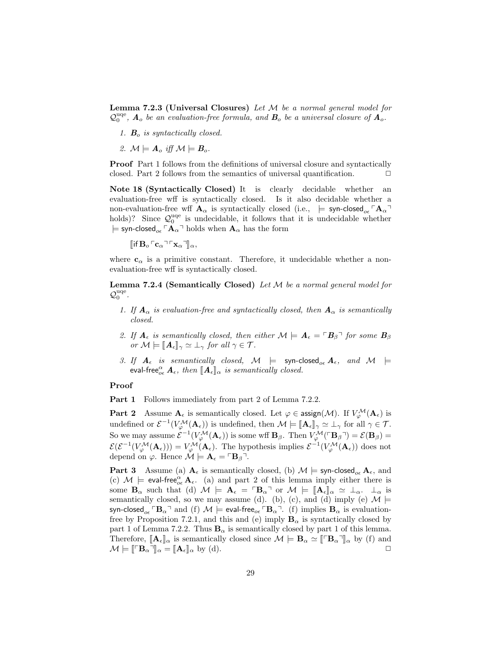Lemma 7.2.3 (Universal Closures) Let  $M$  be a normal general model for  $\mathcal{Q}_0^{\text{uqe}}, A_o$  be an evaluation-free formula, and  $B_o$  be a universal closure of  $A_o$ .

- 1.  $B<sub>o</sub>$  is syntactically closed.
- 2.  $\mathcal{M} \models A_o$  iff  $\mathcal{M} \models B_o$ .

Proof Part 1 follows from the definitions of universal closure and syntactically closed. Part 2 follows from the semantics of universal quantification.  $\Box$ 

Note 18 (Syntactically Closed) It is clearly decidable whether an evaluation-free wff is syntactically closed. Is it also decidable whether a non-evaluation-free wff  $\mathbf{A}_{\alpha}$  is syntactically closed (i.e.,  $\models$  syn-closed<sub>oc</sub>  $\mathbf{A}_{\alpha}$ <sup>-1</sup> holds)? Since  $\mathcal{Q}_0^{\text{uqe}}$  is undecidable, it follows that it is undecidable whether  $\models$  syn-closed $_{o\epsilon}$   $\ulcorner {\check{\bf A}}_\alpha\urcorner$  holds when  ${\bf A}_\alpha$  has the form

 $\left[\left\|\mathbf{f}\mathbf{B}_{o}\right\|^{2}\mathbf{c}_{\alpha}^{-1}\right\|_{\alpha},$ 

where  $c_{\alpha}$  is a primitive constant. Therefore, it undecidable whether a nonevaluation-free wff is syntactically closed.

**Lemma 7.2.4 (Semantically Closed)** Let  $M$  be a normal general model for  $\mathcal{Q}_0^{\text{uqe}}$ .

- 1. If  $\mathbf{A}_{\alpha}$  is evaluation-free and syntactically closed, then  $\mathbf{A}_{\alpha}$  is semantically closed.
- 2. If  $A_{\epsilon}$  is semantically closed, then either  $\mathcal{M} \models A_{\epsilon} = \lceil B_{\beta} \rceil$  for some  $B_{\beta}$ or  $\mathcal{M} \models [\![A_{\epsilon}]\!]_{\gamma} \simeq \bot_{\gamma}$  for all  $\gamma \in \mathcal{T}$ .
- 3. If  $A_{\epsilon}$  is semantically closed,  $\mathcal{M}$   $\models$  syn-closed<sub>oc</sub>  $A_{\epsilon}$ , and  $\mathcal{M}$   $\models$ eval-free  $\alpha_{\epsilon}$   $\boldsymbol{A}_{\epsilon}$ , then  $[\![\boldsymbol{A}_{\epsilon}]\!]_{\alpha}$  is semantically closed.

#### Proof

Part 1 Follows immediately from part 2 of Lemma 7.2.2.

**Part 2** Assume  $A_{\epsilon}$  is semantically closed. Let  $\varphi \in \text{assign}(\mathcal{M})$ . If  $V_{\varphi}^{\mathcal{M}}(A_{\epsilon})$  is undefined or  $\mathcal{E}^{-1}(V^{\mathcal{M}}_{\varphi}(\mathbf{A}_{\epsilon}))$  is undefined, then  $\mathcal{M} \models [\![\mathbf{A}_{\epsilon}]\!]_{\gamma} \simeq \bot_{\gamma}$  for all  $\gamma \in \mathcal{T}$ . So we may assume  $\mathcal{E}^{-1}(V^{\mathcal{M}}_{\varphi}(\mathbf{A}_{\epsilon}))$  is some wff  $\mathbf{B}_{\beta}$ . Then  $V^{\mathcal{M}}_{\varphi}(\ulcorner \mathbf{B}_{\beta}\urcorner)=\mathcal{E}(\mathbf{B}_{\beta})=$  $\mathcal{E}(\mathcal{E}^{-1}(V^{\mathcal{M}}_{\varphi}(\mathbf{A}_{\epsilon}))=V^{\mathcal{M}}_{\varphi}(\mathbf{A}_{\epsilon}).$  The hypothesis implies  $\mathcal{E}^{-1}(V^{\mathcal{M}}_{\varphi}(\mathbf{A}_{\epsilon}))$  does not depend on  $\varphi$ . Hence  $\mathcal{M} \models A_{\epsilon} = \ulcorner B_{\beta} \urcorner$ .

**Part 3** Assume (a)  $A_{\epsilon}$  is semantically closed, (b)  $M \models$  syn-closed<sub>oc</sub>  $A_{\epsilon}$ , and (c)  $\mathcal{M} \models \text{eval-free}_{\text{oe}}^{\alpha} \mathbf{A}_{\epsilon}$ . (a) and part 2 of this lemma imply either there is some  $\mathbf{B}_{\alpha}$  such that (d)  $\mathcal{M} \models \mathbf{A}_{\epsilon} = \ulcorner \mathbf{B}_{\alpha} \urcorner$  or  $\mathcal{M} \models [\![ \mathbf{A}_{\epsilon} ]\!]_{\alpha} \simeq \perp_{\alpha}$ .  $\perp_{\alpha}$  is semantically closed, so we may assume (d). (b), (c), and (d) imply (e)  $\mathcal{M} \models$ syn-closed<sub>oc</sub>  $\mathbf{B}_{\alpha}$ <sup> $\top$ </sup> and (f)  $\mathcal{M} \models$  eval-free<sub>oc</sub>  $\mathbf{B}_{\alpha}$ <sup> $\top$ </sup>. (f) implies  $\mathbf{B}_{\alpha}$  is evaluationfree by Proposition 7.2.1, and this and (e) imply  $\mathbf{B}_{\alpha}$  is syntactically closed by part 1 of Lemma 7.2.2. Thus  $\mathbf{B}_{\alpha}$  is semantically closed by part 1 of this lemma. Therefore,  $[\![\mathbf{A}_{\epsilon}]\!]_{\alpha}$  is semantically closed since  $\mathcal{M} \models \mathbf{B}_{\alpha} \simeq [\![\ulcorner \mathbf{B}_{\alpha} \urcorner \!]_{\alpha}$  by (f) and  $\mathcal{M} \models [\![\ulcorner \mathbf{B}_{\alpha} \urcorner \!]_{\alpha} = [\![\mathbf{A}_{\epsilon}]\!]_{\alpha}$  by (d).  $\mathcal{M} \models [\![\ulcorner \mathbf{B}_{\alpha}\urcorner]\!]_{\alpha} = [\![\mathbf{A}_{\epsilon}]\!]_{\alpha}$  by (d).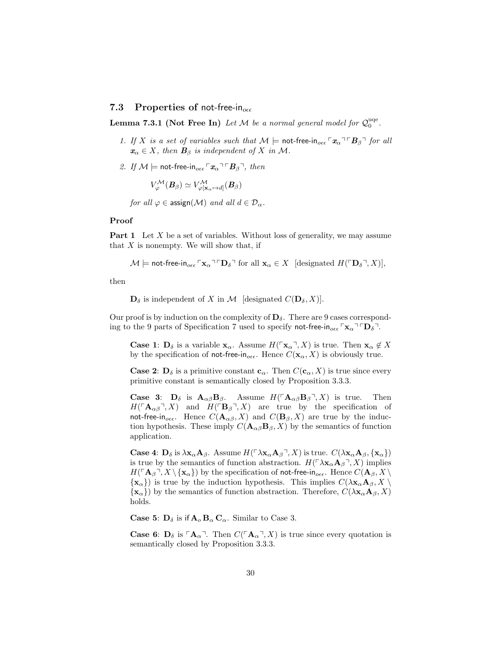#### 7.3 Properties of not-free-in<sub>oce</sub>

**Lemma 7.3.1 (Not Free In)** Let M be a normal general model for  $\mathcal{Q}_0^{\text{uqe}}$ .

- 1. If X is a set of variables such that  $M \models \text{not-free-in}_{\text{def}} \ulcorner \mathbf{x}_{\alpha} \urcorner \ulcorner \mathbf{B}_{\beta} \urcorner$  for all  $x_{\alpha} \in X$ , then  $B_{\beta}$  is independent of X in M.
- 2. If  $M \models$  not-free-in<sub>oce</sub>  $\lceil x_{\alpha} \rceil \lceil B_{\beta} \rceil$ , then

$$
V_\varphi^{\mathcal{M}}(\boldsymbol{B}_\beta) \simeq V_{\varphi[\mathbf{x}_\alpha \mapsto d]}^{\mathcal{M}}(\boldsymbol{B}_\beta)
$$

for all  $\varphi \in \text{assign}(\mathcal{M})$  and all  $d \in \mathcal{D}_{\alpha}$ .

#### Proof

**Part 1** Let X be a set of variables. Without loss of generality, we may assume that  $X$  is nonempty. We will show that, if

 $\mathcal{M} \models \mathsf{not\text{-}free\text{-}in_{o\epsilon\varepsilon}{}^{\sqcap} \mathbf{x}_{\alpha}{}^{\neg} \ulcorner \mathbf{D}_{\delta}{}^{\neg} \text{ for all } \mathbf{x}_{\alpha} \in X \ \ [\text{designated } H(\ulcorner \mathbf{D}_{\delta}{}^{\neg}, X)],$ 

then

 $\mathbf{D}_{\delta}$  is independent of X in M [designated  $C(\mathbf{D}_{\delta}, X)$ ].

Our proof is by induction on the complexity of  $\mathbf{D}_{\delta}$ . There are 9 cases corresponding to the 9 parts of Specification 7 used to specify not-free-in<sub>oce</sub>  $\lceil \mathbf{x}_{\alpha} \rceil \lceil \mathbf{D}_{\delta} \rceil$ .

**Case 1:**  $\mathbf{D}_{\delta}$  is a variable  $\mathbf{x}_{\alpha}$ . Assume  $H(\mathbf{x}_{\alpha}, X)$  is true. Then  $\mathbf{x}_{\alpha} \notin X$ by the specification of not-free-in<sub>oce</sub>. Hence  $C(\mathbf{x}_{\alpha}, X)$  is obviously true.

**Case 2:**  $D_{\delta}$  is a primitive constant  $c_{\alpha}$ . Then  $C(c_{\alpha}, X)$  is true since every primitive constant is semantically closed by Proposition 3.3.3.

**Case 3:**  $D_{\delta}$  is  $A_{\alpha\beta}B_{\beta}$ . Assume  $H(\ulcorner A_{\alpha\beta}B_{\beta}\urcorner, X)$  is true. Then  $H(\ulcorner A_{\alpha\beta}\urcorner, X)$  and  $H(\ulcorner B_{\beta}\urcorner, X)$  are true by the specification of not-free-in<sub>ore</sub>. Hence  $C(\mathbf{A}_{\alpha\beta}, X)$  and  $C(\mathbf{B}_{\beta}, X)$  are true by the induction hypothesis. These imply  $C(\mathbf{A}_{\alpha\beta}\mathbf{B}_{\beta}, X)$  by the semantics of function application.

**Case 4:**  $\mathbf{D}_{\delta}$  is  $\lambda \mathbf{x}_{\alpha} \mathbf{A}_{\beta}$ . Assume  $H(\ulcorner \lambda \mathbf{x}_{\alpha} \mathbf{A}_{\beta} \urcorner, X)$  is true.  $C(\lambda \mathbf{x}_{\alpha} \mathbf{A}_{\beta}, \{\mathbf{x}_{\alpha}\})$ is true by the semantics of function abstraction.  $H(\ulcorner \lambda \mathbf{x}_{\alpha} \mathbf{A}_{\beta} \urcorner, X)$  implies  $H(\ulcorner \mathbf{A}_{\beta} \urcorner, X \setminus \{ \mathbf{x}_{\alpha} \})$  by the specification of not-free-in<sub>ose</sub>. Hence  $C(\mathbf{A}_{\beta}, X \setminus \{ \mathbf{x}_{\alpha} \})$  $\{x_{\alpha}\}\$  is true by the induction hypothesis. This implies  $C(\lambda x_{\alpha}A_{\beta}, X \setminus$  $\{x_\alpha\}$ ) by the semantics of function abstraction. Therefore,  $C(\lambda x_\alpha \mathbf{A}_\beta, X)$ holds.

**Case 5:**  $D_{\delta}$  is if  $A_o B_{\alpha} C_{\alpha}$ . Similar to Case 3.

**Case 6:**  $D_{\delta}$  is  $\lceil A_{\alpha} \rceil$ . Then  $C(\lceil A_{\alpha} \rceil, X)$  is true since every quotation is semantically closed by Proposition 3.3.3.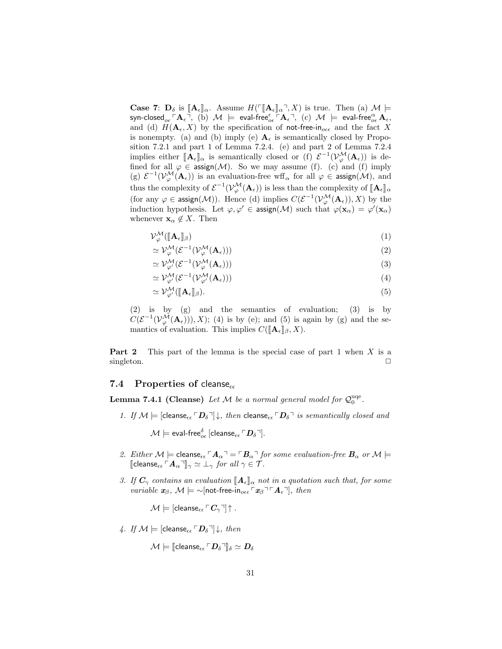**Case 7:**  $D_{\delta}$  is  $[\![A_{\epsilon}]\!]_{\alpha}$ . Assume  $H(\ulcorner [\![A_{\epsilon}]\!]_{\alpha} \urcorner, X)$  is true. Then (a)  $\mathcal{M} \models$  $\mathsf{syn\text{-}closed}_{o\epsilon} \ulcorner \mathbf{A}_{\epsilon} \urcorner, \; \vec{(b)} \;\; \mathcal{M} \;\models\; \mathsf{eval\text{-}free}^{\epsilon}_{o\epsilon} \ulcorner \mathbf{A}_{\epsilon} \urcorner, \; \vec{(c)} \;\; \mathcal{M} \;\models\; \mathsf{eval\text{-}free}^{\alpha}_{o\epsilon} \mathbf{A}_{\epsilon},$ and (d)  $H(\mathbf{A}_{\epsilon}, X)$  by the specification of not-free-in<sub>o $\epsilon \epsilon$ </sub> and the fact X is nonempty. (a) and (b) imply (e)  $A<sub>f</sub>$  is semantically closed by Proposition 7.2.1 and part 1 of Lemma 7.2.4. (e) and part 2 of Lemma 7.2.4 implies either  $[\![\mathbf{A}_{\epsilon}]\!]_{\alpha}$  is semantically closed or (f)  $\mathcal{E}^{-1}(\mathcal{V}_{\varphi}^{\mathcal{M}}(\mathbf{A}_{\epsilon}))$  is defined for all  $(\varepsilon \in \operatorname{scim}(M))$ . So we may assume (f) (o) and (f) imply fined for all  $\varphi \in \text{assign}(\mathcal{M})$ . So we may assume (f). (c) and (f) imply (g)  $\mathcal{E}^{-1}(\mathcal{V}_{\varphi}^{\mathcal{M}}(\mathbf{A}_{\epsilon}))$  is an evaluation-free wff<sub> $\alpha$ </sub> for all  $\varphi \in \mathsf{assign}(\mathcal{M})$ , and thus the complexity of  $\mathcal{E}^{-1}(\mathcal{V}_{\varphi}^{\mathcal{M}}(\mathbf{A}_{\epsilon}))$  is less than the complexity of  $[\mathbf{A}_{\epsilon}]\mathbf{A}_{\epsilon}$ (for any  $\varphi \in \text{assign}(\mathcal{M})$ ). Hence (d) implies  $C(\mathcal{E}^{-1}(\mathcal{V}_{\varphi}^{\mathcal{M}}(\mathbf{A}_{\epsilon})), X)$  by the induction hypothesis. Let  $\varphi, \varphi' \in \mathsf{assign}(\mathcal{M})$  such that  $\varphi(\mathbf{x}_{\alpha}) = \varphi'(\mathbf{x}_{\alpha})$ whenever  $\mathbf{x}_{\alpha} \notin X$ . Then

$$
\mathcal{V}_{\varphi}^{\mathcal{M}}([\![\mathbf{A}_{\epsilon}]\!]_{\beta})\tag{1}
$$

$$
\simeq \mathcal{V}_{\varphi}^{\mathcal{M}}(\mathcal{E}^{-1}(\mathcal{V}_{\varphi}^{\mathcal{M}}(\mathbf{A}_{\epsilon})))
$$
\n(2)

$$
\simeq \mathcal{V}_{\varphi'}^{\mathcal{M}}(\mathcal{E}^{-1}(\mathcal{V}_{\varphi}^{\mathcal{M}}(\mathbf{A}_{\epsilon})))\tag{3}
$$

$$
\simeq \mathcal{V}_{\varphi'}^{\mathcal{M}}(\mathcal{E}^{-1}(\mathcal{V}_{\varphi'}^{\mathcal{M}}(\mathbf{A}_{\epsilon})))\tag{4}
$$

$$
\simeq \mathcal{V}_{\varphi'}^{\mathcal{M}}([\![\mathbf{A}_{\epsilon}]\!]_{\beta}).\tag{5}
$$

(2) is by (g) and the semantics of evaluation; (3) is by  $C(\mathcal{E}^{-1}(\mathcal{V}_{\varphi}^{\mathcal{M}}(\mathbf{A}_{\epsilon}))), X);$  (4) is by (e); and (5) is again by (g) and the semantics of evaluation. This implies  $C(\mathbf{A}_{\epsilon}\mathbf{I}_{\beta}, X)$ .

**Part 2** This part of the lemma is the special case of part 1 when  $X$  is a  $\Box$  singleton.  $\Box$ 

#### 7.4 Properties of cleanse

**Lemma 7.4.1 (Cleanse)** Let M be a normal general model for  $Q_0^{\text{uqe}}$ .

- 1. If  $M \models [\text{cleanse}_{\epsilon \epsilon} \ulcorner D_\delta \urcorner] \downarrow$ , then cleanse $\epsilon_{\epsilon \epsilon} \ulcorner D_\delta \urcorner$  is semantically closed and  $\mathcal{M} \models$  eval-free $_{o\epsilon}^{\delta}$  [cleanse $_{\epsilon\epsilon}$  「  $\bm{D}_{\delta}$   $\lnot$  ].
- 2. Either  $M \models$  cleanse<sub> $\epsilon \epsilon$ </sub> $\lceil A_\alpha \rceil = \lceil B_\alpha \rceil$  for some evaluation-free  $B_\alpha$  or  $M \models$  $\lbrack \lbrack$  cleanse<sub>εε</sub>  $\lceil A_α \rceil \rbrack_\gamma \simeq \bot_\gamma$  for all  $\gamma \in \mathcal{T}$ .
- 3. If  $C_{\gamma}$  contains an evaluation  $[\![A_{\epsilon}]\!]_{\alpha}$  not in a quotation such that, for some *variable*  $x_{\beta}$ ,  $\mathcal{M} \models \sim$ [not-free-in<sub>oee</sub>  $\lceil x_{\beta} \rceil \lceil A_{\epsilon} \rceil$ ], then

 $\mathcal{M} \models$  [cleanse $_{\epsilon\epsilon}$   $\ulcorner C_{\gamma}$   $\urcorner$   $\urcorner \uparrow$  .

4. If  $\mathcal{M} \models$  [cleanse<sub>ee</sub>  $\ulcorner \mathbf{D}_\delta \urcorner \rvert \downarrow$ , then

 $\mathcal{M} \models$   $\llbracket$ cleanse $_{\epsilon\epsilon}$   $\ulcorner$   $\bm{D}_{\delta}$   $\urcorner\rrbracket_{\delta} \simeq$   $\bm{D}_{\delta}$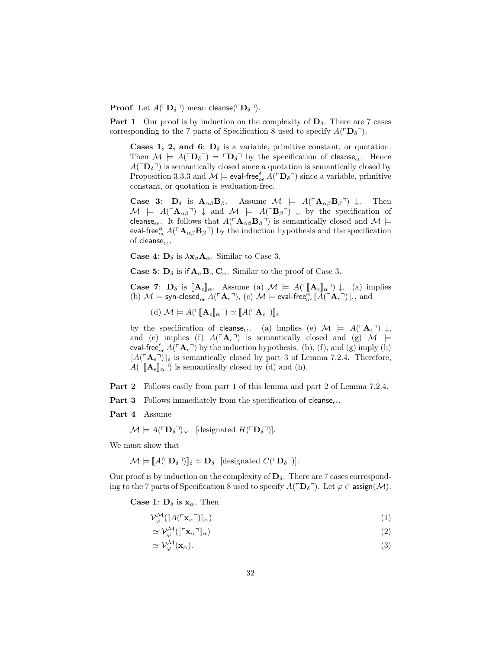**Proof** Let  $A(\ulcorner \mathbf{D}_\delta \urcorner)$  mean cleanse( $\ulcorner \mathbf{D}_\delta \urcorner$ ).

**Part 1** Our proof is by induction on the complexity of  $\mathbf{D}_{\delta}$ . There are 7 cases corresponding to the 7 parts of Specification 8 used to specify  $A(\ulcorner \mathbf{D}_\delta \urcorner)$ .

**Cases 1, 2, and 6:**  $D_{\delta}$  is a variable, primitive constant, or quotation. Then  $\mathcal{M} \models A(\ulcorner \mathbf{D}_\delta \urcorner) = \ulcorner \mathbf{D}_\delta \urcorner$  by the specification of cleanse. Hence  $A(\ulcorner \mathbf{D}_\delta \urcorner)$  is semantically closed since a quotation is semantically closed by Proposition 3.3.3 and  $\mathcal{M} \models$  eval-free  $\delta_{oe} A(\ulcorner \mathbf{D}_\delta \urcorner)$  since a variable, primitive constant, or quotation is evaluation-free.

**Case 3:**  $D_{\delta}$  is  $A_{\alpha\beta}B_{\beta}$ . Assume  $M \models A(\ulcorner A_{\alpha\beta}B_{\beta}\urcorner) \downarrow$ . Then  $M \models A(\ulcorner \mathbf{A}_{\alpha\beta}\urcorner) \downarrow \text{ and } M \models A(\ulcorner \mathbf{B}_{\beta}\urcorner) \downarrow \text{ by the specification of }$ cleanse<sub> $\epsilon$ </sub>. It follows that  $A(\ulcorner {\bf A}_{\alpha\beta} {\bf B}_{\beta} \urcorner)$  is semantically closed and  $M \models$ eval-free  $\alpha_{\alpha}$   $A(\ulcorner \mathbf{A}_{\alpha\beta} \mathbf{B}_{\beta} \urcorner)$  by the induction hypothesis and the specification of cleanse $_{\epsilon\epsilon}$ .

**Case 4:**  $\mathbf{D}_{\delta}$  is  $\lambda \mathbf{x}_{\beta} \mathbf{A}_{\alpha}$ . Similar to Case 3.

**Case 5:**  $D_{\delta}$  is if  $A_{\alpha}B_{\alpha}C_{\alpha}$ . Similar to the proof of Case 3.

**Case 7:**  $D_{\delta}$  is  $[\mathbf{A}_{\epsilon}]_{\alpha}$ . Assume (a)  $\mathcal{M} \models A(\ulcorner [\mathbf{A}_{\epsilon}]_{\alpha} \urcorner) \downarrow.$  (a) implies (b)  $\mathcal{M} \models$  syn-closed<sub>oc</sub>  $A(\ulcorner \mathbf{A}_{\epsilon} \urcorner)$ , (c)  $\mathcal{M} \models$  eval-free  $\alpha_{\epsilon}^{\alpha} [\![\tilde{A}(\ulcorner \mathbf{A}_{\epsilon} \urcorner)]\!]_{\epsilon}$ , and

(d)  $\mathcal{M} \models A(\ulcorner\llbracket \mathbf{A}_{\epsilon}\rrbracket_{\alpha} \urcorner) \simeq \llbracket A(\ulcorner \mathbf{A}_{\epsilon} \urcorner)\rrbracket_{\epsilon}$ 

by the specification of cleanse. (a) implies (e)  $\mathcal{M}$   $\models$   $A(\ulcorner A_{\epsilon}\urcorner) \downarrow$ , and (e) implies (f)  $A(\ulcorner {\bf A}_\epsilon \urcorner)$  is semantically closed and (g)  $\mathcal M$   $\models$ eval-free  $_{o\epsilon}^{\epsilon}$  A( $\Gamma$  **A**<sub> $\epsilon$ </sub><sup>-</sup>) by the induction hypothesis. (b), (f), and (g) imply (h)  $\llbracket A(\ulcorner\mathbf{A}_{\epsilon}\urcorner)\rrbracket_{\epsilon}$  is semantically closed by part 3 of Lemma 7.2.4. Therefore,  $A(\ulcorner \|\mathbf{A}_{\epsilon}\|_{\alpha}\urcorner)$  is semantically closed by (d) and (h).

Part 2 Follows easily from part 1 of this lemma and part 2 of Lemma 7.2.4.

**Part 3** Follows immediately from the specification of cleanse<sub> $\epsilon$ f</sub>.

Part 4 Assume

 $\mathcal{M} \models A(\ulcorner \mathbf{D}_\delta \urcorner) \downarrow \text{ [designated } H(\ulcorner \mathbf{D}_\delta \urcorner)].$ 

We must show that

 $\mathcal{M} \models \llbracket A(\ulcorner \mathbf{D}_{\delta} \urcorner) \rrbracket_{\delta} \simeq \mathbf{D}_{\delta}$  [designated  $C(\ulcorner \mathbf{D}_{\delta} \urcorner)$ ].

Our proof is by induction on the complexity of  $\mathbf{D}_{\delta}$ . There are 7 cases corresponding to the 7 parts of Specification 8 used to specify  $A(\ulcorner \mathbf{D}_\delta \urcorner)$ . Let  $\varphi \in \mathsf{assign}(\mathcal{M})$ .

**Case 1:**  $\mathbf{D}_{\delta}$  is  $\mathbf{x}_{\alpha}$ . Then

$$
\mathcal{V}_{\varphi}^{\mathcal{M}}(\llbracket A(\ulcorner \mathbf{x}_{\alpha} \urcorner)\rrbracket_{\alpha})\tag{1}
$$

$$
\simeq \mathcal{V}_{\varphi}^{\mathcal{M}}([\lceil \mathbf{x}_{\alpha} \rceil \rceil_{\alpha}) \tag{2}
$$

$$
\simeq \mathcal{V}_{\varphi}^{\mathcal{M}}(\mathbf{x}_{\alpha}). \tag{3}
$$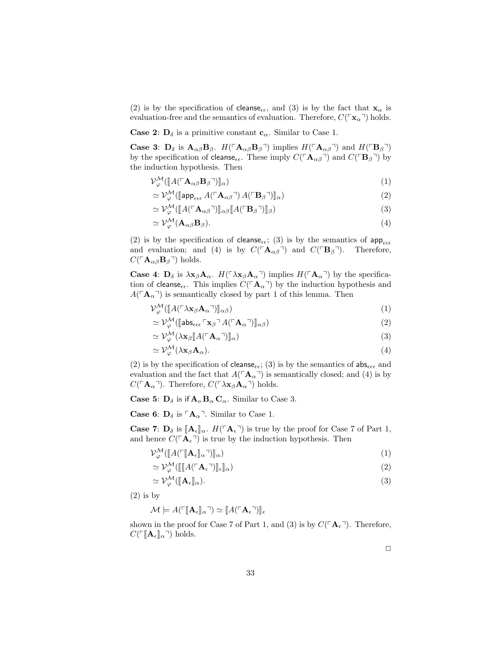(2) is by the specification of cleanse<sub> $\epsilon$ </sub>, and (3) is by the fact that  $\mathbf{x}_{\alpha}$  is evaluation-free and the semantics of evaluation. Therefore,  $C(\lceil x_\alpha \rceil)$  holds.

**Case 2:**  $D_{\delta}$  is a primitive constant  $c_{\alpha}$ . Similar to Case 1.

**Case 3:**  $D_{\delta}$  is  $A_{\alpha\beta}B_{\beta}$ .  $H(\lceil A_{\alpha\beta}B_{\beta}\rceil)$  implies  $H(\lceil A_{\alpha\beta}\rceil)$  and  $H(\lceil B_{\beta}\rceil)$ by the specification of cleanse<sub> $\epsilon \epsilon$ </sub>. These imply  $C(\lceil \mathbf{A}_{\alpha\beta}\rceil)$  and  $C(\lceil \mathbf{B}_{\beta}\rceil)$  by the induction hypothesis. Then

$$
\mathcal{V}_{\varphi}^{\mathcal{M}}([\![A(\ulcorner \mathbf{A}_{\alpha\beta}\mathbf{B}_{\beta}\urcorner)]\!]_{\alpha})
$$
\n(1)

$$
\simeq \mathcal{V}_{\varphi}^{\mathcal{M}}([\text{app}_{\epsilon\epsilon\epsilon}A(\ulcorner \mathbf{A}_{\alpha\beta}\urcorner)A(\ulcorner \mathbf{B}_{\beta}\urcorner)]_{\alpha})
$$
\n(2)

$$
\simeq \mathcal{V}_{\varphi}^{\mathcal{M}}([\![A(\ulcorner \mathbf{A}_{\alpha\beta}\urcorner)]\!]_{\alpha\beta}[\![A(\ulcorner \mathbf{B}_{\beta}\urcorner)]\!]_{\beta})
$$
\n(3)

$$
\simeq \mathcal{V}_{\varphi}^{\mathcal{M}}(\mathbf{A}_{\alpha\beta}\mathbf{B}_{\beta}). \tag{4}
$$

(2) is by the specification of cleanse<sub> $\epsilon$ </sub>; (3) is by the semantics of app<sub> $\epsilon$  $\epsilon$ </sub> and evaluation; and (4) is by  $C(\ulcorner A_{\alpha\beta}\urcorner)$  and  $C(\ulcorner B_{\beta}\urcorner)$ . Therefore,  $C(\ulcorner \mathbf{A}_{\alpha\beta} \mathbf{B}_{\beta} \urcorner)$  holds.

**Case 4:**  $D_{\delta}$  is  $\lambda x_{\beta}A_{\alpha}$ .  $H(\lceil \lambda x_{\beta}A_{\alpha} \rceil)$  implies  $H(\lceil A_{\alpha} \rceil)$  by the specification of cleanse<sub> $\epsilon \epsilon$ </sub>. This implies  $C(\overline{A_{\alpha}})$  by the induction hypothesis and  $A(\ulcorner \mathbf{A}_{\alpha}\urcorner)$  is semantically closed by part 1 of this lemma. Then

$$
\mathcal{V}_{\varphi}^{\mathcal{M}}([\![A(\ulcorner \lambda \mathbf{x}_{\beta} \mathbf{A}_{\alpha} \urcorner)]\!]_{\alpha\beta}) \tag{1}
$$

$$
\simeq \mathcal{V}_{\varphi}^{\mathcal{M}}([\mathsf{abs}_{\epsilon\epsilon\epsilon} \ulcorner \mathbf{x}_{\beta} \urcorner A(\ulcorner \mathbf{A}_{\alpha} \urcorner)]|_{\alpha\beta}) \tag{2}
$$

$$
\simeq \mathcal{V}_{\varphi}^{\mathcal{M}}(\lambda \mathbf{x}_{\beta} [\![A(\ulcorner \mathbf{A}_{\alpha}\urcorner)]\!]_{\alpha}) \tag{3}
$$

$$
\simeq \mathcal{V}_{\varphi}^{\mathcal{M}}(\lambda \mathbf{x}_{\beta} \mathbf{A}_{\alpha}). \tag{4}
$$

(2) is by the specification of cleanse<sub> $\epsilon$ </sub>; (3) is by the semantics of abs<sub> $\epsilon$ </sub> and evaluation and the fact that  $A(\ulcorner \mathbf{A}_{\alpha} \urcorner)$  is semantically closed; and (4) is by  $C(\ulcorner \mathbf{A}_\alpha \urcorner)$ . Therefore,  $C(\ulcorner \lambda \mathbf{x}_\beta \mathbf{A}_\alpha \urcorner)$  holds.

**Case 5:**  $D_{\delta}$  is if  $A_o B_{\alpha} C_{\alpha}$ . Similar to Case 3.

**Case 6:**  $D_{\delta}$  is  $\lceil A_{\alpha} \rceil$ . Similar to Case 1.

**Case 7:**  $\mathbf{D}_{\delta}$  is  $[\mathbf{A}_{\epsilon}]\_\alpha$ .  $H(\ulcorner \mathbf{A}_{\epsilon}\urcorner)$  is true by the proof for Case 7 of Part 1, and hence  $C(\ulcorner \mathbf{A}_{\epsilon} \urcorner)$  is true by the induction hypothesis. Then

$$
\mathcal{V}_{\varphi}^{\mathcal{M}}([\![A(\ulcorner\llbracket \mathbf{A}_{\epsilon}\rrbracket_{\alpha}\urcorner)]\!])_{\alpha})\tag{1}
$$

$$
\simeq \mathcal{V}_{\varphi}^{\mathcal{M}}([\llbracket A(\ulcorner \mathbf{A}_{\epsilon}\urcorner)]\rrbracket_{\alpha})
$$
\n(2)

$$
\simeq \mathcal{V}_{\varphi}^{\mathcal{M}}([\![\mathbf{A}_{\epsilon}]\!]_{\alpha}).\tag{3}
$$

 $(2)$  is by

$$
\mathcal{M} \models A(\ulcorner [\![ \mathbf{A}_{\epsilon} ]\!]_{\alpha} \urcorner) \simeq [\![ A(\ulcorner \mathbf{A}_{\epsilon} \urcorner)]\!]_{\epsilon}
$$

shown in the proof for Case 7 of Part 1, and (3) is by  $C(\mathbf{A}_{\epsilon})$ . Therefore,  $C(\ulcorner\llbracket A_{\epsilon}\rrbracket_{\alpha}\urcorner)$  holds.

 $\Box$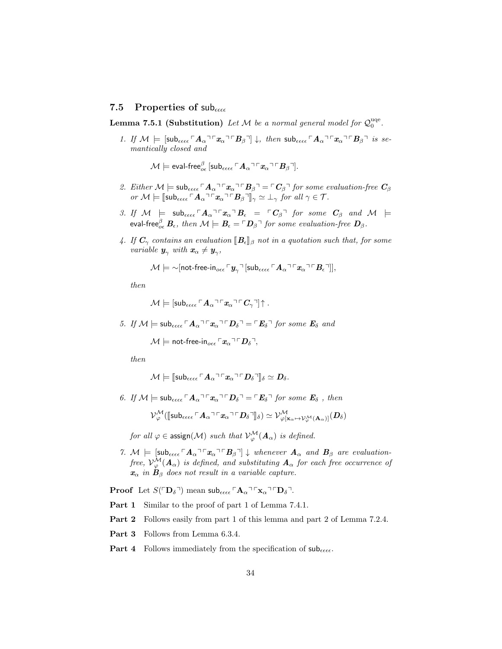#### 7.5 Properties of sub $_{\epsilon\epsilon\epsilon\epsilon}$

**Lemma 7.5.1 (Substitution)** Let M be a normal general model for  $\mathcal{Q}_0^{\text{uqe}}$ .

1. If  $M \models [\textsf{sub}_{\epsilon\epsilon\epsilon\epsilon} \ulcorner A_\alpha \urcorner \ulcorner x_\alpha \urcorner \ulcorner B_\beta \urcorner] \downarrow$ , then  $\textsf{sub}_{\epsilon\epsilon\epsilon\epsilon} \ulcorner A_\alpha \urcorner \ulcorner x_\alpha \urcorner \ulcorner B_\beta \urcorner$  is semantically closed and

 $\mathcal{M} \models \mathsf{eval\text{-}free}_{o\epsilon}^\beta$  [sub $_{\epsilon\epsilon\epsilon\epsilon}$   $\ulcorner \bm A_\alpha \urcorner \ulcorner \bm x_\alpha \urcorner \ulcorner \bm B_\beta \urcorner].$ 

- 2. Either  $M \models \mathsf{sub}_{\epsilon \epsilon \epsilon \epsilon} \ulcorner \mathbf{A}_\alpha \urcorner \ulcorner \mathbf{x}_\alpha \urcorner \ulcorner \mathbf{B}_\beta \urcorner = \ulcorner \mathbf{C}_\beta \urcorner$  for some evaluation-free  $\mathbf{C}_\beta$ or  $\mathcal{M} \models \llbracket \mathsf{sub}_{\epsilon\epsilon\epsilon\epsilon} \ulcorner \mathbf{A}_{\alpha} \urcorner \ulcorner \mathbf{x}_{\alpha} \urcorner \ulcorner \mathbf{B}_{\beta} \urcorner \rrbracket_{\gamma} \simeq \perp_{\gamma} \text{ for all } \gamma \in \mathcal{T}$ .
- 3. If  $M \models \textsf{sub}_{\epsilon \epsilon \epsilon \epsilon} \ulcorner A_\alpha \urcorner \ulcorner x_\alpha \urcorner B_\epsilon = \ulcorner C_\beta \urcorner$  for some  $C_\beta$  and  $M \models$ eval-free $^{\beta}_{o\epsilon}$   $\bm{B}_{\epsilon},$  then  $\mathcal{M} \models \bm{B}_{\epsilon} = \ulcorner \bm{D}_{\beta} \urcorner$  for some evaluation-free  $\bm{D}_{\beta}.$
- 4. If  $C_{\gamma}$  contains an evaluation  $\|B_{\epsilon}\|_{\beta}$  not in a quotation such that, for some variable  $y_{\gamma}$  with  $x_{\alpha} \neq y_{\gamma}$ ,

$$
\mathcal{M} \models {\sim}[\text{not-free-in}_{o\epsilon\epsilon} \ulcorner \pmb{y}_\gamma \urcorner [\text{sub}_{\epsilon\epsilon\epsilon\epsilon} \ulcorner \pmb{A}_\alpha \urcorner \ulcorner \pmb{x}_\alpha \urcorner \ulcorner \pmb{B}_\epsilon \urcorner]],
$$

then

 $\mathcal{M} \models [\mathsf{sub}_{\epsilon\epsilon\epsilon\epsilon} \ulcorner \bm{A}_\alpha \urcorner \ulcorner \bm{x}_\alpha \urcorner \ulcorner \bm{C}_\gamma \urcorner] \urcorner$  .

5. If  $\mathcal{M} \models \mathsf{sub}_{\epsilon \epsilon \epsilon \epsilon} \ulcorner \mathbf{A}_{\alpha} \urcorner \ulcorner \mathbf{x}_{\alpha} \urcorner \ulcorner \mathbf{D}_{\delta} \urcorner = \ulcorner \mathbf{E}_{\delta} \urcorner$  for some  $\mathbf{E}_{\delta}$  and

 $\mathcal{M} \models$  not-free-in<sub>ose</sub>  $\ulcorner x_\alpha \urcorner \ulcorner D_\delta \urcorner$ ,

then

$$
\mathcal{M} \models [\![ \mathsf{sub}_{\epsilon\epsilon\epsilon\epsilon} \ulcorner \bm{A}_\alpha \urcorner \ulcorner \bm{x}_\alpha \urcorner \ulcorner \bm{D}_\delta \urcorner ]\!]_\delta \simeq \bm{D}_\delta.
$$

6. If  $M \models \textsf{sub}_{\epsilon \epsilon \epsilon \epsilon} \Gamma A_{\alpha} \Gamma^{\dagger} x_{\alpha} \Gamma^{\dagger} D_{\delta} \Gamma = \Gamma E_{\delta} \Gamma$  for some  $E_{\delta}$ , then

$$
\mathcal{V}^{\mathcal{M}}_{\varphi}([\![\mathsf{sub}_{\epsilon\epsilon\epsilon\epsilon} \ulcorner \mathbf{A}_{\alpha} \urcorner \ulcorner \mathbf{x}_{\alpha} \urcorner \ulcorner D_{\delta} \urcorner ]\!]_{\delta}) \simeq \mathcal{V}^{\mathcal{M}}_{\varphi[\mathbf{x}_{\alpha} \mapsto \mathcal{V}^{\mathcal{M}}_{\varphi}(\mathbf{A}_{\alpha})]}(D_{\delta})
$$

for all  $\varphi \in \mathsf{assign}(\mathcal{M})$  such that  $\mathcal{V}^\mathcal{M}_\varphi(\bm{A}_\alpha)$  is defined.

7.  $M \models [\textsf{sub}_{\epsilon\epsilon\epsilon\epsilon} \ulcorner \mathbf{A}_\alpha \urcorner \ulcorner \mathbf{x}_\alpha \urcorner \ulcorner \mathbf{B}_\beta \urcorner] \downarrow$  whenever  $\mathbf{A}_\alpha$  and  $\mathbf{B}_\beta$  are evaluationfree,  ${\cal V}^{\cal M}_{\varphi}(\bm A_{\alpha})$  is defined, and substituting  $\bm A_{\alpha}$  for each free occurrence of  $\mathbf{x}_{\alpha}$  in  $\mathbf{B}_{\beta}$  does not result in a variable capture.

**Proof** Let  $S(\ulcorner \mathbf{D}_\delta \urcorner)$  mean sub<sub>ecte</sub>  $\ulcorner \mathbf{A}_\alpha \urcorner \ulcorner \mathbf{x}_\alpha \urcorner \ulcorner \mathbf{D}_\delta \urcorner$ .

- Part 1 Similar to the proof of part 1 of Lemma 7.4.1.
- Part 2 Follows easily from part 1 of this lemma and part 2 of Lemma 7.2.4.
- Part 3 Follows from Lemma 6.3.4.
- **Part 4** Follows immediately from the specification of  $\mathsf{sub}_{\epsilon\epsilon\epsilon\epsilon}$ .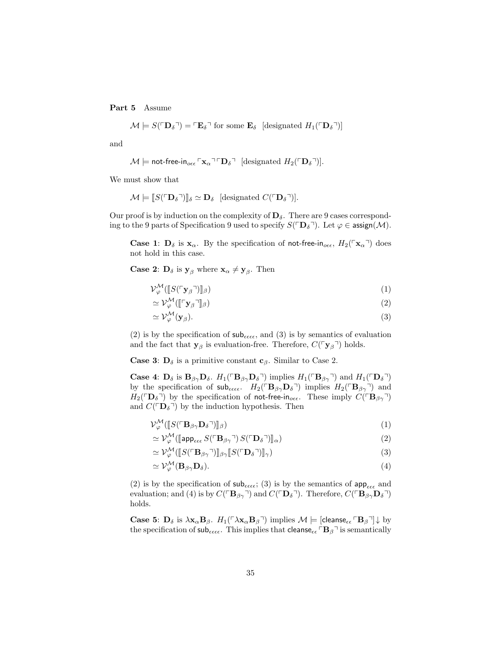Part 5 Assume

$$
\mathcal{M} \models S(\ulcorner \mathbf{D}_{\delta} \urcorner) = \ulcorner \mathbf{E}_{\delta} \urcorner \text{ for some } \mathbf{E}_{\delta} \text{ [designated } H_1(\ulcorner \mathbf{D}_{\delta} \urcorner)]
$$

and

$$
\mathcal{M} \models \text{not-free-in}_{\text{occ}} \ulcorner \mathbf{x}_{\alpha} \urcorner \ulcorner \mathbf{D}_{\delta} \urcorner \text{ (designated } H_2(\ulcorner \mathbf{D}_{\delta} \urcorner)].
$$

We must show that

$$
\mathcal{M} \models [S(\ulcorner \mathbf{D}_{\delta}\urcorner)]_{\delta} \simeq \mathbf{D}_{\delta} \quad \text{[designated } C(\ulcorner \mathbf{D}_{\delta}\urcorner)].
$$

Our proof is by induction on the complexity of  $\mathbf{D}_{\delta}$ . There are 9 cases corresponding to the 9 parts of Specification 9 used to specify  $S(\ulcorner \mathbf{D}_\delta \urcorner)$ . Let  $\varphi \in \mathsf{assign}(\mathcal{M})$ .

**Case 1:**  $D_{\delta}$  is  $x_{\alpha}$ . By the specification of not-free-in<sub>oes</sub>,  $H_2(\ulcorner x_{\alpha} \urcorner)$  does not hold in this case.

**Case 2:**  $\mathbf{D}_{\delta}$  is  $\mathbf{y}_{\beta}$  where  $\mathbf{x}_{\alpha} \neq \mathbf{y}_{\beta}$ . Then

$$
\mathcal{V}_{\varphi}^{\mathcal{M}}([\![S(\ulcorner \mathbf{y}_{\beta} \urcorner)]\!]_{\beta}) \tag{1}
$$

$$
\simeq \mathcal{V}_{\varphi}^{\mathcal{M}}([\lceil \mathbf{y}_{\beta} \rceil \rceil_{\beta}) \tag{2}
$$

$$
\simeq \mathcal{V}_{\varphi}^{\mathcal{M}}(\mathbf{y}_{\beta}).\tag{3}
$$

(2) is by the specification of  $\mathsf{sub}_{\epsilon\epsilon\epsilon\epsilon}$ , and (3) is by semantics of evaluation and the fact that  $y_\beta$  is evaluation-free. Therefore,  $C(\lceil y_\beta \rceil)$  holds.

**Case 3:**  $D_{\delta}$  is a primitive constant  $c_{\beta}$ . Similar to Case 2.

**Case 4:**  $\mathbf{D}_{\delta}$  is  $\mathbf{B}_{\beta\gamma}\mathbf{D}_{\delta}$ .  $H_1(\ulcorner \mathbf{B}_{\beta\gamma}\mathbf{D}_{\delta}\urcorner)$  implies  $H_1(\ulcorner \mathbf{B}_{\beta\gamma}\urcorner)$  and  $H_1(\ulcorner \mathbf{D}_{\delta}\urcorner)$ by the specification of  $\mathsf{sub}_{\epsilon\epsilon\epsilon\epsilon}$ .  $H_2(\ulcorner \mathbf{B}_{\beta\gamma}\mathbf{D}_\delta \urcorner)$  implies  $H_2(\ulcorner \mathbf{B}_{\beta\gamma} \urcorner)$  and  $H_2(\mathbf{D}_{\delta}^{\neg})$  by the specification of not-free-in<sub>oee</sub>. These imply  $C(\mathbf{B}_{\beta\gamma}^{\neg})$ and  $C(\ulcorner \mathbf{D}_\delta \urcorner)$  by the induction hypothesis. Then

$$
\mathcal{V}_{\varphi}^{\mathcal{M}}([\![S(\ulcorner \mathbf{B}_{\beta \gamma} \mathbf{D}_{\delta} \urcorner)]\!]_{\beta}) \tag{1}
$$

$$
\simeq \mathcal{V}_{\varphi}^{\mathcal{M}}([\text{app}_{\epsilon\epsilon\epsilon} S(\ulcorner \mathbf{B}_{\beta\gamma} \urcorner) S(\ulcorner \mathbf{D}_{\delta} \urcorner)]_{\alpha})
$$
\n(2)

$$
\simeq \mathcal{V}_{\varphi}^{\mathcal{M}}([\![S(\ulcorner \mathbf{B}_{\beta \gamma} \urcorner)]\!]_{\beta \gamma} [\![S(\ulcorner \mathbf{D}_{\delta} \urcorner)]\!]_{\gamma})
$$
\n(3)

$$
\simeq \mathcal{V}_{\varphi}^{\mathcal{M}}(\mathbf{B}_{\beta \gamma} \mathbf{D}_{\delta}). \tag{4}
$$

(2) is by the specification of  $\mathsf{sub}_{\epsilon\epsilon\epsilon\epsilon}$ ; (3) is by the semantics of  $\mathsf{app}_{\epsilon\epsilon\epsilon}$  and evaluation; and (4) is by  $C(\ulcorner \mathbf{B}_{\beta\gamma}\urcorner)$  and  $C(\ulcorner \mathbf{D}_{\delta}\urcorner)$ . Therefore,  $C(\ulcorner \mathbf{B}_{\beta\gamma}\mathbf{D}_{\delta}\urcorner)$ holds.

**Case 5:**  $\mathbf{D}_{\delta}$  is  $\lambda \mathbf{x}_{\alpha} \mathbf{B}_{\beta}$ .  $H_1(\ulcorner \lambda \mathbf{x}_{\alpha} \mathbf{B}_{\beta} \urcorner)$  implies  $\mathcal{M} \models$  [cleanse  $\epsilon \in [\mathbf{B}_{\beta} \urcorner] \downarrow$  by the specification of  $\mathsf{sub}_{\epsilon\epsilon\epsilon\epsilon}$ . This implies that  $\mathsf{cleanse}_{\epsilon\epsilon} \mathsf{FB}_\beta \mathsf{B}$  is semantically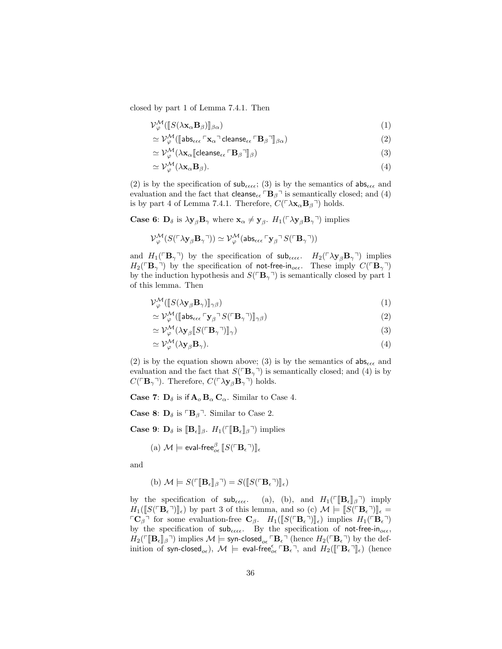closed by part 1 of Lemma 7.4.1. Then

$$
\mathcal{V}_{\varphi}^{\mathcal{M}}([\![S(\lambda \mathbf{x}_{\alpha} \mathbf{B}_{\beta})]\!]_{\beta\alpha})\tag{1}
$$

$$
\simeq \mathcal{V}_{\varphi}^{\mathcal{M}}([\mathsf{abs}_{\epsilon\epsilon\epsilon} \ulcorner \mathbf{x}_{\alpha} \urcorner \mathsf{cleanse}_{\epsilon\epsilon} \ulcorner \mathbf{B}_{\beta} \urcorner \mathbb{I}_{\beta\alpha})
$$
\n(2)

$$
\simeq \mathcal{V}_{\varphi}^{\mathcal{M}}(\lambda \mathbf{x}_{\alpha}[\text{cleanse}_{\epsilon\epsilon} \Gamma \mathbf{B}_{\beta} \mathbf{B}_{\beta}]) \tag{3}
$$

$$
\simeq \mathcal{V}_{\varphi}^{\mathcal{M}}(\lambda \mathbf{x}_{\alpha} \mathbf{B}_{\beta}). \tag{4}
$$

(2) is by the specification of  $\mathsf{sub}_{\epsilon\epsilon\epsilon\epsilon}$ ; (3) is by the semantics of  $\mathsf{abs}_{\epsilon\epsilon\epsilon}$  and evaluation and the fact that  $\text{cleanse}_{\epsilon\epsilon} \Gamma \mathbf{B}_{\beta}$ <sup> $\top$ </sup> is semantically closed; and (4) is by part 4 of Lemma 7.4.1. Therefore,  $C(\ulcorner \lambda \mathbf{x}_{\alpha} \mathbf{B}_{\beta} \urcorner)$  holds.

**Case 6:**  $\mathbf{D}_{\delta}$  is  $\lambda \mathbf{y}_{\beta} \mathbf{B}_{\gamma}$  where  $\mathbf{x}_{\alpha} \neq \mathbf{y}_{\beta}$ .  $H_1(\ulcorner \lambda \mathbf{y}_{\beta} \mathbf{B}_{\gamma} \urcorner)$  implies

$$
\mathcal{V}^{\mathcal{M}}_{\varphi}(S(\ulcorner\lambda \mathbf{y}_{\beta} \mathbf{B}_{\gamma}\urcorner)) \simeq \mathcal{V}^{\mathcal{M}}_{\varphi}(\mathsf{abs}_{\epsilon\epsilon\epsilon}\ulcorner \mathbf{y}_{\beta}\urcorner S(\ulcorner \mathbf{B}_{\gamma}\urcorner))
$$

and  $H_1(\mathbf{B}_\gamma)$  by the specification of sub $\epsilon_{\epsilon\epsilon\epsilon}$ .  $H_2(\mathbf{A}\mathbf{y}_{\beta}\mathbf{B}_\gamma)$  implies  $H_2(\mathbf{B}_\gamma)$  by the specification of not-free-in<sub>ose</sub>. These imply  $C(\mathbf{B}_\gamma)$ by the induction hypothesis and  $S(\ulcorner \mathbf{B}_{\gamma} \urcorner)$  is semantically closed by part 1 of this lemma. Then

$$
\mathcal{V}_{\varphi}^{\mathcal{M}}([\![S(\lambda \mathbf{y}_{\beta} \mathbf{B}_{\gamma})]\!]_{\gamma\beta})
$$
(1)

$$
\simeq \mathcal{V}_{\varphi}^{\mathcal{M}}([\mathsf{abs}_{\epsilon\epsilon\epsilon} \ulcorner \mathbf{y}_{\beta} \urcorner S(\ulcorner \mathbf{B}_{\gamma} \urcorner)]_{\gamma\beta})
$$
\n
$$
\tag{2}
$$

$$
\simeq \mathcal{V}_{\varphi}^{\mathcal{M}}(\lambda \mathbf{y}_{\beta}[\![S(\ulcorner \mathbf{B}_{\gamma}\urcorner)]\!]\gamma) \tag{3}
$$

$$
\simeq \mathcal{V}_{\varphi}^{\mathcal{M}}(\lambda \mathbf{y}_{\beta} \mathbf{B}_{\gamma}). \tag{4}
$$

(2) is by the equation shown above; (3) is by the semantics of  $\mathsf{abs}_{\epsilon\epsilon\epsilon}$  and evaluation and the fact that  $S(\ulcorner \mathbf{B}_{\gamma}\urcorner)$  is semantically closed; and (4) is by  $C(\ulcorner \mathbf{B}_{\gamma}\urcorner)$ . Therefore,  $C(\ulcorner \lambda \mathbf{y}_{\beta} \mathbf{B}_{\gamma}\urcorner)$  holds.

**Case 7:**  $D_{\delta}$  is if  $A_o B_{\alpha} C_{\alpha}$ . Similar to Case 4.

**Case 8:**  $\mathbf{D}_{\delta}$  is  $\lceil \mathbf{B}_{\beta} \rceil$ . Similar to Case 2.

**Case 9:**  $\mathbf{D}_{\delta}$  is  $[\mathbf{B}_{\epsilon}]\beta$ .  $H_1(\ulcorner [\mathbf{B}_{\epsilon}]\beta\urcorner)$  implies

(a) 
$$
\mathcal{M} \models \text{eval-free}_{o\epsilon}^{\beta} \llbracket S(\ulcorner \mathbf{B}_{\epsilon} \urcorner) \rrbracket_{\epsilon}
$$

and

(b) 
$$
\mathcal{M} \models S(\ulcorner [\mathbf{B}_{\epsilon}]\!]_{\beta} \urcorner) = S([\![S(\ulcorner \mathbf{B}_{\epsilon} \urcorner)]\!]_{\epsilon})
$$

by the specification of  $\mathsf{sub}_{\epsilon\epsilon\epsilon\epsilon}$ . (a), (b), and  $H_1(\ulcorner [\mathbf{B}_\epsilon]\!]_\beta\urcorner)$  imply  $H_1([S(\mathbf{B}_{\epsilon}])]_{\epsilon})$  by part 3 of this lemma, and so (c)  $\mathcal{M} \models [S(\mathbf{B}_{\epsilon}])]_{\epsilon}$  =  $\lceil C_{\beta} \rceil$  for some evaluation-free  $C_{\beta}$ .  $H_1(\lceil S(\lceil B_{\epsilon} \rceil) \rceil_{\epsilon})$  implies  $H_1(\lceil B_{\epsilon} \rceil)$ by the specification of  $sub_{\epsilon\epsilon\epsilon\epsilon}$ . By the specification of not-free-in<sub>o $\epsilon\epsilon$ </sub>,  $H_2(\ulcorner [\mathbf{B}_\epsilon]_\beta \urcorner)$  implies  $\mathcal{M} \models$  syn-closed<sub>of</sub>  $\ulcorner \mathbf{B}_\epsilon \urcorner$  (hence  $H_2(\ulcorner \mathbf{B}_\epsilon \urcorner)$  by the definition of syn-closedo), M |= eval-free o <sup>p</sup>Bq, and <sup>H</sup>2(JpBqK) (hence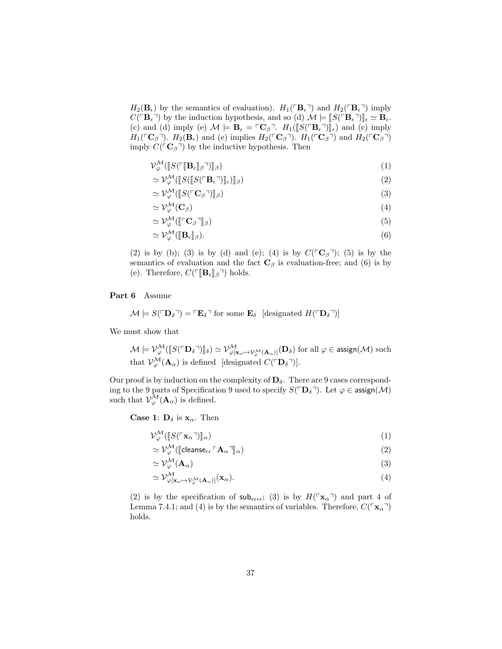$H_2(\mathbf{B}_{\epsilon})$  by the semantics of evaluation).  $H_1(\mathbf{B}_{\epsilon})$  and  $H_2(\mathbf{B}_{\epsilon})$  imply  $C(\ulcorner \mathbf{B}_{\epsilon}\urcorner)$  by the induction hypothesis, and so (d)  $\mathcal{M} \models \llbracket S(\ulcorner \mathbf{B}_{\epsilon}\urcorner)\rrbracket_{\epsilon} \simeq \mathbf{B}_{\epsilon}$ . (c) and (d) imply (e)  $\mathcal{M} \models \mathbf{B}_{\epsilon} = \ulcorner \mathbf{C}_{\beta} \urcorner$ .  $H_1(\llbracket S(\ulcorner \mathbf{B}_{\epsilon} \urcorner)\rrbracket_{\epsilon})$  and (c) imply  $H_1(\ulcorner {\bf C}_\beta \urcorner)$ .  $H_2({\bf B}_\epsilon)$  and (e) implies  $H_2(\ulcorner {\bf C}_\beta \urcorner)$ .  $H_1(\ulcorner {\bf C}_\beta \urcorner)$  and  $H_2(\ulcorner {\bf C}_\beta \urcorner)$ imply  $C(\ulcorner \mathbf{C}_{\beta}\urcorner)$  by the inductive hypothesis. Then

 $\mathcal{V}_{\varphi}^{\mathcal{M}}([\![S(\ulcorner[\![\mathbf{B}_{\epsilon}]\!]_{\beta}\urcorner)]\!]_{\beta})$  (1)

$$
\simeq \mathcal{V}_{\varphi}^{\mathcal{M}}([\![S([\![S(\ulcorner \mathbf{B}_{\epsilon}\urcorner)]\!]_{\epsilon})]\!])_{\beta})
$$
\n<sup>(2)</sup>

$$
\simeq \mathcal{V}_{\varphi}^{\mathcal{M}}([\![S(\ulcorner \mathbf{C}_{\beta}\urcorner)]\!]_{\beta})\tag{3}
$$

$$
\simeq \mathcal{V}_{\varphi}^{\mathcal{M}}(\mathbf{C}_{\beta}) \tag{4}
$$

$$
\simeq \mathcal{V}_{\varphi}^{\mathcal{M}}([\mathbb{F} \mathbf{C}_{\beta} \mathbb{I}]_{\beta}) \tag{5}
$$

$$
\simeq \mathcal{V}_{\varphi}^{\mathcal{M}}([\mathbf{B}_{\epsilon}]]_{\beta}). \tag{6}
$$

(2) is by (b); (3) is by (d) and (e); (4) is by  $C(\ulcorner \mathbb{C}_\beta \urcorner)$ ; (5) is by the semantics of evaluation and the fact  $\mathbf{C}_{\beta}$  is evaluation-free; and (6) is by (e). Therefore,  $C(\ulcorner [\mathbf{B}_{\epsilon}]\!]_{\beta}\urcorner)$  holds.

Part 6 Assume

$$
\mathcal{M} \models S(\ulcorner \mathbf{D}_{\delta} \urcorner) = \ulcorner \mathbf{E}_{\delta} \urcorner \text{ for some } \mathbf{E}_{\delta} \text{ [designated } H(\ulcorner \mathbf{D}_{\delta} \urcorner)]
$$

We must show that

$$
\mathcal{M} \models \mathcal{V}_{\varphi}^{\mathcal{M}}(\llbracket S(\ulcorner \mathbf{D}_{\delta} \urcorner)\rrbracket_{\delta}) \simeq \mathcal{V}_{\varphi(\mathbf{x}_{\alpha} \mapsto \mathcal{V}_{\varphi}^{\mathcal{M}}(\mathbf{A}_{\alpha})]}^{\mathcal{M}}(\mathbf{D}_{\delta}) \text{ for all } \varphi \in \mathsf{assign}(\mathcal{M}) \text{ such that } \mathcal{V}_{\varphi}^{\mathcal{M}}(\mathbf{A}_{\alpha}) \text{ is defined [designated } C(\ulcorner \mathbf{D}_{\delta} \urcorner)].
$$

Our proof is by induction on the complexity of  $\mathbf{D}_{\delta}$ . There are 9 cases corresponding to the 9 parts of Specification 9 used to specify  $S(\ulcorner \mathbf{D}_\delta \urcorner)$ . Let  $\varphi \in \mathsf{assign}(\mathcal{M})$ such that  $\mathcal{V}_{\varphi}^{\mathcal{M}}(\mathbf{A}_{\alpha})$  is defined.

**Case 1:**  $\mathbf{D}_{\delta}$  is  $\mathbf{x}_{\alpha}$ . Then

$$
\mathcal{V}_{\varphi}^{\mathcal{M}}([\![S(\ulcorner \mathbf{x}_{\alpha}\urcorner)]\!]_{\alpha})\tag{1}
$$

$$
\simeq \mathcal{V}_{\varphi}^{\mathcal{M}}([\text{cleanse}_{\epsilon\epsilon} \ulcorner \mathbf{A}_{\alpha}\urcorner \rbrack_{\alpha}) \tag{2}
$$

$$
\simeq \mathcal{V}_{\varphi}^{\mathcal{M}}(\mathbf{A}_{\alpha})
$$
\n(3)

$$
\simeq \mathcal{V}_{\varphi[\mathbf{x}_{\alpha} \mapsto \mathcal{V}_{\varphi}^{\mathcal{M}}(\mathbf{A}_{\alpha})]}^{\mathcal{M}}(\mathbf{x}_{\alpha}). \tag{4}
$$

(2) is by the specification of  $\mathsf{sub}_{\epsilon\epsilon\epsilon\epsilon}$ ; (3) is by  $H(\ulcorner \mathbf{x}_{\alpha} \urcorner)$  and part 4 of Lemma 7.4.1; and (4) is by the semantics of variables. Therefore,  $C(\lceil x_{\alpha} \rceil)$ holds.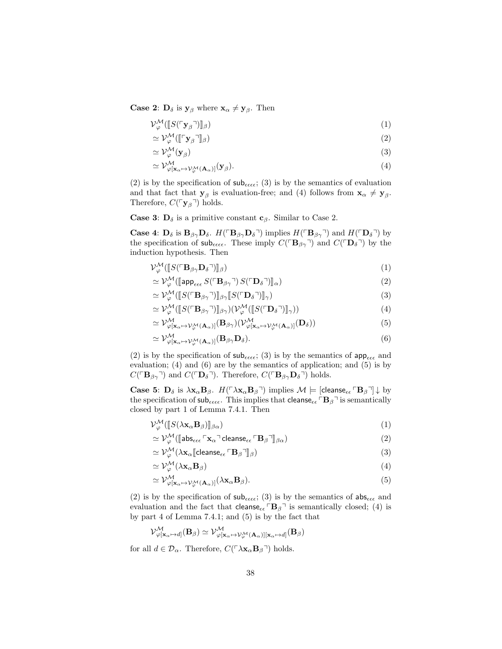**Case 2:**  $\mathbf{D}_{\delta}$  is  $\mathbf{y}_{\beta}$  where  $\mathbf{x}_{\alpha} \neq \mathbf{y}_{\beta}$ . Then

$$
\mathcal{V}_{\varphi}^{\mathcal{M}}([\![S(\ulcorner \mathbf{y}_{\beta} \urcorner)]\!]_{\beta})
$$
\n<sup>(1)</sup>

$$
\simeq \mathcal{V}_{\varphi}^{\mathcal{M}}([\lceil \mathbf{y}_{\beta} \rceil \rceil_{\beta}) \tag{2}
$$

$$
\simeq \mathcal{V}_{\varphi}^{\mathcal{M}}(\mathbf{y}_{\beta}) \tag{3}
$$

$$
\simeq \mathcal{V}_{\varphi[\mathbf{x}_{\alpha} \mapsto \mathcal{V}_{\varphi}^{\mathcal{M}}(\mathbf{A}_{\alpha})]}^{\mathcal{M}}(\mathbf{y}_{\beta}). \tag{4}
$$

(2) is by the specification of  $\mathsf{sub}_{\epsilon\epsilon\epsilon\epsilon}$ ; (3) is by the semantics of evaluation and that fact that  $y_\beta$  is evaluation-free; and (4) follows from  $x_\alpha \neq y_\beta$ . Therefore,  $C(\lceil \mathbf{y}_{\beta} \rceil)$  holds.

**Case 3:**  $D_{\delta}$  is a primitive constant **c**<sub>β</sub>. Similar to Case 2.

**Case 4:**  $\mathbf{D}_{\delta}$  is  $\mathbf{B}_{\beta\gamma}\mathbf{D}_{\delta}$ .  $H(\ulcorner \mathbf{B}_{\beta\gamma}\mathbf{D}_{\delta}\urcorner)$  implies  $H(\ulcorner \mathbf{B}_{\beta\gamma}\urcorner)$  and  $H(\ulcorner \mathbf{D}_{\delta}\urcorner)$  by the specification of  $\mathsf{sub}_{\epsilon\epsilon\epsilon\epsilon}$ . These imply  $C(\mathbf{B}_{\beta\gamma}\mathbf{a})$  and  $C(\mathbf{D}_{\delta}\mathbf{a})$  by the induction hypothesis. Then

$$
\mathcal{V}_{\varphi}^{\mathcal{M}}([\![S(\ulcorner \mathbf{B}_{\beta \gamma} \mathbf{D}_{\delta}\urcorner)]\!]_{\beta}) \tag{1}
$$

$$
\simeq \mathcal{V}_{\varphi}^{\mathcal{M}}([\text{app}_{\epsilon\epsilon\epsilon} S(\ulcorner \mathbf{B}_{\beta\gamma} \urcorner) S(\ulcorner \mathbf{D}_{\delta} \urcorner)]_{\alpha})
$$
\n
$$
(2)
$$

$$
\simeq \mathcal{V}_{\varphi}^{\mathcal{M}}([\![S(\ulcorner \mathbf{B}_{\beta \gamma}\urcorner)]\!]_{\beta \gamma} [\![S(\ulcorner \mathbf{D}_{\delta}\urcorner)]\!]_{\gamma})
$$
\n(3)

$$
\simeq \mathcal{V}_{\varphi}^{\mathcal{M}}([\![S(\ulcorner \mathbf{B}_{\beta \gamma}\urcorner)]\!]_{\beta \gamma})(\mathcal{V}_{\varphi}^{\mathcal{M}}([\![S(\ulcorner \mathbf{D}_{\delta}\urcorner)]\!]_{\gamma}))
$$
\n
$$
\tag{4}
$$

$$
\simeq \mathcal{V}_{\varphi[\mathbf{x}_{\alpha} \mapsto \mathcal{V}_{\varphi}^{\mathcal{M}}(\mathbf{A}_{\alpha})]}^{\mathcal{M}}(\mathbf{B}_{\beta \gamma})(\mathcal{V}_{\varphi[\mathbf{x}_{\alpha} \mapsto \mathcal{V}_{\varphi}^{\mathcal{M}}(\mathbf{A}_{\alpha})]}^{\mathcal{M}}(\mathbf{D}_{\delta}))
$$
(5)

$$
\simeq \mathcal{V}_{\varphi[\mathbf{x}_{\alpha} \mapsto \mathcal{V}_{\varphi}^{\mathcal{M}}(\mathbf{A}_{\alpha})]}^{\mathcal{M}}(\mathbf{B}_{\beta \gamma} \mathbf{D}_{\delta}).
$$
\n(6)

(2) is by the specification of  $\mathsf{sub}_{\epsilon\epsilon\epsilon\epsilon}$ ; (3) is by the semantics of  $\mathsf{app}_{\epsilon\epsilon\epsilon}$  and evaluation; (4) and (6) are by the semantics of application; and (5) is by  $C(\ulcorner \mathbf{B}_{\beta\gamma}\urcorner)$  and  $C(\ulcorner \mathbf{D}_{\delta}\urcorner)$ . Therefore,  $C(\ulcorner \mathbf{B}_{\beta\gamma}\mathbf{D}_{\delta}\urcorner)$  holds.

**Case 5:**  $\mathbf{D}_{\delta}$  is  $\lambda \mathbf{x}_{\alpha} \mathbf{B}_{\beta}$ .  $H(\ulcorner \lambda \mathbf{x}_{\alpha} \mathbf{B}_{\beta} \urcorner)$  implies  $\mathcal{M} \models$  [cleanse  $\epsilon \in \ulcorner \mathbf{B}_{\beta} \urcorner \urcorner \downarrow$  by the specification of  $\mathsf{sub}_{\epsilon\epsilon\epsilon\epsilon}$ . This implies that  $\mathsf{cleanse}_{\epsilon\epsilon} \ulcorner \mathbf{B}_{\beta} \urcorner$  is semantically closed by part 1 of Lemma 7.4.1. Then

$$
\mathcal{V}_{\varphi}^{\mathcal{M}}([\![S(\lambda \mathbf{x}_{\alpha} \mathbf{B}_{\beta})]\!]_{\beta \alpha}) \tag{1}
$$

$$
\simeq \mathcal{V}_{\varphi}^{\mathcal{M}}([\mathsf{abs}_{\epsilon\epsilon\epsilon} \ulcorner \mathbf{x}_{\alpha} \urcorner \mathsf{cleanse}_{\epsilon\epsilon} \ulcorner \mathbf{B}_{\beta} \urcorner \mathbb{I}_{\beta\alpha})
$$
(2)

$$
\simeq \mathcal{V}_{\varphi}^{\mathcal{M}}(\lambda \mathbf{x}_{\alpha}[\text{cleanse}_{\epsilon\epsilon} \Gamma \mathbf{B}_{\beta} \mathbf{B}_{\beta}])
$$
\n(3)

$$
\simeq \mathcal{V}_{\varphi}^{\mathcal{M}}(\lambda \mathbf{x}_{\alpha} \mathbf{B}_{\beta}) \tag{4}
$$

$$
\simeq \mathcal{V}_{\varphi[\mathbf{x}_{\alpha} \mapsto \mathcal{V}_{\varphi}^{\mathcal{M}}(\mathbf{A}_{\alpha})]}^{\mathcal{M}}(\lambda \mathbf{x}_{\alpha} \mathbf{B}_{\beta}).
$$
\n(5)

(2) is by the specification of  $\mathsf{sub}_{\epsilon\epsilon\epsilon\epsilon}$ ; (3) is by the semantics of  $\mathsf{abs}_{\epsilon\epsilon\epsilon}$  and evaluation and the fact that cleanse  $\epsilon \in \mathbf{B}_{\beta}$  is semantically closed; (4) is by part 4 of Lemma 7.4.1; and (5) is by the fact that

$$
\mathcal{V}^{\mathcal{M}}_{\varphi[\mathbf{x}_{\alpha} \mapsto d]}(\mathbf{B}_{\beta}) \simeq \mathcal{V}^{\mathcal{M}}_{\varphi[\mathbf{x}_{\alpha} \mapsto \mathcal{V}^{\mathcal{M}}_{\varphi}(\mathbf{A}_{\alpha})][\mathbf{x}_{\alpha} \mapsto d]}(\mathbf{B}_{\beta})
$$

for all  $d \in \mathcal{D}_{\alpha}$ . Therefore,  $C(\ulcorner \lambda \mathbf{x}_{\alpha} \mathbf{B}_{\beta} \urcorner)$  holds.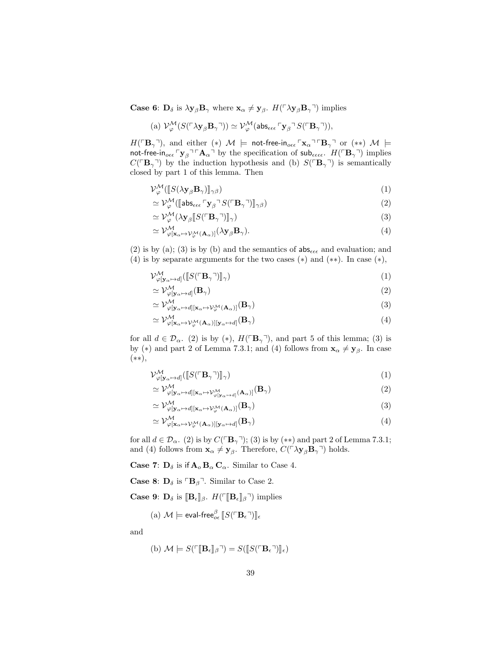**Case 6:**  $\mathbf{D}_{\delta}$  is  $\lambda \mathbf{y}_{\beta} \mathbf{B}_{\gamma}$  where  $\mathbf{x}_{\alpha} \neq \mathbf{y}_{\beta}$ .  $H(\ulcorner \lambda \mathbf{y}_{\beta} \mathbf{B}_{\gamma} \urcorner)$  implies

(a) 
$$
\mathcal{V}_{\varphi}^{\mathcal{M}}(S(\ulcorner \lambda \mathbf{y}_{\beta} \mathbf{B}_{\gamma} \urcorner)) \simeq \mathcal{V}_{\varphi}^{\mathcal{M}}(\mathsf{abs}_{\epsilon \epsilon \epsilon} \ulcorner \mathbf{y}_{\beta} \urcorner S(\ulcorner \mathbf{B}_{\gamma} \urcorner)),
$$

 $H(\ulcorner \mathbf{B}_{\gamma}\urcorner)$ , and either (\*)  $\mathcal{M} \models$  not-free-in<sub>oee</sub> $\ulcorner \mathbf{x}_{\alpha} \urcorner \ulcorner \mathbf{B}_{\gamma} \urcorner$  or (\*\*)  $\mathcal{M} \models$ not-free-in<sub>oεε</sub>  $\int y_B$ <sup> $\int$ </sup> $\mathbf{A}_{\alpha}$ <sup> $\bar{\phantom{\alpha}}$ </sup> by the specification of sub<sub>εεεε</sub>.  $H(\int \mathbf{B}_{\gamma} \cdot \bar{\phantom{\alpha}})$  implies  $C(\mathbf{B}_{\gamma})$  by the induction hypothesis and (b)  $S(\mathbf{B}_{\gamma})$  is semantically closed by part 1 of this lemma. Then

$$
\mathcal{V}_{\varphi}^{\mathcal{M}}([\![S(\lambda \mathbf{y}_{\beta} \mathbf{B}_{\gamma})]\!]_{\gamma\beta})
$$
(1)

$$
\simeq \mathcal{V}_{\varphi}^{\mathcal{M}}([\mathsf{abs}_{\epsilon\epsilon\epsilon} \ulcorner \mathbf{y}_{\beta} \urcorner S(\ulcorner \mathbf{B}_{\gamma} \urcorner)]_{\gamma\beta})
$$
\n(2)

$$
\simeq \mathcal{V}_{\varphi}^{\mathcal{M}}(\lambda \mathbf{y}_{\beta}[\![S(\ulcorner \mathbf{B}_{\gamma}\urcorner)]\!]\gamma) \tag{3}
$$

$$
\simeq \mathcal{V}_{\varphi[\mathbf{x}_{\alpha} \mapsto \mathcal{V}_{\varphi}^{\mathcal{M}}(\mathbf{A}_{\alpha})]}^{\mathcal{M}}(\lambda \mathbf{y}_{\beta} \mathbf{B}_{\gamma}). \tag{4}
$$

(2) is by (a); (3) is by (b) and the semantics of  $\mathsf{abs}_{\epsilon\epsilon\epsilon}$  and evaluation; and (4) is by separate arguments for the two cases  $(*)$  and  $(**)$ . In case  $(*)$ ,

$$
\mathcal{V}_{\varphi[\mathbf{y}_{\alpha}\mapsto d]}^{\mathcal{M}}([\![S(\ulcorner \mathbf{B}_{\gamma}\urcorner)]\!]_{\gamma})\tag{1}
$$

$$
\simeq \mathcal{V}_{\varphi[\mathbf{y}_{\alpha} \mapsto d]}^{\mathcal{M}}(\mathbf{B}_{\gamma})
$$
\n(2)

$$
\simeq \mathcal{V}_{\varphi[\mathbf{y}_{\alpha} \mapsto d][\mathbf{x}_{\alpha} \mapsto \mathcal{V}_{\varphi}^{\mathcal{M}}(\mathbf{A}_{\alpha})]}^{\mathcal{M}}(\mathbf{B}_{\gamma})
$$
(3)

$$
\simeq \mathcal{V}_{\varphi[\mathbf{x}_{\alpha} \mapsto \mathcal{V}_{\varphi}^{\mathcal{M}}(\mathbf{A}_{\alpha})][\mathbf{y}_{\alpha} \mapsto d]}^{\mathcal{M}}(\mathbf{B}_{\gamma})
$$
(4)

for all  $d \in \mathcal{D}_{\alpha}$ . (2) is by (\*),  $H(\ulcorner \mathbf{B}_{\gamma} \urcorner)$ , and part 5 of this lemma; (3) is by (\*) and part 2 of Lemma 7.3.1; and (4) follows from  $\mathbf{x}_{\alpha} \neq \mathbf{y}_{\beta}$ . In case (∗∗),

$$
\mathcal{V}_{\varphi[\mathbf{y}_{\alpha}\mapsto d]}^{\mathcal{M}}([\![S(\ulcorner \mathbf{B}_{\gamma}\urcorner)]\!]_{\gamma})\tag{1}
$$

$$
\simeq \mathcal{V}_{\varphi[\mathbf{y}_{\alpha} \mapsto d][\mathbf{x}_{\alpha} \mapsto \mathcal{V}_{\varphi[\mathbf{y}_{\alpha} \mapsto d]}^{\mathcal{M}}(\mathbf{A}_{\alpha})]}(\mathbf{B}_{\gamma})
$$
(2)

$$
\simeq \mathcal{V}_{\varphi[\mathbf{y}_{\alpha} \mapsto d][\mathbf{x}_{\alpha} \mapsto \mathcal{V}_{\varphi}^{\mathcal{M}}(\mathbf{A}_{\alpha})]}(\mathbf{B}_{\gamma})
$$
\n(3)

$$
\simeq \mathcal{V}_{\varphi[\mathbf{x}_{\alpha} \mapsto \mathcal{V}_{\varphi}^{\mathcal{M}}(\mathbf{A}_{\alpha})][\mathbf{y}_{\alpha} \mapsto d]}^{\mathcal{M}}(\mathbf{B}_{\gamma})
$$
(4)

for all  $d \in \mathcal{D}_{\alpha}$ . (2) is by  $C(\ulcorner \mathbf{B}_{\gamma} \urcorner);$  (3) is by (\*\*) and part 2 of Lemma 7.3.1; and (4) follows from  $\mathbf{x}_{\alpha} \neq \mathbf{y}_{\beta}$ . Therefore,  $C(\ulcorner \lambda \mathbf{y}_{\beta} \mathbf{B}_{\gamma} \urcorner)$  holds.

**Case 7:**  $D_{\delta}$  is if  $A_o B_{\alpha} C_{\alpha}$ . Similar to Case 4.

**Case 8:**  $\mathbf{D}_{\delta}$  is  $\lceil \mathbf{B}_{\beta} \rceil$ . Similar to Case 2.

**Case 9:**  $\mathbf{D}_{\delta}$  is  $[\mathbf{B}_{\epsilon}]\beta$ .  $H(\ulcorner [\mathbf{B}_{\epsilon}]\beta\urcorner)$  implies

(a) 
$$
\mathcal{M} \models \text{eval-free}_{o\epsilon}^{\beta} \llbracket S(\ulcorner \mathbf{B}_{\epsilon} \urcorner) \rrbracket_{\epsilon}
$$

and

(b) 
$$
\mathcal{M} \models S(\ulcorner [\mathbf{B}_{\epsilon}]\!]_{\beta} \urcorner) = S([\![S(\ulcorner \mathbf{B}_{\epsilon} \urcorner)]\!]_{\epsilon})
$$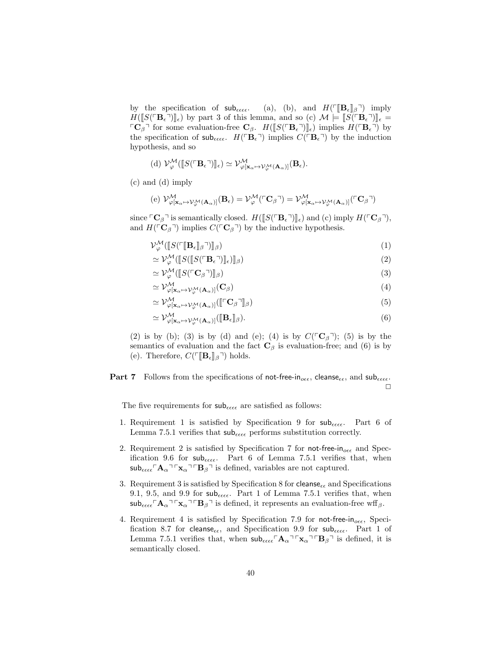by the specification of  $\mathsf{sub}_{\epsilon\epsilon\epsilon\epsilon}$ . (a), (b), and  $H(\ulcorner [\mathbf{B}_{\epsilon}]\!]_{\beta}\urcorner)$  imply  $H(\llbracket S(\ulcorner \mathbf{B}_{\epsilon} \urcorner)\rrbracket_{\epsilon})$  by part 3 of this lemma, and so (c)  $\mathcal{M} \models \llbracket S(\ulcorner \mathbf{B}_{\epsilon} \urcorner)\rrbracket_{\epsilon} =$  $\lceil C_{\beta} \rceil$  for some evaluation-free  $C_{\beta}$ .  $H(\lbrack S(\lbrack B_{\epsilon} \rbrack)\rbrack_{\epsilon})$  implies  $H(\lbrack B_{\epsilon} \rbrack)$  by the specification of  $\mathsf{sub}_{\epsilon\epsilon\epsilon\epsilon}$ .  $H(\ulcorner \mathbf{B}_{\epsilon}\urcorner)$  implies  $C(\ulcorner \mathbf{B}_{\epsilon}\urcorner)$  by the induction hypothesis, and so

(d) 
$$
\mathcal{V}_{\varphi}^{\mathcal{M}}(\llbracket S(\ulcorner \mathbf{B}_{\epsilon} \urcorner)\rrbracket_{\epsilon}) \simeq \mathcal{V}_{\varphi[\mathbf{x}_{\alpha} \mapsto \mathcal{V}_{\varphi}^{\mathcal{M}}(\mathbf{A}_{\alpha})]}^{\mathcal{M}}(\mathbf{B}_{\epsilon}).
$$

(c) and (d) imply

$$
\text{(e) }\mathcal{V}^{\mathcal{M}}_{\varphi[\mathbf{x}_{\alpha} \mapsto \mathcal{V}^{\mathcal{M}}_{\varphi}(\mathbf{A}_{\alpha})]}(\mathbf{B}_{\epsilon}) = \mathcal{V}^{\mathcal{M}}_{\varphi}(\ulcorner \mathbf{C}_{\beta} \urcorner) = \mathcal{V}^{\mathcal{M}}_{\varphi[\mathbf{x}_{\alpha} \mapsto \mathcal{V}^{\mathcal{M}}_{\varphi}(\mathbf{A}_{\alpha})]}(\ulcorner \mathbf{C}_{\beta} \urcorner)
$$

since  $\ulcorner \mathbf{C}_\beta \urcorner$  is semantically closed.  $H([\![S(\ulcorner \mathbf{B}_\epsilon \urcorner)]\!]_\epsilon)$  and (c) imply  $H(\ulcorner \mathbf{C}_\beta \urcorner)$ , and  $H(\lceil \mathbf{C}_{\beta} \rceil)$  implies  $C(\lceil \mathbf{C}_{\beta} \rceil)$  by the inductive hypothesis.

$$
\mathcal{V}_{\varphi}^{\mathcal{M}}([\![S(\ulcorner [\mathbf{B}_{\epsilon}]\!]_{\beta}\urcorner)]\!]_{\beta})\tag{1}
$$

$$
\simeq \mathcal{V}_{\varphi}^{\mathcal{M}}([\![S([\![S(\ulcorner \mathbf{B}_{\epsilon} \urcorner)]\!]_{\epsilon})]\!])_{\beta})
$$
\n<sup>(2)</sup>

$$
\simeq \mathcal{V}_{\varphi}^{\mathcal{M}}([\![S(\ulcorner \mathbf{C}_{\beta}\urcorner)]\!]_{\beta})\tag{3}
$$

$$
\simeq \mathcal{V}_{\varphi[\mathbf{x}_{\alpha} \mapsto \mathcal{V}_{\varphi}^{\mathcal{M}}(\mathbf{A}_{\alpha})]}^{\mathcal{M}}(\mathbf{C}_{\beta})
$$
(4)

$$
\simeq \mathcal{V}_{\varphi[\mathbf{x}_{\alpha} \mapsto \mathcal{V}_{\varphi}^{\mathcal{M}}(\mathbf{A}_{\alpha})]}^{\mathcal{M}}([\mathbb{F} \mathbf{C}_{\beta} \mathbb{I}]_{\beta})
$$
\n
$$
\tag{5}
$$

$$
\simeq \mathcal{V}_{\varphi[\mathbf{x}_{\alpha} \mapsto \mathcal{V}_{\varphi}^{\mathcal{M}}(\mathbf{A}_{\alpha})]}^{\mathcal{M}}([\mathbf{B}_{\epsilon}]]_{\beta}). \tag{6}
$$

(2) is by (b); (3) is by (d) and (e); (4) is by  $C(\ulcorner \mathbf{C}_{\beta} \urcorner)$ ; (5) is by the semantics of evaluation and the fact  $\mathbf{C}_{\beta}$  is evaluation-free; and (6) is by (e). Therefore,  $C(\ulcorner [\mathbf{B}_{\epsilon}]\vert_{\beta}\urcorner)$  holds.

## Part 7 Follows from the specifications of not-free-in<sub>oce</sub>, cleanse<sub> $\epsilon$ e</sub>, and sub $\epsilon_{\epsilon\epsilon\epsilon}$ .  $\Box$

The five requirements for  $\mathsf{sub}_{\epsilon\epsilon\epsilon\epsilon}$  are satisfied as follows:

- 1. Requirement 1 is satisfied by Specification 9 for  $\mathsf{sub}_{\epsilon\epsilon\epsilon\epsilon}$ . Part 6 of Lemma 7.5.1 verifies that  $\mathsf{sub}_{\epsilon\epsilon\epsilon\epsilon}$  performs substitution correctly.
- 2. Requirement 2 is satisfied by Specification 7 for not-free-in<sub>o $\epsilon \epsilon$ </sub> and Specification 9.6 for sub $_{\epsilon \epsilon \epsilon \epsilon}$ . Part 6 of Lemma 7.5.1 verifies that, when  $\mathsf{sub}_{\epsilon\epsilon\epsilon\epsilon} \mathsf{A}_{\alpha} \mathsf{A}_{\alpha} \mathsf{A}_{\alpha}$ <sup> $\mathsf{A}_{\alpha}$ </sup> is defined, variables are not captured.
- 3. Requirement 3 is satisfied by Specification 8 for cleanse  $\epsilon_{\epsilon}$  and Specifications 9.1, 9.5, and 9.9 for  $sub_{\epsilon\epsilon\epsilon\epsilon}$ . Part 1 of Lemma 7.5.1 verifies that, when  $\mathsf{sub}_{\epsilon\epsilon\epsilon\epsilon} \mathsf{F} \mathbf{A}_{\alpha} \mathsf{F} \mathbf{X}_{\alpha} \mathsf{F} \mathbf{B}_{\beta}$  is defined, it represents an evaluation-free wff<sub>β</sub>.
- 4. Requirement 4 is satisfied by Specification 7.9 for not-free-in<sub>o $\epsilon$ </sub>, Specification 8.7 for cleanse<sub>ce</sub>, and Specification 9.9 for sub<sub>ecce</sub>. Part 1 of Lemma 7.5.1 verifies that, when  $\mathsf{sub}_{\epsilon\epsilon\epsilon\epsilon} \mathsf{A}_{\alpha} \mathsf{A}_{\alpha} \mathsf{A}_{\alpha} \mathsf{A}_{\beta}$  is defined, it is semantically closed.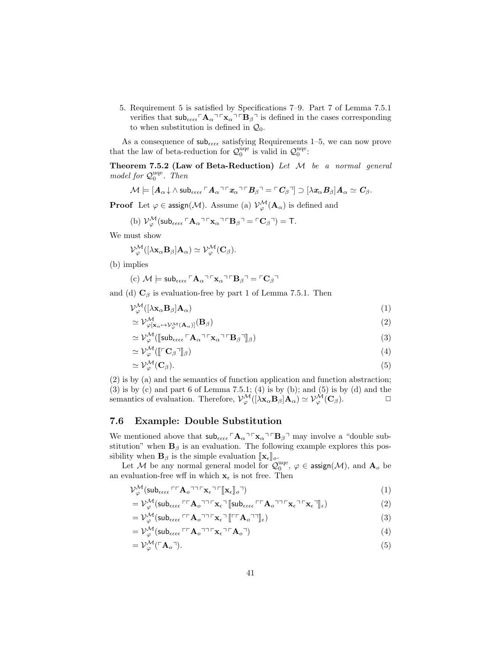5. Requirement 5 is satisfied by Specifications 7–9. Part 7 of Lemma 7.5.1 verifies that  $\mathsf{sub}_{\epsilon\epsilon\epsilon\epsilon} \ulcorner \mathbf{A}_\alpha \urcorner \ulcorner \mathbf{x}_\alpha \urcorner \ulcorner \mathbf{B}_\beta \urcorner$  is defined in the cases corresponding to when substitution is defined in  $\mathcal{Q}_0$ .

As a consequence of  $sub_{\epsilon \epsilon \epsilon}$  satisfying Requirements 1–5, we can now prove that the law of beta-reduction for  $\mathcal{Q}_0^{\text{uqe}}$  is valid in  $\mathcal{Q}_0^{\text{uqe}}$ .

Theorem 7.5.2 (Law of Beta-Reduction) Let  $M$  be a normal general model for  $\mathcal{Q}_0^{\text{uqe}}$ . Then

$$
\mathcal{M} \models [\mathbf{A}_\alpha\!\downarrow\wedge\mathsf{sub}_{{\epsilon}{\epsilon}{\epsilon}{\epsilon}}\ulcorner \mathbf{A}_\alpha\urcorner\ulcorner \mathbf{x}_\alpha\urcorner\ulcorner \mathbf{B}_\beta\urcorner = \ulcorner \mathbf{C}_\beta\urcorner] \supset [\lambda \mathbf{x}_\alpha \mathbf{B}_\beta] \mathbf{A}_\alpha \simeq \mathbf{C}_\beta.
$$

**Proof** Let  $\varphi \in \text{assign}(\mathcal{M})$ . Assume (a)  $\mathcal{V}_{\varphi}^{\mathcal{M}}(\mathbf{A}_{\alpha})$  is defined and

(b) 
$$
\mathcal{V}_{\varphi}^{\mathcal{M}}(\mathsf{sub}_{\epsilon\epsilon\epsilon\epsilon} \Gamma \mathbf{A}_{\alpha} \mathbf{A}^{\dagger} \mathbf{x}_{\alpha} \mathbf{A}^{\dagger} \mathbf{B}_{\beta} \mathbf{A}^{\dagger} = \Gamma \mathbf{C}_{\beta} \mathbf{A}^{\dagger}) = \mathbf{T}.
$$

We must show

$$
\mathcal{V}_{\varphi}^{\mathcal{M}}([\lambda \mathbf{x}_{\alpha} \mathbf{B}_{\beta}]\mathbf{A}_{\alpha}) \simeq \mathcal{V}_{\varphi}^{\mathcal{M}}(\mathbf{C}_{\beta}).
$$

(b) implies

$$
\text{(c) } \mathcal{M} \models \mathsf{sub}_{\epsilon\epsilon\epsilon\epsilon} \ulcorner \mathbf{A}_\alpha \urcorner \ulcorner \mathbf{x}_\alpha \urcorner \ulcorner \mathbf{B}_\beta \urcorner = \ulcorner \mathbf{C}_\beta \urcorner
$$

and (d)  $\mathbf{C}_{\beta}$  is evaluation-free by part 1 of Lemma 7.5.1. Then

$$
\mathcal{V}_{\varphi}^{\mathcal{M}}([\lambda \mathbf{x}_{\alpha} \mathbf{B}_{\beta}]\mathbf{A}_{\alpha}) \tag{1}
$$

$$
\simeq \mathcal{V}_{\varphi[\mathbf{x}_{\alpha} \mapsto \mathcal{V}_{\varphi}^{\mathcal{M}}(\mathbf{A}_{\alpha})]}^{\mathcal{M}}(\mathbf{B}_{\beta})
$$
\n
$$
\tag{2}
$$

$$
\simeq \mathcal{V}_{\varphi}^{\mathcal{M}}([\mathsf{sub}_{\epsilon\epsilon\epsilon\epsilon} \Gamma \mathbf{A}_{\alpha} \top \Gamma \mathbf{x}_{\alpha} \top \Gamma \mathbf{B}_{\beta} \top]_{\beta})
$$
\n(3)

$$
\simeq \mathcal{V}_{\varphi}^{\mathcal{M}}([\![\ulcorner \mathbf{C}_{\beta} \urcorner ]\!]_{\beta}) \tag{4}
$$

$$
\simeq \mathcal{V}_{\varphi}^{\mathcal{M}}(\mathbf{C}_{\beta}).\tag{5}
$$

(2) is by (a) and the semantics of function application and function abstraction;  $(3)$  is by  $(c)$  and part 6 of Lemma 7.5.1;  $(4)$  is by  $(b)$ ; and  $(5)$  is by  $(d)$  and the semantics of evaluation. Therefore,  $\mathcal{V}_{\varphi}^{\mathcal{M}}([\lambda \mathbf{x}_{\alpha} \mathbf{B}_{\beta} | \mathbf{A}_{\alpha}) \simeq \mathcal{V}_{\varphi}^{\mathcal{M}}(\mathbf{C}_{\beta}).$ 

## 7.6 Example: Double Substitution

We mentioned above that  $\mathsf{sub}_{\epsilon\epsilon\epsilon\epsilon} \ulcorner \mathbf{A}_\alpha \urcorner \ulcorner \mathbf{x}_\alpha \urcorner \ulcorner \mathbf{B}_\beta \urcorner$  may involve a "double substitution" when  $B_\beta$  is an evaluation. The following example explores this pos-

sibility when  $\mathbf{B}_{\beta}$  is the simple evaluation  $[\![\mathbf{x}_{\epsilon}]\!]_o$ .<br>Let M be any normal general model for  $\mathcal{Q}_0^{\text{uqe}}, \varphi \in \text{assign}(\mathcal{M})$ , and  $\mathbf{A}_o$  be an evaluation-free wff in which  $x_{\epsilon}$  is not free. Then

$$
\mathcal{V}_{\varphi}^{\mathcal{M}}(\mathsf{sub}_{\epsilon\epsilon\epsilon\epsilon} \sqcap \mathbf{A}_{o} \sqcap \sqcap \mathbf{x}_{\epsilon} \sqcap \llbracket \mathbf{x}_{\epsilon} \rrbracket_{o} \sqcap) \tag{1}
$$

$$
= \mathcal{V}_{\varphi}^{\mathcal{M}}(\mathsf{sub}_{\epsilon\epsilon\epsilon\epsilon} \sqcap \mathbf{A}_{o} \sqcap \sqcap \mathbf{x}_{\epsilon} \sqcap [\![\mathsf{sub}_{\epsilon\epsilon\epsilon\epsilon} \sqcap \mathbf{A}_{o} \sqcap \sqcap \mathbf{x}_{\epsilon} \sqcap \mathbf{x}_{\epsilon} \sqcap ]\!]_{\epsilon}) \tag{2}
$$

$$
= \mathcal{V}_{\varphi}^{\mathcal{M}}(\mathsf{sub}_{\epsilon\epsilon\epsilon\epsilon} \sqcap \mathbf{A}_{o} \sqcap \sqcap \mathbf{x}_{\epsilon} \sqcap [\![\ulcorner \ulcorner \mathbf{A}_{o} \urcorner \urcorner ]\!]_{\epsilon}) \tag{3}
$$

$$
= \mathcal{V}_{\varphi}^{\mathcal{M}}(\mathsf{sub}_{\epsilon\epsilon\epsilon\epsilon} \sqcap \mathbf{A}_{o}^{\neg \neg \sqcap \mathsf{T}} \mathbf{x}_{\epsilon}^{\neg \sqcap} \mathbf{A}_{o}^{\neg})
$$
\n
$$
\tag{4}
$$

$$
=\mathcal{V}_{\varphi}^{\mathcal{M}}(\ulcorner \mathbf{A}_o \urcorner). \tag{5}
$$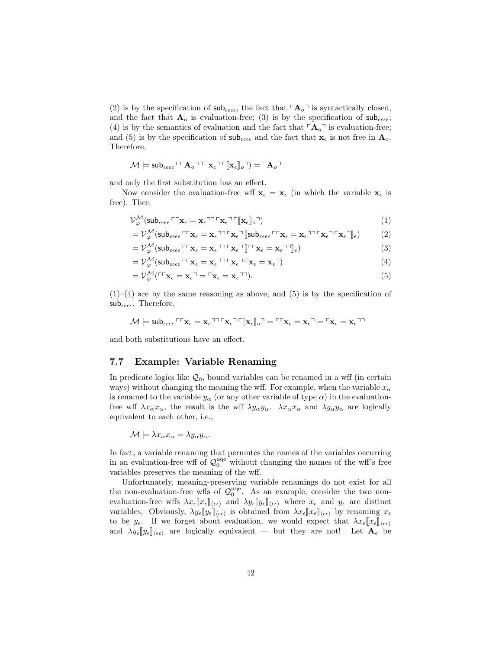(2) is by the specification of  $\mathsf{sub}_{\epsilon\epsilon\epsilon\epsilon}$ , the fact that  $\lceil \mathbf{A}_o \rceil$  is syntactically closed, and the fact that  $\mathbf{A}_o$  is evaluation-free; (3) is by the specification of  $\mathsf{sub}_{\epsilon\epsilon\epsilon\epsilon}$ ; (4) is by the semantics of evaluation and the fact that  $\mathbf{A}_{o}$ <sup> $\top$ </sup> is evaluation-free; and (5) is by the specification of  $\mathsf{sub}_{\epsilon\epsilon\epsilon\epsilon}$  and the fact that  $\mathbf{x}_{\epsilon}$  is not free in  $\mathbf{A}_{o}$ . Therefore,

$$
\mathcal{M} \models \mathsf{sub}_{\epsilon \epsilon \epsilon \epsilon} \ulcorner \ulcorner \mathbf{A}_o \urcorner \ulcorner \mathbf{x}_{\epsilon} \urcorner \ulcorner [\![\mathbf{x}_{\epsilon}]\!]_o \urcorner) = \ulcorner \mathbf{A}_o \urcorner
$$

and only the first substitution has an effect.

Now consider the evaluation-free wff  $\mathbf{x}_{\epsilon} = \mathbf{x}_{\epsilon}$  (in which the variable  $\mathbf{x}_{\epsilon}$  is free). Then

$$
\mathcal{V}_{\varphi}^{\mathcal{M}}(\mathsf{sub}_{\epsilon\epsilon\epsilon\epsilon} \sqcap \mathbf{x}_{\epsilon} = \mathbf{x}_{\epsilon} \sqcap \sqcap \mathbf{x}_{\epsilon} \sqcap [\![\mathbf{x}_{\epsilon}]\!]_{o} \sqcap)
$$
(1)

$$
= \mathcal{V}_{\varphi}^{\mathcal{M}}(\mathsf{sub}_{\epsilon\epsilon\epsilon\epsilon} \sqcap \mathbf{x}_{\epsilon} = \mathbf{x}_{\epsilon} \sqcap \sqcap \mathbf{x}_{\epsilon} \sqcap [\![\mathsf{sub}_{\epsilon\epsilon\epsilon\epsilon} \sqcap \mathbf{x}_{\epsilon} = \mathbf{x}_{\epsilon} \sqcap \sqcap \mathbf{x}_{\epsilon} \sqcap \sqcap \mathbf{x}_{\epsilon} \sqcap ]\!]_{\epsilon}) \tag{2}
$$

$$
= \mathcal{V}_{\varphi}^{\mathcal{M}}(\mathsf{sub}_{\epsilon\epsilon\epsilon\epsilon} \sqcap \mathbf{x}_{\epsilon} = \mathbf{x}_{\epsilon} \sqcap \sqcap \mathbf{x}_{\epsilon} \sqcap [\![\sqcap \mathbf{x}_{\epsilon} = \mathbf{x}_{\epsilon} \sqcap \mathbf{x}_{\epsilon}]\!]
$$
(3)

$$
= \mathcal{V}_{\varphi}^{\mathcal{M}}(\mathsf{sub}_{\epsilon\epsilon\epsilon\epsilon} \sqcap \mathbf{x}_{\epsilon} = \mathbf{x}_{\epsilon} \sqcap \sqcap \mathbf{x}_{\epsilon} \sqcap \mathbf{x}_{\epsilon} = \mathbf{x}_{\epsilon} \sqcap)
$$
(4)

$$
= \mathcal{V}_{\varphi}^{\mathcal{M}}(\ulcorner \ulcorner \mathbf{x}_{\epsilon} = \mathbf{x}_{\epsilon} \urcorner = \ulcorner \mathbf{x}_{\epsilon} = \mathbf{x}_{\epsilon} \urcorner \urcorner). \tag{5}
$$

 $(1)$ – $(4)$  are by the same reasoning as above, and  $(5)$  is by the specification of  $sub_{\epsilon \epsilon \epsilon \epsilon}$ . Therefore,

$$
\mathcal{M} \models \mathsf{sub}_\mathsf{e\mathsf{c\mathsf{c}\mathsf{c}\mathsf{c}}} \ulcorner\ulcorner \mathbf{x}_\epsilon = \mathbf{x}_\epsilon \urcorner\urcorner\ulcorner \mathbf{x}_\epsilon \urcorner\ulcorner \llbracket \mathbf{x}_\epsilon \rrbracket_o \urcorner = \ulcorner\ulcorner \mathbf{x}_\epsilon = \mathbf{x}_\epsilon \urcorner = \ulcorner \mathbf{x}_\epsilon = \mathbf{x}_\epsilon \urcorner\urcorner
$$

and both substitutions have an effect.

### 7.7 Example: Variable Renaming

In predicate logics like  $\mathcal{Q}_0$ , bound variables can be renamed in a wff (in certain ways) without changing the meaning the wff. For example, when the variable  $x_{\alpha}$ is renamed to the variable  $y_{\alpha}$  (or any other variable of type  $\alpha$ ) in the evaluationfree wff  $\lambda x_{\alpha}x_{\alpha}$ , the result is the wff  $\lambda y_{\alpha}y_{\alpha}$ .  $\lambda x_{\alpha}x_{\alpha}$  and  $\lambda y_{\alpha}y_{\alpha}$  are logically equivalent to each other, i.e.,

$$
\mathcal{M} \models \lambda x_{\alpha} x_{\alpha} = \lambda y_{\alpha} y_{\alpha}.
$$

In fact, a variable renaming that permutes the names of the variables occurring in an evaluation-free wff of  $\mathcal{Q}_0^{\text{uqe}}$  without changing the names of the wff's free variables preserves the meaning of the wff.

Unfortunately, meaning-preserving variable renamings do not exist for all the non-evaluation-free wffs of  $\mathcal{Q}_0^{\text{uqe}}$ . As an example, consider the two nonevaluation-free wffs  $\lambda x_{\epsilon} [x_{\epsilon}]\rangle_{\epsilon \epsilon}$  and  $\lambda y_{\epsilon} [y_{\epsilon}]\rangle_{\epsilon \epsilon}$  where  $x_{\epsilon}$  and  $y_{\epsilon}$  are distinct variables. Obviously,  $\lambda y_{\epsilon} [y_{\epsilon}]_{\langle \epsilon \epsilon \rangle}$  is obtained from  $\lambda x_{\epsilon} [x_{\epsilon}]_{\langle \epsilon \epsilon \rangle}$  by renaming  $x_{\epsilon}$ <br>to be  $y_{\epsilon}$ . If we forget about evaluation, we would expect that  $\lambda x \llbracket x \rrbracket$ . to be  $y_{\epsilon}$ . If we forget about evaluation, we would expect that  $\lambda x_{\epsilon}[[x_{\epsilon}]]_{\langle \epsilon \epsilon \rangle}$ and  $\lambda y_{\epsilon} [y_{\epsilon}]\rangle_{\langle \epsilon \epsilon \rangle}$  are logically equivalent — but they are not! Let  $\mathbf{A}_{\epsilon}$  be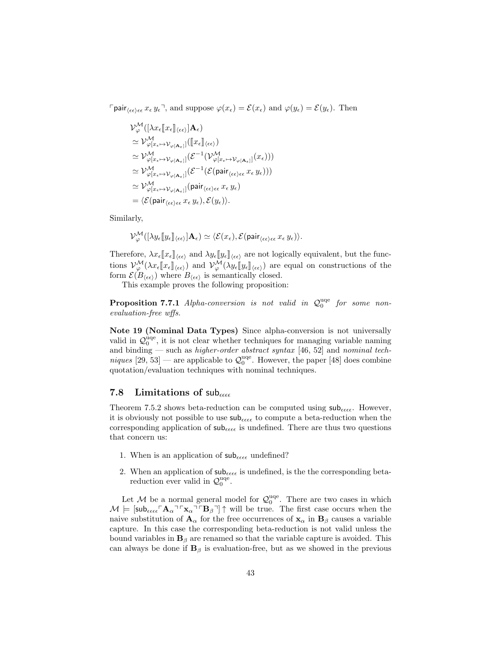$\Gamma$ pair<sub>( $\epsilon \in \mathcal{X} \in \mathcal{Y} \in \mathcal{Y}$ </sub>, and suppose  $\varphi(x_{\epsilon}) = \mathcal{E}(x_{\epsilon})$  and  $\varphi(y_{\epsilon}) = \mathcal{E}(y_{\epsilon})$ . Then

$$
\mathcal{V}_{\varphi}^{\mathcal{M}}([\lambda x_{\epsilon} \| x_{\epsilon} ] | \mathbf{A}_{\epsilon})
$$
\n
$$
\simeq \mathcal{V}_{\varphi[x_{\epsilon} \mapsto \mathcal{V}_{\varphi[\mathbf{A}_{\epsilon}]}]}^{\mathcal{M}}([x_{\epsilon} ]_{\langle \epsilon \epsilon \rangle})
$$
\n
$$
\simeq \mathcal{V}_{\varphi[x_{\epsilon} \mapsto \mathcal{V}_{\varphi[\mathbf{A}_{\epsilon}]}]}^{\mathcal{M}}(\mathcal{E}^{-1}(\mathcal{V}_{\varphi[x_{\epsilon} \mapsto \mathcal{V}_{\varphi[\mathbf{A}_{\epsilon}]}]}^{\mathcal{M}}(x_{\epsilon})))
$$
\n
$$
\simeq \mathcal{V}_{\varphi[x_{\epsilon} \mapsto \mathcal{V}_{\varphi[\mathbf{A}_{\epsilon}]}]}^{\mathcal{M}}(\mathcal{E}^{-1}(\mathcal{E}(\text{pair}_{\langle \epsilon \epsilon \rangle \epsilon \epsilon} x_{\epsilon} y_{\epsilon})))
$$
\n
$$
\simeq \mathcal{V}_{\varphi[x_{\epsilon} \mapsto \mathcal{V}_{\varphi[\mathbf{A}_{\epsilon}]}]}^{\mathcal{M}}(\text{pair}_{\langle \epsilon \epsilon \rangle \epsilon \epsilon} x_{\epsilon} y_{\epsilon}))
$$
\n
$$
= \langle \mathcal{E}(\text{pair}_{\langle \epsilon \epsilon \rangle \epsilon \epsilon} x_{\epsilon} y_{\epsilon}), \mathcal{E}(y_{\epsilon}) \rangle.
$$

Similarly,

$$
\mathcal{V}_{\varphi}^{\mathcal{M}}([\lambda y_{\epsilon}[\![y_{\epsilon}]\!](\epsilon_{\epsilon})]\mathbf{A}_{\epsilon}) \simeq \langle \mathcal{E}(x_{\epsilon}), \mathcal{E}(\mathsf{pair}_{\langle \epsilon \epsilon \rangle \epsilon \epsilon} x_{\epsilon} y_{\epsilon}) \rangle.
$$

Therefore,  $\lambda x_{\epsilon} [x_{\epsilon}]_{\langle \epsilon \epsilon \rangle}$  and  $\lambda y_{\epsilon} [y_{\epsilon}]_{\langle \epsilon \epsilon \rangle}$  are not logically equivalent, but the functions  $\mathcal{V}_{\varphi}^{\mathcal{M}}(\lambda x_{\epsilon} [x_{\epsilon}]_{\langle \epsilon \epsilon \rangle})$  and  $\mathcal{V}_{\varphi}^{\mathcal{M}}(\lambda y_{\epsilon} [y_{\epsilon}]_{\langle \epsilon \epsilon \rangle})$  are equal on con

This example proves the following proposition:

**Proposition 7.7.1** Alpha-conversion is not valid in  $Q_0^{\text{uqe}}$  for some nonevaluation-free wffs.

Note 19 (Nominal Data Types) Since alpha-conversion is not universally valid in  $\mathcal{Q}_0^{\text{uqe}}$ , it is not clear whether techniques for managing variable naming and binding — such as *higher-order abstract syntax* [46, 52] and *nominal tech*niques [29, 53] — are applicable to  $\mathcal{Q}_0^{\text{uqe}}$ . However, the paper [48] does combine quotation/evaluation techniques with nominal techniques.

## 7.8 Limitations of sub $_{\epsilon\epsilon\epsilon\epsilon}$

Theorem 7.5.2 shows beta-reduction can be computed using  $\mathsf{sub}_{\epsilon\epsilon\epsilon\epsilon}$ . However, it is obviously not possible to use  $\mathsf{sub}_{\epsilon\epsilon\epsilon\epsilon}$  to compute a beta-reduction when the corresponding application of  $\mathsf{sub}_{\epsilon\epsilon\epsilon\epsilon}$  is undefined. There are thus two questions that concern us:

- 1. When is an application of  $\mathsf{sub}_{\epsilon\epsilon\epsilon\epsilon}$  undefined?
- 2. When an application of  $\mathsf{sub}_{\epsilon\epsilon\epsilon\epsilon}$  is undefined, is the the corresponding betareduction ever valid in  $\mathcal{Q}_0^{\text{uqe}}$ .

Let M be a normal general model for  $\mathcal{Q}_0^{\text{uqe}}$ . There are two cases in which  $\mathcal{M} \models [\mathsf{sub}_{\epsilon\epsilon\epsilon\epsilon} \ulcorner \mathbf{A}_\alpha \urcorner \ulcorner \mathbf{x}_\alpha \urcorner \ulcorner \mathbf{B}_\beta \urcorner] \uparrow$  will be true. The first case occurs when the naive substitution of  ${\bf A}_\alpha$  for the free occurrences of  ${\bf x}_\alpha$  in  ${\bf B}_\beta$  causes a variable capture. In this case the corresponding beta-reduction is not valid unless the bound variables in  $\mathbf{B}_{\beta}$  are renamed so that the variable capture is avoided. This can always be done if  $\mathbf{B}_{\beta}$  is evaluation-free, but as we showed in the previous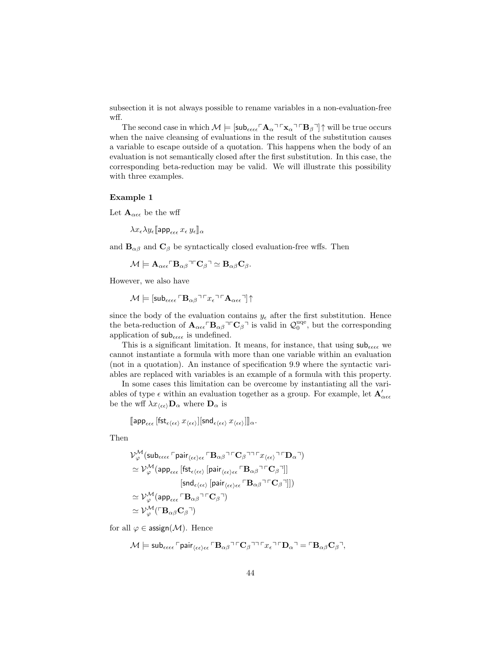subsection it is not always possible to rename variables in a non-evaluation-free wff.

The second case in which  $M \models [\mathsf{sub}_{\epsilon \epsilon \epsilon \epsilon} \mathsf{A}_{\alpha} \mathsf{A}_{\alpha} \mathsf{A}_{\alpha} \mathsf{A}_{\beta} \mathsf{A}_{\beta}] \uparrow$  will be true occurs when the naive cleansing of evaluations in the result of the substitution causes a variable to escape outside of a quotation. This happens when the body of an evaluation is not semantically closed after the first substitution. In this case, the corresponding beta-reduction may be valid. We will illustrate this possibility with three examples.

#### Example 1

Let  $\mathbf{A}_{\alpha\epsilon\epsilon}$  be the wff

 $\lambda x_{\epsilon} \lambda y_{\epsilon}$ [app<sub>eee</sub> $x_{\epsilon} y_{\epsilon}$ ] $_{\alpha}$ 

and  $\mathbf{B}_{\alpha\beta}$  and  $\mathbf{C}_{\beta}$  be syntactically closed evaluation-free wffs. Then

 $\mathcal{M} \models \mathbf{A}_{\alpha\epsilon\epsilon} \lceil \mathbf{B}_{\alpha\beta} \lceil \lceil \mathbf{C}_{\beta} \rceil \simeq \mathbf{B}_{\alpha\beta} \mathbf{C}_{\beta}.$ 

However, we also have

$$
\mathcal{M} \models [\mathsf{sub}_{{\epsilon}{\epsilon}{\epsilon}{\epsilon}} \ulcorner \mathbf{B}_{\alpha\beta} \urcorner \ulcorner x_{\epsilon} \urcorner \ulcorner \mathbf{A}_{\alpha{\epsilon}{\epsilon}} \urcorner] \urcorner
$$

since the body of the evaluation contains  $y_{\epsilon}$  after the first substitution. Hence the beta-reduction of  $\mathbf{A}_{\alpha\epsilon\epsilon} \mathbf{B}_{\alpha\beta} \mathbf{A} \mathbf{C}_{\beta}$  is valid in  $\mathcal{Q}_0^{\text{uqe}}$ , but the corresponding application of  $\mathsf{sub}_{\epsilon\epsilon\epsilon\epsilon}$  is undefined.

This is a significant limitation. It means, for instance, that using  $\mathsf{sub}_{\epsilon\epsilon\epsilon\epsilon}$  we cannot instantiate a formula with more than one variable within an evaluation (not in a quotation). An instance of specification 9.9 where the syntactic variables are replaced with variables is an example of a formula with this property.

In some cases this limitation can be overcome by instantiating all the variables of type  $\epsilon$  within an evaluation together as a group. For example, let  $\mathbf{A}^{\prime}_{\alpha\epsilon\epsilon}$ be the wff  $\lambda x_{\langle \epsilon \epsilon \rangle} \mathbf{D}_{\alpha}$  where  $\mathbf{D}_{\alpha}$  is

$$
\llbracket \mathsf{app}_{\epsilon\epsilon\epsilon} \left[ \mathsf{fst}_{\epsilon\langle \epsilon\epsilon\rangle} \, x_{\langle \epsilon\epsilon\rangle} \right] \llbracket \mathsf{snd}_{\epsilon\langle \epsilon\epsilon\rangle} \, x_{\langle \epsilon\epsilon\rangle} \rrbracket \rrbracket_{\alpha}.
$$

Then

$$
\mathcal{V}_{\varphi}^{\mathcal{M}}(\mathsf{sub}_{\epsilon\epsilon\epsilon\epsilon} \ulcorner \mathsf{pair}_{\langle \epsilon\epsilon\rangle\epsilon\epsilon} \ulcorner \mathbf{B}_{\alpha\beta} \urcorner \ulcorner \mathbf{C}_{\beta} \urcorner \urcorner \ulcorner x_{\langle \epsilon\epsilon\rangle} \urcorner \ulcorner \mathbf{D}_{\alpha} \urcorner)
$$
\n
$$
\simeq \mathcal{V}_{\varphi}^{\mathcal{M}}(\mathsf{app}_{\epsilon\epsilon\epsilon} [\mathsf{fst}_{\epsilon\langle \epsilon\epsilon\rangle} [\mathsf{pair}_{\langle \epsilon\epsilon\rangle\epsilon\epsilon} \ulcorner \mathbf{B}_{\alpha\beta} \urcorner \ulcorner \mathbf{C}_{\beta} \urcorner]]
$$
\n
$$
[\mathsf{snd}_{\epsilon\langle \epsilon\epsilon\rangle} [\mathsf{pair}_{\langle \epsilon\epsilon\rangle\epsilon\epsilon} \ulcorner \mathbf{B}_{\alpha\beta} \urcorner \ulcorner \mathbf{C}_{\beta} \urcorner]]]
$$
\n
$$
\simeq \mathcal{V}_{\varphi}^{\mathcal{M}}(\mathsf{app}_{\epsilon\epsilon\epsilon} \ulcorner \mathbf{B}_{\alpha\beta} \urcorner \ulcorner \mathbf{C}_{\beta} \urcorner)
$$
\n
$$
\simeq \mathcal{V}_{\varphi}^{\mathcal{M}}(\ulcorner \mathbf{B}_{\alpha\beta} \mathbf{C}_{\beta} \urcorner)
$$

for all  $\varphi \in \text{assign}(\mathcal{M})$ . Hence

$$
\mathcal{M} \models \mathsf{sub}_{{\epsilon}{\epsilon}{\epsilon}{\epsilon}} \ulcorner \mathsf{pair}_{{\langle}{\epsilon}{\epsilon}{\rangle}{\epsilon}{\epsilon}} \ulcorner \mathbf{B}_{\alpha\beta} \urcorner \ulcorner \mathbf{C}_\beta \urcorner \urcorner \ulcorner x_{\epsilon} \urcorner \ulcorner \mathbf{D}_{\alpha} \urcorner = \ulcorner \mathbf{B}_{\alpha\beta} \mathbf{C}_\beta \urcorner,
$$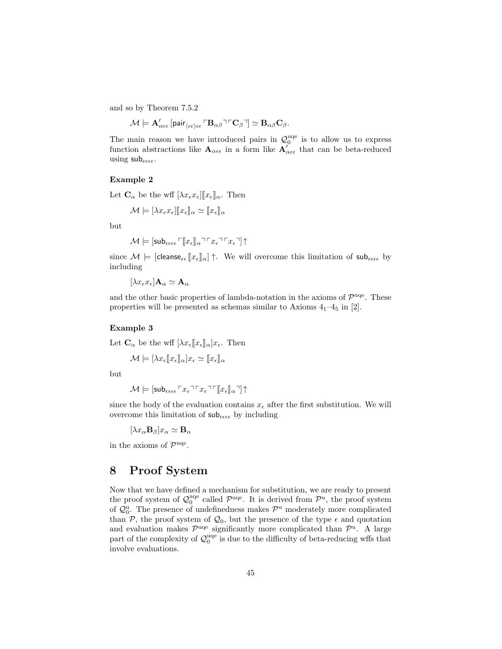and so by Theorem 7.5.2

$$
\mathcal{M} \models \mathbf{A}_{\alpha\epsilon\epsilon}' \, [\mathsf{pair}_{\langle \epsilon\epsilon\rangle \epsilon\epsilon} \, {}^{\mathsf{r}} \mathbf{B}_{\alpha\beta} {}^{\mathsf{r} \mathsf{r}} \mathbf{C}_\beta {}^{\mathsf{r} }] \simeq \mathbf{B}_{\alpha\beta} \mathbf{C}_\beta.
$$

The main reason we have introduced pairs in  $\mathcal{Q}_0^{\text{uqe}}$  is to allow us to express function abstractions like  $\mathbf{A}_{\alpha\epsilon\epsilon}$  in a form like  $\mathbf{A}_{\alpha\epsilon\epsilon}^{\prime\prime}$  that can be beta-reduced using  $\mathsf{sub}_{\epsilon\epsilon\epsilon\epsilon}$ .

## Example 2

Let  $\mathbf{C}_{\alpha}$  be the wff  $[\lambda x_{\epsilon} x_{\epsilon}]\|x_{\epsilon}\|_{\alpha}$ . Then

$$
\mathcal{M} \models [\lambda x_{\epsilon} x_{\epsilon}][\![x_{\epsilon}]\!]_{\alpha} \simeq [\![x_{\epsilon}]\!]_{\alpha}
$$

but

$$
\mathcal{M} \models [\mathsf{sub}_{\epsilon\epsilon\epsilon\epsilon} \ulcorner [\![x_\epsilon]\!]_\alpha \urcorner \ulcorner x_\epsilon \urcorner \ulcorner x_\epsilon \urcorner ]\uparrow
$$

since  $\mathcal{M} \models [\text{cleanse}_{\epsilon \epsilon} [x_{\epsilon}]_{\alpha}] \uparrow$ . We will overcome this limitation of sub $\epsilon_{\epsilon \epsilon \epsilon}$  by including

 $[\lambda x_{\epsilon}x_{\epsilon}]\mathbf{A}_{\alpha} \simeq \mathbf{A}_{\alpha}$ 

and the other basic properties of lambda-notation in the axioms of  $\mathcal{P}^{\text{uqe}}$ . These properties will be presented as schemas similar to Axioms  $4<sub>1</sub>-4<sub>5</sub>$  in [2].

#### Example 3

Let  $\mathbf{C}_{\alpha}$  be the wff  $[\lambda x_{\epsilon} \| x_{\epsilon} ]_{\alpha} | x_{\epsilon}$ . Then

$$
\mathcal{M} \models [\lambda x_{\epsilon}[\![x_{\epsilon}]\!]_{\alpha}]x_{\epsilon} \simeq [\![x_{\epsilon}]\!]_{\alpha}
$$

but

$$
\mathcal{M} \models [\mathsf{sub_{\epsilon\epsilon\epsilon\epsilon}} \ulcorner x_{\epsilon} \urcorner \ulcorner x_{\epsilon} \urcorner \ulcorner [x_{\epsilon}]\!]_{\alpha} \urcorner] \uparrow
$$

since the body of the evaluation contains  $x_{\epsilon}$  after the first substitution. We will overcome this limitation of  $\mathsf{sub}_{\epsilon\epsilon\epsilon\epsilon}$  by including

 $[\lambda x_{\alpha} \mathbf{B}_{\beta}]x_{\alpha} \simeq \mathbf{B}_{\alpha}$ 

in the axioms of  $\mathcal{P}^{\text{uqe}}$ .

# 8 Proof System

Now that we have defined a mechanism for substitution, we are ready to present the proof system of  $\mathcal{Q}_0^{\text{uqe}}$  called  $\mathcal{P}^{\text{uqe}}$ . It is derived from  $\mathcal{P}^{\text{u}}$ , the proof system of  $\mathcal{Q}_0^{\mathrm{u}}$ . The presence of undefinedness makes  $\mathcal{P}^{\mathrm{u}}$  moderately more complicated than P, the proof system of  $\mathcal{Q}_0$ , but the presence of the type  $\epsilon$  and quotation and evaluation makes  $\mathcal{P}^{\text{uqe}}$  significantly more complicated than  $\mathcal{P}^{\text{u}}$ . A large part of the complexity of  $\mathcal{Q}_0^{\text{uqe}}$  is due to the difficulty of beta-reducing wffs that involve evaluations.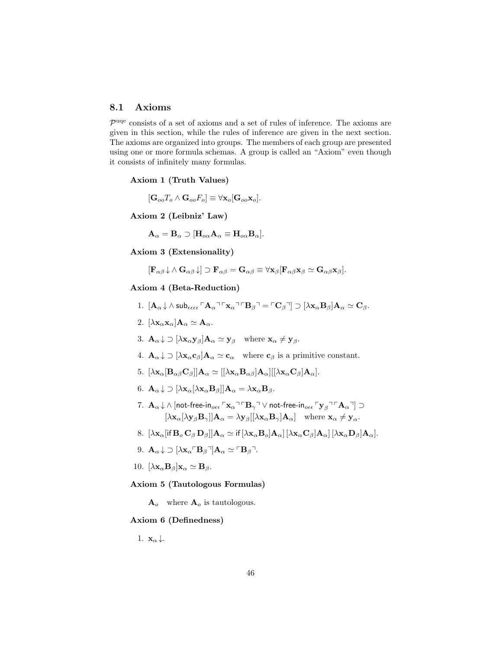## 8.1 Axioms

 $\mathcal{P}^{\text{uqe}}$  consists of a set of axioms and a set of rules of inference. The axioms are given in this section, while the rules of inference are given in the next section. The axioms are organized into groups. The members of each group are presented using one or more formula schemas. A group is called an "Axiom" even though it consists of infinitely many formulas.

## Axiom 1 (Truth Values)

 $[\mathbf{G}_{oo}T_o \wedge \mathbf{G}_{oo}F_o] \equiv \forall \mathbf{x}_o[\mathbf{G}_{oo}\mathbf{x}_o].$ 

Axiom 2 (Leibniz' Law)

$$
\mathbf{A}_{\alpha} = \mathbf{B}_{\alpha} \supset [\mathbf{H}_{o\alpha} \mathbf{A}_{\alpha} \equiv \mathbf{H}_{o\alpha} \mathbf{B}_{\alpha}].
$$

Axiom 3 (Extensionality)

$$
[\mathbf{F}_{\alpha\beta}\downarrow\wedge\mathbf{G}_{\alpha\beta}\downarrow]\supset\mathbf{F}_{\alpha\beta}=\mathbf{G}_{\alpha\beta}\equiv\forall\mathbf{x}_{\beta}[\mathbf{F}_{\alpha\beta}\mathbf{x}_{\beta}\simeq\mathbf{G}_{\alpha\beta}\mathbf{x}_{\beta}].
$$

Axiom 4 (Beta-Reduction)

- 1.  $[\mathbf{A}_{\alpha} \downarrow \wedge \mathsf{sub}_{\epsilon \epsilon \epsilon \epsilon} \ulcorner \mathbf{A}_{\alpha} \urcorner \ulcorner \mathbf{x}_{\alpha} \urcorner \ulcorner \mathbf{B}_{\beta} \urcorner = \ulcorner \mathbf{C}_{\beta} \urcorner] \supset [\lambda \mathbf{x}_{\alpha} \mathbf{B}_{\beta}] \mathbf{A}_{\alpha} \simeq \mathbf{C}_{\beta}.$
- 2.  $[\lambda \mathbf{x}_{\alpha} \mathbf{x}_{\alpha}] \mathbf{A}_{\alpha} \simeq \mathbf{A}_{\alpha}$ .
- 3.  $\mathbf{A}_{\alpha} \downarrow \supset [\lambda \mathbf{x}_{\alpha} \mathbf{y}_{\beta}] \mathbf{A}_{\alpha} \simeq \mathbf{y}_{\beta}$  where  $\mathbf{x}_{\alpha} \neq \mathbf{y}_{\beta}$ .
- 4.  $\mathbf{A}_{\alpha} \downarrow \supset [\lambda \mathbf{x}_{\alpha} \mathbf{c}_{\beta}] \mathbf{A}_{\alpha} \simeq \mathbf{c}_{\alpha}$  where  $\mathbf{c}_{\beta}$  is a primitive constant.
- 5.  $[\lambda \mathbf{x}_{\alpha}[\mathbf{B}_{\alpha\beta} \mathbf{C}_{\beta}]|\mathbf{A}_{\alpha} \simeq [[\lambda \mathbf{x}_{\alpha} \mathbf{B}_{\alpha\beta}|\mathbf{A}_{\alpha}]][\lambda \mathbf{x}_{\alpha} \mathbf{C}_{\beta}|\mathbf{A}_{\alpha}].$
- 6.  $\mathbf{A}_{\alpha} \downarrow \supset [\lambda \mathbf{x}_{\alpha} [\lambda \mathbf{x}_{\alpha} \mathbf{B}_{\beta}]] \mathbf{A}_{\alpha} = \lambda \mathbf{x}_{\alpha} \mathbf{B}_{\beta}.$
- 7.  $\mathbf{A}_{\alpha}$   $\downarrow$  ∧ [not-free-in<sub>o $\epsilon \epsilon$ </sub>  $\lceil \mathbf{x}_{\alpha} \rceil \lceil \mathbf{B}_{\gamma} \rceil$   $\vee$  not-free-in $\epsilon$ <sub>o $\epsilon \epsilon$ </sub>  $\lceil \mathbf{y}_{\beta} \rceil \lceil \mathbf{A}_{\alpha} \rceil$   $\supset$  $[\lambda \mathbf{x}_{\alpha} [\lambda \mathbf{y}_{\beta} \mathbf{B}_{\gamma}]] \mathbf{A}_{\alpha} = \lambda \mathbf{y}_{\beta} [[\lambda \mathbf{x}_{\alpha} \mathbf{B}_{\gamma}] \mathbf{A}_{\alpha}] \text{ where } \mathbf{x}_{\alpha} \neq \mathbf{y}_{\alpha}$ .
- 8.  $[\lambda \mathbf{x}_{\alpha}[\mathbf{i}\mathbf{B}_{o}\mathbf{C}_{\beta}\mathbf{D}_{\beta}]\mathbf{A}_{\alpha} \simeq \mathbf{i}\mathbf{f}[\lambda \mathbf{x}_{\alpha}\mathbf{B}_{o}]\mathbf{A}_{\alpha}][\lambda \mathbf{x}_{\alpha}\mathbf{C}_{\beta}]\mathbf{A}_{\alpha}][\lambda \mathbf{x}_{\alpha}\mathbf{D}_{\beta}]\mathbf{A}_{\alpha}].$
- 9.  $\mathbf{A}_{\alpha} \downarrow \supset [\lambda \mathbf{x}_{\alpha} \mathbf{B}_{\beta} \mathbf{A}_{\alpha} \simeq \mathbf{B}_{\beta} \mathbf{A}_{\alpha}$ .
- 10.  $[\lambda \mathbf{x}_{\alpha} \mathbf{B}_{\beta}] \mathbf{x}_{\alpha} \simeq \mathbf{B}_{\beta}$ .

### Axiom 5 (Tautologous Formulas)

 $A_o$  where  $A_o$  is tautologous.

### Axiom 6 (Definedness)

1.  $\mathbf{x}_{\alpha} \downarrow$ .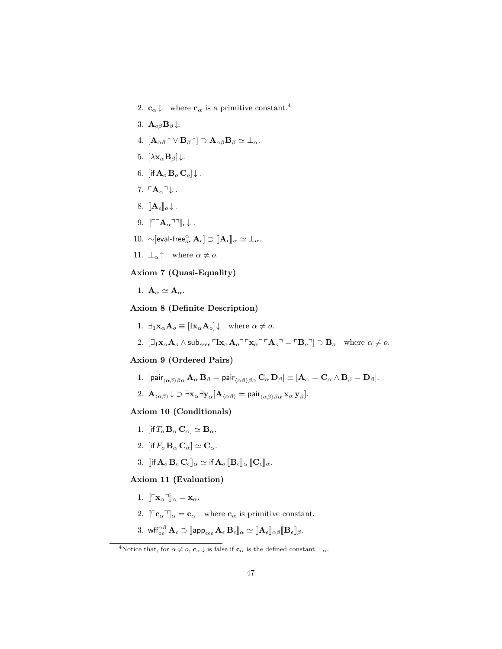- 2.  $\mathbf{c}_{\alpha} \downarrow$  where  $\mathbf{c}_{\alpha}$  is a primitive constant.<sup>4</sup>
- 3.  $\mathbf{A}_{o\beta} \mathbf{B}_{\beta} \downarrow$ .
- 4.  $[\mathbf{A}_{\alpha\beta} \uparrow \vee \mathbf{B}_{\beta} \uparrow] \supset \mathbf{A}_{\alpha\beta} \mathbf{B}_{\beta} \simeq \perp_{\alpha}$ .
- 5.  $[\lambda \mathbf{x}_{\alpha} \mathbf{B}_{\beta}] \downarrow$ .
- 6. [if  $\mathbf{A}_o \mathbf{B}_o \mathbf{C}_o$ ]  $\downarrow$ .
- 7.  $\ulcorner A_\alpha \urcorner \downarrow$ .
- 8.  $\mathbf{A}_{\epsilon}\mathbf{I}_{o}\downarrow$ .
- 9.  $\mathbb{F} \mathbb{F} \mathbf{A}_{\alpha}$ <sup> $\Box$ </sup>
- 10. ~ [eval-free $_{\alpha\epsilon}^{\alpha}$  **A**<sub> $_{\epsilon}$ </sub>]  $\supset$   $[$ **A**<sub> $_{\epsilon}$ </sub> $]_{\alpha} \simeq \perp_{\alpha}$ .
- 11.  $\perp_{\alpha} \uparrow$  where  $\alpha \neq 0$ .

Axiom 7 (Quasi-Equality)

1.  $\mathbf{A}_{\alpha} \simeq \mathbf{A}_{\alpha}$ .

Axiom 8 (Definite Description)

1.  $\exists_1 \mathbf{x}_{\alpha} \mathbf{A}_{o} \equiv [\mathbf{I} \mathbf{x}_{\alpha} \mathbf{A}_{o}] \downarrow \text{ where } \alpha \neq o.$ 2.  $[\exists_1 \mathbf{x}_{\alpha} \mathbf{A}_{o} \wedge \mathsf{sub}_{\epsilon \epsilon \epsilon \epsilon} \ulcorner \mathbf{I} \mathbf{x}_{\alpha} \mathbf{A}_{o} \urcorner \ulcorner \mathbf{x}_{\alpha} \urcorner \ulcorner \mathbf{A}_{o} \urcorner = \ulcorner \mathbf{B}_{o} \urcorner] \supset \mathbf{B}_{o}$  where  $\alpha \neq o$ .

## Axiom 9 (Ordered Pairs)

- 1.  $[pair_{\langle \alpha\beta\rangle\beta\alpha} A_{\alpha} B_{\beta} = pair_{\langle \alpha\beta\rangle\beta\alpha} C_{\alpha} D_{\beta}] \equiv [A_{\alpha} = C_{\alpha} \wedge B_{\beta} = D_{\beta}].$
- $2. \ \ {\bf A}_{\langle\alpha\beta\rangle}\!\downarrow\supset\exists {\bf x}_\alpha\exists {\bf y}_\alpha[{\bf A}_{\langle\alpha\beta\rangle}=$  pair $_{\langle\alpha\beta\rangle\beta\alpha}{\bf x}_\alpha{\bf y}_\beta].$

Axiom 10 (Conditionals)

- 1. [if  $T_o$   $\mathbf{B}_{\alpha}$   $\mathbf{C}_{\alpha}$ ]  $\simeq$   $\mathbf{B}_{\alpha}$ .
- 2. [if  $F_{\alpha}$   $\mathbf{B}_{\alpha}$   $\mathbf{C}_{\alpha}$ ]  $\simeq$   $\mathbf{C}_{\alpha}$ .
- 3.  $\left[\left\|\mathbf{f}\mathbf{A}_{o}\mathbf{B}_{\epsilon}\mathbf{C}_{\epsilon}\right\|_{\alpha}\simeq\left\|\mathbf{f}\mathbf{A}_{o}\right\|\mathbf{B}_{\epsilon}\right\|_{\alpha}\left\|\mathbf{C}_{\epsilon}\right\|_{\alpha}$ .

Axiom 11 (Evaluation)

- 1.  $\llbracket \ulcorner \mathbf{x}_{\alpha} \urcorner \rrbracket_{\alpha} = \mathbf{x}_{\alpha}.$
- 2.  $\lbrack \lbrack \lbrack \mathbf{\rceil c}_\alpha \rbrack \rbrack_\alpha = \mathbf{c}_\alpha$  where  $\mathbf{c}_\alpha$  is primitive constant.
- 3. wff $_{o\epsilon}^{\alpha\beta}$   $\mathbf{A}_{\epsilon} \supset$   $[\![ \mathsf{app}_{\epsilon\epsilon\epsilon} \mathbf{A}_{\epsilon} \mathbf{B}_{\epsilon} ]\!]_{\alpha} \simeq [\![ \mathbf{A}_{\epsilon} ]\!]_{\alpha\beta} [\![ \mathbf{B}_{\epsilon} ]\!]_{\beta}.$

<sup>&</sup>lt;sup>4</sup>Notice that, for  $\alpha \neq 0$ ,  $\mathbf{c}_{\alpha} \downarrow$  is false if  $\mathbf{c}_{\alpha}$  is the defined constant  $\perp_{\alpha}$ .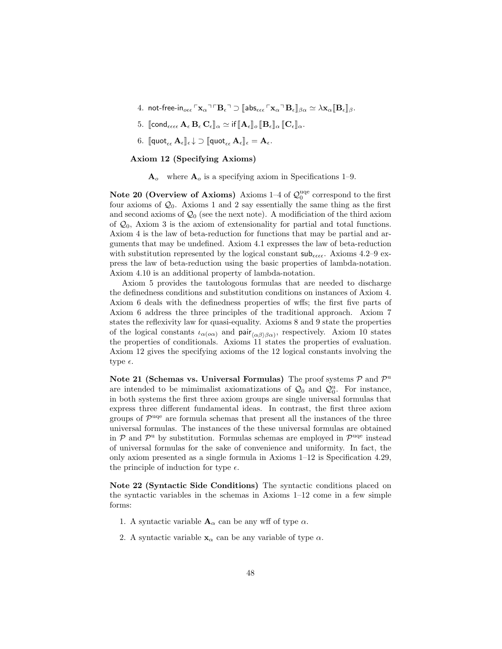- 4. not-free-in ${}_{o\epsilon\epsilon}$   $\lceil x_{\alpha} \rceil \lceil B_{\epsilon} \rceil \supset$   $\lceil \mathsf{abs}_{\epsilon\epsilon\epsilon} \lceil \mathsf{c}_\mathbf{x_{\alpha}} \rceil B_{\epsilon} \rceil$  ${}_{\beta\alpha} \simeq \lambda \mathsf{x}_{\alpha} \lceil \mathsf{B}_{\epsilon} \rceil$  ${}_{\beta}$ .
- 5.  $\lbrack \mathsf{cond}_{\epsilon\epsilon\epsilon\epsilon} \mathbf{A}_{\epsilon} \mathbf{B}_{\epsilon} \mathbf{C}_{\epsilon} \rbrack_{\alpha} \simeq \text{if } \lbrack \lbrack \mathbf{A}_{\epsilon} \rbrack_{o} \lbrack \mathbf{B}_{\epsilon} \rbrack_{\alpha} \lbrack \mathbf{C}_{\epsilon} \rbrack_{\alpha}.$
- 6.  $\llbracket \mathsf{quot}_{\epsilon\epsilon} \mathbf{A}_{\epsilon} \rrbracket_{\epsilon} \downarrow \supset \llbracket \mathsf{quot}_{\epsilon\epsilon} \mathbf{A}_{\epsilon} \rrbracket_{\epsilon} = \mathbf{A}_{\epsilon}.$

### Axiom 12 (Specifying Axioms)

 $A_{\alpha}$  where  $A_{\alpha}$  is a specifying axiom in Specifications 1–9.

Note 20 (Overview of Axioms) Axioms 1–4 of  $\mathcal{Q}_0^{\text{uqe}}$  correspond to the first four axioms of  $\mathcal{Q}_0$ . Axioms 1 and 2 say essentially the same thing as the first and second axioms of  $\mathcal{Q}_0$  (see the next note). A modificiation of the third axiom of  $\mathcal{Q}_0$ , Axiom 3 is the axiom of extensionality for partial and total functions. Axiom 4 is the law of beta-reduction for functions that may be partial and arguments that may be undefined. Axiom 4.1 expresses the law of beta-reduction with substitution represented by the logical constant  $\mathsf{sub}_{\epsilon\epsilon\epsilon\epsilon}$ . Axioms 4.2–9 express the law of beta-reduction using the basic properties of lambda-notation. Axiom 4.10 is an additional property of lambda-notation.

Axiom 5 provides the tautologous formulas that are needed to discharge the definedness conditions and substitution conditions on instances of Axiom 4. Axiom 6 deals with the definedness properties of wffs; the first five parts of Axiom 6 address the three principles of the traditional approach. Axiom 7 states the reflexivity law for quasi-equality. Axioms 8 and 9 state the properties of the logical constants  $\iota_{\alpha(\alpha\alpha)}$  and  $\text{pair}_{\langle\alpha\beta\rangle\beta\alpha}$ , respectively. Axiom 10 states the properties of conditionals. Axioms 11 states the properties of evaluation. Axiom 12 gives the specifying axioms of the 12 logical constants involving the type  $\epsilon$ .

Note 21 (Schemas vs. Universal Formulas) The proof systems  $P$  and  $P^{\text{u}}$ are intended to be mimimalist axiomatizations of  $\mathcal{Q}_0$  and  $\mathcal{Q}_0^{\mathrm{u}}$ . For instance, in both systems the first three axiom groups are single universal formulas that express three different fundamental ideas. In contrast, the first three axiom groups of  $\mathcal{P}^{\text{uqe}}$  are formula schemas that present all the instances of the three universal formulas. The instances of the these universal formulas are obtained in  $P$  and  $P^{\mathrm{u}}$  by substitution. Formulas schemas are employed in  $P^{\mathrm{uqe}}$  instead of universal formulas for the sake of convenience and uniformity. In fact, the only axiom presented as a single formula in Axioms 1–12 is Specification 4.29, the principle of induction for type  $\epsilon$ .

Note 22 (Syntactic Side Conditions) The syntactic conditions placed on the syntactic variables in the schemas in Axioms 1–12 come in a few simple forms:

- 1. A syntactic variable  $\mathbf{A}_{\alpha}$  can be any wff of type  $\alpha$ .
- 2. A syntactic variable  $\mathbf{x}_{\alpha}$  can be any variable of type  $\alpha$ .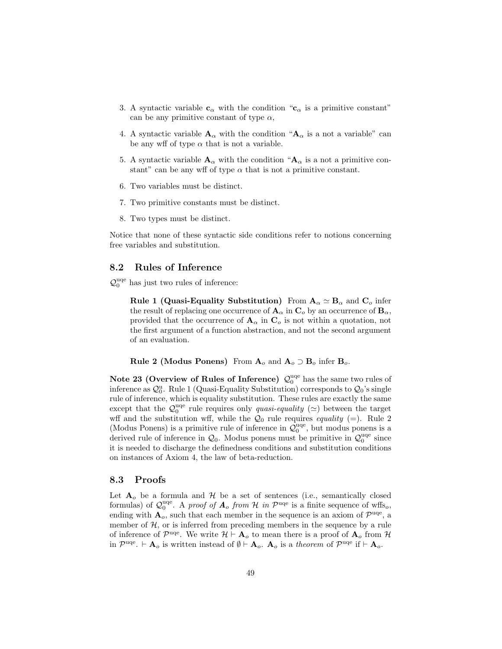- 3. A syntactic variable  $c_{\alpha}$  with the condition " $c_{\alpha}$  is a primitive constant" can be any primitive constant of type  $\alpha$ ,
- 4. A syntactic variable  $A_{\alpha}$  with the condition " $A_{\alpha}$  is a not a variable" can be any wff of type  $\alpha$  that is not a variable.
- 5. A syntactic variable  $A_{\alpha}$  with the condition " $A_{\alpha}$  is a not a primitive constant" can be any wff of type  $\alpha$  that is not a primitive constant.
- 6. Two variables must be distinct.
- 7. Two primitive constants must be distinct.
- 8. Two types must be distinct.

Notice that none of these syntactic side conditions refer to notions concerning free variables and substitution.

### 8.2 Rules of Inference

 $\ensuremath{\mathcal{Q}}_0^{\mathrm{uqe}}$  has just two rules of inference:

**Rule 1 (Quasi-Equality Substitution)** From  $A_{\alpha} \simeq B_{\alpha}$  and  $C_{\alpha}$  infer the result of replacing one occurrence of  $\mathbf{A}_{\alpha}$  in  $\mathbf{C}_{o}$  by an occurrence of  $\mathbf{B}_{\alpha}$ , provided that the occurrence of  $\mathbf{A}_{\alpha}$  in  $\mathbf{C}_{o}$  is not within a quotation, not the first argument of a function abstraction, and not the second argument of an evaluation.

### Rule 2 (Modus Ponens) From  $A_o$  and  $A_o \supset B_o$  infer  $B_o$ .

Note 23 (Overview of Rules of Inference)  $\mathcal{Q}_0^{\mathrm{uqe}}$  has the same two rules of inference as  $\mathcal{Q}_0^{\mathrm{u}}$ . Rule 1 (Quasi-Equality Substitution) corresponds to  $\mathcal{Q}_0$ 's single rule of inference, which is equality substitution. These rules are exactly the same except that the  $\mathcal{Q}_0^{\text{uqe}}$  rule requires only *quasi-equality* ( $\simeq$ ) between the target wff and the substitution wff, while the  $\mathcal{Q}_0$  rule requires *equality* (=). Rule 2 (Modus Ponens) is a primitive rule of inference in  $\mathcal{Q}_0^{\text{uqe}}$ , but modus ponens is a derived rule of inference in  $\mathcal{Q}_0$ . Modus ponens must be primitive in  $\mathcal{Q}_0^{\text{uqe}}$  since it is needed to discharge the definedness conditions and substitution conditions on instances of Axiom 4, the law of beta-reduction.

## 8.3 Proofs

Let  $A_0$  be a formula and  $H$  be a set of sentences (i.e., semantically closed formulas) of  $\mathcal{Q}_0^{\text{uqe}}$ . A proof of  $\mathbf{A}_o$  from H in  $\mathcal{P}^{\text{uqe}}$  is a finite sequence of wffs<sub>o</sub>, ending with  $\mathbf{A}_o$ , such that each member in the sequence is an axiom of  $\mathcal{P}^{\text{uqe}}$ , a member of  $H$ , or is inferred from preceding members in the sequence by a rule of inference of  $\mathcal{P}^{\text{uqe}}$ . We write  $\mathcal{H} \vdash A_o$  to mean there is a proof of  $A_o$  from  $\mathcal{H}$ in  $\mathcal{P}^{\text{uqe}}$ .  $\vdash \mathbf{A}_o$  is written instead of  $\emptyset \vdash \mathbf{A}_o$ .  $\mathbf{A}_o$  is a theorem of  $\mathcal{P}^{\text{uqe}}$  if  $\vdash \mathbf{A}_o$ .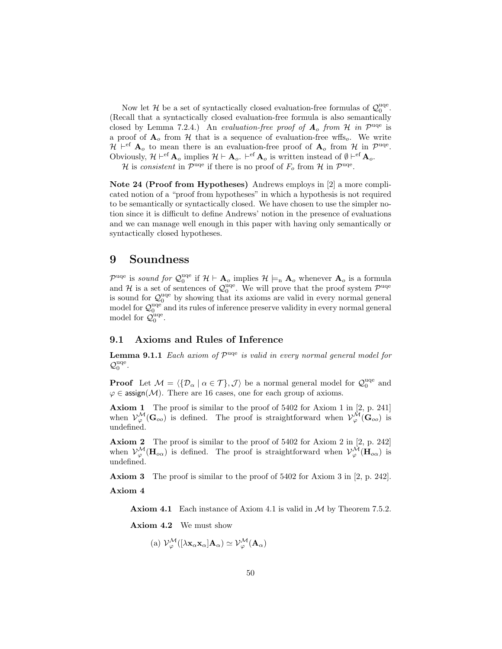Now let  $\mathcal{H}$  be a set of syntactically closed evaluation-free formulas of  $\mathcal{Q}_0^{\text{uqe}}$ . (Recall that a syntactically closed evaluation-free formula is also semantically closed by Lemma 7.2.4.) An evaluation-free proof of  $A_o$  from  $H$  in  $\mathcal{P}^{uqe}$  is a proof of  $A_o$  from H that is a sequence of evaluation-free wffs<sub>o</sub>. We write  $\mathcal{H} \vdash^{\text{ef}} \mathbf{A}_o$  to mean there is an evaluation-free proof of  $\mathbf{A}_o$  from H in  $\mathcal{P}^{\text{uqe}}$ . Obviously,  $\mathcal{H} \vdash^{\text{ef}} A_o$  implies  $\mathcal{H} \vdash A_o$ .  $\vdash^{\text{ef}} A_o$  is written instead of  $\emptyset \vdash^{\text{ef}} A_o$ .

H is consistent in  $\mathcal{P}^{\text{uqe}}$  if there is no proof of  $F_o$  from H in  $\mathcal{P}^{\text{uqe}}$ .

Note 24 (Proof from Hypotheses) Andrews employs in [2] a more complicated notion of a "proof from hypotheses" in which a hypothesis is not required to be semantically or syntactically closed. We have chosen to use the simpler notion since it is difficult to define Andrews' notion in the presence of evaluations and we can manage well enough in this paper with having only semantically or syntactically closed hypotheses.

## 9 Soundness

 $\mathcal{P}^{\text{uqe}}$  is sound for  $\mathcal{Q}_0^{\text{uqe}}$  if  $\mathcal{H} \vdash A_o$  implies  $\mathcal{H} \models_n \mathbf{A}_o$  whenever  $\mathbf{A}_o$  is a formula and H is a set of sentences of  $\mathcal{Q}_0^{\text{uqe}}$ . We will prove that the proof system  $\mathcal{P}^{\text{uqe}}$ is sound for  $\mathcal{Q}_0^{\text{uqe}}$  by showing that its axioms are valid in every normal general model for  $\mathcal{Q}_0^{\text{uqe}}$  and its rules of inference preserve validity in every normal general model for  $\mathcal{Q}_0^{\text{uqe}}$ .

## 9.1 Axioms and Rules of Inference

**Lemma 9.1.1** Each axiom of  $\mathcal{P}^{\text{uqe}}$  is valid in every normal general model for  $\mathcal{Q}_0^{\text{uqe}}$ .

**Proof** Let  $M = \langle \{ \mathcal{D}_{\alpha} \mid \alpha \in \mathcal{T} \}, \mathcal{J} \rangle$  be a normal general model for  $\mathcal{Q}_0^{\text{uqe}}$  and  $\varphi \in \text{assign}(\mathcal{M})$ . There are 16 cases, one for each group of axioms.

Axiom 1 The proof is similar to the proof of 5402 for Axiom 1 in [2, p. 241] when  $\mathcal{V}_{\varphi}^{\mathcal{M}}(\mathbf{G}_{oo})$  is defined. The proof is straightforward when  $\mathcal{V}_{\varphi}^{\mathcal{M}}(\mathbf{G}_{oo})$  is undefined.

Axiom 2 The proof is similar to the proof of 5402 for Axiom 2 in [2, p. 242] when  $\mathcal{V}_{\varphi}^{\mathcal{M}}(\mathbf{H}_{o\alpha})$  is defined. The proof is straightforward when  $\mathcal{V}_{\varphi}^{\mathcal{M}}(\mathbf{H}_{o\alpha})$  is undefined.

Axiom 3 The proof is similar to the proof of 5402 for Axiom 3 in [2, p. 242].

Axiom 4

**Axiom 4.1** Each instance of Axiom 4.1 is valid in  $M$  by Theorem 7.5.2.

Axiom 4.2 We must show

(a)  $\mathcal{V}_{\varphi}^{\mathcal{M}}([\lambda \mathbf{x}_{\alpha} \mathbf{x}_{\alpha}] \mathbf{A}_{\alpha}) \simeq \mathcal{V}_{\varphi}^{\mathcal{M}}(\mathbf{A}_{\alpha})$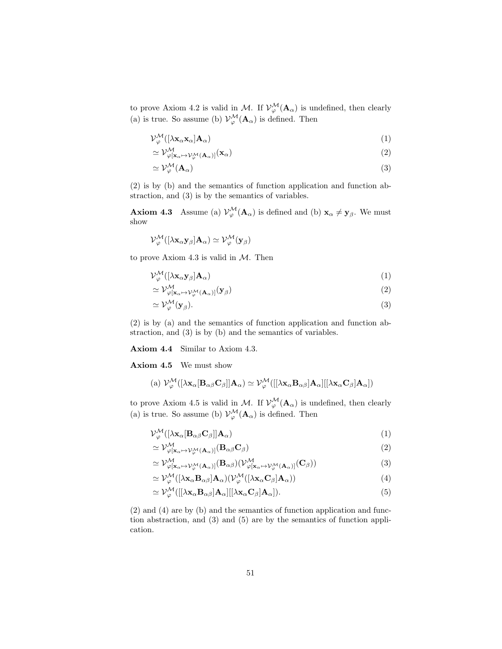to prove Axiom 4.2 is valid in M. If  $\mathcal{V}_{\varphi}^{\mathcal{M}}(\mathbf{A}_{\alpha})$  is undefined, then clearly (a) is true. So assume (b)  $\mathcal{V}_{\varphi}^{\mathcal{M}}(\mathbf{A}_{\alpha})$  is defined. Then

$$
\mathcal{V}_{\varphi}^{\mathcal{M}}([\lambda \mathbf{x}_{\alpha} \mathbf{x}_{\alpha}]\mathbf{A}_{\alpha})
$$
\n(1)

$$
\simeq \mathcal{V}_{\varphi[\mathbf{x}_{\alpha} \mapsto \mathcal{V}_{\varphi}^{\mathcal{M}}(\mathbf{A}_{\alpha})]}^{\mathcal{M}}(\mathbf{x}_{\alpha})
$$
\n(2)

$$
\simeq \mathcal{V}_{\varphi}^{\mathcal{M}}(\mathbf{A}_{\alpha})
$$
 (3)

(2) is by (b) and the semantics of function application and function abstraction, and (3) is by the semantics of variables.

**Axiom 4.3** Assume (a)  $\mathcal{V}_{\varphi}^{\mathcal{M}}(\mathbf{A}_{\alpha})$  is defined and (b)  $\mathbf{x}_{\alpha} \neq \mathbf{y}_{\beta}$ . We must show

$$
\mathcal{V}^{\mathcal{M}}_{\varphi}([\lambda {\bf x}_{\alpha}{\bf y}_{\beta}] {\bf A}_{\alpha}) \simeq \mathcal{V}^{\mathcal{M}}_{\varphi}({\bf y}_{\beta})
$$

to prove Axiom 4.3 is valid in M. Then

$$
\mathcal{V}_{\varphi}^{\mathcal{M}}([\lambda \mathbf{x}_{\alpha} \mathbf{y}_{\beta}]\mathbf{A}_{\alpha})
$$
\n(1)

$$
\simeq \mathcal{V}_{\varphi[\mathbf{x}_{\alpha} \mapsto \mathcal{V}_{\varphi}^{\mathcal{M}}(\mathbf{A}_{\alpha})]}^{\mathcal{M}}(\mathbf{y}_{\beta})
$$
\n(2)

$$
\simeq \mathcal{V}_{\varphi}^{\mathcal{M}}(\mathbf{y}_{\beta}).\tag{3}
$$

(2) is by (a) and the semantics of function application and function abstraction, and (3) is by (b) and the semantics of variables.

Axiom 4.4 Similar to Axiom 4.3.

Axiom 4.5 We must show

(a) 
$$
\mathcal{V}_{\varphi}^{\mathcal{M}}([\lambda \mathbf{x}_{\alpha}[\mathbf{B}_{\alpha\beta}\mathbf{C}_{\beta}]]\mathbf{A}_{\alpha}) \simeq \mathcal{V}_{\varphi}^{\mathcal{M}}([[ \lambda \mathbf{x}_{\alpha}\mathbf{B}_{\alpha\beta}]\mathbf{A}_{\alpha}]][\lambda \mathbf{x}_{\alpha}\mathbf{C}_{\beta}]\mathbf{A}_{\alpha}])
$$

to prove Axiom 4.5 is valid in M. If  $\mathcal{V}_{\varphi}^{\mathcal{M}}(\mathbf{A}_{\alpha})$  is undefined, then clearly (a) is true. So assume (b)  $\mathcal{V}_{\varphi}^{\mathcal{M}}(\mathbf{A}_{\alpha})$  is defined. Then

$$
\mathcal{V}_{\varphi}^{\mathcal{M}}([\lambda \mathbf{x}_{\alpha}[\mathbf{B}_{\alpha\beta}\mathbf{C}_{\beta}]]\mathbf{A}_{\alpha}) \tag{1}
$$

$$
\simeq \mathcal{V}_{\varphi[\mathbf{x}_{\alpha} \mapsto \mathcal{V}_{\varphi}^{\mathcal{M}}(\mathbf{A}_{\alpha})]}^{\mathcal{M}}(\mathbf{B}_{\alpha\beta}\mathbf{C}_{\beta})
$$
\n(2)

$$
\simeq \mathcal{V}_{\varphi[\mathbf{x}_{\alpha} \mapsto \mathcal{V}_{\varphi}^{\mathcal{M}}(\mathbf{A}_{\alpha})]}^{\mathcal{M}}(\mathbf{B}_{\alpha\beta})(\mathcal{V}_{\varphi[\mathbf{x}_{\alpha} \mapsto \mathcal{V}_{\varphi}^{\mathcal{M}}(\mathbf{A}_{\alpha})]}^{\mathcal{M}}(\mathbf{C}_{\beta}))
$$
(3)

$$
\simeq \mathcal{V}_{\varphi}^{\mathcal{M}}([\lambda \mathbf{x}_{\alpha} \mathbf{B}_{\alpha \beta}] \mathbf{A}_{\alpha}) (\mathcal{V}_{\varphi}^{\mathcal{M}}([\lambda \mathbf{x}_{\alpha} \mathbf{C}_{\beta}] \mathbf{A}_{\alpha})) \tag{4}
$$

$$
\simeq \mathcal{V}_{\varphi}^{\mathcal{M}}([[ \lambda \mathbf{x}_{\alpha} \mathbf{B}_{\alpha \beta} ] \mathbf{A}_{\alpha}][[ \lambda \mathbf{x}_{\alpha} \mathbf{C}_{\beta} ] \mathbf{A}_{\alpha}]). \tag{5}
$$

(2) and (4) are by (b) and the semantics of function application and function abstraction, and (3) and (5) are by the semantics of function application.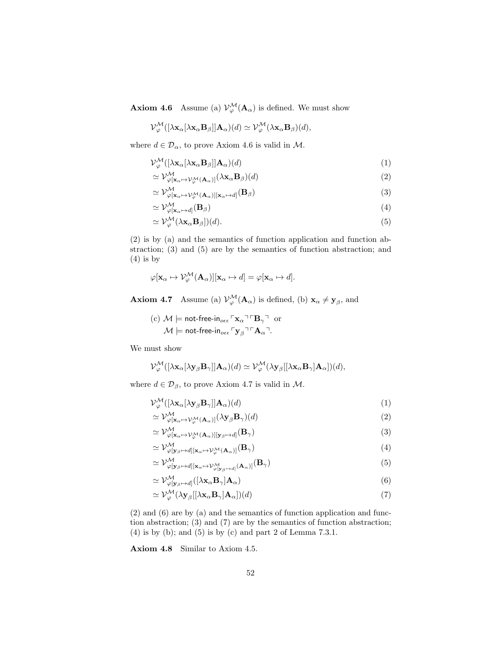**Axiom 4.6** Assume (a)  $\mathcal{V}_{\varphi}^{\mathcal{M}}(\mathbf{A}_{\alpha})$  is defined. We must show

$$
{\cal V}_\varphi^{\cal M}([\lambda{\bf x}_\alpha[\lambda{\bf x}_\alpha{\bf B}_\beta]]{\bf A}_\alpha)(d)\simeq {\cal V}_\varphi^{\cal M}(\lambda{\bf x}_\alpha{\bf B}_\beta)(d),
$$

where  $d \in \mathcal{D}_{\alpha}$ , to prove Axiom 4.6 is valid in M.

$$
\mathcal{V}_{\varphi}^{\mathcal{M}}([\lambda \mathbf{x}_{\alpha}[\lambda \mathbf{x}_{\alpha} \mathbf{B}_{\beta}]]\mathbf{A}_{\alpha})(d) \tag{1}
$$

$$
\simeq \mathcal{V}_{\varphi[\mathbf{x}_{\alpha}\mapsto\mathcal{V}_{\varphi}^{\mathcal{M}}(\mathbf{A}_{\alpha})]}^{\mathcal{M}}(\lambda\mathbf{x}_{\alpha}\mathbf{B}_{\beta})(d)
$$
\n(2)

$$
\simeq \mathcal{V}_{\varphi[\mathbf{x}_{\alpha} \mapsto \mathcal{V}_{\varphi}^{\mathcal{M}}(\mathbf{A}_{\alpha})][\mathbf{x}_{\alpha} \mapsto d]}^{\mathcal{M}}(\mathbf{B}_{\beta})
$$
\n(3)

$$
\simeq \mathcal{V}_{\varphi[\mathbf{x}_{\alpha}\mapsto d]}^{\mathcal{M}}(\mathbf{B}_{\beta})
$$
\n(4)

$$
\simeq \mathcal{V}_{\varphi}^{\mathcal{M}}(\lambda \mathbf{x}_{\alpha} \mathbf{B}_{\beta}](d). \tag{5}
$$

(2) is by (a) and the semantics of function application and function abstraction; (3) and (5) are by the semantics of function abstraction; and  $(4)$  is by

$$
\varphi[\mathbf{x}_{\alpha} \mapsto \mathcal{V}_{\varphi}^{\mathcal{M}}(\mathbf{A}_{\alpha})][\mathbf{x}_{\alpha} \mapsto d] = \varphi[\mathbf{x}_{\alpha} \mapsto d].
$$

**Axiom 4.7** Assume (a)  $\mathcal{V}_{\varphi}^{\mathcal{M}}(\mathbf{A}_{\alpha})$  is defined, (b)  $\mathbf{x}_{\alpha} \neq \mathbf{y}_{\beta}$ , and

(c)  $\mathcal{M} \models \mathsf{not\text{-}free\text{-}in}_{o\epsilon\epsilon} \ulcorner \mathbf{x}_{\alpha} \urcorner \ulcorner \mathbf{B}_{\gamma} \urcorner$  or  $\mathcal{M} \models$  not-free-in<sub>oee</sub>  $\ulcorner \mathbf{y}_{\beta} \urcorner \ulcorner \mathbf{A}_{\alpha} \urcorner$ .

We must show

$$
\mathcal{V}_{\varphi}^{\mathcal{M}}([\lambda \mathbf{x}_{\alpha}[\lambda \mathbf{y}_{\beta} \mathbf{B}_{\gamma}]]\mathbf{A}_{\alpha})(d) \simeq \mathcal{V}_{\varphi}^{\mathcal{M}}(\lambda \mathbf{y}_{\beta}[[\lambda \mathbf{x}_{\alpha} \mathbf{B}_{\gamma}]\mathbf{A}_{\alpha}])(d),
$$

where  $d \in \mathcal{D}_{\beta}$ , to prove Axiom 4.7 is valid in M.

$$
\mathcal{V}_{\varphi}^{\mathcal{M}}([\lambda \mathbf{x}_{\alpha}[\lambda \mathbf{y}_{\beta} \mathbf{B}_{\gamma}]]\mathbf{A}_{\alpha})(d) \tag{1}
$$

$$
\simeq \mathcal{V}_{\varphi[\mathbf{x}_{\alpha} \mapsto \mathcal{V}_{\varphi}^{\mathcal{M}}(\mathbf{A}_{\alpha})]}^{\mathcal{M}}(\lambda \mathbf{y}_{\beta} \mathbf{B}_{\gamma})(d)
$$
\n(2)

$$
\simeq \mathcal{V}_{\varphi[\mathbf{x}_{\alpha} \mapsto \mathcal{V}_{\varphi}^{\mathcal{M}}(\mathbf{A}_{\alpha})][\mathbf{y}_{\beta} \mapsto d]}^{\mathcal{M}}(\mathbf{B}_{\gamma})
$$
\n(3)

$$
\simeq \mathcal{V}_{\varphi[\mathbf{y}_{\beta}\mapsto d][\mathbf{x}_{\alpha}\mapsto\mathcal{V}_{\varphi}^{\mathcal{M}}(\mathbf{A}_{\alpha})]}(\mathbf{B}_{\gamma})
$$
\n(4)

$$
\simeq \mathcal{V}_{\varphi[\mathbf{y}_{\beta}\mapsto d][\mathbf{x}_{\alpha}\mapsto\mathcal{V}_{\varphi[\mathbf{y}_{\beta}\mapsto d]}^{\mathcal{M}}(\mathbf{A}_{\alpha})]}(\mathbf{B}_{\gamma})
$$
\n(5)

$$
\simeq \mathcal{V}_{\varphi[\mathbf{y}_{\beta}\mapsto d]}^{\mathcal{M}}([\lambda \mathbf{x}_{\alpha}\mathbf{B}_{\gamma}]\mathbf{A}_{\alpha})
$$
\n(6)

$$
\simeq \mathcal{V}_{\varphi}^{\mathcal{M}}(\lambda \mathbf{y}_{\beta}[[\lambda \mathbf{x}_{\alpha} \mathbf{B}_{\gamma}]\mathbf{A}_{\alpha}])
$$
(7)

(2) and (6) are by (a) and the semantics of function application and function abstraction; (3) and (7) are by the semantics of function abstraction;  $(4)$  is by  $(b)$ ; and  $(5)$  is by  $(c)$  and part 2 of Lemma 7.3.1.

Axiom 4.8 Similar to Axiom 4.5.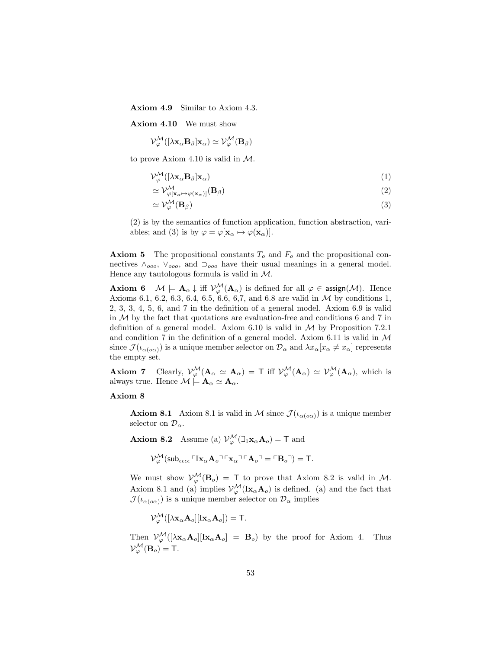Axiom 4.9 Similar to Axiom 4.3.

Axiom 4.10 We must show

$$
{\mathcal V}^{\mathcal M}_{\varphi}([\lambda{\mathbf x}_\alpha{\mathbf B}_\beta]{\mathbf x}_\alpha)\simeq{\mathcal V}^{\mathcal M}_{\varphi}({\mathbf B}_\beta)
$$

to prove Axiom 4.10 is valid in  $\mathcal{M}$ .

$$
\mathcal{V}_{\varphi}^{\mathcal{M}}([\lambda \mathbf{x}_{\alpha} \mathbf{B}_{\beta} | \mathbf{x}_{\alpha}) \tag{1}
$$

$$
\simeq \mathcal{V}_{\varphi[\mathbf{x}_{\alpha}\mapsto\varphi(\mathbf{x}_{\alpha})]}^{\mathcal{M}}(\mathbf{B}_{\beta})
$$
\n
$$
\tag{2}
$$

$$
\simeq \mathcal{V}_{\varphi}^{\mathcal{M}}(\mathbf{B}_{\beta}) \tag{3}
$$

(2) is by the semantics of function application, function abstraction, variables; and (3) is by  $\varphi = \varphi[\mathbf{x}_{\alpha} \mapsto \varphi(\mathbf{x}_{\alpha})].$ 

**Axiom 5** The propositional constants  $T<sub>o</sub>$  and  $F<sub>o</sub>$  and the propositional connectives  $\wedge_{ooo}$ ,  $\vee_{ooo}$ , and  $\supset_{ooo}$  have their usual meanings in a general model. Hence any tautologous formula is valid in  $M$ .

**Axiom 6**  $\mathcal{M} \models \mathbf{A}_{\alpha} \downarrow \text{ iff } \mathcal{V}_{\varphi}^{\mathcal{M}}(\mathbf{A}_{\alpha}) \text{ is defined for all } \varphi \in \mathsf{assign}(\mathcal{M})$ . Hence Axioms 6.1, 6.2, 6.3, 6.4, 6.5, 6.6, 6,7, and 6.8 are valid in  $M$  by conditions 1, 2, 3, 3, 4, 5, 6, and 7 in the definition of a general model. Axiom 6.9 is valid in  $M$  by the fact that quotations are evaluation-free and conditions 6 and 7 in definition of a general model. Axiom 6.10 is valid in  $M$  by Proposition 7.2.1 and condition 7 in the definition of a general model. Axiom 6.11 is valid in  $M$ since  $\mathcal{J}(\iota_{\alpha(\infty)})$  is a unique member selector on  $\mathcal{D}_{\alpha}$  and  $\lambda x_{\alpha}[x_{\alpha} \neq x_{\alpha}]$  represents the empty set.

**Axiom 7** Clearly,  $\mathcal{V}_{\varphi}^{\mathcal{M}}(\mathbf{A}_{\alpha} \simeq \mathbf{A}_{\alpha}) = \mathsf{T}$  iff  $\mathcal{V}_{\varphi}^{\mathcal{M}}(\mathbf{A}_{\alpha}) \simeq \mathcal{V}_{\varphi}^{\mathcal{M}}(\mathbf{A}_{\alpha})$ , which is always true. Hence  $\mathcal{M} \models \mathbf{A}_{\alpha} \simeq \mathbf{A}_{\alpha}$ .

### Axiom 8

**Axiom 8.1** Axiom 8.1 is valid in M since  $\mathcal{J}(\iota_{\alpha(\rho\alpha)})$  is a unique member selector on  $\mathcal{D}_{\alpha}$ .

**Axiom 8.2** Assume (a)  $\mathcal{V}_{\varphi}^{\mathcal{M}}(\exists_1 \mathbf{x}_{\alpha} \mathbf{A}_{o}) = \mathsf{T}$  and

$$
\mathcal{V}^{\mathcal{M}}_{\varphi}(\mathsf{sub}_{\epsilon\epsilon\epsilon\epsilon} \ulcorner \mathrm{Ix}_{\alpha} \mathbf{A}_{o} \urcorner \ulcorner \mathbf{x}_{\alpha} \urcorner \ulcorner \mathbf{A}_{o} \urcorner = \ulcorner \mathbf{B}_{o} \urcorner) = \mathsf{T}.
$$

We must show  $\mathcal{V}_{\varphi}^{\mathcal{M}}(\mathbf{B}_{o}) = \mathsf{T}$  to prove that Axiom 8.2 is valid in M. Axiom 8.1 and (a) implies  $\mathcal{V}_{\varphi}^{\mathcal{M}}(I_{\mathbf{X}_{\alpha}}\mathbf{A}_{o})$  is defined. (a) and the fact that  $\mathcal{J}(\iota_{\alpha(\rho\alpha)})$  is a unique member selector on  $\mathcal{D}_{\alpha}$  implies

 ${\cal V}^{\cal M}_{\varphi} ( [\lambda {\bf x}_{\alpha} {\bf A}_{o}][\![{\bf x}_{\alpha} {\bf A}_{o}]\!]) = {\sf T}.$ 

Then  $\mathcal{V}_{\varphi}^{\mathcal{M}}([\lambda \mathbf{x}_{\alpha} \mathbf{A}_{o}][\mathbf{I} \mathbf{x}_{\alpha} \mathbf{A}_{o}] = \mathbf{B}_{o})$  by the proof for Axiom 4. Thus  ${\cal V}^{\cal M}_{\varphi}({\bf B}_{o}) = {\sf T}.$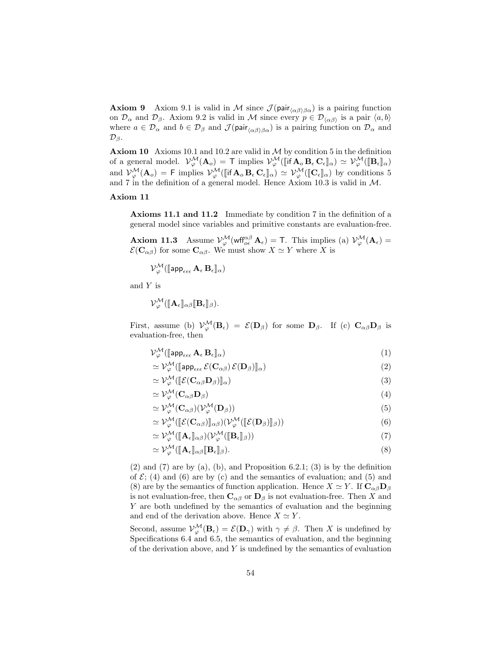**Axiom 9** Axiom 9.1 is valid in M since  $\mathcal{J}(\text{pair}_{\langle \alpha \beta \rangle \beta \alpha})$  is a pairing function on  $\mathcal{D}_{\alpha}$  and  $\mathcal{D}_{\beta}$ . Axiom 9.2 is valid in M since every  $p \in \mathcal{D}_{\langle \alpha\beta \rangle}$  is a pair  $\langle a, b \rangle$ where  $a \in \mathcal{D}_{\alpha}$  and  $b \in \mathcal{D}_{\beta}$  and  $\mathcal{J}(\text{pair}_{\langle \alpha \beta \rangle \beta \alpha})$  is a pairing function on  $\mathcal{D}_{\alpha}$  and  $\mathcal{D}_{\beta}$ .

**Axiom 10** Axioms 10.1 and 10.2 are valid in  $M$  by condition 5 in the definition of a general model.  $\mathcal{V}_{\varphi}^{\mathcal{M}}(\mathbf{A}_{o}) = \mathsf{T}$  implies  $\mathcal{V}_{\varphi}^{\mathcal{M}}([\![\mathbf{if}\,\mathbf{A}_{o}\,\mathbf{B}_{\epsilon}\,\mathbf{C}_{\epsilon}]\!]_{\alpha}) \simeq \mathcal{V}_{\varphi}^{\mathcal{M}}([\![\mathbf{B}_{\epsilon}]\!]_{\alpha})$ <br>and  $\mathcal{V}_{\varphi}^{\mathcal{M}}(\mathbf{A}_{o}) = \mathsf{F}$  implies  $\mathcal{V}_{\varphi}^{\math$ 

### Axiom 11

Axioms 11.1 and 11.2 Immediate by condition 7 in the definition of a general model since variables and primitive constants are evaluation-free.

**Axiom 11.3** Assume  $\mathcal{V}_{\varphi}^{\mathcal{M}}(\mathsf{wff}_{o\epsilon}^{\alpha\beta} \mathbf{A}_{\epsilon}) = \mathsf{T}$ . This implies (a)  $\mathcal{V}_{\varphi}^{\mathcal{M}}(\mathbf{A}_{\epsilon}) =$  $\mathcal{E}(\mathbf{C}_{\alpha\beta})$  for some  $\mathbf{C}_{\alpha\beta}$ . We must show  $X \simeq Y$  where X is

 $\mathcal{V}^{\mathcal{M}}_{\varphi}(\llbracket \mathsf{app}_{\epsilon\epsilon\epsilon} \, \mathbf{A}_{\epsilon} \, \mathbf{B}_{\epsilon} \rrbracket_{\alpha})$ 

and  $Y$  is

$$
{\mathcal V}^{\mathcal M}_\varphi(\llbracket {\mathbf A}_{\epsilon} \rrbracket_{\alpha \beta} \llbracket {\mathbf B}_{\epsilon} \rrbracket_{\beta}).
$$

First, assume (b)  $\mathcal{V}_{\varphi}^{\mathcal{M}}(\mathbf{B}_{\epsilon}) = \mathcal{E}(\mathbf{D}_{\beta})$  for some  $\mathbf{D}_{\beta}$ . If (c)  $\mathbf{C}_{\alpha\beta}\mathbf{D}_{\beta}$  is evaluation-free, then

$$
\mathcal{V}_{\varphi}^{\mathcal{M}}(\llbracket \textsf{app}_{\epsilon\epsilon\epsilon} \mathbf{A}_{\epsilon} \mathbf{B}_{\epsilon} \rrbracket_{\alpha}) \tag{1}
$$

$$
\simeq \mathcal{V}_{\varphi}^{\mathcal{M}}([\text{app}_{\epsilon\epsilon\epsilon}\,\mathcal{E}(\mathbf{C}_{\alpha\beta})\,\mathcal{E}(\mathbf{D}_{\beta})]_{\alpha})\tag{2}
$$

$$
\simeq \mathcal{V}_{\varphi}^{\mathcal{M}}([\mathcal{E}(\mathbf{C}_{\alpha\beta}\mathbf{D}_{\beta})]_{\alpha})
$$
\n(3)

$$
\simeq \mathcal{V}_{\varphi}^{\mathcal{M}}(\mathbf{C}_{\alpha\beta}\mathbf{D}_{\beta})
$$
\n(4)

$$
\simeq \mathcal{V}_{\varphi}^{\mathcal{M}}(\mathbf{C}_{\alpha\beta})(\mathcal{V}_{\varphi}^{\mathcal{M}}(\mathbf{D}_{\beta})) \tag{5}
$$

$$
\simeq \mathcal{V}_{\varphi}^{\mathcal{M}}([\![\mathcal{E}(\mathbf{C}_{\alpha\beta})]\!]_{\alpha\beta})(\mathcal{V}_{\varphi}^{\mathcal{M}}([\![\mathcal{E}(\mathbf{D}_{\beta})]\!]_{\beta}))
$$
(6)

$$
\simeq \mathcal{V}_{\varphi}^{\mathcal{M}}([\![\mathbf{A}_{\epsilon}]\!]_{\alpha\beta})(\mathcal{V}_{\varphi}^{\mathcal{M}}([\![\mathbf{B}_{\epsilon}]\!]_{\beta}))
$$
\n<sup>(7)</sup>

$$
\simeq \mathcal{V}_{\varphi}^{\mathcal{M}}([\![\mathbf{A}_{\epsilon}]\!]_{\alpha\beta}[\![\mathbf{B}_{\epsilon}]\!]_{\beta}).\tag{8}
$$

 $(2)$  and  $(7)$  are by  $(a)$ ,  $(b)$ , and Proposition 6.2.1;  $(3)$  is by the definition of  $\mathcal{E}$ ; (4) and (6) are by (c) and the semantics of evaluation; and (5) and (8) are by the semantics of function application. Hence  $X \simeq Y$ . If  $\mathbf{C}_{\alpha\beta}\mathbf{D}_{\beta}$ is not evaluation-free, then  $\mathbf{C}_{\alpha\beta}$  or  $\mathbf{D}_{\beta}$  is not evaluation-free. Then X and Y are both undefined by the semantics of evaluation and the beginning and end of the derivation above. Hence  $X \simeq Y$ .

Second, assume  $\mathcal{V}_{\varphi}^{\mathcal{M}}(\mathbf{B}_{\epsilon}) = \mathcal{E}(\mathbf{D}_{\gamma})$  with  $\gamma \neq \beta$ . Then X is undefined by Specifications 6.4 and 6.5, the semantics of evaluation, and the beginning of the derivation above, and  $Y$  is undefined by the semantics of evaluation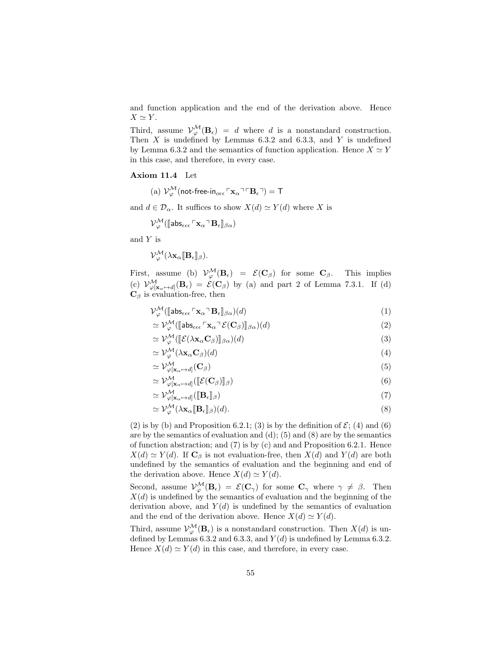and function application and the end of the derivation above. Hence  $X \simeq Y$ .

Third, assume  $\mathcal{V}_{\varphi}^{\mathcal{M}}(\mathbf{B}_{\epsilon}) = d$  where d is a nonstandard construction. Then  $X$  is undefined by Lemmas 6.3.2 and 6.3.3, and  $Y$  is undefined by Lemma 6.3.2 and the semantics of function application. Hence  $X \simeq Y$ in this case, and therefore, in every case.

### Axiom 11.4 Let

(a) 
$$
\mathcal{V}^{\mathcal{M}}_{\varphi}(\mathsf{not}\text{-free-in}_{o\epsilon\epsilon} \ulcorner \mathbf{x}_{\alpha} \urcorner \ulcorner \mathbf{B}_{\epsilon} \urcorner) = \mathsf{T}
$$

and  $d \in \mathcal{D}_{\alpha}$ . It suffices to show  $X(d) \simeq Y(d)$  where X is

$$
\mathcal{V}^{\mathcal{M}}_{\varphi}(\llbracket \mathsf{abs}_{\epsilon\epsilon\epsilon} \ulcorner \mathbf{x}_{\alpha} \urcorner \mathbf{B}_{\epsilon} \rrbracket_{\beta\alpha})
$$

and  $Y$  is

$$
\mathcal{V}_{\varphi}^{\mathcal{M}}(\lambda \mathbf{x}_{\alpha}[\![\mathbf{B}_{\epsilon}]\!]_{\beta}).
$$

First, assume (b)  $\mathcal{V}_{\varphi}^{\mathcal{M}}(\mathbf{B}_{\epsilon}) = \mathcal{E}(\mathbf{C}_{\beta})$  for some  $\mathbf{C}_{\beta}$ . This implies (c)  $\mathcal{V}_{\varphi[\mathbf{x}_{\alpha}\mapsto d]}^{\mathcal{M}}(\mathbf{B}_{\epsilon}) = \mathcal{E}(\mathbf{C}_{\beta})$  by (a) and part 2 of Lemma 7.3.1. If (d)  $C_\beta$  is evaluation-free, then

$$
\mathcal{V}_{\varphi}^{\mathcal{M}}([\mathbf{a} \mathbf{b} \mathbf{s}_{\epsilon \epsilon \epsilon} \ulcorner \mathbf{x}_{\alpha} \urcorner \mathbf{B}_{\epsilon}]]_{\beta \alpha})(d) \tag{1}
$$

$$
\simeq \mathcal{V}_{\varphi}^{\mathcal{M}}([\mathsf{abs}_{\epsilon\epsilon\epsilon} \ulcorner \mathbf{x}_{\alpha} \urcorner \mathcal{E}(\mathbf{C}_{\beta})]_{\beta\alpha})(d) \tag{2}
$$

$$
\simeq \mathcal{V}_{\varphi}^{\mathcal{M}}([\mathcal{E}(\lambda \mathbf{x}_{\alpha} \mathbf{C}_{\beta})]_{\beta \alpha})(d)
$$
\n(3)

$$
\simeq \mathcal{V}_{\varphi}^{\mathcal{M}}(\lambda \mathbf{x}_{\alpha} \mathbf{C}_{\beta})(d) \tag{4}
$$

$$
\simeq \mathcal{V}_{\varphi[\mathbf{x}_{\alpha}\mapsto d]}^{\mathcal{M}}(\mathbf{C}_{\beta})
$$
\n(5)

$$
\simeq \mathcal{V}_{\varphi[\mathbf{x}_{\alpha}\mapsto d]}^{\mathcal{M}}([\mathcal{E}(\mathbf{C}_{\beta})]_{\beta})
$$
\n(6)

$$
\simeq \mathcal{V}_{\varphi[\mathbf{x}_{\alpha} \mapsto d]}^{\mathcal{M}}([\mathbf{B}_{\epsilon}]]_{\beta}) \tag{7}
$$

$$
\simeq \mathcal{V}_{\varphi}^{\mathcal{M}}(\lambda \mathbf{x}_{\alpha}[\mathbf{B}_{\epsilon}]]_{\beta})(d). \tag{8}
$$

(2) is by (b) and Proposition 6.2.1; (3) is by the definition of  $\mathcal{E}$ ; (4) and (6) are by the semantics of evaluation and  $(d)$ ; (5) and  $(8)$  are by the semantics of function abstraction; and  $(7)$  is by  $(c)$  and and Proposition 6.2.1. Hence  $X(d) \simeq Y(d)$ . If  $\mathbf{C}_{\beta}$  is not evaluation-free, then  $X(d)$  and  $Y(d)$  are both undefined by the semantics of evaluation and the beginning and end of the derivation above. Hence  $X(d) \simeq Y(d)$ .

Second, assume  $\mathcal{V}_{\varphi}^{\mathcal{M}}(\mathbf{B}_{\epsilon}) = \mathcal{E}(\mathbf{C}_{\gamma})$  for some  $\mathbf{C}_{\gamma}$  where  $\gamma \neq \beta$ . Then  $X(d)$  is undefined by the semantics of evaluation and the beginning of the derivation above, and  $Y(d)$  is undefined by the semantics of evaluation and the end of the derivation above. Hence  $X(d) \simeq Y(d)$ .

Third, assume  $\mathcal{V}_{\varphi}^{\mathcal{M}}(\mathbf{B}_{\epsilon})$  is a nonstandard construction. Then  $X(d)$  is undefined by Lemmas 6.3.2 and 6.3.3, and  $Y(d)$  is undefined by Lemma 6.3.2. Hence  $X(d) \simeq Y(d)$  in this case, and therefore, in every case.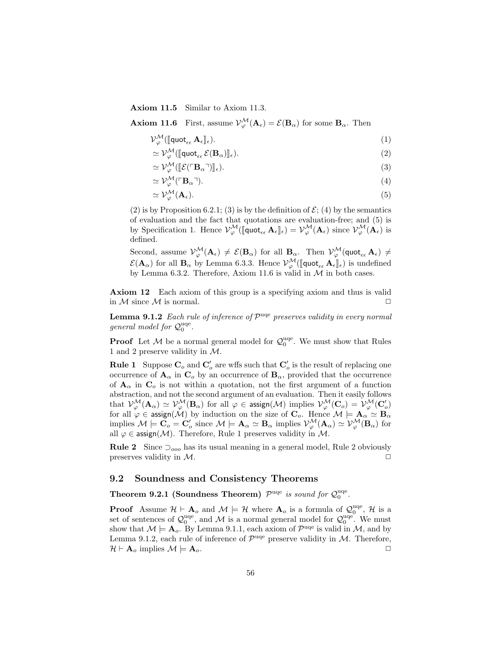Axiom 11.5 Similar to Axiom 11.3.

**Axiom 11.6** First, assume  $\mathcal{V}_{\varphi}^{\mathcal{M}}(\mathbf{A}_{\epsilon}) = \mathcal{E}(\mathbf{B}_{\alpha})$  for some  $\mathbf{B}_{\alpha}$ . Then

$$
\mathcal{V}_{\varphi}^{\mathcal{M}}(\llbracket \mathsf{quot}_{\epsilon\epsilon} \, \mathbf{A}_{\epsilon} \rrbracket_{\epsilon}).\tag{1}
$$

$$
\simeq \mathcal{V}_{\varphi}^{\mathcal{M}}([\text{quot}_{\epsilon\epsilon} \mathcal{E}(\mathbf{B}_{\alpha})]_{\epsilon}).
$$
\n(2)

$$
\simeq \mathcal{V}_{\varphi}^{\mathcal{M}}([\mathcal{E}(\ulcorner \mathbf{B}_{\alpha}\urcorner)]\ulcorner_{\epsilon}).\tag{3}
$$

$$
\simeq \mathcal{V}_{\varphi}^{\mathcal{M}}(\ulcorner \mathbf{B}_{\alpha}\urcorner). \tag{4}
$$

$$
\simeq \mathcal{V}_{\varphi}^{\mathcal{M}}(\mathbf{A}_{\epsilon}). \tag{5}
$$

(2) is by Proposition 6.2.1; (3) is by the definition of  $\mathcal{E}$ ; (4) by the semantics of evaluation and the fact that quotations are evaluation-free; and (5) is by Specification 1. Hence  $\mathcal{V}_{\varphi}^{\mathcal{M}}(\llbracket \mathsf{quot}_{\epsilon\epsilon} \mathbf{A}_{\epsilon} \rrbracket_{\epsilon}) = \mathcal{V}_{\varphi}^{\mathcal{M}}(\mathbf{A}_{\epsilon})$  since  $\mathcal{V}_{\varphi}^{\mathcal{M}}(\mathbf{A}_{\epsilon})$  is defined.

Second, assume  $\mathcal{V}_{\varphi}^{\mathcal{M}}(\mathbf{A}_{\epsilon}) \neq \mathcal{E}(\mathbf{B}_{\alpha})$  for all  $\mathbf{B}_{\alpha}$ . Then  $\mathcal{V}_{\varphi}^{\mathcal{M}}(\mathsf{quot}_{\epsilon\epsilon}\,\mathbf{A}_{\epsilon}) \neq 0$  $\mathcal{E}(\mathbf{A}_{\alpha})$  for all  $\mathbf{B}_{\alpha}$  by Lemma 6.3.3. Hence  $\mathcal{V}_{\varphi}^{\mathcal{M}}(\llbracket \mathsf{quot}_{\epsilon\epsilon} \mathbf{A}_{\epsilon} \rrbracket_{\epsilon})$  is undefined<br>by Lemma 6.3.2. Therefore, Arian 11.6 is valid in A4 in both gases by Lemma 6.3.2. Therefore, Axiom 11.6 is valid in  $M$  in both cases.

Axiom 12 Each axiom of this group is a specifying axiom and thus is valid in  $M$  since  $M$  is normal.

**Lemma 9.1.2** Each rule of inference of  $\mathcal{P}^{\text{uqe}}$  preserves validity in every normal general model for  $\mathcal{Q}_0^{\text{uqe}}$ .

**Proof** Let M be a normal general model for  $\mathcal{Q}_0^{\text{uqe}}$ . We must show that Rules 1 and 2 preserve validity in M.

**Rule 1** Suppose  $\mathbf{C}_o$  and  $\mathbf{C}'_o$  are wffs such that  $\mathbf{C}'_o$  is the result of replacing one occurrence of  $\mathbf{A}_{\alpha}$  in  $\mathbf{C}_{o}$  by an occurrence of  $\mathbf{B}_{\alpha}$ , provided that the occurrence of  $\mathbf{A}_{\alpha}$  in  $\mathbf{C}_{o}$  is not within a quotation, not the first argument of a function abstraction, and not the second argument of an evaluation. Then it easily follows that  $\mathcal{V}_{\varphi}^{\mathcal{M}}(\mathbf{A}_{\alpha}) \simeq \mathcal{V}_{\varphi}^{\mathcal{M}}(\mathbf{B}_{\alpha})$  for all  $\varphi \in \mathsf{assign}(\mathcal{M})$  implies  $\mathcal{V}_{\varphi}^{\mathcal{M}}(\mathbf{C}_{o}) = \mathcal{V}_{\varphi}^{\mathcal{M}}(\mathbf{C}_{o}')$ for all  $\varphi\in\mathsf{assign}(\mathcal{M})$  by induction on the size of  $\mathbf{C}_o.$  Hence  $\mathcal{M}\models\mathbf{A}_\alpha\simeq\mathbf{B}_\alpha$ implies  $\mathcal{M} \models \mathbf{C}_o = \mathbf{C}'_o$  since  $\mathcal{M} \models \mathbf{A}_\alpha \simeq \mathbf{B}_\alpha$  implies  $\mathcal{V}^{\mathcal{M}}_{\varphi}(\mathbf{A}_\alpha) \simeq \mathcal{V}^{\mathcal{M}}_{\varphi}(\mathbf{B}_\alpha)$  for all  $\varphi \in \text{assign}(\mathcal{M})$ . Therefore, Rule 1 preserves validity in M.

Rule 2 Since  $\Box_{ooo}$  has its usual meaning in a general model, Rule 2 obviously preserves validity in  $M$ .

## 9.2 Soundness and Consistency Theorems

# Theorem 9.2.1 (Soundness Theorem)  $\mathcal{P}^{\text{uqe}}$  is sound for  $\mathcal{Q}_0^{\text{uqe}}$ .

**Proof** Assume  $\mathcal{H} \vdash A_o$  and  $\mathcal{M} \models \mathcal{H}$  where  $A_o$  is a formula of  $\mathcal{Q}_0^{\text{uqe}}, \mathcal{H}$  is a set of sentences of  $\mathcal{Q}_0^{\text{uqe}}$ , and M is a normal general model for  $\mathcal{Q}_0^{\text{uqe}}$ . We must show that  $\mathcal{M} \models A_o$ . By Lemma 9.1.1, each axiom of  $\mathcal{P}^{uqe}$  is valid in  $\mathcal{M}$ , and by Lemma 9.1.2, each rule of inference of  $\mathcal{P}^{\text{uqe}}$  preserve validity in M. Therefore,  $\mathcal{H} \vdash A_o$  implies  $\mathcal{M} \models A_o$ .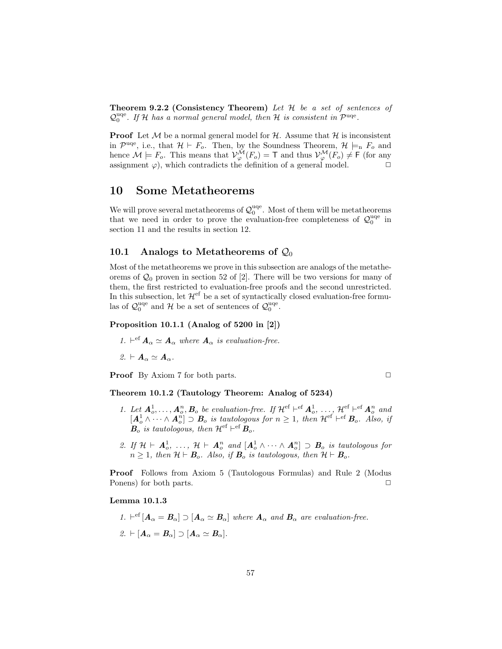**Theorem 9.2.2 (Consistency Theorem)** Let  $H$  be a set of sentences of  $\mathcal{Q}_0^{\text{uqe}}$ . If H has a normal general model, then H is consistent in  $\mathcal{P}^{\text{uqe}}$ .

**Proof** Let  $M$  be a normal general model for  $H$ . Assume that  $H$  is inconsistent in  $\mathcal{P}^{\text{uqe}}$ , i.e., that  $\mathcal{H} \vdash F_o$ . Then, by the Soundness Theorem,  $\mathcal{H} \models_{n} F_o$  and hence  $\mathcal{M} \models F_o$ . This means that  $\mathcal{V}_{\varphi}^{\mathcal{M}}(F_o) = \mathsf{T}$  and thus  $\mathcal{V}_{\varphi}^{\mathcal{M}}(F_o) \neq \mathsf{F}$  (for any assignment  $\varphi$ ), which contradicts the definition of a general model.

## 10 Some Metatheorems

We will prove several metatheorems of  $\mathcal{Q}_0^{\text{uqe}}$ . Most of them will be metatheorems that we need in order to prove the evaluation-free completeness of  $\mathcal{Q}_0^{\text{uqe}}$  in section 11 and the results in section 12.

## 10.1 Analogs to Metatheorems of  $\mathcal{Q}_0$

Most of the metatheorems we prove in this subsection are analogs of the metatheorems of  $\mathcal{Q}_0$  proven in section 52 of [2]. There will be two versions for many of them, the first restricted to evaluation-free proofs and the second unrestricted. In this subsection, let  $\mathcal{H}^{\text{ef}}$  be a set of syntactically closed evaluation-free formulas of  $\mathcal{Q}_0^{\text{uqe}}$  and  $\mathcal H$  be a set of sentences of  $\mathcal{Q}_0^{\text{uqe}}$ .

### Proposition 10.1.1 (Analog of 5200 in [2])

\n- 1. 
$$
\vdash^{\text{ef}} A_{\alpha} \simeq A_{\alpha}
$$
 where  $A_{\alpha}$  is evaluation-free.
\n- 2.  $\vdash A_{\alpha} \simeq A_{\alpha}$ .
\n

**Proof** By Axiom 7 for both parts.

$$
\Box
$$

## Theorem 10.1.2 (Tautology Theorem: Analog of 5234)

- 1. Let  $A_0^1, \ldots, A_0^n, B_0$  be evaluation-free. If  $\mathcal{H}^{\text{ef}} \vdash^{\text{ef}} A_0^1, \ldots, \mathcal{H}^{\text{ef}} \vdash^{\text{ef}} A_0^n$  and  $[A_o^1 \wedge \cdots \wedge A_o^n] \supset B_o$  is tautologous for  $n \geq 1$ , then  $\mathcal{H}^{\text{ef}} \vdash^{\text{ef}} B_o$ . Also, if  $\mathbf{B}_o$  is tautologous, then  $\mathcal{H}^{\text{ef}} \vdash^{\text{ef}} \mathbf{B}_o$ .
- 2. If  $\mathcal{H} \vdash A_o^1, \ldots, \mathcal{H} \vdash A_o^n$  and  $[A_o^1 \wedge \cdots \wedge A_o^n] \supset B_o$  is tautologous for  $n \geq 1$ , then  $\mathcal{H} \vdash \mathbf{B}_o$ . Also, if  $\mathbf{B}_o$  is tautologous, then  $\mathcal{H} \vdash \mathbf{B}_o$ .

Proof Follows from Axiom 5 (Tautologous Formulas) and Rule 2 (Modus Ponens) for both parts.  $\Box$ 

#### Lemma 10.1.3

1.  $\vdash^{\text{ef}} [A_{\alpha} = B_{\alpha}] \supset [A_{\alpha} \simeq B_{\alpha}]$  where  $A_{\alpha}$  and  $B_{\alpha}$  are evaluation-free. 2.  $\vdash [A_{\alpha} = B_{\alpha}] \supset [A_{\alpha} \simeq B_{\alpha}].$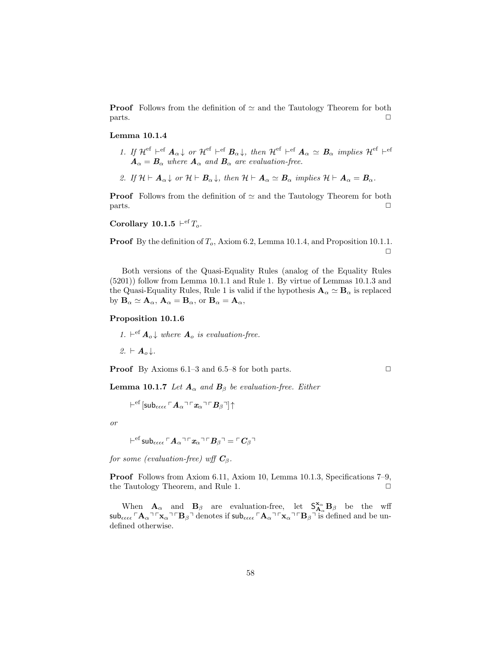**Proof** Follows from the definition of  $\simeq$  and the Tautology Theorem for both  $parts.$ 

### Lemma 10.1.4

- 1. If  $\mathcal{H}^{\text{ef}} \vdash^{\text{ef}} \mathbf{A}_{\alpha} \downarrow$  or  $\mathcal{H}^{\text{ef}} \vdash^{\text{ef}} \mathbf{B}_{\alpha} \downarrow$ , then  $\mathcal{H}^{\text{ef}} \vdash^{\text{ef}} \mathbf{A}_{\alpha} \simeq \mathbf{B}_{\alpha}$  implies  $\mathcal{H}^{\text{ef}} \vdash^{\text{ef}}$  $\mathbf{A}_{\alpha} = \mathbf{B}_{\alpha}$  where  $\mathbf{A}_{\alpha}$  and  $\mathbf{B}_{\alpha}$  are evaluation-free.
- 2. If  $\mathcal{H} \vdash A_{\alpha} \downarrow$  or  $\mathcal{H} \vdash B_{\alpha} \downarrow$ , then  $\mathcal{H} \vdash A_{\alpha} \simeq B_{\alpha}$  implies  $\mathcal{H} \vdash A_{\alpha} = B_{\alpha}$ .

**Proof** Follows from the definition of  $\simeq$  and the Tautology Theorem for both  $parts.$ 

Corollary 10.1.5 
$$
\vdash^{\text{ef}} T_o
$$
.

**Proof** By the definition of  $T_o$ , Axiom 6.2, Lemma 10.1.4, and Proposition 10.1.1.  $\Box$ 

Both versions of the Quasi-Equality Rules (analog of the Equality Rules (5201)) follow from Lemma 10.1.1 and Rule 1. By virtue of Lemmas 10.1.3 and the Quasi-Equality Rules, Rule 1 is valid if the hypothesis  $\mathbf{A}_{\alpha} \simeq \mathbf{B}_{\alpha}$  is replaced by  $B_{\alpha} \simeq A_{\alpha}$ ,  $A_{\alpha} = B_{\alpha}$ , or  $B_{\alpha} = A_{\alpha}$ ,

### Proposition 10.1.6

1.  $\vdash^{\text{ef}} A_o \downarrow$  where  $A_o$  is evaluation-free.

2.  $\vdash A_o \downarrow$ .

**Proof** By Axioms 6.1–3 and 6.5–8 for both parts.  $\Box$ 

**Lemma 10.1.7** Let  $A_{\alpha}$  and  $B_{\beta}$  be evaluation-free. Either

$$
\vdash^{\mathrm{ef}}[\mathsf{sub}_{\epsilon\epsilon\epsilon\epsilon}\ulcorner\boldsymbol{A}_\alpha\urcorner\ulcorner\boldsymbol{x}_\alpha\urcorner\ulcorner\boldsymbol{B}_\beta\urcorner]\,\uparrow
$$

or

$$
\vdash^{\mathrm{ef}}\mathsf{sub}_{\epsilon\epsilon\epsilon\epsilon}\ulcorner\boldsymbol{A}_\alpha\urcorner\ulcorner\boldsymbol{x}_\alpha\urcorner\ulcorner\boldsymbol{B}_\beta\urcorner=\ulcorner\boldsymbol{C}_\beta\urcorner
$$

for some (evaluation-free) wff  $C_{\beta}$ .

Proof Follows from Axiom 6.11, Axiom 10, Lemma 10.1.3, Specifications 7–9, the Tautology Theorem, and Rule 1.  $\Box$ 

When  $\mathbf{A}_{\alpha}$  and  $\mathbf{B}_{\beta}$  are evaluation-free, let  $\mathbf{S}_{\mathbf{A}_{\alpha}}^{\mathbf{x}_{\alpha}} \mathbf{B}_{\beta}$  be the wff sub<sub>ecce</sub>  $A_{\alpha}$ <sup> $\top$ </sup>**x**<sub> $\alpha$ </sub> $\top$ **B**<sub> $\beta$ </sub><sup> $\top$ </sup> denotes if sub<sub>ecce</sub>  $A_{\alpha}$ <sup> $\top$ </sup>**x**<sub> $\alpha$ </sub> $\top$ **B**<sub> $\beta$ </sub><sup> $\top$ </sup>**is** defined and be undefined otherwise.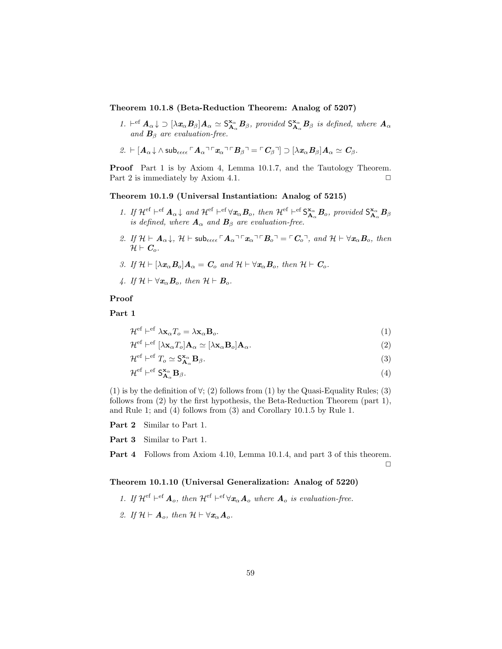### Theorem 10.1.8 (Beta-Reduction Theorem: Analog of 5207)

1.  $\vdash^{\text{ef}} A_{\alpha} \downarrow \supset [\lambda x_{\alpha} B_{\beta}] A_{\alpha} \simeq S_{A_{\alpha}}^{x_{\alpha}} B_{\beta}$ , provided  $S_{A_{\alpha}}^{x_{\alpha}} B_{\beta}$  is defined, where  $A_{\alpha}$ and  $\mathbf{B}_{\beta}$  are evaluation-free.

$$
\mathcal{Z} \vdash [A_\alpha\!\downarrow\wedge\mathsf{sub}_{{\epsilon}{\epsilon}{\epsilon}{\epsilon}}\ulcorner A_\alpha\ulcorner\ulcorner x_\alpha\urcorner\ulcorner B_\beta\urcorner = \ulcorner C_\beta\urcorner] \supset [\lambda x_\alpha B_\beta]A_\alpha \simeq C_\beta.
$$

Proof Part 1 is by Axiom 4, Lemma 10.1.7, and the Tautology Theorem. Part 2 is immediately by Axiom 4.1.  $\Box$ 

### Theorem 10.1.9 (Universal Instantiation: Analog of 5215)

- 1. If  $\mathcal{H}^{\text{ef}} \vdash^{\text{ef}} \mathbf{A}_{\alpha} \downarrow$  and  $\mathcal{H}^{\text{ef}} \vdash^{\text{ef}} \forall x_{\alpha} \mathbf{B}_{o}$ , then  $\mathcal{H}^{\text{ef}} \vdash^{\text{ef}} S_{\mathbf{A}_{\alpha}}^{\mathbf{x}_{\alpha}} \mathbf{B}_{o}$ , provided  $S_{\mathbf{A}_{\alpha}}^{\mathbf{x}_{\alpha}} \mathbf{B}_{\beta}$ is defined, where  $\bm{A}_{\alpha}$  and  $\bm{B}_{\beta}$  are evaluation-free.
- 2. If  $\mathcal{H} \vdash A_{\alpha} \downarrow$ ,  $\mathcal{H} \vdash \mathsf{sub}_{\epsilon \epsilon \epsilon} \ulcorner A_{\alpha} \urcorner \ulcorner x_{\alpha} \urcorner \ulcorner B_{o} \urcorner = \ulcorner C_{o} \urcorner$ , and  $\mathcal{H} \vdash \forall x_{\alpha} B_{o}$ , then  $\mathcal{H} \vdash C_o.$
- 3. If  $\mathcal{H} \vdash [\lambda x_{\alpha} B_{o}] A_{\alpha} = C_{o}$  and  $\mathcal{H} \vdash \forall x_{\alpha} B_{o}$ , then  $\mathcal{H} \vdash C_{o}$ .
- 4. If  $\mathcal{H} \vdash \forall x_{\alpha} B_{\alpha}$ , then  $\mathcal{H} \vdash B_{\alpha}$ .

### Proof

Part 1

$$
\mathcal{H}^{\text{ef}} \vdash^{\text{ef}} \lambda \mathbf{x}_{\alpha} T_o = \lambda \mathbf{x}_{\alpha} \mathbf{B}_o. \tag{1}
$$

$$
\mathcal{H}^{\text{ef}} \vdash^{\text{ef}} [\lambda \mathbf{x}_{\alpha} T_o] \mathbf{A}_{\alpha} \simeq [\lambda \mathbf{x}_{\alpha} \mathbf{B}_o] \mathbf{A}_{\alpha}.
$$
\n(2)

$$
\mathcal{H}^{\text{ef}} \vdash^{\text{ef}} T_o \simeq \mathsf{S}_{\mathbf{A}_{\alpha}}^{\mathbf{x}_{\alpha}} \mathbf{B}_{\beta}.
$$
\n
$$
(3)
$$

$$
\mathcal{H}^{\text{ef}} \vdash^{\text{ef}} S_{\mathbf{A}_{\alpha}}^{\mathbf{x}_{\alpha}} \mathbf{B}_{\beta}.
$$
\n
$$
\tag{4}
$$

(1) is by the definition of  $\forall$ ; (2) follows from (1) by the Quasi-Equality Rules; (3) follows from (2) by the first hypothesis, the Beta-Reduction Theorem (part 1), and Rule 1; and (4) follows from (3) and Corollary 10.1.5 by Rule 1.

Part 2 Similar to Part 1.

Part 3 Similar to Part 1.

Part 4 Follows from Axiom 4.10, Lemma 10.1.4, and part 3 of this theorem.

 $\Box$ 

## Theorem 10.1.10 (Universal Generalization: Analog of 5220)

- 1. If  $\mathcal{H}^{\text{ef}} \vdash^{\text{ef}} A_o$ , then  $\mathcal{H}^{\text{ef}} \vdash^{\text{ef}} \forall x_\alpha A_o$  where  $A_o$  is evaluation-free.
- 2. If  $\mathcal{H} \vdash A_o$ , then  $\mathcal{H} \vdash \forall x_o A_o$ .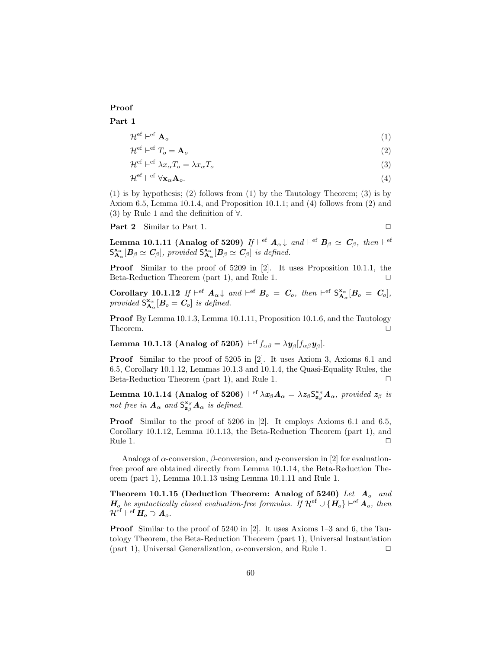Proof

Part 1

$$
\mathcal{H}^{\text{ef}} \vdash^{\text{ef}} \mathbf{A}_o \tag{1}
$$

$$
\mathcal{H}^{\text{ef}} \vdash^{\text{ef}} T_o = \mathbf{A}_o \tag{2}
$$

$$
\mathcal{H}^{\text{ef}} \vdash^{\text{ef}} \lambda x_{\alpha} T_o = \lambda x_{\alpha} T_o \tag{3}
$$

$$
\mathcal{H}^{\text{ef}} \vdash^{\text{ef}} \forall \mathbf{x}_{\alpha} \mathbf{A}_{o}. \tag{4}
$$

(1) is by hypothesis; (2) follows from (1) by the Tautology Theorem; (3) is by Axiom 6.5, Lemma 10.1.4, and Proposition 10.1.1; and (4) follows from (2) and (3) by Rule 1 and the definition of ∀.

Part 2 Similar to Part 1.

$$
\qquad \qquad \Box
$$

Lemma 10.1.11 (Analog of 5209) If  $\vdash^{\rm ef} A_{\alpha}\downarrow$  and  $\vdash^{\rm ef} B_{\beta}\,\simeq\, C_{\beta},\,$  then  $\vdash^{\rm ef}$  $\mathsf{S}_{\mathbf{A}_\alpha}^{\mathbf{x}_\alpha}[\mathbf{B}_\beta \simeq \mathbf{C}_\beta],$  provided  $\mathsf{S}_{\mathbf{A}_\alpha}^{\mathbf{x}_\alpha}[\mathbf{B}_\beta \simeq \mathbf{C}_\beta]$  is defined.

Proof Similar to the proof of 5209 in [2]. It uses Proposition 10.1.1, the Beta-Reduction Theorem (part 1), and Rule 1.

Corollary 10.1.12 If  $\vdash^{\text{ef}} A_{\alpha} \downarrow$  and  $\vdash^{\text{ef}} B_{o} = C_{o}$ , then  $\vdash^{\text{ef}} S_{A_{\alpha}}^{\mathbf{x}_{\alpha}} [B_{o} = C_{o}],$ provided  $S_{\mathbf{A}_{\alpha}}^{\mathbf{x}_{\alpha}}[\mathbf{B}_{o}=\mathbf{C}_{o}]$  is defined.

Proof By Lemma 10.1.3, Lemma 10.1.11, Proposition 10.1.6, and the Tautology Theorem.  $\Box$ 

Lemma 10.1.13 (Analog of 5205)  $\vdash^{\text{ef}} f_{\alpha\beta} = \lambda \textbf{\textit{y}}_\beta [f_{\alpha\beta} \textbf{\textit{y}}_\beta].$ 

Proof Similar to the proof of 5205 in [2]. It uses Axiom 3, Axioms 6.1 and 6.5, Corollary 10.1.12, Lemmas 10.1.3 and 10.1.4, the Quasi-Equality Rules, the Beta-Reduction Theorem (part 1), and Rule 1.  $\Box$ 

Lemma 10.1.14 (Analog of 5206)  $\vdash^{\text{ef}} \lambda x_{\beta} A_{\alpha} = \lambda z_{\beta} S_{\mathbf{z}_{\beta}}^{\mathbf{x}_{\beta}} A_{\alpha}$ , provided  $z_{\beta}$  is not free in  $\mathbf{A}_{\alpha}$  and  $\mathsf{S}_{\mathbf{z}_{\beta}}^{x_{\beta}}\mathbf{A}_{\alpha}$  is defined.

Proof Similar to the proof of 5206 in [2]. It employs Axioms 6.1 and 6.5, Corollary 10.1.12, Lemma 10.1.13, the Beta-Reduction Theorem (part 1), and Rule 1.  $\Box$ 

Analogs of  $\alpha$ -conversion,  $\beta$ -conversion, and  $\eta$ -conversion in [2] for evaluationfree proof are obtained directly from Lemma 10.1.14, the Beta-Reduction Theorem (part 1), Lemma 10.1.13 using Lemma 10.1.11 and Rule 1.

Theorem 10.1.15 (Deduction Theorem: Analog of 5240) Let  $A_o$  and  $H_o$  be syntactically closed evaluation-free formulas. If  $\mathcal{H}^{\text{ef}} \cup {\{\mathbf{H}_o\}} \vdash^{\text{ef}} \mathbf{A}_o$ , then  ${\mathcal H}^{\rm ef} \vdash^{\rm ef} \bm H_o \supset \bm A_o.$ 

Proof Similar to the proof of 5240 in [2]. It uses Axioms 1–3 and 6, the Tautology Theorem, the Beta-Reduction Theorem (part 1), Universal Instantiation (part 1), Universal Generalization,  $\alpha$ -conversion, and Rule 1.  $\Box$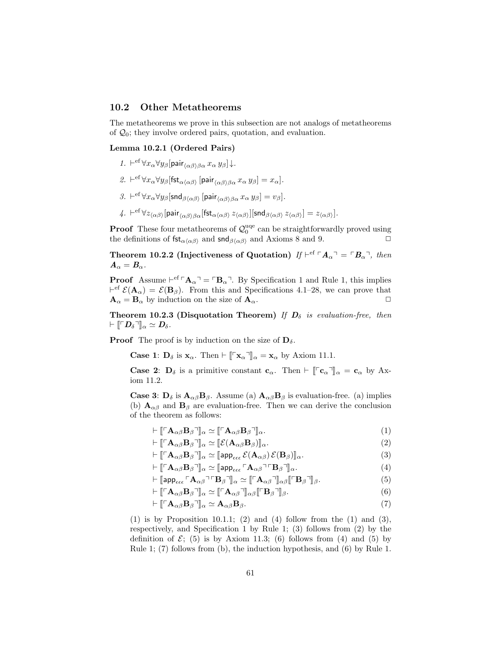### 10.2 Other Metatheorems

The metatheorems we prove in this subsection are not analogs of metatheorems of  $\mathcal{Q}_0$ ; they involve ordered pairs, quotation, and evaluation.

## Lemma 10.2.1 (Ordered Pairs)

- 1.  $\vdash^{\text{ef}} \forall x_\alpha \forall y_\beta$ [pair $\langle \alpha \beta \rangle \beta \alpha x_\alpha y_\beta$ ] $\downarrow$ .
- 2.  $\vdash^{\text{ef}} \forall x_\alpha \forall y_\beta [\text{fst}_{\alpha \langle \alpha \beta \rangle} [\text{pair}_{\langle \alpha \beta \rangle \beta \alpha} x_\alpha y_\beta] = x_\alpha].$
- $\beta$ .  $\vdash^{\text{ef}} \forall x_\alpha \forall y_\beta$ [snd $_{\beta(\alpha\beta)}$  [pair $_{(\alpha\beta)\beta\alpha} x_\alpha y_\beta$ ] =  $v_\beta$ ].
- $4. \ \mathsf{P}^{\text{ef}} \forall z_{\langle \alpha \beta \rangle} [\textsf{pair}_{\langle \alpha \beta \rangle \beta \alpha} [\textsf{fst}_{\alpha \langle \alpha \beta \rangle} z_{\langle \alpha \beta \rangle}] [\textsf{snd}_{\beta \langle \alpha \beta \rangle} z_{\langle \alpha \beta \rangle}] = z_{\langle \alpha \beta \rangle}].$

**Proof** These four metatheorems of  $\mathcal{Q}_0^{\text{uqe}}$  can be straightforwardly proved using the definitions of  $fst_{\alpha(\alpha\beta)}$  and  $snd_{\beta(\alpha\beta)}$  and Axioms 8 and 9.  $\Box$ 

Theorem 10.2.2 (Injectiveness of Quotation) If  $\vdash^{\text{ef}} \ulcorner A_\alpha \urcorner = \ulcorner B_\alpha \urcorner$ , then  $\boldsymbol{A}_\alpha = \boldsymbol{B}_\alpha$  .

**Proof** Assume  $\vdash^{\text{ef}} \ulcorner \mathbf{A}_{\alpha} \urcorner = \ulcorner \mathbf{B}_{\alpha} \urcorner$ . By Specification 1 and Rule 1, this implies  $e^{\int e^{\epsilon t}} \mathcal{E}(\mathbf{A}_{\alpha}) = \mathcal{E}(\mathbf{B}_{\beta}).$  From this and Specifications 4.1–28, we can prove that  $\mathbf{A}_{\alpha} = \mathbf{B}_{\alpha}$  by induction on the size of  $\mathbf{A}_{\alpha}$ .

**Theorem 10.2.3 (Disquotation Theorem)** If  $D_{\delta}$  is evaluation-free, then  $\vdash \llbracket \ulcorner D_\delta \urcorner \rrbracket_\alpha \simeq D_\delta.$ 

**Proof** The proof is by induction on the size of  $\mathbf{D}_{\delta}$ .

**Case 1:**  $\mathbf{D}_{\delta}$  is  $\mathbf{x}_{\alpha}$ . Then  $\vdash \llbracket \ulcorner \mathbf{x}_{\alpha} \urcorner \rrbracket_{\alpha} = \mathbf{x}_{\alpha}$  by Axiom 11.1.

**Case 2:**  $\mathbf{D}_{\delta}$  is a primitive constant  $\mathbf{c}_{\alpha}$ . Then  $\vdash \llbracket \ulcorner \mathbf{c}_{\alpha} \urcorner \rrbracket_{\alpha} = \mathbf{c}_{\alpha}$  by Axiom 11.2.

**Case 3:**  $D_{\delta}$  is  $A_{\alpha\beta}B_{\beta}$ . Assume (a)  $A_{\alpha\beta}B_{\beta}$  is evaluation-free. (a) implies (b)  $\mathbf{A}_{\alpha\beta}$  and  $\mathbf{B}_{\beta}$  are evaluation-free. Then we can derive the conclusion of the theorem as follows:

 $\begin{align} \n\vdash \llbracket \ulcorner \mathbf{A}_{\alpha\beta} \mathbf{B}_{\beta} \urcorner \rrbracket_{\alpha} &\cong \llbracket \ulcorner \mathbf{A}_{\alpha\beta} \mathbf{B}_{\beta} \urcorner \rrbracket_{\alpha}. \n\end{align}$   $\vdash \llbracket \ulcorner \mathbf{A}_{\alpha\beta} \mathbf{B}_{\beta} \urcorner \rrbracket_{\alpha} &\cong \llbracket \mathcal{E}(\mathbf{A}_{\alpha\beta} \mathbf{B}_{\beta}) \rrbracket_{\alpha}.$ (2)

$$
\vdash \llbracket \ulcorner \mathbf{A}_{\alpha\beta} \mathbf{B}_{\beta} \urcorner \rrbracket_{\alpha} \simeq \llbracket \mathcal{E}(\mathbf{A}_{\alpha\beta} \mathbf{B}_{\beta}) \rrbracket_{\alpha}.
$$
\n(2)

$$
\vdash \llbracket \ulcorner \mathbf{A}_{\alpha\beta} \mathbf{B}_{\beta} \urcorner \rrbracket_{\alpha} \simeq \llbracket \mathsf{app}_{\epsilon\epsilon\epsilon} \, \mathcal{E}(\mathbf{A}_{\alpha\beta}) \, \mathcal{E}(\mathbf{B}_{\beta}) \rrbracket_{\alpha}.
$$

$$
\vdash \llbracket \ulcorner \mathbf{A}_{\alpha\beta} \mathbf{B}_{\beta} \urcorner \rrbracket_{\alpha} \simeq \llbracket \mathsf{app}_{\epsilon\epsilon\epsilon} \ulcorner \mathbf{A}_{\alpha\beta} \urcorner \ulcorner \mathbf{B}_{\beta} \urcorner \rrbracket_{\alpha}.
$$
 (4)

$$
\vdash \mathbb{L} \mathbf{A}_{\alpha\beta} \mathbf{B}_{\beta} \mathbb{I}_{\alpha} \simeq \mathbb{I}_{\mathbf{a}} \mathbf{P}_{\epsilon\epsilon\epsilon} \mathbf{A}_{\alpha\beta} \mathbb{I}_{\alpha} \mathbf{B}_{\beta} \mathbb{I}_{\alpha}. \tag{4}
$$
\n
$$
\vdash \mathbb{I}_{\mathbf{a}} \mathbf{P}_{\epsilon\epsilon\epsilon} \mathbb{I}_{\mathbf{A}_{\alpha\beta}} \mathbb{I}_{\mathbf{B}_{\beta}} \mathbb{I}_{\alpha} \simeq \mathbb{I}_{\mathbf{a}_{\alpha\beta}} \mathbb{I}_{\alpha\beta} \mathbb{I}_{\alpha\beta} \mathbb{I}_{\beta} \mathbb{I}_{\beta}. \tag{5}
$$

$$
\vdash \llbracket \ulcorner \mathbf{A}_{\alpha\beta} \mathbf{B}_{\beta} \urcorner \rrbracket_{\alpha} \simeq \llbracket \ulcorner \mathbf{A}_{\alpha\beta} \urcorner \rrbracket_{\alpha\beta} \llbracket \ulcorner \mathbf{B}_{\beta} \urcorner \rrbracket_{\beta}.
$$
\n(6)

$$
\vdash \llbracket \ulcorner \mathbf{A}_{\alpha\beta} \mathbf{B}_{\beta} \urcorner \rrbracket_{\alpha} \simeq \mathbf{A}_{\alpha\beta} \mathbf{B}_{\beta}.
$$
 (7)

(1) is by Proposition 10.1.1; (2) and (4) follow from the  $(1)$  and  $(3)$ , respectively, and Specification 1 by Rule 1; (3) follows from (2) by the definition of  $\mathcal{E}$ ; (5) is by Axiom 11.3; (6) follows from (4) and (5) by Rule 1; (7) follows from (b), the induction hypothesis, and (6) by Rule 1.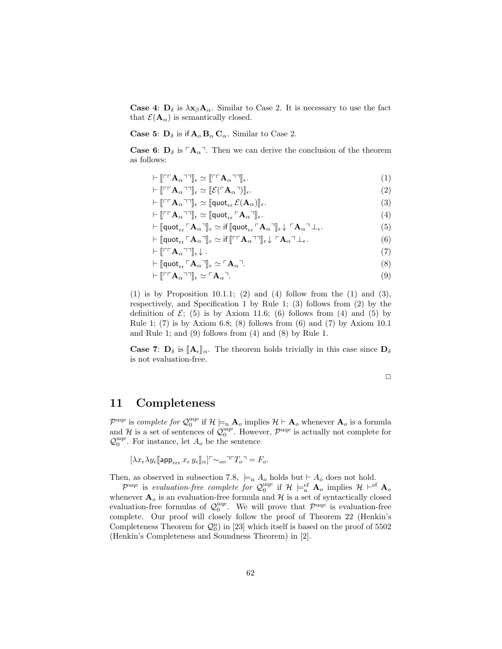**Case 4:**  $\mathbf{D}_{\delta}$  is  $\lambda \mathbf{x}_{\beta} \mathbf{A}_{\alpha}$ . Similar to Case 2. It is necessary to use the fact that  $\mathcal{E}(\mathbf{A}_{\alpha})$  is semantically closed.

**Case 5:**  $D_{\delta}$  is if  $A_{\alpha}B_{\alpha}C_{\alpha}$ . Similar to Case 2.

**Case 6:**  $D_{\delta}$  is  $\lceil A_{\alpha} \rceil$ . Then we can derive the conclusion of the theorem as follows:

 $\vdash \llbracket \ulcorner \ulcorner \mathbf{A}_{\alpha} \urcorner \urcorner \rrbracket_{\epsilon} \simeq \llbracket \ulcorner \ulcorner \mathbf{A}_{\alpha} \urcorner \urcorner \rrbracket_{\epsilon}.$  (1)

$$
\vdash \llbracket \ulcorner \ulcorner \mathbf{A}_{\alpha} \urcorner \urcorner \rrbracket_{\epsilon} \simeq \llbracket \mathcal{E}(\ulcorner \mathbf{A}_{\alpha} \urcorner) \rrbracket_{\epsilon}.
$$
\n
$$
(2)
$$

$$
\vdash \llbracket \ulcorner \ulcorner \mathbf{A}_{\alpha} \urcorner \urcorner \rrbracket_{\epsilon} \simeq \llbracket \text{quot}_{\epsilon\epsilon} \, \mathcal{E}(\mathbf{A}_{\alpha}) \rrbracket_{\epsilon}.
$$
\n(3)

$$
\vdash \llbracket \ulcorner \ulcorner \mathbf{A}_{\alpha} \urcorner \urcorner \rrbracket_{\epsilon} \simeq \llbracket \mathsf{quot}_{\epsilon\epsilon} \ulcorner \mathbf{A}_{\alpha} \urcorner \rrbracket_{\epsilon}.
$$
\n(4)

- $\vdash$   $[\text{quot}_{\epsilon \epsilon} \ulcorner \mathbf{A}_{\alpha}\urcorner]_{\epsilon} \simeq$  if  $[\text{quot}_{\epsilon \epsilon} \ulcorner \mathbf{A}_{\alpha}\urcorner]_{\epsilon} \downarrow \ulcorner \mathbf{A}_{\alpha}\urcorner \bot_{\epsilon}.$  (5)
- 
- $\vdash [\text{quot}_{\epsilon\epsilon} \ulcorner \mathbf{A}_{\alpha}\urcorner]_{\epsilon} \simeq \text{if } [\ulcorner \ulcorner \mathbf{A}_{\alpha}\urcorner \urcorner]_{\epsilon} \downarrow \ulcorner \mathbf{A}_{\alpha}\urcorner \perp_{\epsilon}.$ <br>  $\vdash [\ulcorner \ulcorner \mathbf{A}_{\alpha}\urcorner \urcorner]_{\epsilon} \downarrow.$ (7)  $\vdash \llbracket \ulcorner \ulcorner \mathbf{A}_\alpha \urcorner \urcorner \rrbracket_\epsilon \downarrow .$

$$
\vdash [\text{quot}_{\epsilon\epsilon} \ulcorner \mathbf{A}_{\alpha}\urcorner]_{\epsilon} \simeq \ulcorner \mathbf{A}_{\alpha}\urcorner. \tag{8}
$$

$$
\vdash \llbracket \ulcorner \ulcorner \mathbf{A}_{\alpha} \urcorner \urcorner \rrbracket_{\epsilon} \simeq \ulcorner \mathbf{A}_{\alpha} \urcorner. \tag{9}
$$

 $(1)$  is by Proposition 10.1.1;  $(2)$  and  $(4)$  follow from the  $(1)$  and  $(3)$ , respectively, and Specification 1 by Rule 1; (3) follows from (2) by the definition of  $\mathcal{E}$ ; (5) is by Axiom 11.6; (6) follows from (4) and (5) by Rule 1; (7) is by Axiom 6.8; (8) follows from  $(6)$  and  $(7)$  by Axiom 10.1 and Rule 1; and (9) follows from (4) and (8) by Rule 1.

**Case 7:**  $D_{\delta}$  is  $[\mathbf{A}_{\epsilon}]_{\alpha}$ . The theorem holds trivially in this case since  $D_{\delta}$ is not evaluation-free.

 $\Box$ 

## 11 Completeness

 $\mathcal{P}^{\text{uqe}}$  is complete for  $\mathcal{Q}_0^{\text{uqe}}$  if  $\mathcal{H} \models_n \mathbf{A}_o$  implies  $\mathcal{H} \vdash \mathbf{A}_o$  whenever  $\mathbf{A}_o$  is a formula and H is a set of sentences of  $\mathcal{Q}_0^{\text{uqe}}$ . However,  $\mathcal{P}^{\text{uqe}}$  is actually not complete for  $\mathcal{Q}_0^{\text{uqe}}$ . For instance, let  $A_o$  be the sentence

 $[\lambda x_{\epsilon}\lambda y_{\epsilon}\]$ app $\epsilon_{\epsilon\epsilon} x_{\epsilon} y_{\epsilon}\]_{\alpha}$ ] $\Gamma \sim_{oo} \Gamma T_o \Gamma = F_o$ .

Then, as observed in subsection 7.8,  $\models$ <sub>n</sub>  $A_o$  holds but  $\vdash A_o$  does not hold.

 $\mathcal{P}^{\text{uqe}}$  is evaluation-free complete for  $\mathcal{Q}_0^{\text{uqe}}$  if  $\mathcal{H} \models_n^{\text{ef}} \mathbf{A}_o$  implies  $\mathcal{H} \models^{\text{ef}} \mathbf{A}_o$ whenever  $\mathbf{A}_o$  is an evaluation-free formula and  $\mathcal H$  is a set of syntactically closed evaluation-free formulas of  $\mathcal{Q}_0^{\text{uqe}}$ . We will prove that  $\mathcal{P}^{\text{uqe}}$  is evaluation-free complete. Our proof will closely follow the proof of Theorem 22 (Henkin's Completeness Theorem for  $\mathcal{Q}_0^{\mathrm{u}}$  in [23] which itself is based on the proof of 5502 (Henkin's Completeness and Soundness Theorem) in [2].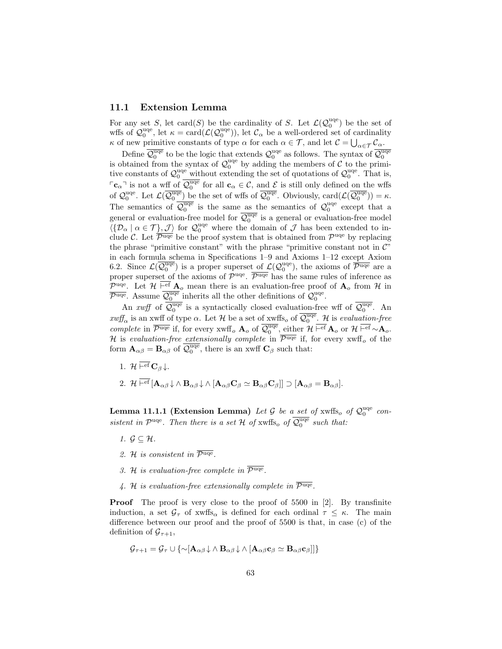### 11.1 Extension Lemma

For any set S, let  $card(S)$  be the cardinality of S. Let  $\mathcal{L}(\mathcal{Q}_0^{\text{uqe}})$  be the set of wffs of  $\mathcal{Q}_0^{\text{uqe}}$ , let  $\kappa = \text{card}(\mathcal{L}(\mathcal{Q}_0^{\text{uqe}}))$ , let  $\mathcal{C}_\alpha$  be a well-ordered set of cardinality  $\kappa$  of new primitive constants of type  $\alpha$  for each  $\alpha \in \mathcal{T}$ , and let  $\mathcal{C} = \bigcup_{\alpha \in \mathcal{T}} \mathcal{C}_{\alpha}$ .

Define  $\overline{Q_0^{\text{uqe}}}$  to be the logic that extends  $\mathcal{Q}_0^{\text{uqe}}$  as follows. The syntax of  $\overline{\mathcal{Q}_0^{\text{uqe}}}$  is obtained from the syntax of  $\mathcal{Q}_0^{\text{uqe}}$  by adding the members of  $\mathcal{C}$  to the primitive constants of  $\mathcal{Q}_0^{\text{uqe}}$  without extending the set of quotations of  $\mathcal{Q}_0^{\text{uqe}}$ . That is,  $\lceil \mathbf{c}_{\alpha} \rceil$  is not a wff of  $\overline{\mathcal{Q}_0^{\text{uqe}}}$  for all  $\mathbf{c}_{\alpha} \in \mathcal{C}$ , and  $\mathcal{E}$  is still only defined on the wffs of  $\mathcal{Q}_0^{\text{uqe}}$ . Let  $\mathcal{L}(\overline{\mathcal{Q}_0^{\text{uqe}}})$  be the set of wffs of  $\overline{\mathcal{Q}_0^{\text{uqe}}}$ . Obviously, card $(\mathcal{L}(\overline{\mathcal{Q}_0^{\text{uqe}}})) = \kappa$ . The semantics of  $\overline{\mathcal{Q}_0^{\text{uqe}}}$  is the same as the semantics of  $\mathcal{Q}_0^{\text{uqe}}$  except that a general or evaluation-free model for  $\overline{\mathcal{Q}_0^{\mathrm{uqe}}}$  is a general or evaluation-free model  $\langle \{D_\alpha \mid \alpha \in \mathcal{T}\},\mathcal{J}\rangle$  for  $\mathcal{Q}_0^{\text{uqe}}$  where the domain of  $\mathcal{J}$  has been extended to include C. Let  $\overline{\mathcal{P}^{uqe}}$  be the proof system that is obtained from  $\mathcal{P}^{uqe}$  by replacing the phrase "primitive constant" with the phrase "primitive constant not in  $\mathcal{C}$ " in each formula schema in Specifications 1–9 and Axioms 1–12 except Axiom 6.2. Since  $\mathcal{L}(\overline{\mathcal{Q}_0^{\text{uqe}}})$  is a proper superset of  $\mathcal{L}(\mathcal{Q}_0^{\text{uqe}})$ , the axioms of  $\overline{\mathcal{P}^{\text{uqe}}}$  are a proper superset of the axioms of  $\mathcal{P}^{\text{uqe}}$ .  $\overline{\mathcal{P}^{\text{uqe}}}$  has the same rules of inference as  $\mathcal{P}^{\text{uqe}}$ . Let  $\mathcal{H} \models^{\text{ef}} A_o$  mean there is an evaluation-free proof of  $A_o$  from H in  $\overline{\mathcal{P}^{\text{uqe}}}$ . Assume  $\overline{\mathcal{Q}_0^{\text{uqe}}}$  inherits all the other definitions of  $\mathcal{Q}_0^{\text{uqe}}$ .

An *xwff* of  $\overline{Q_0^{\text{uqe}}}$  is a syntactically closed evaluation-free wff of  $\overline{Q_0^{\text{uqe}}}$ . An  $xwff_\alpha$  is an xwff of type  $\alpha$ . Let H be a set of xwffs<sub>o</sub> of  $\overline{\mathcal{Q}_0^{\text{uqe}}}$ . H is evaluation-free complete in  $\overline{\mathcal{P}^{\text{uqe}}}$  if, for every xwff<sub>o</sub>  $\mathbf{A}_o$  of  $\overline{\mathcal{Q}_0^{\text{uqe}}}$ , either  $\mathcal{H} \overline{\mathsf{I}^{\text{ef}}}\mathbf{A}_o$  or  $\mathcal{H} \overline{\mathsf{I}^{\text{ef}}} \sim \mathbf{A}_o$ . H is evaluation-free extensionally complete in  $\overline{\mathcal{P}^{\text{uqe}}}$  if, for every xwff<sub>o</sub> of the form  $\mathbf{A}_{\alpha\beta} = \mathbf{B}_{\alpha\beta}$  of  $\overline{\mathcal{Q}_0^{\text{uqe}}}$ , there is an xwff  $\mathbf{C}_{\beta}$  such that:

- 1.  $\mathcal{H} \overline{\vdash^{\textup{ef}}} \mathbf{C}_{\beta} \downarrow$ .
- 2.  $\mathcal{H} \overline{\text{[Fe]}} [\mathbf{A}_{\alpha\beta} \downarrow \wedge \mathbf{B}_{\alpha\beta} \downarrow \wedge [\mathbf{A}_{\alpha\beta} \mathbf{C}_{\beta} \simeq \mathbf{B}_{\alpha\beta} \mathbf{C}_{\beta}] ] \supset [\mathbf{A}_{\alpha\beta} = \mathbf{B}_{\alpha\beta}].$

Lemma 11.1.1 (Extension Lemma) Let G be a set of xwffs, of  $\mathcal{Q}_0^{\text{uqe}}$  consistent in  $\mathcal{P}^{\text{uqe}}$ . Then there is a set H of xwffs<sub>o</sub> of  $\overline{\mathcal{Q}_0^{\text{uqe}}}$  such that:

- 1.  $\mathcal{G} \subset \mathcal{H}$ .
- 2. H is consistent in  $\overline{\mathcal{P}^{\text{uqe}}}.$
- 3. H is evaluation-free complete in  $\overline{\mathcal{P}^{\text{uqe}}}.$
- 4. H is evaluation-free extensionally complete in  $\overline{\mathcal{P}^{\text{uqe}}}.$

**Proof** The proof is very close to the proof of 5500 in [2]. By transfinite induction, a set  $\mathcal{G}_{\tau}$  of xwffs<sub>α</sub> is defined for each ordinal  $\tau \leq \kappa$ . The main difference between our proof and the proof of 5500 is that, in case (c) of the definition of  $\mathcal{G}_{\tau+1}$ ,

$$
{\cal G}_{\tau+1}={\cal G}_\tau\cup\{\sim[\mathbf{A}_{\alpha\beta}\!\downarrow\wedge\mathbf{B}_{\alpha\beta}\!\downarrow\wedge[\mathbf{A}_{\alpha\beta}\mathbf{c}_\beta\simeq\mathbf{B}_{\alpha\beta}\mathbf{c}_\beta]]\}
$$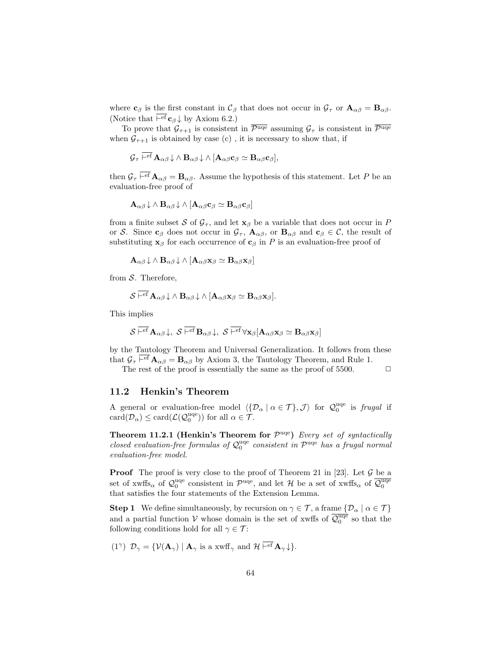where  $\mathbf{c}_{\beta}$  is the first constant in  $\mathcal{C}_{\beta}$  that does not occur in  $\mathcal{G}_{\tau}$  or  $\mathbf{A}_{\alpha\beta} = \mathbf{B}_{\alpha\beta}$ . (Notice that  $\overline{\vdash^{\text{ef}}}$  **c**<sub> $\beta$ </sub>  $\downarrow$  by Axiom 6.2.)

To prove that  $G_{\tau+1}$  is consistent in  $\overline{\mathcal{P}^{\text{uqe}}}$  assuming  $\mathcal{G}_{\tau}$  is consistent in  $\overline{\mathcal{P}^{\text{uqe}}}$ when  $G_{\tau+1}$  is obtained by case (c), it is necessary to show that, if

$$
\mathcal{G}_{\tau} \overset{\cdot}{\models^{\mathrm{ef}}} \mathbf{A}_{\alpha\beta} \downarrow \wedge \mathbf{B}_{\alpha\beta} \downarrow \wedge [\mathbf{A}_{\alpha\beta} \mathbf{c}_{\beta} \simeq \mathbf{B}_{\alpha\beta} \mathbf{c}_{\beta}],
$$

then  $\mathcal{G}_{\tau}$   $\overline{\vdash^{\text{ef}}}$   $\mathbf{A}_{\alpha\beta} = \mathbf{B}_{\alpha\beta}$ . Assume the hypothesis of this statement. Let P be an evaluation-free proof of

$$
\mathbf{A}_{\alpha\beta}\!\downarrow\,\wedge\,\mathbf{B}_{\alpha\beta}\!\downarrow\,\wedge\,[\mathbf{A}_{\alpha\beta}\mathbf{c}_{\beta}\simeq\mathbf{B}_{\alpha\beta}\mathbf{c}_{\beta}]
$$

from a finite subset S of  $\mathcal{G}_{\tau}$ , and let  $\mathbf{x}_{\beta}$  be a variable that does not occur in P or S. Since  $c_{\beta}$  does not occur in  $\mathcal{G}_{\tau}$ ,  $\mathbf{A}_{\alpha\beta}$ , or  $\mathbf{B}_{\alpha\beta}$  and  $c_{\beta} \in \mathcal{C}$ , the result of substituting  $\mathbf{x}_{\beta}$  for each occurrence of  $\mathbf{c}_{\beta}$  in P is an evaluation-free proof of

$$
\mathbf{A}_{\alpha\beta}\downarrow\wedge\mathbf{B}_{\alpha\beta}\downarrow\wedge\left[\mathbf{A}_{\alpha\beta}\mathbf{x}_{\beta}\simeq\mathbf{B}_{\alpha\beta}\mathbf{x}_{\beta}\right]
$$

from  $S$ . Therefore,

$$
\mathcal{S} \vdash^{\text{ef}} \mathbf{A}_{\alpha\beta} \downarrow \wedge \mathbf{B}_{\alpha\beta} \downarrow \wedge [\mathbf{A}_{\alpha\beta} \mathbf{x}_\beta \simeq \mathbf{B}_{\alpha\beta} \mathbf{x}_\beta].
$$

This implies

$$
\mathcal{S} \ \overline{\vdash^{\text{ef}} \mathbf{A}_{\alpha\beta} \downarrow}, \ \mathcal{S} \ \overline{\vdash^{\text{ef}} \mathbf{B}_{\alpha\beta} \downarrow}, \ \mathcal{S} \ \overline{\vdash^{\text{ef}} \forall \mathbf{x}_{\beta} [\mathbf{A}_{\alpha\beta} \mathbf{x}_{\beta} \simeq \mathbf{B}_{\alpha\beta} \mathbf{x}_{\beta}]}
$$

by the Tautology Theorem and Universal Generalization. It follows from these that  $\mathcal{G}_{\tau}$   $\vdash^{\text{ef}} \mathbf{A}_{\alpha\beta} = \mathbf{B}_{\alpha\beta}$  by Axiom 3, the Tautology Theorem, and Rule 1.

The rest of the proof is essentially the same as the proof of 5500.  $\Box$ 

### 11.2 Henkin's Theorem

A general or evaluation-free model  $\langle \{D_\alpha \mid \alpha \in \mathcal{T}\},\mathcal{J}\rangle$  for  $\mathcal{Q}_0^{\text{uqe}}$  is frugal if  $card(\mathcal{D}_{\alpha}) \leq card(\mathcal{L}(\mathcal{Q}_{0}^{\text{uqe}}))$  for all  $\alpha \in \mathcal{T}$ .

Theorem 11.2.1 (Henkin's Theorem for  $\mathcal{P}^{\text{uqe}}$ ) Every set of syntactically closed evaluation-free formulas of  $Q_0^{\text{uqe}}$  consistent in  $\mathcal{P}^{\text{uqe}}$  has a frugal normal evaluation-free model.

**Proof** The proof is very close to the proof of Theorem 21 in [23]. Let  $\mathcal G$  be a set of xwffs<sub>α</sub> of  $\mathcal{Q}_0^{\text{uqe}}$  consistent in  $\mathcal{P}^{\text{uqe}}$ , and let  $\mathcal{H}$  be a set of xwffs<sub>α</sub> of  $\overline{\mathcal{Q}_0^{\text{uqe}}}$ <br>that satisfies the four statements of the Extension Lemma.

**Step 1** We define simultaneously, by recursion on  $\gamma \in \mathcal{T}$ , a frame  $\{\mathcal{D}_{\alpha} \mid \alpha \in \mathcal{T}\}\$ and a partial function  $V$  whose domain is the set of xwffs of  $\overline{\mathcal{Q}_0^{\text{uqe}}}$  so that the following conditions hold for all  $\gamma \in \mathcal{T}$ :

(1<sup> $\gamma$ </sup>)  $\mathcal{D}_{\gamma} = {\mathcal{V}}(\mathbf{A}_{\gamma}) \mid \mathbf{A}_{\gamma}$  is a xwff<sub> $\gamma$ </sub> and  $\mathcal{H} \stackrel{\text{def}}{\mid} \mathbf{A}_{\gamma} \downarrow$ .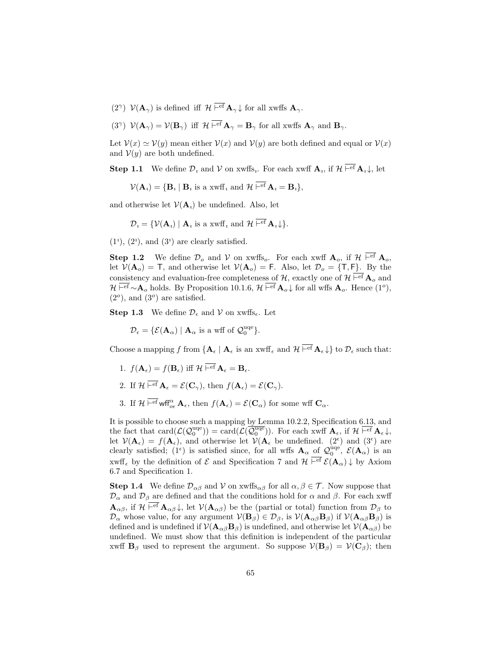- (2 $\gamma$ )  $\mathcal{V}(\mathbf{A}_{\gamma})$  is defined iff  $\mathcal{H} \stackrel{\text{def}}{=} \mathbf{A}_{\gamma} \downarrow$  for all xwffs  $\mathbf{A}_{\gamma}$ .
- (3<sup> $\gamma$ </sup>)  $\mathcal{V}(\mathbf{A}_{\gamma}) = \mathcal{V}(\mathbf{B}_{\gamma})$  iff  $\mathcal{H} \stackrel{\text{def}}{=} \mathbf{A}_{\gamma} = \mathbf{B}_{\gamma}$  for all xwffs  $\mathbf{A}_{\gamma}$  and  $\mathbf{B}_{\gamma}$ .

Let  $V(x) \simeq V(y)$  mean either  $V(x)$  and  $V(y)$  are both defined and equal or  $V(x)$ and  $V(y)$  are both undefined.

**Step 1.1** We define  $\mathcal{D}_i$  and  $\mathcal{V}$  on xwffs<sub>i</sub>. For each xwff  $\mathbf{A}_i$ , if  $\mathcal{H} \vdash^{\text{ef}} \mathbf{A}_i \downarrow$ , let

$$
\mathcal{V}(\mathbf{A}_i) = \{ \mathbf{B}_i \mid \mathbf{B}_i \text{ is a xwff, and } \mathcal{H} \mid \overline{\mathbf{F}^{\text{eff}}} \mathbf{A}_i = \mathbf{B}_i \},
$$

and otherwise let  $\mathcal{V}(\mathbf{A}_i)$  be undefined. Also, let

$$
\mathcal{D}_i = \{ \mathcal{V}(\mathbf{A}_i) \mid \mathbf{A}_i \text{ is a xwff, and } \mathcal{H} \models^{\text{ef}} \mathbf{A}_i \downarrow \}.
$$

 $(1^i)$ ,  $(2^i)$ , and  $(3^i)$  are clearly satisfied.

**Step 1.2** We define  $\mathcal{D}_o$  and  $\mathcal{V}$  on xwffs<sub>o</sub>. For each xwff  $\mathbf{A}_o$ , if  $\mathcal{H} \stackrel{\text{def}}{=} \mathbf{A}_o$ , let  $V(\mathbf{A}_{o}) = T$ , and otherwise let  $V(\mathbf{A}_{o}) = F$ . Also, let  $\mathcal{D}_{o} = \{T, F\}$ . By the consistency and evaluation-free completeness of  $\mathcal{H}$ , exactly one of  $\mathcal{H} \overline{\epsilon^{ef}} \mathbf{A}_o$  and  $\mathcal{H} \overline{\vdash^{\text{ef}}}\sim A_o$  holds. By Proposition 10.1.6,  $\mathcal{H} \overline{\vdash^{\text{ef}}} A_o \downarrow$  for all wffs  $A_o$ . Hence (1<sup>o</sup>),  $(2^o)$ , and  $(3^o)$  are satisfied.

**Step 1.3** We define  $\mathcal{D}_{\epsilon}$  and  $\mathcal{V}$  on xwffs. Let

 $\mathcal{D}_{\epsilon} = \{ \mathcal{E}(\mathbf{A}_{\alpha}) \mid \mathbf{A}_{\alpha} \text{ is a wff of } \mathcal{Q}_{0}^{\text{uqe}} \}.$ 

Choose a mapping f from  $\{A_{\epsilon} | A_{\epsilon} \text{ is an xwff}_{\epsilon} \text{ and } H \overline{\epsilon} \overline{\epsilon} \}$  to  $\mathcal{D}_{\epsilon}$  such that:

- 1.  $f(\mathbf{A}_{\epsilon}) = f(\mathbf{B}_{\epsilon})$  iff  $\mathcal{H} \overline{\epsilon} = \mathbf{B}_{\epsilon}$ .
- 2. If  $\mathcal{H} \overline{\vdash^{\text{ef}}} \mathbf{A}_{\epsilon} = \mathcal{E}(\mathbf{C}_{\gamma})$ , then  $f(\mathbf{A}_{\epsilon}) = \mathcal{E}(\mathbf{C}_{\gamma})$ .
- 3. If  $\mathcal{H} \overset{\text{def}}{\text{left}} \text{wff}_{o\epsilon}^{\alpha} \mathbf{A}_{\epsilon}$ , then  $f(\mathbf{A}_{\epsilon}) = \mathcal{E}(\mathbf{C}_{\alpha})$  for some wff  $\mathbf{C}_{\alpha}$ .

It is possible to choose such a mapping by Lemma 10.2.2, Specification 6.13, and the fact that  $\text{card}(\mathcal{L}(\mathcal{Q}_0^{\text{uqe}})) = \text{card}(\mathcal{L}(\overline{\mathcal{Q}_0^{\text{uqe}}}))$ . For each xwff  $\mathbf{A}_{\epsilon}$ , if  $\mathcal{H} \overline{\epsilon}$   $\overline{\epsilon}$   $\mathbf{A}_{\epsilon}$ , let  $\mathcal{V}(\mathbf{A}_{\epsilon}) = f(\mathbf{A}_{\epsilon})$ , and otherwise let  $\mathcal{V}(\mathbf{A}_{\epsilon}$  be undefined.  $(2^{\epsilon})$  and  $(3^{\epsilon})$  are clearly satisfied; (1<sup> $\epsilon$ </sup>) is satisfied since, for all wffs  $\mathbf{A}_{\alpha}$  of  $\mathcal{Q}_0^{\text{uqe}}$ ,  $\mathcal{E}(\mathbf{A}_{\alpha})$  is an  $xwff_{\epsilon}$  by the definition of  $\mathcal E$  and Specification 7 and  $\mathcal H \vert^{\epsilon}$   $\epsilon(\mathbf{A}_{\alpha}) \downarrow$  by Axiom 6.7 and Specification 1.

**Step 1.4** We define  $\mathcal{D}_{\alpha\beta}$  and V on xwffs<sub> $\alpha\beta$ </sub> for all  $\alpha, \beta \in \mathcal{T}$ . Now suppose that  $\mathcal{D}_{\alpha}$  and  $\mathcal{D}_{\beta}$  are defined and that the conditions hold for  $\alpha$  and  $\beta$ . For each xwff  $\mathbf{A}_{\alpha\beta}$ , if  $\mathcal{H} \stackrel{\text{def}}{=} \mathbf{A}_{\alpha\beta} \downarrow$ , let  $\mathcal{V}(\mathbf{A}_{\alpha\beta})$  be the (partial or total) function from  $\mathcal{D}_{\beta}$  to  $\mathcal{D}_{\alpha}$  whose value, for any argument  $\mathcal{V}(\mathbf{B}_{\beta}) \in \mathcal{D}_{\beta}$ , is  $\mathcal{V}(\mathbf{A}_{\alpha\beta}\mathbf{B}_{\beta})$  if  $\mathcal{V}(\mathbf{A}_{\alpha\beta}\mathbf{B}_{\beta})$  is defined and is undefined if  $\mathcal{V}(\mathbf{A}_{\alpha\beta}\mathbf{B}_{\beta})$  is undefined, and otherwise let  $\mathcal{V}(\mathbf{A}_{\alpha\beta})$  be undefined. We must show that this definition is independent of the particular xwff  $\mathbf{B}_{\beta}$  used to represent the argument. So suppose  $\mathcal{V}(\mathbf{B}_{\beta}) = \mathcal{V}(\mathbf{C}_{\beta})$ ; then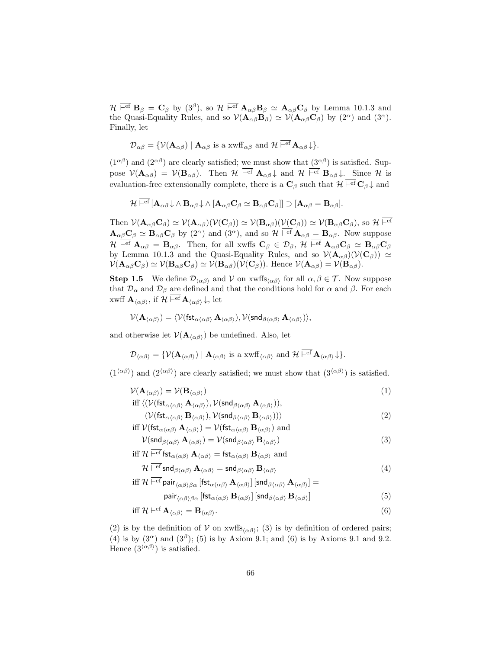$\mathcal{H} \stackrel{\text{def}}{=} \mathbf{B}_{\beta} = \mathbf{C}_{\beta}$  by  $(3^{\beta})$ , so  $\mathcal{H} \stackrel{\text{ref}}{=} \mathbf{A}_{\alpha\beta} \mathbf{B}_{\beta} \simeq \mathbf{A}_{\alpha\beta} \mathbf{C}_{\beta}$  by Lemma 10.1.3 and the Quasi-Equality Rules, and so  $\mathcal{V}(\mathbf{A}_{\alpha\beta}\mathbf{B}_{\beta}) \simeq \mathcal{V}(\mathbf{A}_{\alpha\beta}\mathbf{C}_{\beta})$  by (2<sup> $\alpha$ </sup>) and (3<sup> $\alpha$ </sup>). Finally, let

$$
\mathcal{D}_{\alpha\beta} = \{ \mathcal{V}(\mathbf{A}_{\alpha\beta}) \mid \mathbf{A}_{\alpha\beta} \text{ is a xwff}_{\alpha\beta} \text{ and } \mathcal{H} \models^{\text{ef}} \mathbf{A}_{\alpha\beta} \downarrow \}.
$$

 $(1^{\alpha\beta})$  and  $(2^{\alpha\beta})$  are clearly satisfied; we must show that  $(3^{\alpha\beta})$  is satisfied. Suppose  $\mathcal{V}(\mathbf{A}_{\alpha\beta}) = \mathcal{V}(\mathbf{B}_{\alpha\beta})$ . Then  $\mathcal{H} \models^{\text{eff}} \mathbf{A}_{\alpha\beta} \downarrow$  and  $\mathcal{H} \models^{\text{eff}} \mathbf{B}_{\alpha\beta} \downarrow$ . Since  $\mathcal{H}$  is evaluation-free extensionally complete, there is a  $\mathbf{C}_{\beta}$  such that  $\mathcal{H} \stackrel{\text{ref}}{=} \mathbf{C}_{\beta} \downarrow$  and

$$
\mathcal{H} \stackrel{\mathrm{def}}{:=}\nolimits [\mathbf{A}_{\alpha\beta} \downarrow \wedge \mathbf{B}_{\alpha\beta} \downarrow \wedge \, [\mathbf{A}_{\alpha\beta} \mathbf{C}_\beta \simeq \mathbf{B}_{\alpha\beta} \mathbf{C}_\beta]] \supset [\mathbf{A}_{\alpha\beta} = \mathbf{B}_{\alpha\beta}].
$$

Then  $\mathcal{V}(\mathbf{A}_{\alpha\beta}\mathbf{C}_{\beta}) \simeq \mathcal{V}(\mathbf{A}_{\alpha\beta})(\mathcal{V}(\mathbf{C}_{\beta})) \simeq \mathcal{V}(\mathbf{B}_{\alpha\beta})(\mathcal{V}(\mathbf{C}_{\beta})) \simeq \mathcal{V}(\mathbf{B}_{\alpha\beta}\mathbf{C}_{\beta}),$  so  $\mathcal{H} \models^{\text{eff}}$  $\mathbf{A}_{\alpha\beta}\mathbf{C}_{\beta} \simeq \mathbf{B}_{\alpha\beta}\mathbf{C}_{\beta}$  by  $(2^{\alpha})$  and  $(3^{\alpha})$ , and so  $\mathcal{H}$   $\overline{\phantom{1}^{1}}$   $\mathbf{A}_{\alpha\beta} = \mathbf{B}_{\alpha\beta}$ . Now suppose  $\mathcal{H} \vdash^{\text{eff}} \mathbf{A}_{\alpha\beta} = \mathbf{B}_{\alpha\beta}$ . Then, for all xwffs  $\mathbf{C}_{\beta} \in \mathcal{D}_{\beta}$ ,  $\mathcal{H} \vdash^{\text{eff}} \mathbf{A}_{\alpha\beta} \mathbf{C}_{\beta} \simeq \mathbf{B}_{\alpha\beta} \mathbf{C}_{\beta}$ by Lemma 10.1.3 and the Quasi-Equality Rules, and so  $\mathcal{V}(\mathbf{A}_{\alpha\beta})(\mathcal{V}(\mathbf{C}_{\beta})) \simeq$  $\mathcal{V}(\mathbf{A}_{\alpha\beta}\mathbf{C}_{\beta}) \simeq \mathcal{V}(\mathbf{B}_{\alpha\beta}\mathbf{C}_{\beta}) \simeq \mathcal{V}(\mathbf{B}_{\alpha\beta})(\mathcal{V}(\mathbf{C}_{\beta})).$  Hence  $\mathcal{V}(\mathbf{A}_{\alpha\beta}) = \mathcal{V}(\mathbf{B}_{\alpha\beta}).$ 

**Step 1.5** We define  $\mathcal{D}_{\{\alpha\beta\}}$  and V on xwffs<sub> $\{\alpha\beta\}$ </sub> for all  $\alpha, \beta \in \mathcal{T}$ . Now suppose that  $\mathcal{D}_{\alpha}$  and  $\mathcal{D}_{\beta}$  are defined and that the conditions hold for  $\alpha$  and  $\beta$ . For each xwff  $\mathbf{A}_{\langle\alpha\beta\rangle}$ , if  $\mathcal{H} \vdash^{\text{ef}} \mathbf{A}_{\langle\alpha\beta\rangle} \downarrow$ , let

$$
\mathcal{V}(\mathbf{A}_{\langle\alpha\beta\rangle})=\langle\mathcal{V}(\mathsf{fst}_{\alpha\langle\alpha\beta\rangle}\,\mathbf{A}_{\langle\alpha\beta\rangle}),\mathcal{V}(\mathsf{snd}_{\beta\langle\alpha\beta\rangle}\,\mathbf{A}_{\langle\alpha\beta\rangle})\rangle,
$$

and otherwise let  $\mathcal{V}(\mathbf{A}_{\langle \alpha \beta \rangle})$  be undefined. Also, let

$$
\mathcal{D}_{\langle\alpha\beta\rangle} = \{ \mathcal{V}(\mathbf{A}_{\langle\alpha\beta\rangle}) \mid \mathbf{A}_{\langle\alpha\beta\rangle} \text{ is a xwff}_{\langle\alpha\beta\rangle} \text{ and } \mathcal{H}^{\overline{\text{ref}}} \mathbf{A}_{\langle\alpha\beta\rangle} \downarrow \}.
$$

 $(1^{\langle \alpha\beta \rangle})$  and  $(2^{\langle \alpha\beta \rangle})$  are clearly satisfied; we must show that  $(3^{\langle \alpha\beta \rangle})$  is satisfied.

$$
\mathcal{V}(\mathbf{A}_{\langle\alpha\beta\rangle}) = \mathcal{V}(\mathbf{B}_{\langle\alpha\beta\rangle})
$$
\n
$$
\inf_{\langle\alpha\beta\rangle} \langle\langle\mathcal{V}(\mathbf{fst}_{\alpha\langle\alpha\rangle}, \mathbf{A}_{\langle\alpha\beta\rangle}) \rangle \langle\langle\mathbf{fnd}_{\beta\langle\alpha\beta\rangle}, \mathbf{A}_{\langle\alpha\beta\rangle})\rangle
$$
\n(1)

If 
$$
\langle (V(\text{tst}_{\alpha\langle\alpha\beta\rangle} \mathbf{A}_{\langle\alpha\beta\rangle}), V(\text{snd}_{\beta\langle\alpha\beta\rangle} \mathbf{A}_{\langle\alpha\beta\rangle})) \rangle
$$
,

$$
(\mathcal{V}(\mathsf{fst}_{\alpha\langle\alpha\beta\rangle}\mathbf{B}_{\langle\alpha\beta\rangle}), \mathcal{V}(\mathsf{snd}_{\beta\langle\alpha\beta\rangle}\mathbf{B}_{\langle\alpha\beta\rangle}))\rangle
$$
\n
$$
\text{iff }\mathcal{V}(\mathsf{fst}_{\alpha\langle\alpha\beta\rangle}\mathbf{A}_{\langle\alpha\beta\rangle}) = \mathcal{V}(\mathsf{fst}_{\alpha\langle\alpha\beta\rangle}\mathbf{B}_{\langle\alpha\beta\rangle})\text{ and}
$$
\n
$$
(2)
$$

$$
\mathcal{V}(\mathsf{snd}_{\beta\langle\alpha\beta\rangle} \mathbf{A}_{\langle\alpha\beta\rangle}) = \mathcal{V}(\mathsf{snd}_{\beta\langle\alpha\beta\rangle} \mathbf{B}_{\langle\alpha\beta\rangle})
$$
\n(3)

$$
\text{ iff } \mathcal{H} \vdash^{\text{ef}} \mathsf{fst}_{\alpha \langle \alpha \beta \rangle} \, \mathbf{A}_{\langle \alpha \beta \rangle} = \mathsf{fst}_{\alpha \langle \alpha \beta \rangle} \, \mathbf{B}_{\langle \alpha \beta \rangle} \text{ and }
$$

$$
\mathcal{H} \vdash^{\text{ef}} \text{snd}_{\beta(\alpha\beta)} \mathbf{A}_{\langle \alpha\beta \rangle} = \text{snd}_{\beta\langle \alpha\beta \rangle} \mathbf{B}_{\langle \alpha\beta \rangle}
$$
\n(4)

$$
\text{ iff } \mathcal{H} \vdash^{\text{ef}} \textsf{pair}_{\langle\alpha\beta\rangle\beta\alpha}\left[\textsf{fst}_{\alpha\langle\alpha\beta\rangle}\, \mathbf{A}_{\langle\alpha\beta\rangle}\right]\left[\textsf{snd}_{\beta\langle\alpha\beta\rangle}\, \mathbf{A}_{\langle\alpha\beta\rangle}\right] =
$$

$$
\mathsf{pair}_{\langle \alpha\beta \rangle \beta\alpha} \left[ \mathsf{fst}_{\alpha\langle \alpha\beta \rangle} \, \mathbf{B}_{\langle \alpha\beta \rangle} \right] \left[ \mathsf{snd}_{\beta\langle \alpha\beta \rangle} \, \mathbf{B}_{\langle \alpha\beta \rangle} \right] \tag{5}
$$

$$
\text{iff } \mathcal{H} \overline{\mid \mathbf{e}^{\mathbf{f}} \mathbf{A}_{\langle \alpha \beta \rangle}} = \mathbf{B}_{\langle \alpha \beta \rangle}.
$$

(2) is by the definition of V on  $x \text{wffs}_{(\alpha\beta)}$ ; (3) is by definition of ordered pairs; (4) is by  $(3^{\alpha})$  and  $(3^{\beta})$ ; (5) is by Axiom 9.1; and (6) is by Axioms 9.1 and 9.2. Hence  $(3^{\langle \alpha \beta \rangle})$  is satisfied.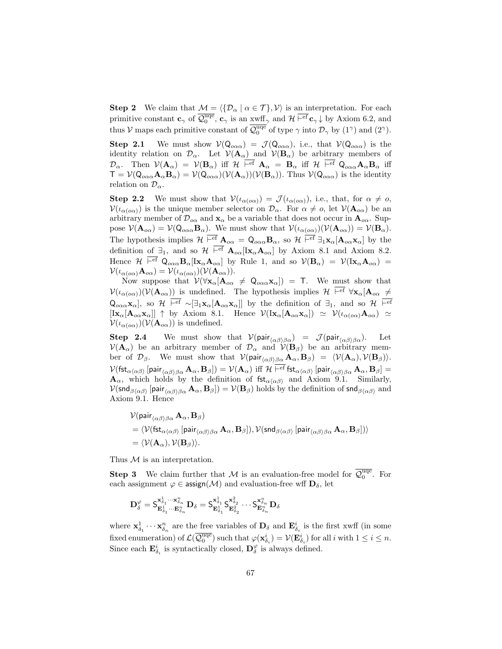**Step 2** We claim that  $M = \langle \{D_\alpha \mid \alpha \in \mathcal{T} \}, \mathcal{V} \rangle$  is an interpretation. For each primitive constant  $\mathbf{c}_{\gamma}$  of  $\overline{\mathcal{Q}_0^{\text{uqe}}}$ ,  $\mathbf{c}_{\gamma}$  is an xwff<sub> $\gamma$ </sub> and  $\mathcal{H} \overline{\vdash^{\text{ef}}} \mathbf{c}_{\gamma} \downarrow$  by Axiom 6.2, and thus V maps each primitive constant of  $\overline{\mathcal{Q}_0^{\text{uqe}}}$  of type  $\gamma$  into  $\mathcal{D}_{\gamma}$  by  $(1^{\gamma})$  and  $(2^{\gamma})$ .

**Step 2.1** We must show  $V(Q_{\alpha\alpha\alpha}) = \mathcal{J}(Q_{\alpha\alpha\alpha})$ , i.e., that  $V(Q_{\alpha\alpha\alpha})$  is the identity relation on  $\mathcal{D}_{\alpha}$ . Let  $\mathcal{V}(\mathbf{A}_{\alpha})$  and  $\mathcal{V}(\mathbf{B}_{\alpha})$  be arbitrary members of  $\mathcal{D}_{\alpha}$ . Then  $\mathcal{V}(\mathbf{A}_{\alpha}) = \mathcal{V}(\mathbf{B}_{\alpha})$  iff  $\mathcal{H} \stackrel{\text{def}}{\models} \mathbf{A}_{\alpha} = \mathbf{B}_{\alpha}$  iff  $\mathcal{H} \stackrel{\text{def}}{\models} \mathsf{Q}_{\alpha\alpha\alpha}\mathbf{A}_{\alpha}\mathbf{B}_{\alpha}$  iff  $T = V(Q_{\alpha\alpha\alpha}A_{\alpha}B_{\alpha}) = V(Q_{\alpha\alpha\alpha})(V(A_{\alpha}))(V(B_{\alpha}))$ . Thus  $V(Q_{\alpha\alpha\alpha})$  is the identity relation on  $\mathcal{D}_{\alpha}$ .

**Step 2.2** We must show that  $V(\iota_{\alpha(\rho\alpha)}) = \mathcal{J}(\iota_{\alpha(\rho\alpha)})$ , i.e., that, for  $\alpha \neq 0$ ,  $V(\iota_{\alpha(\infty)})$  is the unique member selector on  $\mathcal{D}_{\alpha}$ . For  $\alpha \neq o$ , let  $V(\mathbf{A}_{o\alpha})$  be an arbitrary member of  $\mathcal{D}_{o\alpha}$  and  $\mathbf{x}_{\alpha}$  be a variable that does not occur in  $\mathbf{A}_{o\alpha}$ . Suppose  $\mathcal{V}(\mathbf{A}_{o\alpha}) = \mathcal{V}(Q_{o\alpha\alpha}\mathbf{B}_{\alpha})$ . We must show that  $\mathcal{V}(\iota_{\alpha(o\alpha)})(\mathcal{V}(\mathbf{A}_{o\alpha})) = \mathcal{V}(\mathbf{B}_{\alpha})$ . The hypothesis implies  $\mathcal{H} \stackrel{\text{def}}{=} \mathbf{A}_{\alpha\alpha} = \mathbf{Q}_{\alpha\alpha\alpha} \mathbf{B}_{\alpha}$ , so  $\mathcal{H} \stackrel{\text{def}}{=} \exists_1 \mathbf{x}_{\alpha} [\mathbf{A}_{\alpha\alpha} \mathbf{x}_{\alpha}]$  by the definition of  $\exists_1$ , and so  $\mathcal{H} \stackrel{\text{def}}{\models} \mathbf{A}_{\alpha\alpha}[\mathbf{I}\mathbf{x}_{\alpha}\mathbf{A}_{\alpha\alpha}]$  by Axiom 8.1 and Axiom 8.2. Hence  $\mathcal{H} \stackrel{\text{def}}{\models} \mathsf{Q}_{\alpha\alpha\alpha} \mathbf{B}_{\alpha} [\mathbf{I} \mathbf{x}_{\alpha} \mathbf{A}_{\alpha\alpha}]$  by Rule 1, and so  $\mathcal{V}(\mathbf{B}_{\alpha}) = \mathcal{V}(\mathbf{I} \mathbf{x}_{\alpha} \mathbf{A}_{\alpha\alpha}) =$  $V(\iota_{\alpha(\circ\alpha)}\mathbf{A}_{\circ\alpha})=V(\iota_{\alpha(\circ\alpha)})(V(\mathbf{A}_{\circ\alpha})).$ 

Now suppose that  $\mathcal{V}(\forall \mathbf{x}_{\alpha}[\mathbf{A}_{o\alpha} \neq \mathbf{Q}_{o\alpha\alpha}\mathbf{x}_{\alpha}]) = \mathsf{T}$ . We must show that  $\mathcal{V}(\iota_{\alpha(\rho\alpha)})(\mathcal{V}(\mathbf{A}_{o\alpha}))$  is undefined. The hypothesis implies  $\mathcal{H} \stackrel{\text{def}}{\models} \forall \mathbf{x}_{\alpha} | \mathbf{A}_{o\alpha} \neq \emptyset$  $Q_{\alpha\alpha}x_{\alpha}$ , so  $\mathcal{H}$   $\overline{\vdash^{ef}}$  ~ $[\exists_1x_{\alpha}[\mathbf{A}_{\alpha\alpha}x_{\alpha}]]$  by the definition of  $\exists_1$ , and so  $\mathcal{H}$   $\overline{\vdash^{ef}}$  $[I\mathbf{x}_{\alpha}[\mathbf{A}_{o\alpha}\mathbf{x}_{\alpha}]] \uparrow$  by Axiom 8.1. Hence  $\mathcal{V}(\mathbf{x}_{\alpha}[\mathbf{A}_{o\alpha}\mathbf{x}_{\alpha}]) \simeq \mathcal{V}(\iota_{\alpha(o\alpha)}\mathbf{A}_{o\alpha}) \simeq$  $V(\iota_{\alpha(\circ\alpha)})(V(\mathbf{A}_{o\alpha}))$  is undefined.

**Step 2.4** We must show that  $V(\text{pair}_{(\alpha\beta)\beta\alpha}) = \mathcal{J}(\text{pair}_{(\alpha\beta)\beta\alpha})$ . Let  $V(\mathbf{A}_{\alpha})$  be an arbitrary member of  $\mathcal{D}_{\alpha}$  and  $V(\mathbf{B}_{\beta})$  be an arbitrary member of  $\mathcal{D}_{\beta}$ . We must show that  $\mathcal{V}(\text{pair}_{(\alpha\beta)\beta\alpha} \mathbf{A}_{\alpha}, \mathbf{B}_{\beta}) = \langle \mathcal{V}(\mathbf{A}_{\alpha}), \mathcal{V}(\mathbf{B}_{\beta}) \rangle$ .  $\mathcal{V}(\mathsf{fst}_{\alpha \langle \alpha \beta \rangle}[\mathsf{pair}_{\langle \alpha \beta \rangle \beta \alpha} \, \mathbf{A}_\alpha, \mathbf{B}_\beta]) = \mathcal{V}(\mathbf{A}_\alpha) \textrm{ iff } \mathcal{H} \vdash^{\text{ef}} \mathsf{fst}_{\alpha \langle \alpha \beta \rangle}[\mathsf{pair}_{\langle \alpha \beta \rangle \beta \alpha} \, \mathbf{A}_\alpha, \mathbf{B}_\beta] =$  $\mathbf{A}_{\alpha}$ , which holds by the definition of  $fst_{\alpha(\alpha\beta)}$  and Axiom 9.1. Similarly,  $\mathcal{V}(\mathsf{snd}_{\beta \langle \alpha \beta \rangle}[\mathsf{pair}_{\langle \alpha \beta \rangle \beta \alpha} \mathbf{A}_{\alpha}, \mathbf{B}_{\beta}]) = \mathcal{V}(\mathbf{B}_{\beta})$  holds by the definition of  $\mathsf{snd}_{\beta \langle \alpha \beta \rangle}$  and Axiom 9.1. Hence

$$
\mathcal{V}(\textsf{pair}_{\langle\alpha\beta\rangle\beta\alpha} \mathbf{A}_{\alpha}, \mathbf{B}_{\beta})
$$
  
=  $\langle \mathcal{V}(\textsf{fst}_{\alpha\langle\alpha\beta\rangle}[\textsf{pair}_{\langle\alpha\beta\rangle\beta\alpha} \mathbf{A}_{\alpha}, \mathbf{B}_{\beta}]), \mathcal{V}(\textsf{snd}_{\beta\langle\alpha\beta\rangle}[\textsf{pair}_{\langle\alpha\beta\rangle\beta\alpha} \mathbf{A}_{\alpha}, \mathbf{B}_{\beta}]) \rangle$   
=  $\langle \mathcal{V}(\mathbf{A}_{\alpha}), \mathcal{V}(\mathbf{B}_{\beta}) \rangle$ .

Thus  $M$  is an interpretation.

**Step 3** We claim further that M is an evaluation-free model for  $\overline{Q_0^{\text{uqe}}}$ . For each assignment  $\varphi \in \text{assign}(\mathcal{M})$  and evaluation-free wff  $\mathbf{D}_{\delta}$ , let

$$
\mathbf{D}^{\varphi}_\delta=\mathsf{S}^{\mathbf{x}^\mathbf{1}_{\delta_1}\cdots\mathbf{x}^\mathbf{n}_{\delta_n}}_{\mathbf{E}^\mathbf{1}_{\delta_1}\cdots\mathbf{E}^\mathbf{n}_{\delta_n}}\mathbf{D}_\delta=\mathsf{S}^{\mathbf{x}^\mathbf{1}_{\delta_1}}_{\mathbf{E}^\mathbf{1}_{\delta_1}}\mathsf{S}^{\mathbf{x}^\mathbf{2}_{\delta_2}}_{\mathbf{E}^\mathbf{2}_{\delta_2}}\cdots\mathsf{S}^{\mathbf{x}^\mathbf{n}_{\delta_n}}_{\mathbf{E}^\mathbf{n}_{\delta_n}}\mathbf{D}_\delta
$$

where  $\mathbf{x}_{\delta_1}^1 \cdots \mathbf{x}_{\delta_n}^n$  are the free variables of  $\mathbf{D}_{\delta}$  and  $\mathbf{E}_{\delta_i}^i$  is the first xwff (in some fixed enumeration) of  $\mathcal{L}(\overline{\mathcal{Q}_0^{\text{uqe}}})$  such that  $\varphi(\mathbf{x}_{\delta_i}^i) = \mathcal{V}(\mathbf{E}_{\delta_i}^i)$  for all i with  $1 \leq i \leq n$ . Since each  $\mathbf{E}_{\delta_i}^i$  is syntactically closed,  $\mathbf{D}_{\delta}^{\varphi}$  is always defined.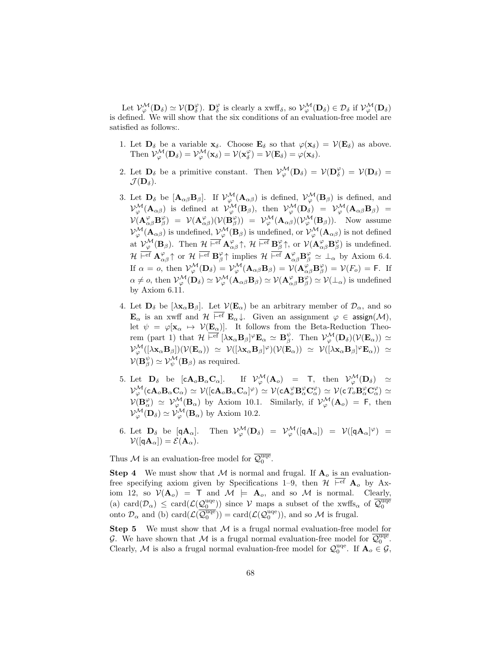Let  $\mathcal{V}_{\varphi}^{\mathcal{M}}(\mathbf{D}_{\delta}) \simeq \mathcal{V}(\mathbf{D}_{\delta}^{\varphi})$ .  $\mathbf{D}_{\delta}^{\varphi}$  is clearly a  $x \text{wff}_{\delta}$ , so  $\mathcal{V}_{\varphi}^{\mathcal{M}}(\mathbf{D}_{\delta}) \in \mathcal{D}_{\delta}$  if  $\mathcal{V}_{\varphi}^{\mathcal{M}}(\mathbf{D}_{\delta})$ is defined. We will show that the six conditions of an evaluation-free model are satisfied as follows:.

- 1. Let  $\mathbf{D}_{\delta}$  be a variable  $\mathbf{x}_{\delta}$ . Choose  $\mathbf{E}_{\delta}$  so that  $\varphi(\mathbf{x}_{\delta}) = \mathcal{V}(\mathbf{E}_{\delta})$  as above. Then  $\mathcal{V}_{\varphi}^{\mathcal{M}}(\mathbf{D}_{\delta}) = \mathcal{V}_{\varphi}^{\mathcal{M}}(\mathbf{x}_{\delta}) = \mathcal{V}(\mathbf{x}_{\delta}^{\varphi}) = \mathcal{V}(\mathbf{E}_{\delta}) = \varphi(\mathbf{x}_{\delta}).$
- 2. Let  $\mathbf{D}_{\delta}$  be a primitive constant. Then  $\mathcal{V}_{\varphi}^{\mathcal{M}}(\mathbf{D}_{\delta}) = \mathcal{V}(\mathbf{D}_{\delta}^{\varphi}) = \mathcal{V}(\mathbf{D}_{\delta}) =$  $\mathcal{J}(\mathbf{D}_{\delta}).$
- 3. Let  $\mathbf{D}_{\delta}$  be  $[\mathbf{A}_{\alpha\beta} \mathbf{B}_{\beta}]$ . If  $\mathcal{V}_{\varphi}^{\mathcal{M}}(\mathbf{A}_{\alpha\beta})$  is defined,  $\mathcal{V}_{\varphi}^{\mathcal{M}}(\mathbf{B}_{\beta})$  is defined, and  $\mathcal{V}_{\varphi}^{\mathcal{M}}(\mathbf{A}_{\alpha\beta})$  is defined at  $\mathcal{V}_{\varphi}^{\mathcal{M}}(\mathbf{B}_{\beta}),$  then  $\mathcal{V}_{\varphi}^{\mathcal{M}}(\mathbf{D}_{\delta}) = \mathcal{V}_{\varphi}^{\mathcal{M}}(\mathbf{A}_{\alpha\beta}\mathbf{B}_{\beta}) =$  $\mathcal{V}(\mathbf{A}^{\varphi}_{\alpha\beta}\mathbf{B}^{\varphi}_{\beta}) = \mathcal{V}(\mathbf{A}^{\varphi}_{\alpha\beta})(\mathcal{V}(\mathbf{B}^{\varphi}_{\beta})) = \mathcal{V}^{\mathcal{M}}_{\varphi}(\mathbf{A}_{\alpha\beta})(\mathcal{V}^{\mathcal{M}}_{\varphi}(\mathbf{B}_{\beta}))$ . Now assume  $\mathcal{V}_{\varphi}^{\mathcal{M}}(\mathbf{A}_{\alpha\beta})$  is undefined,  $\mathcal{V}_{\varphi}^{\mathcal{M}}(\mathbf{B}_{\beta})$  is undefined, or  $\mathcal{V}_{\varphi}^{\mathcal{M}}(\mathbf{A}_{\alpha\beta})$  is not defined at  $\mathcal{V}_{\varphi}^{\mathcal{M}}(\mathbf{B}_{\beta})$ . Then  $\mathcal{H} \stackrel{\text{def}}{\models} \mathbf{A}_{\alpha\beta}^{\varphi} \uparrow$ ,  $\mathcal{H} \stackrel{\text{def}}{\models} \mathbf{B}_{\beta}^{\varphi} \uparrow$ , or  $\mathcal{V}(\mathbf{A}_{\alpha\beta}^{\varphi} \mathbf{B}_{\beta}^{\varphi})$  is undefined.  $\mathcal{H} \stackrel{\text{def}}{\text{left}} \mathbf{A}_{\alpha\beta}^{\varphi} \uparrow \text{or } \mathcal{H} \stackrel{\text{def}}{\text{left}} \mathbf{B}_{\beta}^{\varphi} \uparrow \text{ implies } \mathcal{H} \stackrel{\text{ref}}{\text{left}} \mathbf{A}_{\alpha\beta}^{\varphi} \mathbf{B}_{\beta}^{\varphi} \simeq \perp_{\alpha} \text{ by Axiom 6.4.}$ If  $\alpha = 0$ , then  $\mathcal{V}_{\varphi}^{\mathcal{M}}(\mathbf{D}_{\delta}) = \mathcal{V}_{\varphi}^{\mathcal{M}}(\mathbf{A}_{\alpha\beta}\mathbf{B}_{\beta}) = \mathcal{V}(\mathbf{A}_{\alpha\beta}^{\varphi}\mathbf{B}_{\beta}^{\varphi}) = \mathcal{V}(F_{o}) = \mathsf{F}$ . If  $\alpha \neq o$ , then  $\mathcal{V}_{\varphi}^{\mathcal{M}}(\mathbf{D}_{\delta}) \simeq \mathcal{V}_{\varphi}^{\mathcal{M}}(\mathbf{A}_{\alpha\beta}\mathbf{B}_{\beta}) \simeq \mathcal{V}(\mathbf{A}_{\alpha\beta}^{\varphi}\mathbf{B}_{\beta}^{\varphi}) \simeq \mathcal{V}(\perp_{\alpha})$  is undefined by Axiom 6.11.
- 4. Let  $\mathbf{D}_{\delta}$  be  $[\lambda \mathbf{x}_{\alpha} \mathbf{B}_{\beta}]$ . Let  $\mathcal{V}(\mathbf{E}_{\alpha})$  be an arbitrary member of  $\mathcal{D}_{\alpha}$ , and so  $\mathbf{E}_{\alpha}$  is an xwff and  $\mathcal{H} \models^{\text{eff}} \mathbf{E}_{\alpha} \downarrow$ . Given an assignment  $\varphi \in \text{assign}(\mathcal{M})$ , let  $\psi = \varphi[\mathbf{x}_{\alpha} \mapsto \mathcal{V}(\mathbf{E}_{\alpha})]$ . It follows from the Beta-Reduction Theorem (part 1) that  $\mathcal{H} \stackrel{\text{def}}{\text{left}} [\lambda \mathbf{x}_{\alpha} \mathbf{B}_{\beta}]^{\varphi} \mathbf{E}_{\alpha} \simeq \mathbf{B}_{\beta}^{\psi}$ . Then  $\mathcal{V}_{\varphi}^{\mathcal{M}}(\mathbf{D}_{\delta})(\mathcal{V}(\mathbf{E}_{\alpha})) \simeq$  ${\cal V}^{\cal M}_{\varphi} ( [\lambda {\bf x}_{\alpha} {\bf B}_{\beta}] ) ({\cal V} ({\bf E}_{\alpha})) \; \simeq \; {\cal V} ( [\lambda {\bf x}_{\alpha} {\bf B}_{\beta}]^{\varphi} ) ({\cal V} ({\bf E}_{\alpha}) ) \; \simeq \; {\cal V} ( [\lambda {\bf x}_{\alpha} {\bf B}_{\beta}]^{\varphi} {\bf E}_{\alpha}) ) \; \simeq \;$  $\mathcal{V}(\mathbf{B}_{\beta}^{\psi}) \simeq \mathcal{V}_{\psi}^{\mathcal{M}}(\mathbf{B}_{\beta})$  as required.
- 5. Let  $\mathbf{D}_{\delta}$  be  $[\mathbf{c}\mathbf{A}_{o}\mathbf{B}_{\alpha}\mathbf{C}_{\alpha}]$ . If  $\mathcal{V}_{\varphi}^{\mathcal{M}}(\mathbf{A}_{o}) = \mathbf{T}$ , then  $\mathcal{V}_{\varphi}^{\mathcal{M}}(\mathbf{D}_{\delta}) \simeq$  ${\cal V}^{\cal M}_{\varphi}(\mathsf{c}\mathbf{A}_o\mathbf{B}_\alpha\mathbf{C}_\alpha) \simeq {\cal V}([\mathsf{c}\mathbf{A}_o\mathbf{B}_\alpha\mathbf{C}_\alpha]^\varphi) \simeq {\cal V}(\mathsf{c}\mathbf{A}_o^\varphi\mathbf{B}_\alpha^\varphi\mathbf{C}_\alpha^\varphi) \simeq {\cal V}(\mathsf{c}\,T_o\mathbf{B}_\alpha^\varphi\mathbf{C}_\alpha^\varphi) \simeq$  $\mathcal{V}(\mathbf{B}_{\alpha}^{\varphi}) \simeq \mathcal{V}_{\varphi}^{\mathcal{M}}(\mathbf{B}_{\alpha})$  by Axiom 10.1. Similarly, if  $\mathcal{V}_{\varphi}^{\mathcal{M}}(\mathbf{A}_{o}) = \mathsf{F}$ , then  $\mathcal{V}_{\varphi}^{\mathcal{M}}(\mathbf{D}_{\delta}) \simeq \mathcal{V}_{\varphi}^{\mathcal{M}}(\mathbf{B}_{\alpha})$  by Axiom 10.2.
- 6. Let  $\mathbf{D}_{\delta}$  be  $[q\mathbf{A}_{\alpha}]$ . Then  $\mathcal{V}_{\varphi}^{\mathcal{M}}(\mathbf{D}_{\delta}) = \mathcal{V}_{\varphi}^{\mathcal{M}}([q\mathbf{A}_{\alpha}]) = \mathcal{V}([q\mathbf{A}_{\alpha}]^{\varphi}) =$  $\mathcal{V}([\mathsf{q}\mathbf{A}_{\alpha}]) = \mathcal{E}(\mathbf{A}_{\alpha}).$

Thus M is an evaluation-free model for  $\overline{\mathcal{Q}_0^{\text{uqe}}}.$ 

**Step 4** We must show that M is normal and frugal. If  $A_0$  is an evaluationfree specifying axiom given by Specifications 1–9, then  $\mathcal{H} \models^{\text{eff}} \mathbf{A}_o$  by Axiom 12, so  $\mathcal{V}(\mathbf{A}_{o}) = \mathcal{T}$  and  $\mathcal{M} \models \mathbf{A}_{o}$ , and so  $\mathcal{M}$  is normal. Clearly, (a) card $(\mathcal{D}_{\alpha}) \leq \text{card}(\mathcal{L}(\mathcal{Q}_{0}^{\text{uqe}}))$  since V maps a subset of the xwffs<sub>α</sub> of  $\overline{\mathcal{Q}_{0}^{\text{uqe}}}$ onto  $\mathcal{D}_{\alpha}$  and (b) card $(\mathcal{L}(\overline{\mathcal{Q}_{0}^{\text{uqe}}})) = \text{card}(\mathcal{L}(\mathcal{Q}_{0}^{\text{uqe}}))$ , and so  $\mathcal{M}$  is frugal.

**Step 5** We must show that  $M$  is a frugal normal evaluation-free model for G. We have shown that M is a frugal normal evaluation-free model for  $\overline{\mathcal{Q}_0^{\text{uqe}}}.$ Clearly, M is also a frugal normal evaluation-free model for  $Q_0^{\text{uqe}}$ . If  $\mathbf{A}_o \in \mathcal{G}$ ,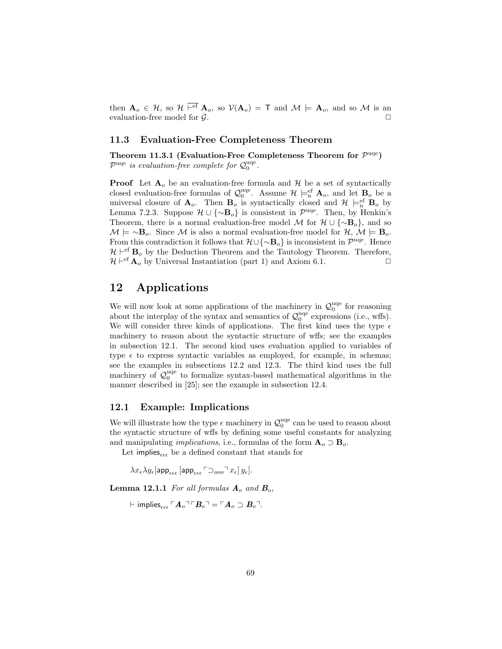then  $A_o \in \mathcal{H}$ , so  $\mathcal{H} \stackrel{\text{def}}{\text{left}} A_o$ , so  $\mathcal{V}(A_o) = T$  and  $\mathcal{M} \models A_o$ , and so M is an evaluation-free model for  $G$ .

### 11.3 Evaluation-Free Completeness Theorem

Theorem 11.3.1 (Evaluation-Free Completeness Theorem for  $\mathcal{P}^{\text{uqe}}$ )  $\mathcal{P}^{\text{uqe}}$  is evaluation-free complete for  $\mathcal{Q}_0^{\text{uqe}}$ .

**Proof** Let  $A_0$  be an evaluation-free formula and H be a set of syntactically closed evaluation-free formulas of  $\mathcal{Q}_0^{\text{uqe}}$ . Assume  $\mathcal{H} \models_n^{\text{ef}} \mathbf{A}_o$ , and let  $\mathbf{B}_o$  be a universal closure of  $A_o$ . Then  $B_o$  is syntactically closed and  $\mathcal{H} \models_n^{\text{ef}} B_o$  by Lemma 7.2.3. Suppose  $\mathcal{H} \cup {\sim} \mathbf{B}_o$  is consistent in  $\mathcal{P}^{\text{uqe}}$ . Then, by Henkin's Theorem, there is a normal evaluation-free model M for  $\mathcal{H} \cup {\{\sim} \mathbf{B}_{o}\}$ , and so  $\mathcal{M} \models \sim \mathbf{B}_o$ . Since M is also a normal evaluation-free model for  $\mathcal{H}, \mathcal{M} \models \mathbf{B}_o$ . From this contradiction it follows that  $\mathcal{H} \cup {\sim} \mathbf{B}_o$  is inconsistent in  $\mathcal{P}^{\text{uqe}}$ . Hence  $\mathcal{H} \vdash^{\text{ef}} \mathbf{B}_{o}$  by the Deduction Theorem and the Tautology Theorem. Therefore,  $\mathcal{H} \vdash^{\text{ef}} \mathbf{A}_o$  by Universal Instantiation (part 1) and Axiom 6.1.  $\Box$ 

# 12 Applications

We will now look at some applications of the machinery in  $\mathcal{Q}_0^{\text{uqe}}$  for reasoning about the interplay of the syntax and semantics of  $\mathcal{Q}_0^{\text{uqe}}$  expressions (i.e., wffs). We will consider three kinds of applications. The first kind uses the type  $\epsilon$ machinery to reason about the syntactic structure of wffs; see the examples in subsection 12.1. The second kind uses evaluation applied to variables of type  $\epsilon$  to express syntactic variables as employed, for example, in schemas; see the examples in subsections 12.2 and 12.3. The third kind uses the full machinery of  $\mathcal{Q}_0^{\text{uqe}}$  to formalize syntax-based mathematical algorithms in the manner described in [25]; see the example in subsection 12.4.

### 12.1 Example: Implications

We will illustrate how the type  $\epsilon$  machinery in  $\mathcal{Q}_0^{\text{uqe}}$  can be used to reason about the syntactic structure of wffs by defining some useful constants for analyzing and manipulating *implications*, i.e., formulas of the form  $\mathbf{A}_{o} \supset \mathbf{B}_{o}$ .

Let implies  $\epsilon_{\epsilon\epsilon}$  be a defined constant that stands for

 $\lambda x_{\epsilon} \lambda y_{\epsilon}$ [app<sub>eee</sub> [app<sub>eee</sub>  $\Box_{OOO} \alpha x_{\epsilon} y_{\epsilon}$ ].

**Lemma 12.1.1** For all formulas  $A_o$  and  $B_o$ ,

 $\vdash$  implies  $\epsilon_{\epsilon\epsilon}$   $\lceil A_o \rceil \lceil B_o \rceil = \lceil A_o \supset B_o \rceil$ .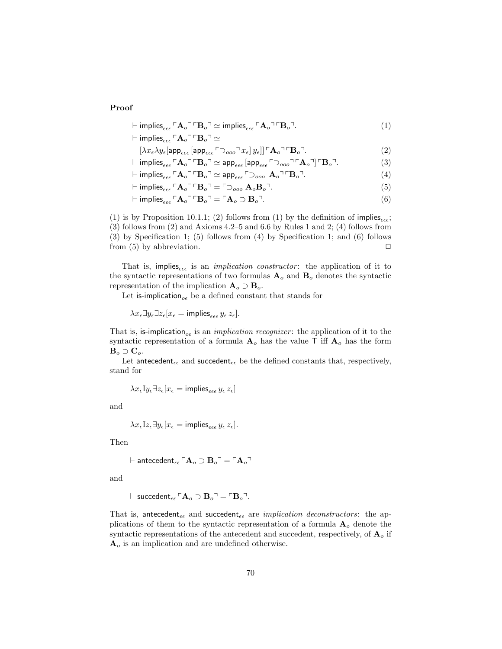Proof

$$
\vdash \text{implies}_{\epsilon\epsilon\epsilon} \ulcorner \mathbf{A}_o \urcorner \ulcorner \mathbf{B}_o \urcorner \simeq \text{implies}_{\epsilon\epsilon\epsilon} \ulcorner \mathbf{A}_o \urcorner \ulcorner \mathbf{B}_o \urcorner. \tag{1}
$$

$$
\vdash \mathsf{implies}_{\epsilon\epsilon\epsilon} \ulcorner \mathbf{A}_o \urcorner \ulcorner \mathbf{B}_o \urcorner \simeq
$$

$$
\left[\lambda x_{\epsilon}\lambda y_{\epsilon}\left[\mathsf{app}_{\epsilon\epsilon\epsilon}\left[\mathsf{app}_{\epsilon\epsilon\epsilon} \Box_{ooo} \Box x_{\epsilon}\right] y_{\epsilon}\right]\right] \Box \mathbf{A}_{o} \Box \Box \mathbf{B}_{o} \Box. \tag{2}
$$

$$
\vdash \mathsf{implies}_{\epsilon\epsilon\epsilon} \ulcorner \mathbf{A}_o \urcorner \ulcorner \mathbf{B}_o \urcorner \simeq \mathsf{app}_{\epsilon\epsilon\epsilon} \left[ \mathsf{app}_{\epsilon\epsilon\epsilon} \ulcorner \supset_{ooo} \urcorner \ulcorner \mathbf{A}_o \urcorner \right] \ulcorner \mathbf{B}_o \urcorner. \tag{3}
$$

$$
\vdash \text{implies}_{\epsilon\epsilon\epsilon} \ulcorner \mathbf{A}_o \urcorner \ulcorner \mathbf{B}_o \urcorner \simeq \mathsf{app}_{\epsilon\epsilon\epsilon} \ulcorner \supset_{ooo} \mathbf{A}_o \urcorner \ulcorner \mathbf{B}_o \urcorner. \tag{4}
$$

 $\vdash$  implies<sub>ee</sub>  $\lceil A_o \rceil \lceil B_o \rceil = \lceil D_{ooo} A_o B_o \rceil.$  (5)

$$
\vdash \text{implies}_{\epsilon\epsilon\epsilon} \ulcorner \mathbf{A}_o \urcorner \ulcorner \mathbf{B}_o \urcorner = \ulcorner \mathbf{A}_o \supset \mathbf{B}_o \urcorner. \tag{6}
$$

(1) is by Proposition 10.1.1; (2) follows from (1) by the definition of implies (3) follows from (2) and Axioms 4.2–5 and 6.6 by Rules 1 and 2; (4) follows from (3) by Specification 1; (5) follows from (4) by Specification 1; and (6) follows from (5) by abbreviation.  $\Box$ 

That is, implies is an *implication constructor*: the application of it to the syntactic representations of two formulas  $A_o$  and  $B_o$  denotes the syntactic representation of the implication  $\mathbf{A}_o \supset \mathbf{B}_o$ .

Let is-implication<sub>of</sub> be a defined constant that stands for

$$
\lambda x_{\epsilon} \exists y_{\epsilon} \exists z_{\epsilon} [x_{\epsilon} = \text{implies}_{\epsilon \epsilon \epsilon} y_{\epsilon} z_{\epsilon}].
$$

That is, is-implication<sub>os</sub> is an *implication recognizer*: the application of it to the syntactic representation of a formula  $A_o$  has the value T iff  $A_o$  has the form  $B_o \supset C_o$ .

Let antecedent<sub> $\epsilon \epsilon$ </sub> and succedent $\epsilon \epsilon$  be the defined constants that, respectively, stand for

$$
\lambda x_{\epsilon} I y_{\epsilon} \exists z_{\epsilon} [x_{\epsilon} = \text{implies}_{\epsilon \epsilon \epsilon} y_{\epsilon} z_{\epsilon}]
$$

and

$$
\lambda x_{\epsilon} \mathbb{I} z_{\epsilon} \exists y_{\epsilon} [x_{\epsilon} = \text{implies}_{\epsilon \epsilon \epsilon} y_{\epsilon} z_{\epsilon}].
$$

Then

$$
\vdash \text{antecedent}_{\epsilon\epsilon} \ulcorner \mathbf{A}_o \supset \mathbf{B}_o \urcorner = \ulcorner \mathbf{A}_o \urcorner
$$

and

$$
\vdash \mathsf{succedent}_{\epsilon\epsilon} \ulcorner \mathbf{A}_o \supset \mathbf{B}_o \urcorner = \ulcorner \mathbf{B}_o \urcorner.
$$

That is, antecedent<sub> $\epsilon$ </sub> and succedent<sub> $\epsilon$ </sub> are *implication deconstructors*: the applications of them to the syntactic representation of a formula  $A_o$  denote the syntactic representations of the antecedent and succedent, respectively, of  $\mathbf{A}_o$  if  $\mathbf{A}_o$  is an implication and are undefined otherwise.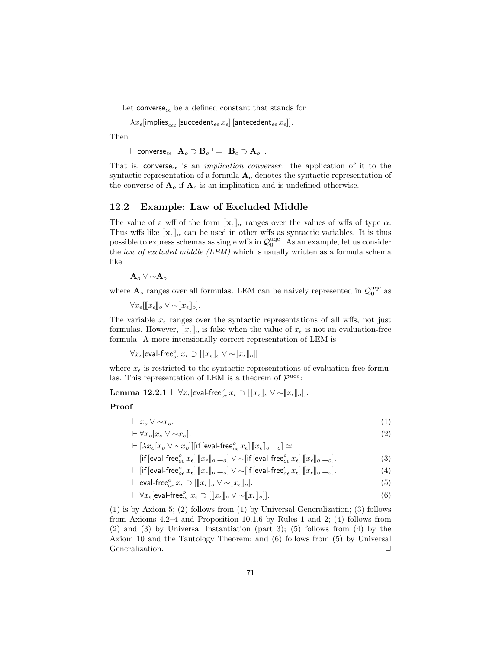Let converse<sub> $\epsilon$ e</sub> be a defined constant that stands for

 $\lambda x_{\epsilon}$ [implies $_{\epsilon \epsilon}$  [succedent $_{\epsilon \epsilon} x_{\epsilon}$ ] [antecedent $_{\epsilon \epsilon} x_{\epsilon}$ ]].

Then

 $\vdash$  converse  $\epsilon \in \mathbf{A}_o \supset \mathbf{B}_o \supset \mathbf{B}_o \supset \mathbf{A}_o$ .

That is, converse<sub>ce</sub> is an *implication converser*: the application of it to the syntactic representation of a formula  $A<sub>o</sub>$  denotes the syntactic representation of the converse of  $A_o$  if  $A_o$  is an implication and is undefined otherwise.

## 12.2 Example: Law of Excluded Middle

The value of a wff of the form  $[\mathbf{x}_{\epsilon}]_{\alpha}$  ranges over the values of wffs of type  $\alpha$ . Thus wffs like  $\|\mathbf{x}_{\epsilon}\|_{\alpha}$  can be used in other wffs as syntactic variables. It is thus possible to express schemas as single wffs in  $\mathcal{Q}_0^{\text{uqe}}$ . As an example, let us consider the law of excluded middle (LEM) which is usually written as a formula schema like

 $A_o \vee \sim A_o$ 

where  $\mathbf{A}_o$  ranges over all formulas. LEM can be naively represented in  $\mathcal{Q}_0^{\text{uqe}}$  as

 $\forall x_{\epsilon}[[x_{\epsilon}]_o \vee \sim [x_{\epsilon}]_o].$ 

The variable  $x_{\epsilon}$  ranges over the syntactic representations of all wffs, not just formulas. However,  $\llbracket x_{\epsilon} \rrbracket_o$  is false when the value of  $x_{\epsilon}$  is not an evaluation-free formula. A more intensionally correct representation of LEM is

 $\forall x_{\epsilon}[\textsf{eval-free}^o_{o\epsilon} x_{\epsilon} \supset [[x_{\epsilon}]]_o \vee \sim [[x_{\epsilon}]]_o]]$ 

where  $x_{\epsilon}$  is restricted to the syntactic representations of evaluation-free formulas. This representation of LEM is a theorem of  $\mathcal{P}^{\text{uqe}}$ :

Lemma 12.2.1  $\vdash \forall x_{\epsilon} [\text{eval-free}^o_{o\epsilon} x_{\epsilon} \supset [[\![x_{\epsilon}]\!]_o \vee \sim [\![x_{\epsilon}]\!]_o]]$ .

Proof

$$
\vdash x_o \lor \sim x_o. \tag{1}
$$

$$
\vdash \forall x_o[x_o \lor \sim x_o]. \tag{2}
$$

$$
\vdash [\lambda x_o[x_o \vee \sim x_o]] \text{ [if [eval-free]}_{oe}^o x_\epsilon] \llbracket x_\epsilon \rrbracket_o \perp_o] \simeq
$$
\n
$$
\text{ [if [eval-free]}_{oe}^o x_\epsilon] \llbracket x_\epsilon \rrbracket_o \perp_o] \vee \sim \text{ [if [eval-free]}_{oe}^o x_\epsilon] \llbracket x_\epsilon \rrbracket_o \perp_o].
$$
\n(3)

 $\vdash$  [if [eval-free<sub>oc</sub>  $x_{\epsilon}$ ]  $\left[\lVert x_{\epsilon}\rVert_{o} \perp_{o}\right] \vee \sim$  [if [eval-free<sub>oc</sub>  $x_{\epsilon}$ ]  $\left[\lVert x_{\epsilon}\rVert_{o} \perp_{o}\right]$ . (4)

 $\vdash$  eval-free $e^o \circ x \in \Box$  [[ $x \in \Box$   $\circ \lor \sim$  [ $x \in \Box$ ]. (5)

$$
\vdash \forall x_{\epsilon}[\text{eval-free}^o_{o\epsilon} \ x_{\epsilon} \supset [[x_{\epsilon}]]_o \ \vee \ \sim [[x_{\epsilon}]]_o]]. \tag{6}
$$

(1) is by Axiom 5; (2) follows from (1) by Universal Generalization; (3) follows from Axioms 4.2–4 and Proposition 10.1.6 by Rules 1 and 2; (4) follows from (2) and (3) by Universal Instantiation (part 3); (5) follows from (4) by the Axiom 10 and the Tautology Theorem; and (6) follows from (5) by Universal Generalization.  $\Box$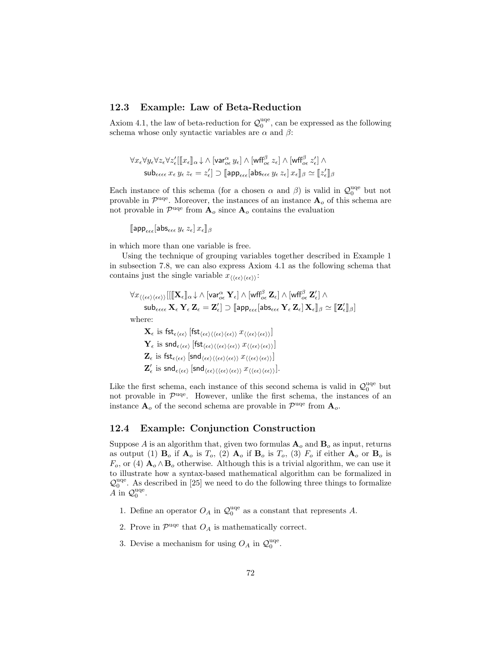### 12.3 Example: Law of Beta-Reduction

Axiom 4.1, the law of beta-reduction for  $\mathcal{Q}_0^{\text{uqe}}$ , can be expressed as the following schema whose only syntactic variables are  $\alpha$  and  $\beta$ :

$$
\forall x_{\epsilon} \forall y_{\epsilon} \forall z_{\epsilon} \forall z'_{\epsilon} [\llbracket x_{\epsilon} \rrbracket_{\alpha} \downarrow \wedge [\text{var}_{o\epsilon}^{\alpha} y_{\epsilon}] \wedge [\text{wff}_{o\epsilon}^{\beta} z_{\epsilon}] \wedge [\text{wff}_{o\epsilon}^{\beta} z'_{\epsilon}] \wedge \newline \text{sub}_{\epsilon\epsilon\epsilon\epsilon} x_{\epsilon} y_{\epsilon} z_{\epsilon} = z'_{\epsilon}] \supset \llbracket \text{app}_{\epsilon\epsilon\epsilon} [\text{abs}_{\epsilon\epsilon\epsilon} y_{\epsilon} z_{\epsilon}] x_{\epsilon} \rrbracket_{\beta} \simeq \llbracket z'_{\epsilon} \rrbracket_{\beta}
$$

Each instance of this schema (for a chosen  $\alpha$  and  $\beta$ ) is valid in  $\mathcal{Q}_0^{\text{uqe}}$  but not provable in  $\mathcal{P}^{\text{uqe}}$ . Moreover, the instances of an instance  $\mathbf{A}_{o}$  of this schema are not provable in  $\mathcal{P}^{\text{uqe}}$  from  $\mathbf{A}_o$  since  $\mathbf{A}_o$  contains the evaluation

 $\llbracket \mathsf{app}_{\epsilon\epsilon\epsilon}[\mathsf{abs}_{\epsilon\epsilon\epsilon} y_{\epsilon} z_{\epsilon}] x_{\epsilon} \rrbracket_{\beta}$ 

in which more than one variable is free.

Using the technique of grouping variables together described in Example 1 in subsection 7.8, we can also express Axiom 4.1 as the following schema that contains just the single variable  $x_{\langle\langle \epsilon \epsilon \rangle \langle \epsilon \epsilon \rangle}$ :

$$
\forall x_{\langle\langle\epsilon\epsilon\rangle\langle\epsilon\epsilon\rangle\rangle}[[[\![\mathbf{X}_\epsilon]\!]_\alpha\downarrow\wedge[\mathsf{var}^\alpha_{\mathsf{oe}}\,\mathbf{Y}_\epsilon]\wedge[\mathsf{wff}^\beta_{\mathsf{oe}}\,\mathbf{Z}_\epsilon]\wedge[\mathsf{wff}^\beta_{\mathsf{oe}}\,\mathbf{Z}_\epsilon']\wedge\\ \mathsf{sub}_\epsilon\epsilon\epsilon\epsilon\,\mathbf{X}_\epsilon\,\mathbf{Y}_\epsilon\,\mathbf{Z}_\epsilon=\mathbf{Z}_\epsilon']\supset[\![\mathsf{app}_\epsilon\epsilon\epsilon[\mathsf{abs}_\epsilon\epsilon\epsilon\,\mathbf{Y}_\epsilon\,\mathbf{Z}_\epsilon]\,\mathbf{X}_\epsilon]\!]_\beta\simeq[\![\mathbf{Z}_\epsilon']\!]_\beta]
$$

where:

 $\mathbf{X}_\epsilon$  is fst $_{\epsilon\langle\epsilon\epsilon\rangle}$  [fst $_{\langle\epsilon\epsilon\rangle\langle\epsilon\epsilon\rangle\langle\epsilon\epsilon\rangle\rangle}$   $x_{\langle\langle\epsilon\epsilon\rangle\langle\epsilon\epsilon\rangle\rangle}]$  $\mathbf{Y}_{\epsilon}$  is  $\mathsf{snd}_{\epsilon\langle\epsilon\epsilon\rangle}$  [fst $_{\langle\epsilon\epsilon\rangle\langle\langle\epsilon\epsilon\rangle\rangle}$   $\{x_{\langle\langle\epsilon\epsilon\rangle\langle\epsilon\epsilon\rangle\rangle}\}$  $\mathbf{Z}_{\epsilon}$  is fst $_{\epsilon\langle\epsilon\epsilon\rangle}$  [snd $_{\langle\epsilon\epsilon\rangle\langle\langle\epsilon\epsilon\rangle\rangle}$   $\mathcal{X}_{\langle\langle\epsilon\epsilon\rangle\langle\epsilon\epsilon\rangle\rangle}$ ]  $\mathbf{Z}_\epsilon'$  is  $\mathsf{snd}_{\epsilon \langle \epsilon \epsilon \rangle}$   $[\mathsf{snd}_{\langle \epsilon \epsilon \rangle \langle \epsilon \epsilon \rangle \langle \epsilon \epsilon \rangle \rangle} x_{\langle \langle \epsilon \epsilon \rangle \langle \epsilon \epsilon \rangle \rangle}].$ 

Like the first schema, each instance of this second schema is valid in  $\mathcal{Q}_0^{\text{uqe}}$  but not provable in  $\mathcal{P}^{\text{uqe}}$ . However, unlike the first schema, the instances of an instance  $\mathbf{A}_o$  of the second schema are provable in  $\mathcal{P}^{\text{uqe}}$  from  $\mathbf{A}_o$ .

## 12.4 Example: Conjunction Construction

Suppose A is an algorithm that, given two formulas  $\mathbf{A}_o$  and  $\mathbf{B}_o$  as input, returns as output (1)  $\mathbf{B}_o$  if  $\mathbf{A}_o$  is  $T_o$ , (2)  $\mathbf{A}_o$  if  $\mathbf{B}_o$  is  $T_o$ , (3)  $F_o$  if either  $\mathbf{A}_o$  or  $\mathbf{B}_o$  is  $F_o$ , or (4)  $\mathbf{A}_o \wedge \mathbf{B}_o$  otherwise. Although this is a trivial algorithm, we can use it to illustrate how a syntax-based mathematical algorithm can be formalized in  $\mathcal{Q}_0^{\text{uqe}}$ . As described in [25] we need to do the following three things to formalize  $\widetilde{A}$  in  $\mathcal{Q}_0^{\text{uqe}}$ .

- 1. Define an operator  $O_A$  in  $\mathcal{Q}_0^{\text{uqe}}$  as a constant that represents A.
- 2. Prove in  $\mathcal{P}^{\text{uqe}}$  that  $O_A$  is mathematically correct.
- 3. Devise a mechanism for using  $O_A$  in  $\mathcal{Q}_0^{\text{uqe}}$ .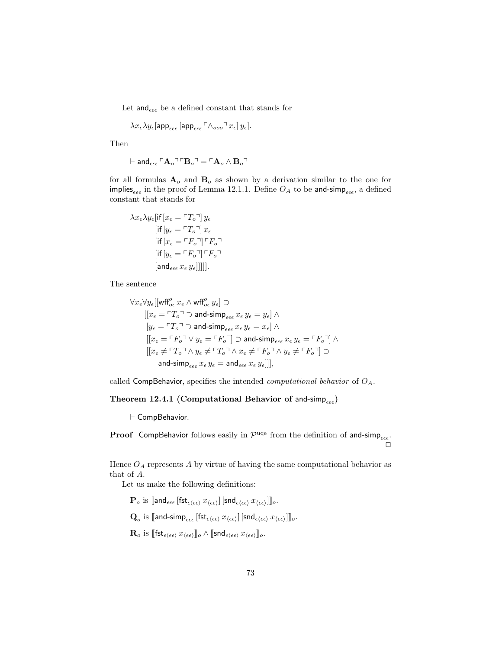Let  $\mathsf{and}_\epsilon\epsilon\epsilon$  be a defined constant that stands for

 $\lambda x_{\epsilon} \lambda y_{\epsilon}$ [app $_{\epsilon \epsilon \epsilon}$ [app $_{\epsilon \epsilon \epsilon}$   $\lceil \wedge_{ooo} \rceil x_{\epsilon}$ ]  $y_{\epsilon}$ ].

Then

 $\vdash$  and  $_{\epsilon\epsilon\epsilon}$   $\ulcorner$   $\mathbf{A}_o$   $\urcorner$   $\mathbf{B}_o$   $\urcorner$   $=$   $\ulcorner$   $\mathbf{A}_o$   $\wedge$   $\mathbf{B}_o$   $\urcorner$ 

for all formulas  $A_o$  and  $B_o$  as shown by a derivation similar to the one for implies<sub>ese</sub> in the proof of Lemma 12.1.1. Define  $O_A$  to be and-simp<sub>ese</sub>, a defined constant that stands for

$$
\lambda x_{\epsilon} \lambda y_{\epsilon} [\text{if } [x_{\epsilon} = \ulcorner T_o \urcorner] y_{\epsilon}
$$
  
\n
$$
[\text{if } [y_{\epsilon} = \ulcorner T_o \urcorner] x_{\epsilon}
$$
  
\n
$$
[\text{if } [x_{\epsilon} = \ulcorner F_o \urcorner] \ulcorner F_o \urcorner
$$
  
\n
$$
[\text{if } [y_{\epsilon} = \ulcorner F_o \urcorner] \ulcorner F_o \urcorner
$$
  
\n
$$
[\text{and}_{\epsilon \epsilon \epsilon} x_{\epsilon} y_{\epsilon}]]]]].
$$

The sentence

∀x∀y[[wff<sup>o</sup> o x ∧ wff<sup>o</sup> o y] ⊃ [[x = pToq ⊃ and-simp x y = y] ∧ [y = pToq ⊃ and-simp x y = x] ∧ [[x = pFoq ∨ y = pFoq] ⊃ and-simp x y = pFoq] ∧ [[x 6= pToq ∧ y 6= pToq ∧ x 6= pFoq ∧ y 6= pFoq] ⊃ and-simp x y = and x y]]],

called CompBehavior, specifies the intended *computational behavior* of  $O_A$ .

### Theorem 12.4.1 (Computational Behavior of and-simp $_{\epsilon\epsilon\epsilon}$ )

 $\vdash$  CompBehavior.

**Proof** CompBehavior follows easily in  $\mathcal{P}^{\text{uqe}}$  from the definition of and-simp $_{\epsilon\epsilon\epsilon}$ .  $\Box$ 

Hence  $O_A$  represents  $A$  by virtue of having the same computational behavior as that of A.

Let us make the following definitions:

 $\mathbf{P}_o$  is  $[\![\mathsf{and}_{\epsilon\epsilon\epsilon}[\mathsf{fst}_{\epsilon\langle \epsilon\epsilon\rangle}\,x_{\langle \epsilon\epsilon\rangle}]\!][\![\mathsf{snd}_{\epsilon\langle \epsilon\epsilon\rangle}\,x_{\langle \epsilon\epsilon\rangle}]\!]]_o.$  $\mathbf{Q}_o$  is  $[\![$ and-simp $_{\epsilon\epsilon\epsilon}$  [fst $_{\epsilon\langle\epsilon\epsilon\rangle}\,x_{\langle\epsilon\epsilon\rangle} ]$  [snd $_{\epsilon\langle\epsilon\epsilon\rangle}\,x_{\langle\epsilon\epsilon\rangle} ]\!]_o.$  $\mathbf{R}_o$  is  $[\![\mathsf{fst}_{\epsilon\langle \epsilon\epsilon\rangle} x_{\langle \epsilon\epsilon\rangle}]\!]_o \wedge [\![\mathsf{snd}_{\epsilon\langle \epsilon\epsilon\rangle} x_{\langle \epsilon\epsilon\rangle}]\!]_o.$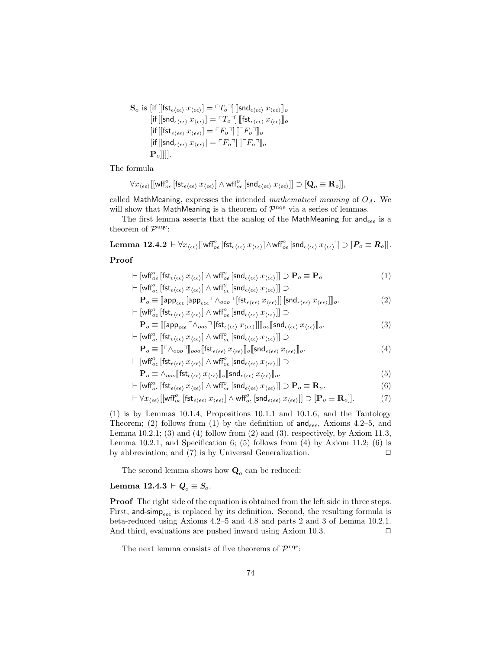$$
\mathbf{S}_{o} \text{ is } \left[ \text{if } \left[ \left[ \text{fst}_{\epsilon\left\langle \epsilon\epsilon\right\rangle}\, x_{\left\langle \epsilon\epsilon\right\rangle} \right] = \left[ T_{o} \right] \right] \left[ \text{snd}_{\epsilon\left\langle \epsilon\epsilon\right\rangle}\, x_{\left\langle \epsilon\epsilon\right\rangle} \right]_{o} \right]
$$
\n
$$
\left[ \text{if } \left[ \left[ \text{snd}_{\epsilon\left\langle \epsilon\epsilon\right\rangle}\, x_{\left\langle \epsilon\epsilon\right\rangle} \right] = \left[ T_{o} \right] \right] \left[ \left[ \text{fst}_{\epsilon\left\langle \epsilon\epsilon\right\rangle}\, x_{\left\langle \epsilon\epsilon\right\rangle} \right] \right]_{o} \right]
$$
\n
$$
\left[ \text{if } \left[ \left[ \text{fst}_{\epsilon\left\langle \epsilon\epsilon\right\rangle}\, x_{\left\langle \epsilon\epsilon\right\rangle} \right] = \left[ F_{o} \right] \right] \left[ \left[ F_{o} \right] \right]_{o} \right]
$$
\n
$$
\left[ \text{if } \left[ \left[ \text{snd}_{\epsilon\left\langle \epsilon\epsilon\right\rangle}\, x_{\left\langle \epsilon\epsilon\right\rangle} \right] = \left[ F_{o} \right] \right] \left[ \left[ F_{o} \right] \right]_{o} \right]
$$
\n
$$
\mathbf{P}_{o} \right] \right] \right].
$$

The formula

$$
\forall x_{\langle \epsilon \epsilon\rangle}[[\mathsf{wff}^o_{o\epsilon}\left[ \mathsf{fst}_{\epsilon\langle \epsilon \epsilon\rangle}\, x_{\langle \epsilon \epsilon\rangle}\right]\wedge \mathsf{wff}^o_{o\epsilon}\left[\mathsf{snd}_{\epsilon\langle \epsilon \epsilon\rangle}\, x_{\langle \epsilon \epsilon\rangle}\right]] \supset [\mathbf{Q}_o\equiv \mathbf{R}_o]],
$$

called MathMeaning, expresses the intended mathematical meaning of  $O<sub>A</sub>$ . We will show that MathMeaning is a theorem of  $\mathcal{P}^{\text{uqe}}$  via a series of lemmas.

The first lemma asserts that the analog of the MathMeaning for and $_{\epsilon\epsilon\epsilon}$  is a theorem of  $\mathcal{P}^{\text{uqe}}$ :

 $\textbf{Lemma 12.4.2 }\vdash \forall x_{\langle\epsilon\epsilon\rangle}[[\mathsf{wff}^o_{o\epsilon}[\mathsf{fst}_{\epsilon\langle\epsilon\epsilon\rangle}\,x_{\langle\epsilon\epsilon\rangle}]\wedge \mathsf{wff}^o_{o\epsilon}[\mathsf{snd}_{\epsilon\langle\epsilon\epsilon\rangle}\,x_{\langle\epsilon\epsilon\rangle}]] \supset [\bm{P}_o\equiv \bm{R}_o]].$ Proof

$$
\vdash [\text{wff}^o_{o\epsilon} \left[ \text{fst}_{\epsilon\langle \epsilon\epsilon\rangle} x_{\langle \epsilon\epsilon\rangle} \right] \wedge \text{wff}^o_{o\epsilon} \left[ \text{snd}_{\epsilon\langle \epsilon\epsilon\rangle} x_{\langle \epsilon\epsilon\rangle} \right]] \supset \mathbf{P}_o \equiv \mathbf{P}_o \tag{1}
$$

 $\vdash [\mathsf{wff}_{o\epsilon}^o[{\sf fst}_{\epsilon\langle\epsilon\epsilon\rangle}\,x_{\langle\epsilon\epsilon\rangle}]\wedge{\sf wff}_{o\epsilon}^o[{\sf snd}_{\epsilon\langle\epsilon\epsilon\rangle}\,x_{\langle\epsilon\epsilon\rangle}]] \supset$ 

$$
\mathbf{P}_{o} \equiv \left[ \mathsf{app}_{\epsilon\epsilon\epsilon} \left[ \mathsf{app}_{\epsilon\epsilon\epsilon} \ulcorner \wedge_{ooo} \urcorner \left[ \mathsf{fst}_{\epsilon\langle\epsilon\epsilon\rangle} x_{\langle\epsilon\epsilon\rangle} \right] \right] \left[ \mathsf{snd}_{\epsilon\langle\epsilon\epsilon\rangle} x_{\langle\epsilon\epsilon\rangle} \right] \right]_{o}.
$$
\n
$$
\vdash \left[ \mathsf{wff}_{oe}^{\sigma} \left[ \mathsf{fst}_{\epsilon\langle\epsilon\epsilon\rangle} x_{\langle\epsilon\epsilon\rangle} \right] \wedge \mathsf{wff}_{oe}^{\sigma} \left[ \mathsf{snd}_{\epsilon\langle\epsilon\epsilon\rangle} x_{\langle\epsilon\epsilon\rangle} \right] \right] \supset
$$
\n
$$
(2)
$$

$$
\mathbf{P}_o \equiv \left[ [\text{app}_{\epsilon\epsilon\epsilon} \ulcorner \ulcorner \wedge_{ooo} \urcorner [\text{fst}_{\epsilon\langle\epsilon\epsilon} \urcorner \mathbf{x}_{\langle\epsilon\epsilon\rangle}] \urcorner \right] \urcorner \mathbf{S} \mathbf{d}_{\epsilon\langle\epsilon\epsilon\rangle} \mathbf{x}_{\langle\epsilon\epsilon\rangle}] \right]_{oo} [\text{snd}_{\epsilon\langle\epsilon\epsilon\rangle} \mathbf{x}_{\langle\epsilon\epsilon\rangle}]_{o} .
$$
\n(3)

` [wff<sup>o</sup> o [fsth<sup>i</sup> x<sup>h</sup><sup>i</sup> ] ∧ wff<sup>o</sup> o [sndh<sup>i</sup> x<sup>h</sup><sup>i</sup> ]] ⊃ <sup>P</sup><sup>o</sup> <sup>≡</sup> <sup>J</sup>p∧oooqKoooJfsth<sup>i</sup> <sup>x</sup><sup>h</sup><sup>i</sup>KoJsndh<sup>i</sup> <sup>x</sup><sup>h</sup><sup>i</sup>Ko. (4)

$$
\vdash [\mathsf{wff}_{oe}^{\sigma}[\mathsf{fst}_{\epsilon\langle\epsilon\epsilon\rangle} \ x_{\langle\epsilon\epsilon\rangle}] \wedge \mathsf{wff}_{oe}^{\sigma}[\mathsf{snd}_{\epsilon\langle\epsilon\epsilon\rangle} \ x_{\langle\epsilon\epsilon\rangle}] ] \supset
$$

$$
\mathbf{P}_o \equiv \wedge_{ooo} [\![ \mathsf{fst}_{\epsilon \langle \epsilon \epsilon \rangle} \, x_{\langle \epsilon \epsilon \rangle} ]\!]_o [\![ \mathsf{snd}_{\epsilon \langle \epsilon \epsilon \rangle} \, x_{\langle \epsilon \epsilon \rangle} ]\!]_o. \tag{5}
$$

$$
\vdash [\text{wff}^o_{o\epsilon} \left[ \text{fst}_{\epsilon\langle \epsilon\epsilon\rangle} x_{\langle \epsilon\epsilon\rangle} \right] \wedge \text{wff}^o_{o\epsilon} \left[ \text{snd}_{\epsilon\langle \epsilon\epsilon\rangle} x_{\langle \epsilon\epsilon\rangle} \right]] \supset \mathbf{P}_o \equiv \mathbf{R}_o. \tag{6}
$$

$$
\vdash \forall x_{\langle \epsilon \epsilon \rangle} [[\mathsf{wff}^o_{o\epsilon}[\mathsf{fst}_{\epsilon \langle \epsilon \epsilon \rangle} x_{\langle \epsilon \epsilon \rangle}] \wedge \mathsf{wff}^o_{o\epsilon}[\mathsf{snd}_{\epsilon \langle \epsilon \epsilon \rangle} x_{\langle \epsilon \epsilon \rangle}] ] \supset [\mathbf{P}_o \equiv \mathbf{R}_o]]. \tag{7}
$$

(1) is by Lemmas 10.1.4, Propositions 10.1.1 and 10.1.6, and the Tautology Theorem; (2) follows from (1) by the definition of  $\mathsf{and}_{\epsilon\epsilon\epsilon}$ , Axioms 4.2–5, and Lemma 10.2.1; (3) and (4) follow from  $(2)$  and  $(3)$ , respectively, by Axiom 11.3, Lemma 10.2.1, and Specification 6; (5) follows from (4) by Axiom 11.2; (6) is by abbreviation; and  $(7)$  is by Universal Generalization.  $\Box$ 

The second lemma shows how  $\mathbf{Q}_o$  can be reduced:

## Lemma 12.4.3  $\vdash Q_o \equiv S_o$ .

Proof The right side of the equation is obtained from the left side in three steps. First, and-simp $_{\epsilon\epsilon\epsilon}$  is replaced by its definition. Second, the resulting formula is beta-reduced using Axioms 4.2–5 and 4.8 and parts 2 and 3 of Lemma 10.2.1. And third, evaluations are pushed inward using Axiom 10.3.  $\Box$ 

The next lemma consists of five theorems of  $\mathcal{P}^{\text{uqe}}$ :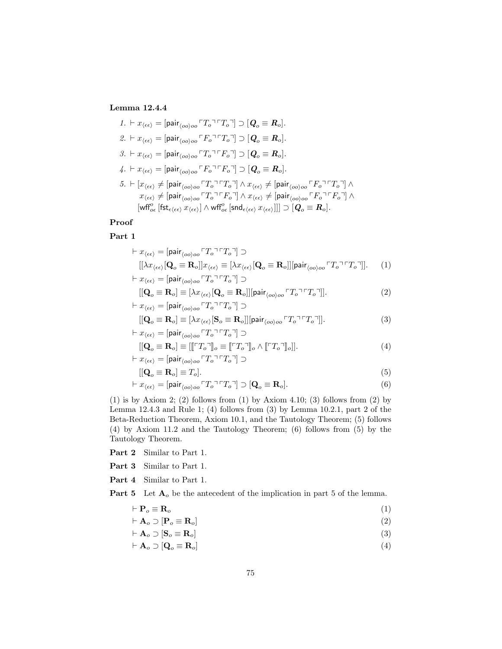### Lemma 12.4.4

1. 
$$
\vdash x_{\langle \epsilon \epsilon \rangle} = [\text{pair}_{\langle oo\rangle oo} \ulcorner T_o \urcorner T_o \urcorner] \supset [Q_o \equiv R_o].
$$
  
\n2.  $\vdash x_{\langle \epsilon \epsilon \rangle} = [\text{pair}_{\langle oo\rangle oo} \ulcorner F_o \urcorner T_o \urcorner] \supset [Q_o \equiv R_o].$   
\n3.  $\vdash x_{\langle \epsilon \epsilon \rangle} = [\text{pair}_{\langle oo\rangle oo} \ulcorner T_o \urcorner T_e \urcorner] \supset [Q_o \equiv R_o].$   
\n4.  $\vdash x_{\langle \epsilon \epsilon \rangle} = [\text{pair}_{\langle oo\rangle oo} \ulcorner F_o \urcorner T_e \urcorner] \supset [Q_o \equiv R_o].$   
\n5.  $\vdash [x_{\langle \epsilon \epsilon \rangle} \neq [\text{pair}_{\langle oo\rangle oo} \ulcorner T_o \urcorner T_o \urcorner] \land x_{\langle \epsilon \epsilon \rangle} \neq [\text{pair}_{\langle oo\rangle oo} \ulcorner F_o \urcorner T_o \urcorner] \land x_{\langle \epsilon \epsilon \rangle} \neq [\text{pair}_{\langle oo\rangle oo} \ulcorner F_o \urcorner T_e \urcorner] \land [\text{wff}_{oe}^o [\text{fst}_{\epsilon \langle \epsilon \epsilon \rangle} x_{\langle \epsilon \epsilon \rangle}] \land \text{wff}_{oe}^o [\text{snd}_{\epsilon \langle \epsilon \epsilon \rangle} x_{\langle \epsilon \epsilon \rangle}]]] \supset [Q_o \equiv R_o].$ 

## Proof

## Part 1

$$
\vdash x_{\langle \epsilon \epsilon \rangle} = [\text{pair}_{\langle oo\rangle oo} \ulcorner T_o \urcorner T_o \urcorner] \supset
$$
\n
$$
[[\lambda x_{\langle \epsilon \epsilon \rangle} [\mathbf{Q}_o \equiv \mathbf{R}_o]] x_{\langle \epsilon \epsilon \rangle} \equiv [\lambda x_{\langle \epsilon \epsilon \rangle} [\mathbf{Q}_o \equiv \mathbf{R}_o]] [\text{pair}_{\langle oo\rangle oo} \ulcorner T_o \urcorner T_o \urcorner]]. \qquad (1)
$$
\n
$$
\vdash x_{\langle \epsilon \epsilon \rangle} = [\text{pair}_{\langle oo\rangle oo} \ulcorner T_o \urcorner T_o \urcorner] \supset
$$

$$
[[\mathbf{Q}_o \equiv \mathbf{R}_o] \equiv [\lambda x_{\langle \epsilon \epsilon \rangle} [\mathbf{Q}_o \equiv \mathbf{R}_o]] [\text{pair}_{\langle oo \rangle oo} \ulcorner T_o \urcorner T_o \urcorner]].
$$
\n
$$
\vdash x_{\langle \epsilon \epsilon \rangle} = [\text{pair}_{\langle oo \rangle oo} \ulcorner T_o \urcorner T_o \urcorner] \supset
$$
\n(2)

$$
[[\mathbf{Q}_o \equiv \mathbf{R}_o] \equiv [\lambda x_{\langle \epsilon \epsilon \rangle} [\mathbf{S}_o \equiv \mathbf{R}_o]] [\text{pair}_{\langle oo \rangle oo} \Gamma T_o \Gamma T_o \Gamma]].
$$
\n
$$
\vdash x_{\langle \epsilon \epsilon \rangle} [\mathbf{S}_o \Gamma T_o \Gamma T_o \Gamma] \supseteq
$$
\n(3)

$$
\vdash x_{\langle \epsilon \epsilon \rangle} = |\text{pair}_{\langle oo \rangle oo} \cdot T_o \cdot T_o \cdot T_o \cdot \rceil \supset
$$
  
\n
$$
[[\mathbf{Q}_o \equiv \mathbf{R}_o] \equiv [[\ulcorner T_o \urcorner]_o \equiv [\ulcorner T_o \urcorner]_o \wedge [\ulcorner T_o \urcorner]_o]].
$$
\n(4)

$$
\vdash x_{\langle \epsilon \epsilon \rangle} = [\text{pair}_{\langle oo \rangle oo} \ulcorner T_o \urcorner T_o \urcorner]
$$

$$
[[\mathbf{Q}_o \equiv \mathbf{R}_o] \equiv T_o]. \tag{5}
$$

$$
\vdash x_{\langle \epsilon \epsilon \rangle} = [\text{pair}_{\langle oo \rangle oo} \ulcorner T_o \urcorner \ulcorner T_o \urcorner] \supset [\mathbf{Q}_o \equiv \mathbf{R}_o]. \tag{6}
$$

 $(1)$  is by Axiom 2;  $(2)$  follows from  $(1)$  by Axiom 4.10;  $(3)$  follows from  $(2)$  by Lemma  $12.4.3$  and Rule 1; (4) follows from  $(3)$  by Lemma  $10.2.1$ , part 2 of the Beta-Reduction Theorem, Axiom 10.1, and the Tautology Theorem; (5) follows (4) by Axiom 11.2 and the Tautology Theorem; (6) follows from (5) by the Tautology Theorem.

- Part 2 Similar to Part 1.
- Part 3 Similar to Part 1.
- Part 4 Similar to Part 1.

**Part 5** Let  $A_0$  be the antecedent of the implication in part 5 of the lemma.

$$
\vdash \mathbf{P}_o \equiv \mathbf{R}_o \tag{1}
$$

$$
\vdash \mathbf{A}_o \supset [\mathbf{P}_o \equiv \mathbf{R}_o]
$$
\n<sup>(2)</sup>

$$
\vdash \mathbf{A}_o \supset [\mathbf{S}_o \equiv \mathbf{R}_o] \tag{3}
$$

$$
\vdash \mathbf{A}_o \supset [\mathbf{Q}_o \equiv \mathbf{R}_o] \tag{4}
$$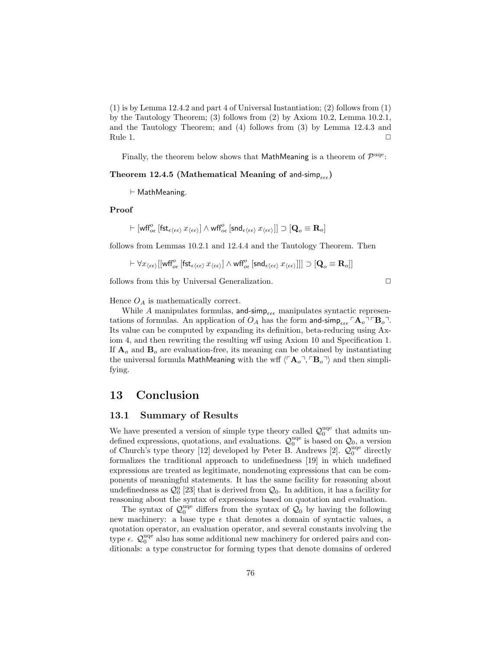(1) is by Lemma 12.4.2 and part 4 of Universal Instantiation; (2) follows from (1) by the Tautology Theorem; (3) follows from (2) by Axiom 10.2, Lemma 10.2.1, and the Tautology Theorem; and (4) follows from (3) by Lemma 12.4.3 and Rule 1.  $\Box$ 

Finally, the theorem below shows that MathMeaning is a theorem of  $\mathcal{P}^{\text{uqe}}$ :

#### Theorem 12.4.5 (Mathematical Meaning of and-simp $_{eff}$ )

 $\vdash$  MathMeaning.

#### Proof

$$
\vdash [{\sf wff}_{o\epsilon}^o\left[{\sf fst}_{\epsilon\langle\epsilon\epsilon\rangle}\,x_{\langle\epsilon\epsilon\rangle} \right]\wedge {\sf wff}_{o\epsilon}^o\left[{\sf snd}_{\epsilon\langle\epsilon\epsilon\rangle}\,x_{\langle\epsilon\epsilon\rangle} \right]] \supset [{\bf Q}_o\equiv {\bf R}_o]
$$

follows from Lemmas 10.2.1 and 12.4.4 and the Tautology Theorem. Then

$$
\vdash \forall x_{\langle \epsilon \epsilon \rangle}[[\mathsf{wff}_{o\epsilon}^o\;[\mathsf{fst}_{\epsilon \langle \epsilon \epsilon \rangle}\, x_{\langle \epsilon \epsilon \rangle}]\wedge \mathsf{wff}_{o\epsilon}^o\;[\mathsf{snd}_{\epsilon \langle \epsilon \epsilon \rangle}\, x_{\langle \epsilon \epsilon \rangle}]]]) \supset [\mathbf{Q}_o\equiv \mathbf{R}_o]]
$$

follows from this by Universal Generalization.  $\Box$ 

Hence  $O_A$  is mathematically correct.

While A manipulates formulas, and-simp $_{\epsilon\epsilon\epsilon}$  manipulates syntactic representations of formulas. An application of  $O_A$  has the form and-simp<sub>ere</sub>  $\lceil \mathbf{A}_o \rceil \lceil \mathbf{B}_o \rceil$ . Its value can be computed by expanding its definition, beta-reducing using Axiom 4, and then rewriting the resulting wff using Axiom 10 and Specification 1. If  $A_o$  and  $B_o$  are evaluation-free, its meaning can be obtained by instantiating the universal formula MathMeaning with the wff  $\langle \nabla \mathbf{A}_o \nabla, \nabla \mathbf{B}_o \nabla \rangle$  and then simplifying.

## 13 Conclusion

#### 13.1 Summary of Results

We have presented a version of simple type theory called  $\mathcal{Q}_0^{\text{uqe}}$  that admits undefined expressions, quotations, and evaluations.  $\mathcal{Q}_0^{\text{uqe}}$  is based on  $\mathcal{Q}_0$ , a version of Church's type theory [12] developed by Peter B. Andrews [2].  $\mathcal{Q}_0^{\text{uqe}}$  directly formalizes the traditional approach to undefinedness [19] in which undefined expressions are treated as legitimate, nondenoting expressions that can be components of meaningful statements. It has the same facility for reasoning about undefinedness as  $\mathcal{Q}_0^{\mathrm{u}}$  [23] that is derived from  $\mathcal{Q}_0$ . In addition, it has a facility for reasoning about the syntax of expressions based on quotation and evaluation.

The syntax of  $\mathcal{Q}_0^{\text{uqe}}$  differs from the syntax of  $\mathcal{Q}_0$  by having the following new machinery: a base type  $\epsilon$  that denotes a domain of syntactic values, a quotation operator, an evaluation operator, and several constants involving the type  $\epsilon$ .  $\mathcal{Q}_0^{\text{uqe}}$  also has some additional new machinery for ordered pairs and conditionals: a type constructor for forming types that denote domains of ordered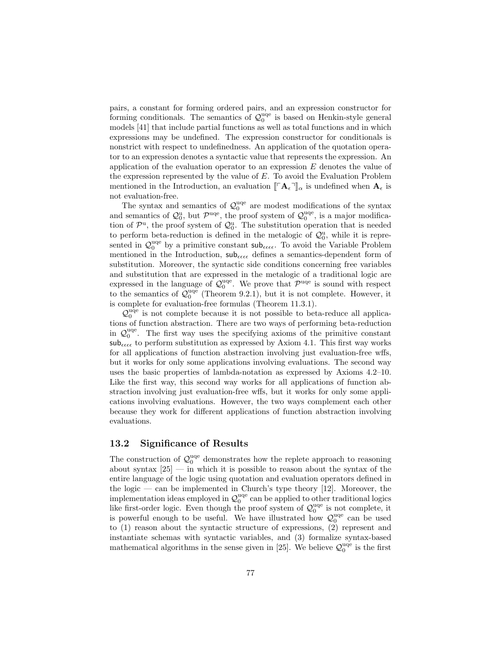pairs, a constant for forming ordered pairs, and an expression constructor for forming conditionals. The semantics of  $\mathcal{Q}_0^{\text{uqe}}$  is based on Henkin-style general models [41] that include partial functions as well as total functions and in which expressions may be undefined. The expression constructor for conditionals is nonstrict with respect to undefinedness. An application of the quotation operator to an expression denotes a syntactic value that represents the expression. An application of the evaluation operator to an expression  $E$  denotes the value of the expression represented by the value of E. To avoid the Evaluation Problem mentioned in the Introduction, an evaluation  $\llbracket \mathbf{A}_{\epsilon} \rrbracket_{\alpha}$  is undefined when  $\mathbf{A}_{\epsilon}$  is not evaluation-free.

The syntax and semantics of  $\mathcal{Q}_0^{\text{uqe}}$  are modest modifications of the syntax and semantics of  $\mathcal{Q}_0^{\mathrm{u}}$ , but  $\mathcal{P}^{\mathrm{uqe}}$ , the proof system of  $\mathcal{Q}_0^{\mathrm{uqe}}$ , is a major modification of  $\mathcal{P}^{\mathrm{u}}$ , the proof system of  $\mathcal{Q}_{0}^{\mathrm{u}}$ . The substitution operation that is needed to perform beta-reduction is defined in the metalogic of  $\mathcal{Q}_0^{\mathrm{u}}$ , while it is represented in  $\mathcal{Q}_0^{\text{uqe}}$  by a primitive constant  $\text{sub}_{\epsilon\epsilon\epsilon\epsilon}$ . To avoid the Variable Problem mentioned in the Introduction,  $sub_{\epsilon \epsilon \epsilon \epsilon}$  defines a semantics-dependent form of substitution. Moreover, the syntactic side conditions concerning free variables and substitution that are expressed in the metalogic of a traditional logic are expressed in the language of  $\mathcal{Q}_0^{\text{uqe}}$ . We prove that  $\mathcal{P}^{\text{uqe}}$  is sound with respect to the semantics of  $Q_0^{\text{uqe}}$  (Theorem 9.2.1), but it is not complete. However, it is complete for evaluation-free formulas (Theorem 11.3.1).

 $\mathcal{Q}_0^{\text{uqe}}$  is not complete because it is not possible to beta-reduce all applications of function abstraction. There are two ways of performing beta-reduction in  $\mathcal{Q}_0^{\text{uqe}}$ . The first way uses the specifying axioms of the primitive constant  $sub_{\epsilon\epsilon\epsilon\epsilon}$  to perform substitution as expressed by Axiom 4.1. This first way works for all applications of function abstraction involving just evaluation-free wffs, but it works for only some applications involving evaluations. The second way uses the basic properties of lambda-notation as expressed by Axioms 4.2–10. Like the first way, this second way works for all applications of function abstraction involving just evaluation-free wffs, but it works for only some applications involving evaluations. However, the two ways complement each other because they work for different applications of function abstraction involving evaluations.

### 13.2 Significance of Results

The construction of  $\mathcal{Q}_0^{\text{uqe}}$  demonstrates how the replete approach to reasoning about syntax  $[25]$  — in which it is possible to reason about the syntax of the entire language of the logic using quotation and evaluation operators defined in the logic — can be implemented in Church's type theory  $[12]$ . Moreover, the implementation ideas employed in  $\mathcal{Q}_0^{\text{uqe}}$  can be applied to other traditional logics like first-order logic. Even though the proof system of  $\mathcal{Q}_0^{\text{uqe}}$  is not complete, it is powerful enough to be useful. We have illustrated how  $\mathcal{Q}_0^{\text{uqe}}$  can be used to (1) reason about the syntactic structure of expressions, (2) represent and instantiate schemas with syntactic variables, and (3) formalize syntax-based mathematical algorithms in the sense given in [25]. We believe  $\mathcal{Q}_0^{\text{uqe}}$  is the first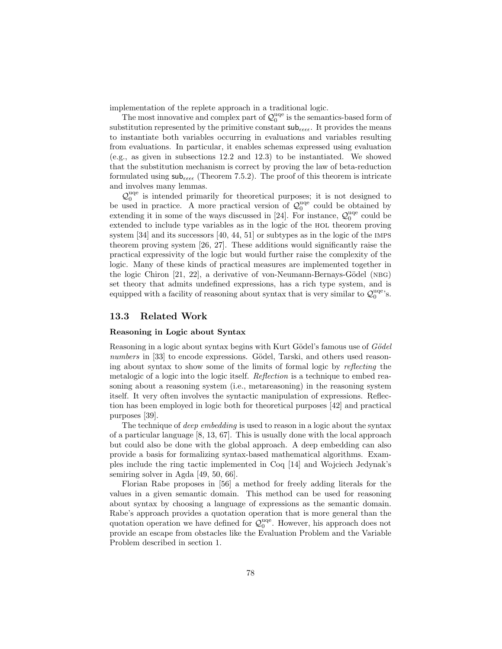implementation of the replete approach in a traditional logic.

The most innovative and complex part of  $\mathcal{Q}_0^{\text{uqe}}$  is the semantics-based form of substitution represented by the primitive constant  $\mathsf{sub}_{\epsilon\epsilon\epsilon\epsilon}$ . It provides the means to instantiate both variables occurring in evaluations and variables resulting from evaluations. In particular, it enables schemas expressed using evaluation (e.g., as given in subsections 12.2 and 12.3) to be instantiated. We showed that the substitution mechanism is correct by proving the law of beta-reduction formulated using  $sub_{\epsilon \epsilon \epsilon}$  (Theorem 7.5.2). The proof of this theorem is intricate and involves many lemmas.

 $\mathcal{Q}_0^{\text{uqe}}$  is intended primarily for theoretical purposes; it is not designed to be used in practice. A more practical version of  $\mathcal{Q}_0^{\text{uqe}}$  could be obtained by extending it in some of the ways discussed in [24]. For instance,  $\mathcal{Q}_0^{\text{uqe}}$  could be extended to include type variables as in the logic of the HOL theorem proving system [34] and its successors [40, 44, 51] or subtypes as in the logic of the imps theorem proving system [26, 27]. These additions would significantly raise the practical expressivity of the logic but would further raise the complexity of the logic. Many of these kinds of practical measures are implemented together in the logic Chiron [21, 22], a derivative of von-Neumann-Bernays-Gödel (NBG) set theory that admits undefined expressions, has a rich type system, and is equipped with a facility of reasoning about syntax that is very similar to  $\mathcal{Q}_0^{\text{uqe}}$ 's.

### 13.3 Related Work

#### Reasoning in Logic about Syntax

Reasoning in a logic about syntax begins with Kurt Gödel's famous use of Gödel  $numbers$  in  $[33]$  to encode expressions. Gödel, Tarski, and others used reasoning about syntax to show some of the limits of formal logic by reflecting the metalogic of a logic into the logic itself. Reflection is a technique to embed reasoning about a reasoning system (i.e., metareasoning) in the reasoning system itself. It very often involves the syntactic manipulation of expressions. Reflection has been employed in logic both for theoretical purposes [42] and practical purposes [39].

The technique of *deep embedding* is used to reason in a logic about the syntax of a particular language [8, 13, 67]. This is usually done with the local approach but could also be done with the global approach. A deep embedding can also provide a basis for formalizing syntax-based mathematical algorithms. Examples include the ring tactic implemented in Coq [14] and Wojciech Jedynak's semiring solver in Agda [49, 50, 66].

Florian Rabe proposes in [56] a method for freely adding literals for the values in a given semantic domain. This method can be used for reasoning about syntax by choosing a language of expressions as the semantic domain. Rabe's approach provides a quotation operation that is more general than the quotation operation we have defined for  $\mathcal{Q}_0^{\text{uqe}}$ . However, his approach does not provide an escape from obstacles like the Evaluation Problem and the Variable Problem described in section 1.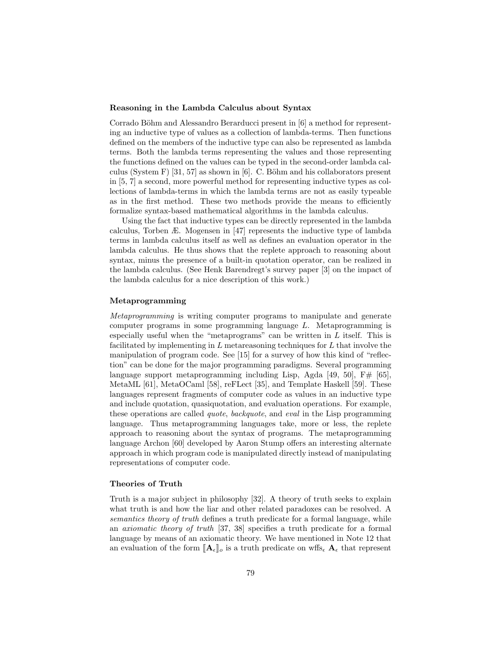#### Reasoning in the Lambda Calculus about Syntax

Corrado Böhm and Alessandro Berarducci present in [6] a method for representing an inductive type of values as a collection of lambda-terms. Then functions defined on the members of the inductive type can also be represented as lambda terms. Both the lambda terms representing the values and those representing the functions defined on the values can be typed in the second-order lambda calculus (System F)  $[31, 57]$  as shown in  $[6]$ . C. Böhm and his collaborators present in [5, 7] a second, more powerful method for representing inductive types as collections of lambda-terms in which the lambda terms are not as easily typeable as in the first method. These two methods provide the means to efficiently formalize syntax-based mathematical algorithms in the lambda calculus.

Using the fact that inductive types can be directly represented in the lambda calculus, Torben Æ. Mogensen in [47] represents the inductive type of lambda terms in lambda calculus itself as well as defines an evaluation operator in the lambda calculus. He thus shows that the replete approach to reasoning about syntax, minus the presence of a built-in quotation operator, can be realized in the lambda calculus. (See Henk Barendregt's survey paper [3] on the impact of the lambda calculus for a nice description of this work.)

#### Metaprogramming

Metaprogramming is writing computer programs to manipulate and generate computer programs in some programming language L. Metaprogramming is especially useful when the "metaprograms" can be written in  $L$  itself. This is facilitated by implementing in  $L$  metareasoning techniques for  $L$  that involve the manipulation of program code. See [15] for a survey of how this kind of "reflection" can be done for the major programming paradigms. Several programming language support metaprogramming including Lisp, Agda [49, 50], F# [65], MetaML [61], MetaOCaml [58], reFLect [35], and Template Haskell [59]. These languages represent fragments of computer code as values in an inductive type and include quotation, quasiquotation, and evaluation operations. For example, these operations are called quote, backquote, and eval in the Lisp programming language. Thus metaprogramming languages take, more or less, the replete approach to reasoning about the syntax of programs. The metaprogramming language Archon [60] developed by Aaron Stump offers an interesting alternate approach in which program code is manipulated directly instead of manipulating representations of computer code.

#### Theories of Truth

Truth is a major subject in philosophy [32]. A theory of truth seeks to explain what truth is and how the liar and other related paradoxes can be resolved. A semantics theory of truth defines a truth predicate for a formal language, while an axiomatic theory of truth [37, 38] specifies a truth predicate for a formal language by means of an axiomatic theory. We have mentioned in Note 12 that an evaluation of the form  $[\mathbf{A}_{\epsilon}]_o$  is a truth predicate on wffs<sub> $\epsilon$ </sub> A<sub> $\epsilon$ </sub> that represent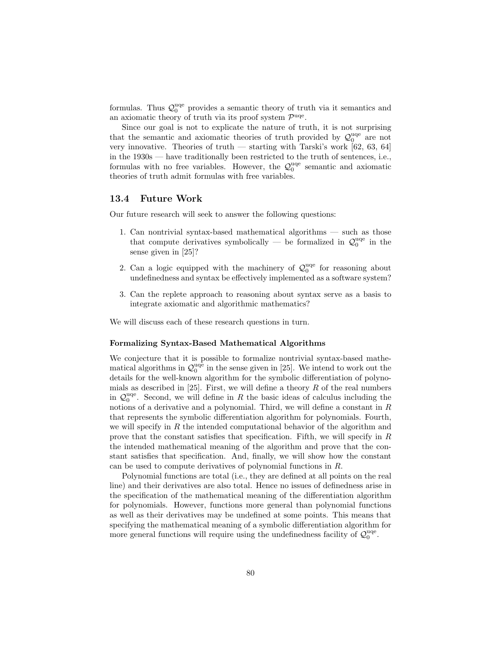formulas. Thus  $\mathcal{Q}_0^{\text{uqe}}$  provides a semantic theory of truth via it semantics and an axiomatic theory of truth via its proof system  $\mathcal{P}^{\text{uqe}}$ .

Since our goal is not to explicate the nature of truth, it is not surprising that the semantic and axiomatic theories of truth provided by  $\mathcal{Q}_0^{\text{uqe}}$  are not very innovative. Theories of truth — starting with Tarski's work [62, 63, 64] in the 1930s — have traditionally been restricted to the truth of sentences, i.e., formulas with no free variables. However, the  $\mathcal{Q}_0^{\text{uqe}}$  semantic and axiomatic theories of truth admit formulas with free variables.

## 13.4 Future Work

Our future research will seek to answer the following questions:

- 1. Can nontrivial syntax-based mathematical algorithms such as those that compute derivatives symbolically — be formalized in  $\mathcal{Q}_0^{\text{uqe}}$  in the sense given in [25]?
- 2. Can a logic equipped with the machinery of  $\mathcal{Q}_0^{\text{uqe}}$  for reasoning about undefinedness and syntax be effectively implemented as a software system?
- 3. Can the replete approach to reasoning about syntax serve as a basis to integrate axiomatic and algorithmic mathematics?

We will discuss each of these research questions in turn.

#### Formalizing Syntax-Based Mathematical Algorithms

We conjecture that it is possible to formalize nontrivial syntax-based mathematical algorithms in  $\mathcal{Q}_0^{\text{uqe}}$  in the sense given in [25]. We intend to work out the details for the well-known algorithm for the symbolic differentiation of polynomials as described in  $[25]$ . First, we will define a theory R of the real numbers in  $\mathcal{Q}_0^{\text{uqe}}$ . Second, we will define in R the basic ideas of calculus including the notions of a derivative and a polynomial. Third, we will define a constant in R that represents the symbolic differentiation algorithm for polynomials. Fourth, we will specify in  $R$  the intended computational behavior of the algorithm and prove that the constant satisfies that specification. Fifth, we will specify in  $R$ the intended mathematical meaning of the algorithm and prove that the constant satisfies that specification. And, finally, we will show how the constant can be used to compute derivatives of polynomial functions in R.

Polynomial functions are total (i.e., they are defined at all points on the real line) and their derivatives are also total. Hence no issues of definedness arise in the specification of the mathematical meaning of the differentiation algorithm for polynomials. However, functions more general than polynomial functions as well as their derivatives may be undefined at some points. This means that specifying the mathematical meaning of a symbolic differentiation algorithm for more general functions will require using the undefinedness facility of  $\mathcal{Q}_0^{\text{uqe}}$ .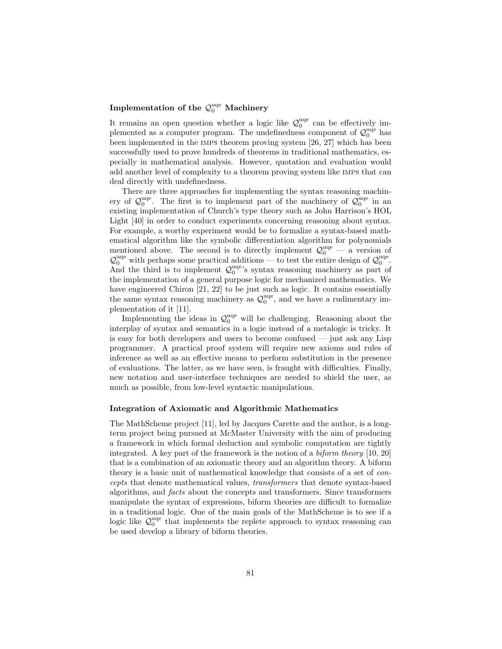# Implementation of the  $\mathcal{Q}_0^{\text{uqe}}$  Machinery

It remains an open question whether a logic like  $\mathcal{Q}_0^{\text{uqe}}$  can be effectively implemented as a computer program. The undefinedness component of  $\mathcal{Q}_0^{\text{uqe}}$  has been implemented in the imps theorem proving system [26, 27] which has been successfully used to prove hundreds of theorems in traditional mathematics, especially in mathematical analysis. However, quotation and evaluation would add another level of complexity to a theorem proving system like imps that can deal directly with undefinedness.

There are three approaches for implementing the syntax reasoning machinery of  $\mathcal{Q}_0^{\text{uqe}}$ . The first is to implement part of the machinery of  $\mathcal{Q}_0^{\text{uqe}}$  in an existing implementation of Church's type theory such as John Harrison's HOL Light [40] in order to conduct experiments concerning reasoning about syntax. For example, a worthy experiment would be to formalize a syntax-based mathematical algorithm like the symbolic differentiation algorithm for polynomials mentioned above. The second is to directly implement  $\mathcal{Q}_0^{\text{uqe}}$  — a version of  $\mathcal{Q}_0^{\text{uqe}}$  with perhaps some practical additions — to test the entire design of  $\mathcal{Q}_0^{\text{uqe}}$ . And the third is to implement  $\mathcal{Q}_0^{\text{uqe}}$ 's syntax reasoning machinery as part of the implementation of a general purpose logic for mechanized mathematics. We have engineered Chiron [21, 22] to be just such as logic. It contains essentially the same syntax reasoning machinery as  $\mathcal{Q}_0^{\text{uqe}}$ , and we have a rudimentary implementation of it [11].

Implementing the ideas in  $\mathcal{Q}_0^{\text{uqe}}$  will be challenging. Reasoning about the interplay of syntax and semantics in a logic instead of a metalogic is tricky. It is easy for both developers and users to become confused — just ask any Lisp programmer. A practical proof system will require new axioms and rules of inference as well as an effective means to perform substitution in the presence of evaluations. The latter, as we have seen, is fraught with difficulties. Finally, new notation and user-interface techniques are needed to shield the user, as much as possible, from low-level syntactic manipulations.

#### Integration of Axiomatic and Algorithmic Mathematics

The MathScheme project [11], led by Jacques Carette and the author, is a longterm project being pursued at McMaster University with the aim of producing a framework in which formal deduction and symbolic computation are tightly integrated. A key part of the framework is the notion of a biform theory [10, 20] that is a combination of an axiomatic theory and an algorithm theory. A biform theory is a basic unit of mathematical knowledge that consists of a set of concepts that denote mathematical values, transformers that denote syntax-based algorithms, and facts about the concepts and transformers. Since transformers manipulate the syntax of expressions, biform theories are difficult to formalize in a traditional logic. One of the main goals of the MathScheme is to see if a logic like  $\mathcal{Q}_0^{\text{uqe}}$  that implements the replete approach to syntax reasoning can be used develop a library of biform theories.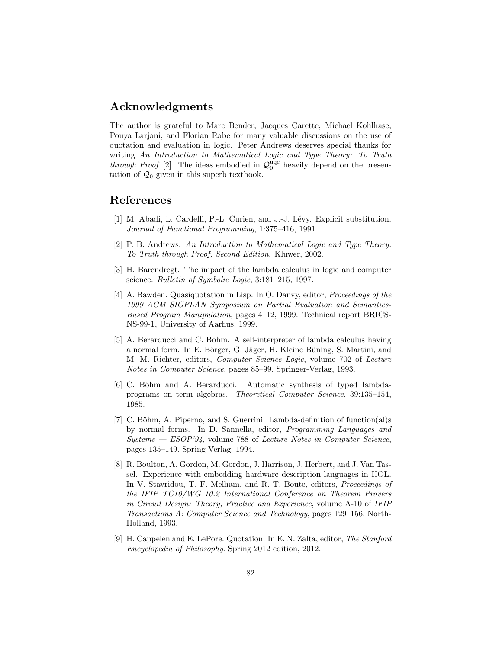## Acknowledgments

The author is grateful to Marc Bender, Jacques Carette, Michael Kohlhase, Pouya Larjani, and Florian Rabe for many valuable discussions on the use of quotation and evaluation in logic. Peter Andrews deserves special thanks for writing An Introduction to Mathematical Logic and Type Theory: To Truth through Proof [2]. The ideas embodied in  $\mathcal{Q}_0^{\text{uqe}}$  heavily depend on the presentation of  $\mathcal{Q}_0$  given in this superb textbook.

# References

- [1] M. Abadi, L. Cardelli, P.-L. Curien, and J.-J. Lévy. Explicit substitution. Journal of Functional Programming, 1:375–416, 1991.
- [2] P. B. Andrews. An Introduction to Mathematical Logic and Type Theory: To Truth through Proof, Second Edition. Kluwer, 2002.
- [3] H. Barendregt. The impact of the lambda calculus in logic and computer science. Bulletin of Symbolic Logic, 3:181–215, 1997.
- [4] A. Bawden. Quasiquotation in Lisp. In O. Danvy, editor, Proceedings of the 1999 ACM SIGPLAN Symposium on Partial Evaluation and Semantics-Based Program Manipulation, pages 4–12, 1999. Technical report BRICS-NS-99-1, University of Aarhus, 1999.
- [5] A. Berarducci and C. Böhm. A self-interpreter of lambda calculus having a normal form. In E. Börger, G. Jäger, H. Kleine Büning, S. Martini, and M. M. Richter, editors, Computer Science Logic, volume 702 of Lecture Notes in Computer Science, pages 85–99. Springer-Verlag, 1993.
- [6] C. Böhm and A. Berarducci. Automatic synthesis of typed lambdaprograms on term algebras. Theoretical Computer Science, 39:135–154, 1985.
- $[7]$  C. Böhm, A. Piperno, and S. Guerrini. Lambda-definition of function(al)s by normal forms. In D. Sannella, editor, Programming Languages and Systems — ESOP'94, volume 788 of Lecture Notes in Computer Science, pages 135–149. Spring-Verlag, 1994.
- [8] R. Boulton, A. Gordon, M. Gordon, J. Harrison, J. Herbert, and J. Van Tassel. Experience with embedding hardware description languages in HOL. In V. Stavridou, T. F. Melham, and R. T. Boute, editors, Proceedings of the IFIP TC10/WG 10.2 International Conference on Theorem Provers in Circuit Design: Theory, Practice and Experience, volume A-10 of IFIP Transactions A: Computer Science and Technology, pages 129–156. North-Holland, 1993.
- [9] H. Cappelen and E. LePore. Quotation. In E. N. Zalta, editor, The Stanford Encyclopedia of Philosophy. Spring 2012 edition, 2012.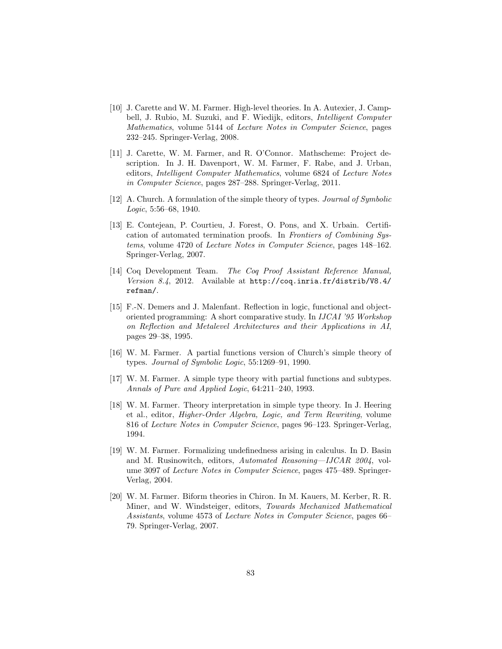- [10] J. Carette and W. M. Farmer. High-level theories. In A. Autexier, J. Campbell, J. Rubio, M. Suzuki, and F. Wiedijk, editors, Intelligent Computer Mathematics, volume 5144 of Lecture Notes in Computer Science, pages 232–245. Springer-Verlag, 2008.
- [11] J. Carette, W. M. Farmer, and R. O'Connor. Mathscheme: Project description. In J. H. Davenport, W. M. Farmer, F. Rabe, and J. Urban, editors, Intelligent Computer Mathematics, volume 6824 of Lecture Notes in Computer Science, pages 287–288. Springer-Verlag, 2011.
- [12] A. Church. A formulation of the simple theory of types. Journal of Symbolic Logic, 5:56–68, 1940.
- [13] E. Contejean, P. Courtieu, J. Forest, O. Pons, and X. Urbain. Certification of automated termination proofs. In Frontiers of Combining Systems, volume 4720 of Lecture Notes in Computer Science, pages 148–162. Springer-Verlag, 2007.
- [14] Coq Development Team. The Coq Proof Assistant Reference Manual, Version 8.4, 2012. Available at http://coq.inria.fr/distrib/V8.4/ refman/.
- [15] F.-N. Demers and J. Malenfant. Reflection in logic, functional and objectoriented programming: A short comparative study. In IJCAI '95 Workshop on Reflection and Metalevel Architectures and their Applications in AI, pages 29–38, 1995.
- [16] W. M. Farmer. A partial functions version of Church's simple theory of types. Journal of Symbolic Logic, 55:1269–91, 1990.
- [17] W. M. Farmer. A simple type theory with partial functions and subtypes. Annals of Pure and Applied Logic, 64:211–240, 1993.
- [18] W. M. Farmer. Theory interpretation in simple type theory. In J. Heering et al., editor, Higher-Order Algebra, Logic, and Term Rewriting, volume 816 of Lecture Notes in Computer Science, pages 96–123. Springer-Verlag, 1994.
- [19] W. M. Farmer. Formalizing undefinedness arising in calculus. In D. Basin and M. Rusinowitch, editors, Automated Reasoning—IJCAR 2004, volume 3097 of Lecture Notes in Computer Science, pages 475–489. Springer-Verlag, 2004.
- [20] W. M. Farmer. Biform theories in Chiron. In M. Kauers, M. Kerber, R. R. Miner, and W. Windsteiger, editors, Towards Mechanized Mathematical Assistants, volume 4573 of Lecture Notes in Computer Science, pages 66– 79. Springer-Verlag, 2007.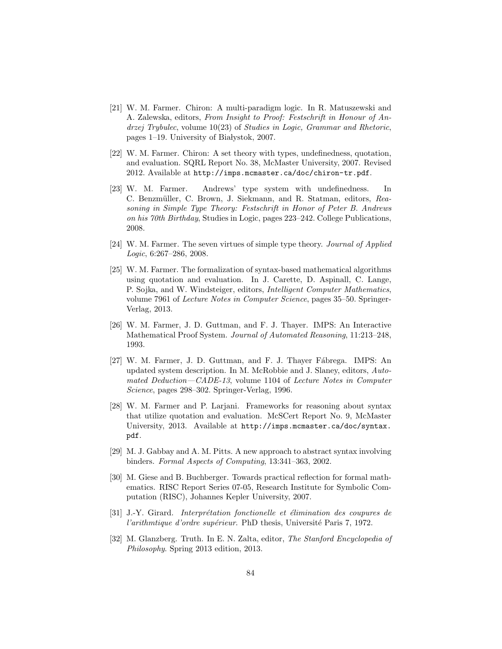- [21] W. M. Farmer. Chiron: A multi-paradigm logic. In R. Matuszewski and A. Zalewska, editors, From Insight to Proof: Festschrift in Honour of Andrzej Trybulec, volume 10(23) of Studies in Logic, Grammar and Rhetoric, pages 1–19. University of Białystok, 2007.
- [22] W. M. Farmer. Chiron: A set theory with types, undefinedness, quotation, and evaluation. SQRL Report No. 38, McMaster University, 2007. Revised 2012. Available at http://imps.mcmaster.ca/doc/chiron-tr.pdf.
- [23] W. M. Farmer. Andrews' type system with undefinedness. In C. Benzmüller, C. Brown, J. Siekmann, and R. Statman, editors, Reasoning in Simple Type Theory: Festschrift in Honor of Peter B. Andrews on his 70th Birthday, Studies in Logic, pages  $223-242$ . College Publications, 2008.
- [24] W. M. Farmer. The seven virtues of simple type theory. Journal of Applied Logic, 6:267–286, 2008.
- [25] W. M. Farmer. The formalization of syntax-based mathematical algorithms using quotation and evaluation. In J. Carette, D. Aspinall, C. Lange, P. Sojka, and W. Windsteiger, editors, Intelligent Computer Mathematics, volume 7961 of Lecture Notes in Computer Science, pages 35–50. Springer-Verlag, 2013.
- [26] W. M. Farmer, J. D. Guttman, and F. J. Thayer. IMPS: An Interactive Mathematical Proof System. Journal of Automated Reasoning, 11:213–248, 1993.
- [27] W. M. Farmer, J. D. Guttman, and F. J. Thayer Fábrega. IMPS: An updated system description. In M. McRobbie and J. Slaney, editors, Automated Deduction—CADE-13, volume 1104 of Lecture Notes in Computer Science, pages 298–302. Springer-Verlag, 1996.
- [28] W. M. Farmer and P. Larjani. Frameworks for reasoning about syntax that utilize quotation and evaluation. McSCert Report No. 9, McMaster University, 2013. Available at http://imps.mcmaster.ca/doc/syntax. pdf.
- [29] M. J. Gabbay and A. M. Pitts. A new approach to abstract syntax involving binders. Formal Aspects of Computing, 13:341–363, 2002.
- [30] M. Giese and B. Buchberger. Towards practical reflection for formal mathematics. RISC Report Series 07-05, Research Institute for Symbolic Computation (RISC), Johannes Kepler University, 2007.
- [31] J.-Y. Girard. Interprétation fonctionelle et élimination des coupures de l'arithmtique d'ordre supérieur. PhD thesis, Université Paris 7, 1972.
- [32] M. Glanzberg. Truth. In E. N. Zalta, editor, The Stanford Encyclopedia of Philosophy. Spring 2013 edition, 2013.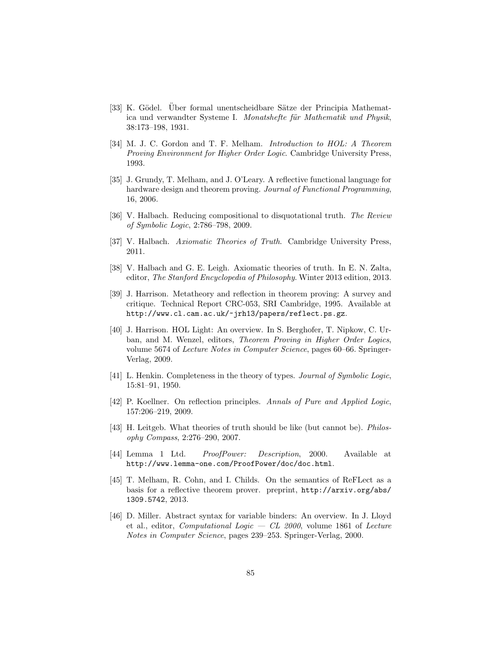- [33] K. Gödel. Uber formal unentscheidbare Sätze der Principia Mathematica und verwandter Systeme I. Monatshefte für Mathematik und Physik, 38:173–198, 1931.
- [34] M. J. C. Gordon and T. F. Melham. Introduction to HOL: A Theorem Proving Environment for Higher Order Logic. Cambridge University Press, 1993.
- [35] J. Grundy, T. Melham, and J. O'Leary. A reflective functional language for hardware design and theorem proving. Journal of Functional Programming, 16, 2006.
- [36] V. Halbach. Reducing compositional to disquotational truth. The Review of Symbolic Logic, 2:786–798, 2009.
- [37] V. Halbach. Axiomatic Theories of Truth. Cambridge University Press, 2011.
- [38] V. Halbach and G. E. Leigh. Axiomatic theories of truth. In E. N. Zalta, editor, The Stanford Encyclopedia of Philosophy. Winter 2013 edition, 2013.
- [39] J. Harrison. Metatheory and reflection in theorem proving: A survey and critique. Technical Report CRC-053, SRI Cambridge, 1995. Available at http://www.cl.cam.ac.uk/~jrh13/papers/reflect.ps.gz.
- [40] J. Harrison. HOL Light: An overview. In S. Berghofer, T. Nipkow, C. Urban, and M. Wenzel, editors, Theorem Proving in Higher Order Logics, volume 5674 of Lecture Notes in Computer Science, pages 60–66. Springer-Verlag, 2009.
- [41] L. Henkin. Completeness in the theory of types. Journal of Symbolic Logic, 15:81–91, 1950.
- [42] P. Koellner. On reflection principles. Annals of Pure and Applied Logic, 157:206–219, 2009.
- [43] H. Leitgeb. What theories of truth should be like (but cannot be). *Philos*ophy Compass, 2:276–290, 2007.
- [44] Lemma 1 Ltd. ProofPower: Description, 2000. Available at http://www.lemma-one.com/ProofPower/doc/doc.html.
- [45] T. Melham, R. Cohn, and I. Childs. On the semantics of ReFLect as a basis for a reflective theorem prover. preprint, http://arxiv.org/abs/ 1309.5742, 2013.
- [46] D. Miller. Abstract syntax for variable binders: An overview. In J. Lloyd et al., editor, Computational Logic  $-CL$  2000, volume 1861 of Lecture Notes in Computer Science, pages 239–253. Springer-Verlag, 2000.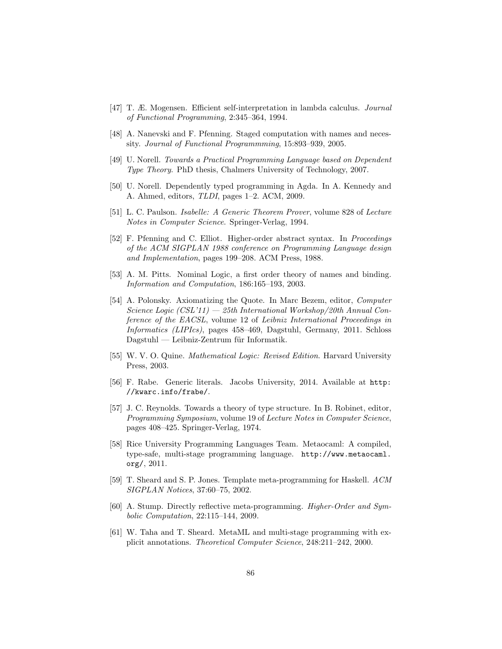- [47] T. Æ. Mogensen. Efficient self-interpretation in lambda calculus. Journal of Functional Programming, 2:345–364, 1994.
- [48] A. Nanevski and F. Pfenning. Staged computation with names and necessity. Journal of Functional Programmming, 15:893–939, 2005.
- [49] U. Norell. Towards a Practical Programming Language based on Dependent Type Theory. PhD thesis, Chalmers University of Technology, 2007.
- [50] U. Norell. Dependently typed programming in Agda. In A. Kennedy and A. Ahmed, editors, TLDI, pages 1–2. ACM, 2009.
- [51] L. C. Paulson. Isabelle: A Generic Theorem Prover, volume 828 of Lecture Notes in Computer Science. Springer-Verlag, 1994.
- [52] F. Pfenning and C. Elliot. Higher-order abstract syntax. In Proceedings of the ACM SIGPLAN 1988 conference on Programming Language design and Implementation, pages 199–208. ACM Press, 1988.
- [53] A. M. Pitts. Nominal Logic, a first order theory of names and binding. Information and Computation, 186:165–193, 2003.
- [54] A. Polonsky. Axiomatizing the Quote. In Marc Bezem, editor, Computer Science Logic  $(CSL'11)$  – 25th International Workshop/20th Annual Conference of the EACSL, volume 12 of Leibniz International Proceedings in Informatics (LIPIcs), pages 458–469, Dagstuhl, Germany, 2011. Schloss  $Dagstuhl$  — Leibniz-Zentrum für Informatik.
- [55] W. V. O. Quine. Mathematical Logic: Revised Edition. Harvard University Press, 2003.
- [56] F. Rabe. Generic literals. Jacobs University, 2014. Available at http: //kwarc.info/frabe/.
- [57] J. C. Reynolds. Towards a theory of type structure. In B. Robinet, editor, Programming Symposium, volume 19 of Lecture Notes in Computer Science, pages 408–425. Springer-Verlag, 1974.
- [58] Rice University Programming Languages Team. Metaocaml: A compiled, type-safe, multi-stage programming language. http://www.metaocaml. org/, 2011.
- [59] T. Sheard and S. P. Jones. Template meta-programming for Haskell. ACM SIGPLAN Notices, 37:60–75, 2002.
- [60] A. Stump. Directly reflective meta-programming. Higher-Order and Symbolic Computation, 22:115–144, 2009.
- [61] W. Taha and T. Sheard. MetaML and multi-stage programming with explicit annotations. Theoretical Computer Science, 248:211–242, 2000.